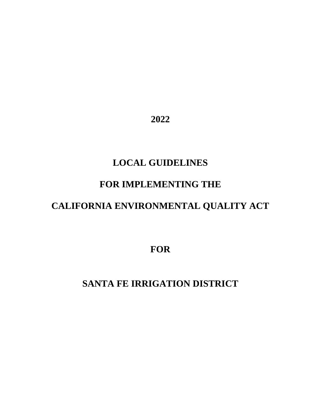**2022** 

# **LOCAL GUIDELINES**

## **FOR IMPLEMENTING THE**

# **CALIFORNIA ENVIRONMENTAL QUALITY ACT**

**FOR** 

# **SANTA FE IRRIGATION DISTRICT**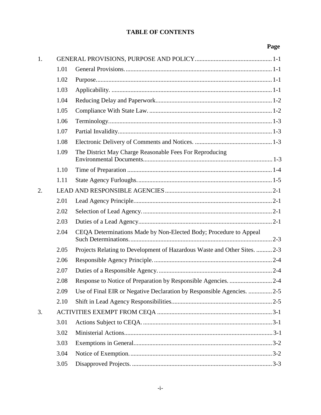| 1. |      |                                                                           |
|----|------|---------------------------------------------------------------------------|
|    | 1.01 |                                                                           |
|    | 1.02 |                                                                           |
|    | 1.03 |                                                                           |
|    | 1.04 |                                                                           |
|    | 1.05 |                                                                           |
|    | 1.06 |                                                                           |
|    | 1.07 |                                                                           |
|    | 1.08 |                                                                           |
|    | 1.09 | The District May Charge Reasonable Fees For Reproducing                   |
|    | 1.10 |                                                                           |
|    | 1.11 |                                                                           |
| 2. |      |                                                                           |
|    | 2.01 |                                                                           |
|    | 2.02 |                                                                           |
|    | 2.03 |                                                                           |
|    | 2.04 | CEQA Determinations Made by Non-Elected Body; Procedure to Appeal         |
|    | 2.05 | Projects Relating to Development of Hazardous Waste and Other Sites.  2-3 |
|    | 2.06 |                                                                           |
|    | 2.07 |                                                                           |
|    | 2.08 |                                                                           |
|    | 2.09 | Use of Final EIR or Negative Declaration by Responsible Agencies. 2-5     |
|    | 2.10 |                                                                           |
| 3. |      |                                                                           |
|    | 3.01 |                                                                           |
|    | 3.02 |                                                                           |
|    | 3.03 |                                                                           |
|    | 3.04 |                                                                           |
|    | 3.05 |                                                                           |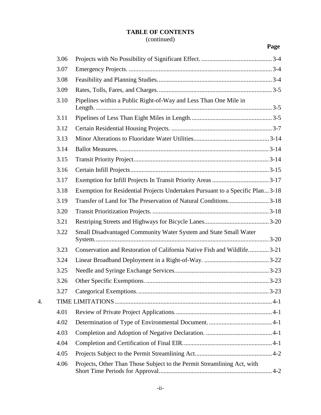## (continued)

|    | 3.06 |                                                                               |
|----|------|-------------------------------------------------------------------------------|
|    | 3.07 |                                                                               |
|    | 3.08 |                                                                               |
|    | 3.09 |                                                                               |
|    | 3.10 | Pipelines within a Public Right-of-Way and Less Than One Mile in              |
|    | 3.11 |                                                                               |
|    | 3.12 |                                                                               |
|    | 3.13 |                                                                               |
|    | 3.14 |                                                                               |
|    | 3.15 |                                                                               |
|    | 3.16 |                                                                               |
|    | 3.17 |                                                                               |
|    | 3.18 | Exemption for Residential Projects Undertaken Pursuant to a Specific Plan3-18 |
|    | 3.19 | Transfer of Land for The Preservation of Natural Conditions3-18               |
|    | 3.20 |                                                                               |
|    | 3.21 |                                                                               |
|    | 3.22 | Small Disadvantaged Community Water System and State Small Water              |
|    | 3.23 | Conservation and Restoration of California Native Fish and Wildlife3-21       |
|    | 3.24 |                                                                               |
|    | 3.25 |                                                                               |
|    | 3.26 |                                                                               |
|    | 3.27 |                                                                               |
| 4. |      |                                                                               |
|    | 4.01 |                                                                               |
|    | 4.02 |                                                                               |
|    | 4.03 |                                                                               |
|    | 4.04 |                                                                               |
|    | 4.05 |                                                                               |
|    | 4.06 | Projects, Other Than Those Subject to the Permit Streamlining Act, with       |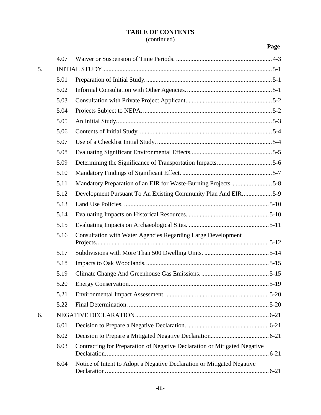## (continued)

|    | 4.07 |                                                                           |  |
|----|------|---------------------------------------------------------------------------|--|
| 5. |      |                                                                           |  |
|    | 5.01 |                                                                           |  |
|    | 5.02 |                                                                           |  |
|    | 5.03 |                                                                           |  |
|    | 5.04 |                                                                           |  |
|    | 5.05 |                                                                           |  |
|    | 5.06 |                                                                           |  |
|    | 5.07 |                                                                           |  |
|    | 5.08 |                                                                           |  |
|    | 5.09 |                                                                           |  |
|    | 5.10 |                                                                           |  |
|    | 5.11 |                                                                           |  |
|    | 5.12 | Development Pursuant To An Existing Community Plan And EIR5-9             |  |
|    | 5.13 |                                                                           |  |
|    | 5.14 |                                                                           |  |
|    | 5.15 |                                                                           |  |
|    | 5.16 | <b>Consultation with Water Agencies Regarding Large Development</b>       |  |
|    |      |                                                                           |  |
|    | 5.17 |                                                                           |  |
|    | 5.18 |                                                                           |  |
|    | 5.19 |                                                                           |  |
|    | 5.20 |                                                                           |  |
|    | 5.21 |                                                                           |  |
|    | 5.22 |                                                                           |  |
| 6. |      |                                                                           |  |
|    | 6.01 |                                                                           |  |
|    | 6.02 |                                                                           |  |
|    | 6.03 | Contracting for Preparation of Negative Declaration or Mitigated Negative |  |
|    | 6.04 | Notice of Intent to Adopt a Negative Declaration or Mitigated Negative    |  |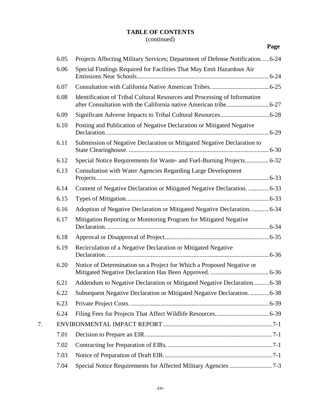## (continued)

|--|

|    | 6.05 | Projects Affecting Military Services; Department of Defense Notification 6-24 |
|----|------|-------------------------------------------------------------------------------|
|    | 6.06 | Special Findings Required for Facilities That May Emit Hazardous Air          |
|    | 6.07 |                                                                               |
|    | 6.08 | Identification of Tribal Cultural Resources and Processing of Information     |
|    | 6.09 |                                                                               |
|    | 6.10 | Posting and Publication of Negative Declaration or Mitigated Negative         |
|    | 6.11 | Submission of Negative Declaration or Mitigated Negative Declaration to       |
|    | 6.12 | Special Notice Requirements for Waste- and Fuel-Burning Projects 6-32         |
|    | 6.13 | Consultation with Water Agencies Regarding Large Development                  |
|    | 6.14 | Content of Negative Declaration or Mitigated Negative Declaration.  6-33      |
|    | 6.15 |                                                                               |
|    | 6.16 | Adoption of Negative Declaration or Mitigated Negative Declaration.  6-34     |
|    | 6.17 | Mitigation Reporting or Monitoring Program for Mitigated Negative             |
|    | 6.18 |                                                                               |
|    | 6.19 | Recirculation of a Negative Declaration or Mitigated Negative                 |
|    | 6.20 | Notice of Determination on a Project for Which a Proposed Negative or         |
|    | 6.21 | Addendum to Negative Declaration or Mitigated Negative Declaration 6-38       |
|    | 6.22 | Subsequent Negative Declaration or Mitigated Negative Declaration 6-38        |
|    | 6.23 |                                                                               |
|    | 6.24 |                                                                               |
| 7. |      |                                                                               |
|    | 7.01 |                                                                               |
|    | 7.02 |                                                                               |
|    | 7.03 |                                                                               |
|    | 7.04 |                                                                               |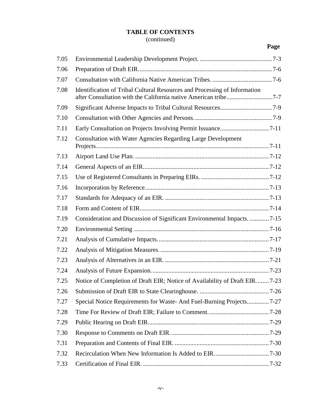## (continued)

| 7.05 |                                                                              |
|------|------------------------------------------------------------------------------|
| 7.06 |                                                                              |
| 7.07 |                                                                              |
| 7.08 | Identification of Tribal Cultural Resources and Processing of Information    |
| 7.09 |                                                                              |
| 7.10 |                                                                              |
| 7.11 |                                                                              |
| 7.12 | <b>Consultation with Water Agencies Regarding Large Development</b>          |
| 7.13 |                                                                              |
| 7.14 |                                                                              |
| 7.15 |                                                                              |
| 7.16 |                                                                              |
| 7.17 |                                                                              |
| 7.18 |                                                                              |
| 7.19 | Consideration and Discussion of Significant Environmental Impacts. 7-15      |
| 7.20 |                                                                              |
| 7.21 |                                                                              |
| 7.22 |                                                                              |
| 7.23 |                                                                              |
| 7.24 |                                                                              |
| 7.25 | Notice of Completion of Draft EIR; Notice of Availability of Draft EIR. 7-23 |
| 7.26 |                                                                              |
| 7.27 | Special Notice Requirements for Waste-And Fuel-Burning Projects7-27          |
| 7.28 |                                                                              |
| 7.29 |                                                                              |
| 7.30 |                                                                              |
| 7.31 |                                                                              |
| 7.32 |                                                                              |
| 7.33 |                                                                              |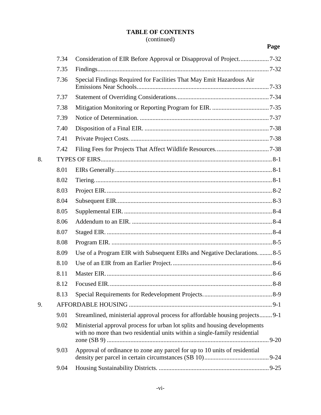## (continued)

|    |      |                                                                                                                                                          | Page |
|----|------|----------------------------------------------------------------------------------------------------------------------------------------------------------|------|
|    | 7.34 |                                                                                                                                                          |      |
|    | 7.35 |                                                                                                                                                          |      |
|    | 7.36 | Special Findings Required for Facilities That May Emit Hazardous Air                                                                                     |      |
|    | 7.37 |                                                                                                                                                          |      |
|    | 7.38 |                                                                                                                                                          |      |
|    | 7.39 |                                                                                                                                                          |      |
|    | 7.40 |                                                                                                                                                          |      |
|    | 7.41 |                                                                                                                                                          |      |
|    | 7.42 |                                                                                                                                                          |      |
| 8. |      |                                                                                                                                                          |      |
|    | 8.01 |                                                                                                                                                          |      |
|    | 8.02 |                                                                                                                                                          |      |
|    | 8.03 |                                                                                                                                                          |      |
|    | 8.04 |                                                                                                                                                          |      |
|    | 8.05 |                                                                                                                                                          |      |
|    | 8.06 |                                                                                                                                                          |      |
|    | 8.07 |                                                                                                                                                          |      |
|    | 8.08 |                                                                                                                                                          |      |
|    | 8.09 | Use of a Program EIR with Subsequent EIRs and Negative Declarations8-5                                                                                   |      |
|    | 8.10 |                                                                                                                                                          |      |
|    | 8.11 |                                                                                                                                                          |      |
|    | 8.12 |                                                                                                                                                          |      |
|    | 8.13 |                                                                                                                                                          |      |
| 9. |      |                                                                                                                                                          |      |
|    | 9.01 | Streamlined, ministerial approval process for affordable housing projects9-1                                                                             |      |
|    | 9.02 | Ministerial approval process for urban lot splits and housing developments<br>with no more than two residential units within a single-family residential |      |
|    | 9.03 | Approval of ordinance to zone any parcel for up to 10 units of residential                                                                               |      |
|    | 9.04 |                                                                                                                                                          |      |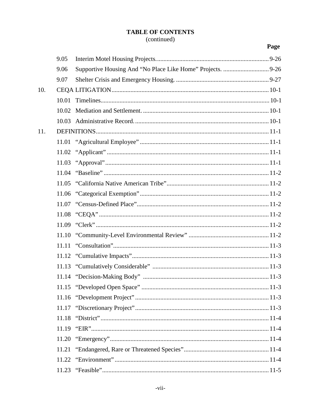## (continued)

|     | 9.05  |  |
|-----|-------|--|
|     | 9.06  |  |
|     | 9.07  |  |
| 10. |       |  |
|     | 10.01 |  |
|     | 10.02 |  |
|     | 10.03 |  |
| 11. |       |  |
|     |       |  |
|     |       |  |
|     |       |  |
|     | 11.04 |  |
|     |       |  |
|     | 11.06 |  |
|     |       |  |
|     |       |  |
|     | 11.09 |  |
|     |       |  |
|     | 11.11 |  |
|     |       |  |
|     |       |  |
|     |       |  |
|     |       |  |
|     |       |  |
|     | 11.17 |  |
|     | 11.18 |  |
|     | 11.19 |  |
|     | 11.20 |  |
|     | 11.21 |  |
|     | 11.22 |  |
|     | 11.23 |  |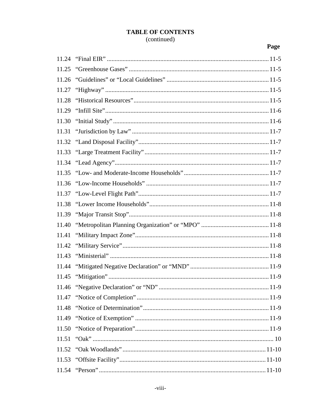#### **TABLE OF CONTENTS** (continued)

| 11.25 |  |
|-------|--|
| 11.26 |  |
| 11.27 |  |
| 11.28 |  |
| 11.29 |  |
| 11.30 |  |
| 11.31 |  |
| 11.32 |  |
| 11.33 |  |
| 11.34 |  |
| 11.35 |  |
| 11.36 |  |
| 11.37 |  |
| 11.38 |  |
| 11.39 |  |
| 11.40 |  |
| 11.41 |  |
| 11.42 |  |
| 11.43 |  |
| 11.44 |  |
|       |  |
|       |  |
| 11.47 |  |
| 11.48 |  |
| 11.49 |  |
| 11.50 |  |
| 11.51 |  |
| 11.52 |  |
|       |  |
|       |  |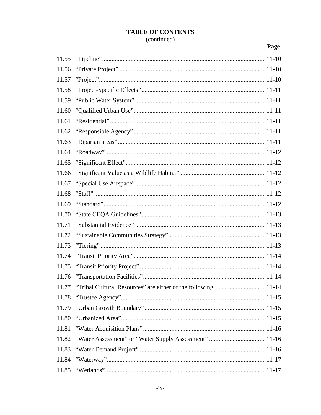#### **TABLE OF CONTENTS** (continued)

| 11.55 |                                                                       |
|-------|-----------------------------------------------------------------------|
| 11.56 |                                                                       |
| 11.57 |                                                                       |
| 11.58 |                                                                       |
| 11.59 |                                                                       |
| 11.60 |                                                                       |
| 11.61 |                                                                       |
| 11.62 |                                                                       |
| 11.63 |                                                                       |
| 11.64 |                                                                       |
| 11.65 |                                                                       |
| 11.66 |                                                                       |
| 11.67 |                                                                       |
| 11.68 |                                                                       |
| 11.69 |                                                                       |
| 11.70 |                                                                       |
| 11.71 |                                                                       |
| 11.72 |                                                                       |
| 11.73 |                                                                       |
| 11.74 |                                                                       |
| 11.75 |                                                                       |
| 11.76 |                                                                       |
|       | 11.77 "Tribal Cultural Resources" are either of the following:  11-14 |
| 11.78 |                                                                       |
| 11.79 |                                                                       |
| 11.80 |                                                                       |
| 11.81 |                                                                       |
| 11.82 |                                                                       |
| 11.83 |                                                                       |
| 11.84 |                                                                       |
| 11.85 |                                                                       |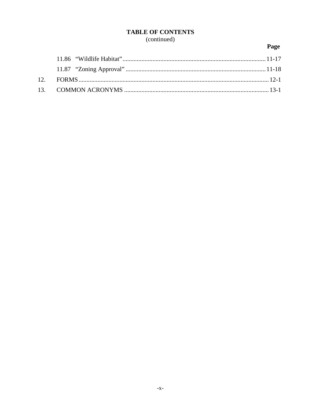#### **TABLE OF CONTENTS** (continued)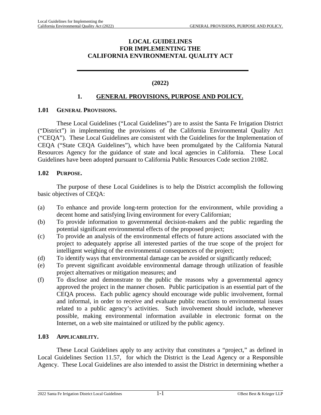#### **LOCAL GUIDELINES FOR IMPLEMENTING THE CALIFORNIA ENVIRONMENTAL QUALITY ACT**

#### **(2022)**

#### <span id="page-11-0"></span>**1. GENERAL PROVISIONS, PURPOSE AND POLICY.**

#### <span id="page-11-1"></span>**1.01 GENERAL PROVISIONS.**

These Local Guidelines ("Local Guidelines") are to assist the Santa Fe Irrigation District ("District") in implementing the provisions of the California Environmental Quality Act ("CEQA"). These Local Guidelines are consistent with the Guidelines for the Implementation of CEQA ("State CEQA Guidelines"), which have been promulgated by the California Natural Resources Agency for the guidance of state and local agencies in California. These Local Guidelines have been adopted pursuant to California Public Resources Code section 21082.

#### <span id="page-11-2"></span>**1.02 PURPOSE.**

The purpose of these Local Guidelines is to help the District accomplish the following basic objectives of CEQA:

- (a) To enhance and provide long-term protection for the environment, while providing a decent home and satisfying living environment for every Californian;
- (b) To provide information to governmental decision-makers and the public regarding the potential significant environmental effects of the proposed project;
- (c) To provide an analysis of the environmental effects of future actions associated with the project to adequately apprise all interested parties of the true scope of the project for intelligent weighing of the environmental consequences of the project;
- (d) To identify ways that environmental damage can be avoided or significantly reduced;
- (e) To prevent significant avoidable environmental damage through utilization of feasible project alternatives or mitigation measures; and
- (f) To disclose and demonstrate to the public the reasons why a governmental agency approved the project in the manner chosen. Public participation is an essential part of the CEQA process. Each public agency should encourage wide public involvement, formal and informal, in order to receive and evaluate public reactions to environmental issues related to a public agency's activities. Such involvement should include, whenever possible, making environmental information available in electronic format on the Internet, on a web site maintained or utilized by the public agency.

#### <span id="page-11-3"></span>**1.03 APPLICABILITY.**

These Local Guidelines apply to any activity that constitutes a "project," as defined in Local Guidelines Section [11.57](#page-184-6), for which the District is the Lead Agency or a Responsible Agency. These Local Guidelines are also intended to assist the District in determining whether a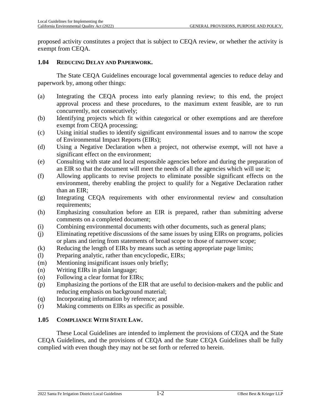proposed activity constitutes a project that is subject to CEQA review, or whether the activity is exempt from CEQA.

#### <span id="page-12-0"></span>**1.04 REDUCING DELAY AND PAPERWORK.**

The State CEQA Guidelines encourage local governmental agencies to reduce delay and paperwork by, among other things:

- (a) Integrating the CEQA process into early planning review; to this end, the project approval process and these procedures, to the maximum extent feasible, are to run concurrently, not consecutively;
- (b) Identifying projects which fit within categorical or other exemptions and are therefore exempt from CEQA processing;
- (c) Using initial studies to identify significant environmental issues and to narrow the scope of Environmental Impact Reports (EIRs);
- (d) Using a Negative Declaration when a project, not otherwise exempt, will not have a significant effect on the environment;
- (e) Consulting with state and local responsible agencies before and during the preparation of an EIR so that the document will meet the needs of all the agencies which will use it;
- (f) Allowing applicants to revise projects to eliminate possible significant effects on the environment, thereby enabling the project to qualify for a Negative Declaration rather than an EIR;
- (g) Integrating CEQA requirements with other environmental review and consultation requirements;
- (h) Emphasizing consultation before an EIR is prepared, rather than submitting adverse comments on a completed document;
- (i) Combining environmental documents with other documents, such as general plans;
- (j) Eliminating repetitive discussions of the same issues by using EIRs on programs, policies or plans and tiering from statements of broad scope to those of narrower scope;
- (k) Reducing the length of EIRs by means such as setting appropriate page limits;
- (l) Preparing analytic, rather than encyclopedic, EIRs;
- (m) Mentioning insignificant issues only briefly;
- (n) Writing EIRs in plain language;
- (o) Following a clear format for EIRs;
- (p) Emphasizing the portions of the EIR that are useful to decision-makers and the public and reducing emphasis on background material;
- (q) Incorporating information by reference; and
- (r) Making comments on EIRs as specific as possible.

#### <span id="page-12-1"></span>**1.05 COMPLIANCE WITH STATE LAW.**

These Local Guidelines are intended to implement the provisions of CEQA and the State CEQA Guidelines, and the provisions of CEQA and the State CEQA Guidelines shall be fully complied with even though they may not be set forth or referred to herein.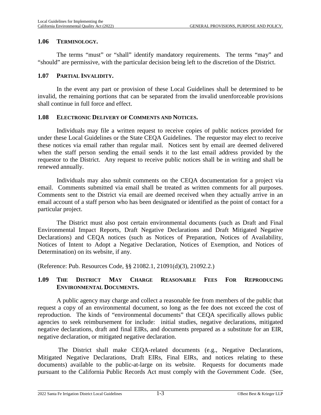#### <span id="page-13-0"></span>**1.06 TERMINOLOGY.**

The terms "must" or "shall" identify mandatory requirements. The terms "may" and "should" are permissive, with the particular decision being left to the discretion of the District.

#### <span id="page-13-1"></span>**1.07 PARTIAL INVALIDITY.**

In the event any part or provision of these Local Guidelines shall be determined to be invalid, the remaining portions that can be separated from the invalid unenforceable provisions shall continue in full force and effect.

#### <span id="page-13-2"></span>**1.08 ELECTRONIC DELIVERY OF COMMENTS AND NOTICES.**

Individuals may file a written request to receive copies of public notices provided for under these Local Guidelines or the State CEQA Guidelines. The requestor may elect to receive these notices via email rather than regular mail. Notices sent by email are deemed delivered when the staff person sending the email sends it to the last email address provided by the requestor to the District. Any request to receive public notices shall be in writing and shall be renewed annually.

Individuals may also submit comments on the CEQA documentation for a project via email. Comments submitted via email shall be treated as written comments for all purposes. Comments sent to the District via email are deemed received when they actually arrive in an email account of a staff person who has been designated or identified as the point of contact for a particular project.

The District must also post certain environmental documents (such as Draft and Final Environmental Impact Reports, Draft Negative Declarations and Draft Mitigated Negative Declarations) and CEQA notices (such as Notices of Preparation, Notices of Availability, Notices of Intent to Adopt a Negative Declaration, Notices of Exemption, and Notices of Determination) on its website, if any.

(Reference: Pub. Resources Code, §§ 21082.1, 21091(d)(3), 21092.2.)

#### <span id="page-13-3"></span>**1.09 THE DISTRICT MAY CHARGE REASONABLE FEES FOR REPRODUCING ENVIRONMENTAL DOCUMENTS.**

A public agency may charge and collect a reasonable fee from members of the public that request a copy of an environmental document, so long as the fee does not exceed the cost of reproduction. The kinds of "environmental documents" that CEQA specifically allows public agencies to seek reimbursement for include: initial studies, negative declarations, mitigated negative declarations, draft and final EIRs, and documents prepared as a substitute for an EIR, negative declaration, or mitigated negative declaration.

 The District shall make CEQA-related documents (e.g., Negative Declarations, Mitigated Negative Declarations, Draft EIRs, Final EIRs, and notices relating to these documents) available to the public-at-large on its website. Requests for documents made pursuant to the California Public Records Act must comply with the Government Code. (See,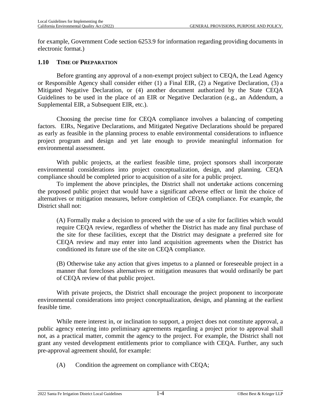for example, Government Code section 6253.9 for information regarding providing documents in electronic format.)

#### <span id="page-14-0"></span>**1.10 TIME OF PREPARATION**

Before granting any approval of a non-exempt project subject to CEQA, the Lead Agency or Responsible Agency shall consider either (1) a Final EIR, (2) a Negative Declaration, (3) a Mitigated Negative Declaration, or (4) another document authorized by the State CEQA Guidelines to be used in the place of an EIR or Negative Declaration (e.g., an Addendum, a Supplemental EIR, a Subsequent EIR, etc.).

Choosing the precise time for CEQA compliance involves a balancing of competing factors. EIRs, Negative Declarations, and Mitigated Negative Declarations should be prepared as early as feasible in the planning process to enable environmental considerations to influence project program and design and yet late enough to provide meaningful information for environmental assessment.

With public projects, at the earliest feasible time, project sponsors shall incorporate environmental considerations into project conceptualization, design, and planning. CEQA compliance should be completed prior to acquisition of a site for a public project.

To implement the above principles, the District shall not undertake actions concerning the proposed public project that would have a significant adverse effect or limit the choice of alternatives or mitigation measures, before completion of CEQA compliance. For example, the District shall not:

(A) Formally make a decision to proceed with the use of a site for facilities which would require CEQA review, regardless of whether the District has made any final purchase of the site for these facilities, except that the District may designate a preferred site for CEQA review and may enter into land acquisition agreements when the District has conditioned its future use of the site on CEQA compliance.

(B) Otherwise take any action that gives impetus to a planned or foreseeable project in a manner that forecloses alternatives or mitigation measures that would ordinarily be part of CEQA review of that public project.

With private projects, the District shall encourage the project proponent to incorporate environmental considerations into project conceptualization, design, and planning at the earliest feasible time.

While mere interest in, or inclination to support, a project does not constitute approval, a public agency entering into preliminary agreements regarding a project prior to approval shall not, as a practical matter, commit the agency to the project. For example, the District shall not grant any vested development entitlements prior to compliance with CEQA. Further, any such pre-approval agreement should, for example:

(A) Condition the agreement on compliance with CEQA;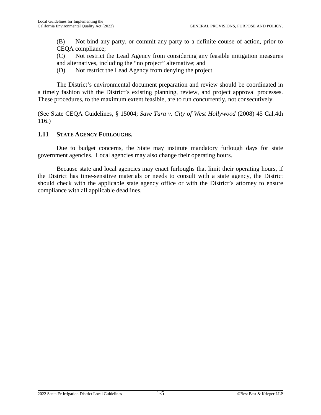(B) Not bind any party, or commit any party to a definite course of action, prior to CEQA compliance;

(C) Not restrict the Lead Agency from considering any feasible mitigation measures and alternatives, including the "no project" alternative; and

(D) Not restrict the Lead Agency from denying the project.

The District's environmental document preparation and review should be coordinated in a timely fashion with the District's existing planning, review, and project approval processes. These procedures, to the maximum extent feasible, are to run concurrently, not consecutively.

(See State CEQA Guidelines, § 15004; *Save Tara v. City of West Hollywood* (2008) 45 Cal.4th 116.)

#### <span id="page-15-0"></span>**1.11 STATE AGENCY FURLOUGHS.**

Due to budget concerns, the State may institute mandatory furlough days for state government agencies. Local agencies may also change their operating hours.

Because state and local agencies may enact furloughs that limit their operating hours, if the District has time-sensitive materials or needs to consult with a state agency, the District should check with the applicable state agency office or with the District's attorney to ensure compliance with all applicable deadlines.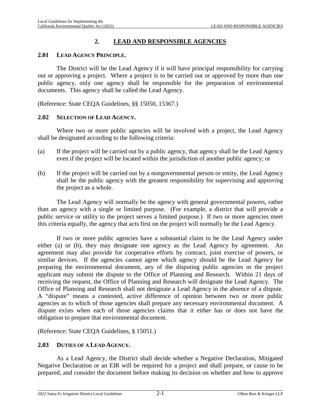#### **2. LEAD AND RESPONSIBLE AGENCIES**

#### <span id="page-16-1"></span><span id="page-16-0"></span>**2.01 LEAD AGENCY PRINCIPLE.**

The District will be the Lead Agency if it will have principal responsibility for carrying out or approving a project. Where a project is to be carried out or approved by more than one public agency, only one agency shall be responsible for the preparation of environmental documents. This agency shall be called the Lead Agency.

(Reference: State CEQA Guidelines, §§ 15050, 15367.)

#### <span id="page-16-2"></span>**2.02 SELECTION OF LEAD AGENCY.**

Where two or more public agencies will be involved with a project, the Lead Agency shall be designated according to the following criteria:

- (a) If the project will be carried out by a public agency, that agency shall be the Lead Agency even if the project will be located within the jurisdiction of another public agency; or
- (b) If the project will be carried out by a nongovernmental person or entity, the Lead Agency shall be the public agency with the greatest responsibility for supervising and approving the project as a whole.

The Lead Agency will normally be the agency with general governmental powers, rather than an agency with a single or limited purpose. (For example, a district that will provide a public service or utility to the project serves a limited purpose.) If two or more agencies meet this criteria equally, the agency that acts first on the project will normally be the Lead Agency.

If two or more public agencies have a substantial claim to be the Lead Agency under either (a) or (b), they may designate one agency as the Lead Agency by agreement. An agreement may also provide for cooperative efforts by contract, joint exercise of powers, or similar devices. If the agencies cannot agree which agency should be the Lead Agency for preparing the environmental document, any of the disputing public agencies or the project applicant may submit the dispute to the Office of Planning and Research. Within 21 days of receiving the request, the Office of Planning and Research will designate the Lead Agency. The Office of Planning and Research shall not designate a Lead Agency in the absence of a dispute. A "dispute" means a contested, active difference of opinion between two or more public agencies as to which of those agencies shall prepare any necessary environmental document. A dispute exists when each of those agencies claims that it either has or does not have the obligation to prepare that environmental document.

(Reference: State CEQA Guidelines, § 15051.)

#### <span id="page-16-3"></span>**2.03 DUTIES OF A LEAD AGENCY.**

As a Lead Agency, the District shall decide whether a Negative Declaration, Mitigated Negative Declaration or an EIR will be required for a project and shall prepare, or cause to be prepared, and consider the document before making its decision on whether and how to approve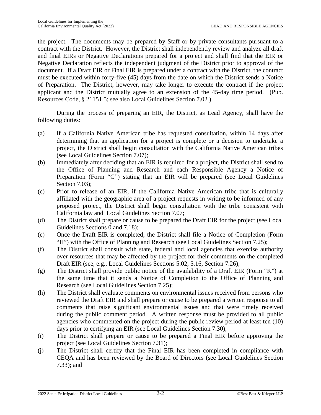the project. The documents may be prepared by Staff or by private consultants pursuant to a contract with the District. However, the District shall independently review and analyze all draft and final EIRs or Negative Declarations prepared for a project and shall find that the EIR or Negative Declaration reflects the independent judgment of the District prior to approval of the document. If a Draft EIR or Final EIR is prepared under a contract with the District, the contract must be executed within forty-five (45) days from the date on which the District sends a Notice of Preparation. The District, however, may take longer to execute the contract if the project applicant and the District mutually agree to an extension of the 45-day time period. (Pub. Resources Code, § 21151.5; see also Local Guidelines Section [7.02.](#page-96-2))

During the process of preparing an EIR, the District, as Lead Agency, shall have the following duties:

- (a) If a California Native American tribe has requested consultation, within 14 days after determining that an application for a project is complete or a decision to undertake a project, the District shall begin consultation with the California Native American tribes (see Local Guidelines Section [7.07\)](#page-101-1);
- (b) Immediately after deciding that an EIR is required for a project, the District shall send to the Office of Planning and Research and each Responsible Agency a Notice of Preparation (Form "G") stating that an EIR will be prepared (see Local Guidelines Section [7.03](#page-96-3)):
- (c) Prior to release of an EIR, if the California Native American tribe that is culturally affiliated with the geographic area of a project requests in writing to be informed of any proposed project, the District shall begin consultation with the tribe consistent with California law and Local Guidelines Section [7.07;](#page-101-1)
- (d) The District shall prepare or cause to be prepared the Draft EIR for the project (see Local Guidelines Sections [0 and](#page-98-2) 7.[18\);](#page-109-0)
- (e) Once the Draft EIR is completed, the District shall file a Notice of Completion (Form "H") with the Office of Planning and Research (see Local Guidelines Section [7.25\)](#page-118-1);
- (f) The District shall consult with state, federal and local agencies that exercise authority over resources that may be affected by the project for their comments on the completed Draft EIR (see, e.g., Local Guidelines Sections [5.02](#page-55-2), [5.16](#page-66-0), Section [7.26](#page-121-0));
- (g) The District shall provide public notice of the availability of a Draft EIR (Form "K") at the same time that it sends a Notice of Completion to the Office of Planning and Research (see Local Guidelines Section [7.25\)](#page-118-1);
- (h) The District shall evaluate comments on environmental issues received from persons who reviewed the Draft EIR and shall prepare or cause to be prepared a written response to all comments that raise significant environmental issues and that were timely received during the public comment period. A written response must be provided to all public agencies who commented on the project during the public review period at least ten (10) days prior to certifying an EIR (see Local Guidelines Section [7.30\)](#page-124-1);
- (i) The District shall prepare or cause to be prepared a Final EIR before approving the project (see Local Guidelines Section [7.31](#page-125-0));
- (j) The District shall certify that the Final EIR has been completed in compliance with CEQA and has been reviewed by the Board of Directors (see Local Guidelines Section [7.33](#page-127-0)); and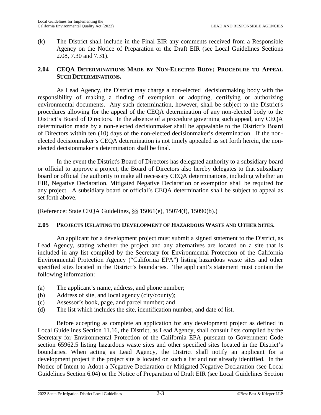(k) The District shall include in the Final EIR any comments received from a Responsible Agency on the Notice of Preparation or the Draft EIR (see Local Guidelines Sections [2.08,](#page-19-2) [7.30](#page-124-1) and [7.31](#page-125-0)).

#### <span id="page-18-0"></span>**2.04 CEQA DETERMINATIONS MADE BY NON-ELECTED BODY; PROCEDURE TO APPEAL SUCH DETERMINATIONS.**

As Lead Agency, the District may charge a non-elected decisionmaking body with the responsibility of making a finding of exemption or adopting, certifying or authorizing environmental documents. Any such determination, however, shall be subject to the District's procedures allowing for the appeal of the CEQA determination of any non-elected body to the District's Board of Directors. In the absence of a procedure governing such appeal, any CEQA determination made by a non-elected decisionmaker shall be appealable to the District's Board of Directors within ten (10) days of the non-elected decisionmaker's determination. If the nonelected decisionmaker's CEQA determination is not timely appealed as set forth herein, the nonelected decisionmaker's determination shall be final.

In the event the District's Board of Directors has delegated authority to a subsidiary board or official to approve a project, the Board of Directors also hereby delegates to that subsidiary board or official the authority to make all necessary CEQA determinations, including whether an EIR, Negative Declaration, Mitigated Negative Declaration or exemption shall be required for any project. A subsidiary board or official's CEQA determination shall be subject to appeal as set forth above.

(Reference: State CEQA Guidelines, §§ 15061(e), 15074(f), 15090(b).)

#### <span id="page-18-1"></span>**2.05 PROJECTS RELATING TO DEVELOPMENT OF HAZARDOUS WASTE AND OTHER SITES.**

An applicant for a development project must submit a signed statement to the District, as Lead Agency, stating whether the project and any alternatives are located on a site that is included in any list compiled by the Secretary for Environmental Protection of the California Environmental Protection Agency ("California EPA") listing hazardous waste sites and other specified sites located in the District's boundaries. The applicant's statement must contain the following information:

- (a) The applicant's name, address, and phone number;
- (b) Address of site, and local agency (city/county);
- (c) Assessor's book, page, and parcel number; and
- (d) The list which includes the site, identification number, and date of list.

Before accepting as complete an application for any development project as defined in Local Guidelines Section [11.16](#page-177-5), the District, as Lead Agency, shall consult lists compiled by the Secretary for Environmental Protection of the California EPA pursuant to Government Code section 65962.5 listing hazardous waste sites and other specified sites located in the District's boundaries. When acting as Lead Agency, the District shall notify an applicant for a development project if the project site is located on such a list and not already identified. In the Notice of Intent to Adopt a Negative Declaration or Mitigated Negative Declaration (see Local Guidelines Section [6.04](#page-75-4)) or the Notice of Preparation of Draft EIR (see Local Guidelines Section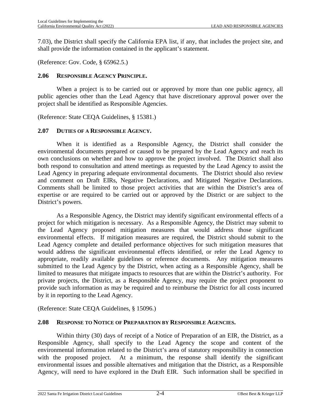[7.03](#page-96-3)), the District shall specify the California EPA list, if any, that includes the project site, and shall provide the information contained in the applicant's statement.

(Reference: Gov. Code, § 65962.5.)

#### <span id="page-19-0"></span>**2.06 RESPONSIBLE AGENCY PRINCIPLE.**

When a project is to be carried out or approved by more than one public agency, all public agencies other than the Lead Agency that have discretionary approval power over the project shall be identified as Responsible Agencies.

(Reference: State CEQA Guidelines, § 15381.)

#### <span id="page-19-1"></span>**2.07 DUTIES OF A RESPONSIBLE AGENCY.**

When it is identified as a Responsible Agency, the District shall consider the environmental documents prepared or caused to be prepared by the Lead Agency and reach its own conclusions on whether and how to approve the project involved. The District shall also both respond to consultation and attend meetings as requested by the Lead Agency to assist the Lead Agency in preparing adequate environmental documents. The District should also review and comment on Draft EIRs, Negative Declarations, and Mitigated Negative Declarations. Comments shall be limited to those project activities that are within the District's area of expertise or are required to be carried out or approved by the District or are subject to the District's powers.

As a Responsible Agency, the District may identify significant environmental effects of a project for which mitigation is necessary. As a Responsible Agency, the District may submit to the Lead Agency proposed mitigation measures that would address those significant environmental effects. If mitigation measures are required, the District should submit to the Lead Agency complete and detailed performance objectives for such mitigation measures that would address the significant environmental effects identified, or refer the Lead Agency to appropriate, readily available guidelines or reference documents. Any mitigation measures submitted to the Lead Agency by the District, when acting as a Responsible Agency, shall be limited to measures that mitigate impacts to resources that are within the District's authority. For private projects, the District, as a Responsible Agency, may require the project proponent to provide such information as may be required and to reimburse the District for all costs incurred by it in reporting to the Lead Agency.

(Reference: State CEQA Guidelines, § 15096.)

#### <span id="page-19-2"></span>**2.08 RESPONSE TO NOTICE OF PREPARATION BY RESPONSIBLE AGENCIES.**

Within thirty (30) days of receipt of a Notice of Preparation of an EIR, the District, as a Responsible Agency, shall specify to the Lead Agency the scope and content of the environmental information related to the District's area of statutory responsibility in connection with the proposed project. At a minimum, the response shall identify the significant environmental issues and possible alternatives and mitigation that the District, as a Responsible Agency, will need to have explored in the Draft EIR. Such information shall be specified in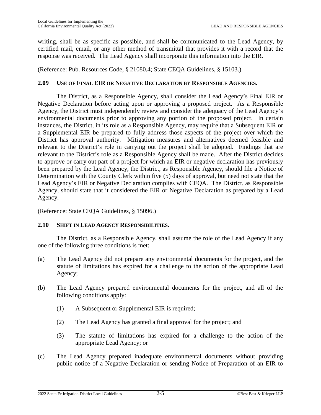writing, shall be as specific as possible, and shall be communicated to the Lead Agency, by certified mail, email, or any other method of transmittal that provides it with a record that the response was received. The Lead Agency shall incorporate this information into the EIR.

(Reference: Pub. Resources Code, § 21080.4; State CEQA Guidelines, § 15103.)

#### <span id="page-20-0"></span>**2.09 USE OF FINAL EIR OR NEGATIVE DECLARATION BY RESPONSIBLE AGENCIES.**

The District, as a Responsible Agency, shall consider the Lead Agency's Final EIR or Negative Declaration before acting upon or approving a proposed project. As a Responsible Agency, the District must independently review and consider the adequacy of the Lead Agency's environmental documents prior to approving any portion of the proposed project. In certain instances, the District, in its role as a Responsible Agency, may require that a Subsequent EIR or a Supplemental EIR be prepared to fully address those aspects of the project over which the District has approval authority. Mitigation measures and alternatives deemed feasible and relevant to the District's role in carrying out the project shall be adopted. Findings that are relevant to the District's role as a Responsible Agency shall be made. After the District decides to approve or carry out part of a project for which an EIR or negative declaration has previously been prepared by the Lead Agency, the District, as Responsible Agency, should file a Notice of Determination with the County Clerk within five (5) days of approval, but need not state that the Lead Agency's EIR or Negative Declaration complies with CEQA. The District, as Responsible Agency, should state that it considered the EIR or Negative Declaration as prepared by a Lead Agency.

(Reference: State CEQA Guidelines, § 15096.)

#### <span id="page-20-1"></span>**2.10 SHIFT IN LEAD AGENCY RESPONSIBILITIES.**

The District, as a Responsible Agency, shall assume the role of the Lead Agency if any one of the following three conditions is met:

- (a) The Lead Agency did not prepare any environmental documents for the project, and the statute of limitations has expired for a challenge to the action of the appropriate Lead Agency;
- (b) The Lead Agency prepared environmental documents for the project, and all of the following conditions apply:
	- (1) A Subsequent or Supplemental EIR is required;
	- (2) The Lead Agency has granted a final approval for the project; and
	- (3) The statute of limitations has expired for a challenge to the action of the appropriate Lead Agency; or
- (c) The Lead Agency prepared inadequate environmental documents without providing public notice of a Negative Declaration or sending Notice of Preparation of an EIR to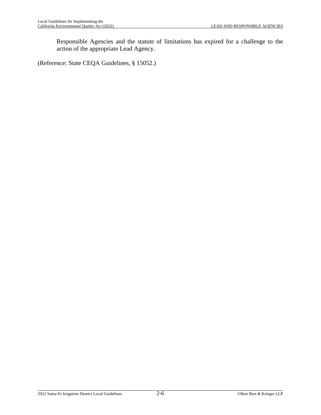Responsible Agencies and the statute of limitations has expired for a challenge to the action of the appropriate Lead Agency.

(Reference: State CEQA Guidelines, § 15052.)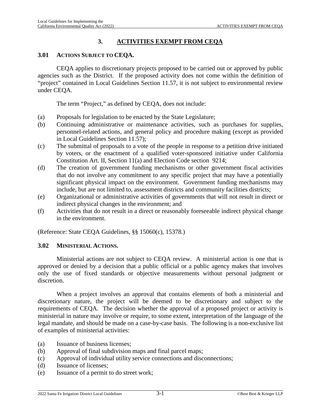## **3. ACTIVITIES EXEMPT FROM CEQA**

#### <span id="page-22-1"></span><span id="page-22-0"></span>**3.01 ACTIONS SUBJECT TO CEQA.**

CEQA applies to discretionary projects proposed to be carried out or approved by public agencies such as the District. If the proposed activity does not come within the definition of "project" contained in Local Guidelines Section [11.57](#page-184-6), it is not subject to environmental review under CEQA.

The term "Project," as defined by CEQA, does not include:

- (a) Proposals for legislation to be enacted by the State Legislature;
- (b) Continuing administrative or maintenance activities, such as purchases for supplies, personnel-related actions, and general policy and procedure making (except as provided in Local Guidelines Section [11.57\)](#page-184-6);
- (c) The submittal of proposals to a vote of the people in response to a petition drive initiated by voters, or the enactment of a qualified voter-sponsored initiative under California Constitution Art. II, Section 11(a) and Election Code section 9214;
- (d) The creation of government funding mechanisms or other government fiscal activities that do not involve any commitment to any specific project that may have a potentially significant physical impact on the environment. Government funding mechanisms may include, but are not limited to, assessment districts and community facilities districts;
- (e) Organizational or administrative activities of governments that will not result in direct or indirect physical changes in the environment; and
- (f) Activities that do not result in a direct or reasonably foreseeable indirect physical change in the environment.

(Reference: State CEQA Guidelines, §§ 15060(c), 15378.)

#### <span id="page-22-2"></span>**3.02 MINISTERIAL ACTIONS.**

Ministerial actions are not subject to CEQA review. A ministerial action is one that is approved or denied by a decision that a public official or a public agency makes that involves only the use of fixed standards or objective measurements without personal judgment or discretion.

When a project involves an approval that contains elements of both a ministerial and discretionary nature, the project will be deemed to be discretionary and subject to the requirements of CEQA. The decision whether the approval of a proposed project or activity is ministerial in nature may involve or require, to some extent, interpretation of the language of the legal mandate, and should be made on a case-by-case basis. The following is a non-exclusive list of examples of ministerial activities:

- (a) Issuance of business licenses;
- (b) Approval of final subdivision maps and final parcel maps;
- (c) Approval of individual utility service connections and disconnections;
- (d) Issuance of licenses;
- (e) Issuance of a permit to do street work;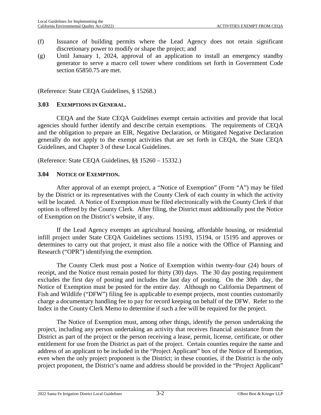- (f) Issuance of building permits where the Lead Agency does not retain significant discretionary power to modify or shape the project; and
- (g) Until January 1, 2024, approval of an application to install an emergency standby generator to serve a macro cell tower where conditions set forth in Government Code section 65850.75 are met.

(Reference: State CEQA Guidelines, § 15268.)

#### <span id="page-23-0"></span>**3.03 EXEMPTIONS IN GENERAL.**

CEQA and the State CEQA Guidelines exempt certain activities and provide that local agencies should further identify and describe certain exemptions. The requirements of CEQA and the obligation to prepare an EIR, Negative Declaration, or Mitigated Negative Declaration generally do not apply to the exempt activities that are set forth in CEQA, the State CEQA Guidelines, and Chapter 3 of these Local Guidelines.

(Reference: State CEQA Guidelines, §§ 15260 – 15332.)

#### <span id="page-23-1"></span>**3.04 NOTICE OF EXEMPTION.**

After approval of an exempt project, a "Notice of Exemption" (Form "A") may be filed by the District or its representatives with the County Clerk of each county in which the activity will be located. A Notice of Exemption must be filed electronically with the County Clerk if that option is offered by the County Clerk. After filing, the District must additionally post the Notice of Exemption on the District's website, if any.

If the Lead Agency exempts an agricultural housing, affordable housing, or residential infill project under State CEQA Guidelines sections 15193, 15194, or 15195 and approves or determines to carry out that project, it must also file a notice with the Office of Planning and Research ("OPR") identifying the exemption.

The County Clerk must post a Notice of Exemption within twenty-four (24) hours of receipt, and the Notice must remain posted for thirty (30) days. The 30 day posting requirement excludes the first day of posting and includes the last day of posting. On the 30th day, the Notice of Exemption must be posted for the entire day. Although no California Department of Fish and Wildlife ("DFW") filing fee is applicable to exempt projects, most counties customarily charge a documentary handling fee to pay for record keeping on behalf of the DFW. Refer to the Index in the County Clerk Memo to determine if such a fee will be required for the project.

The Notice of Exemption must, among other things, identify the person undertaking the project, including any person undertaking an activity that receives financial assistance from the District as part of the project or the person receiving a lease, permit, license, certificate, or other entitlement for use from the District as part of the project. Certain counties require the name and address of an applicant to be included in the "Project Applicant" box of the Notice of Exemption, even when the only project proponent is the District; in these counties, if the District is the only project proponent, the District's name and address should be provided in the "Project Applicant"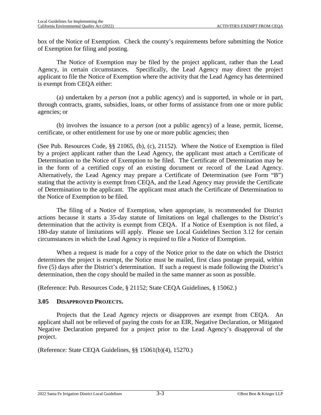box of the Notice of Exemption. Check the county's requirements before submitting the Notice of Exemption for filing and posting.

The Notice of Exemption may be filed by the project applicant, rather than the Lead Agency, in certain circumstances. Specifically, the Lead Agency may direct the project applicant to file the Notice of Exemption where the activity that the Lead Agency has determined is exempt from CEQA either:

(a) undertaken by a *person* (not a public agency) and is supported, in whole or in part, through contracts, grants, subsidies, loans, or other forms of assistance from one or more public agencies; or

(b) involves the issuance to a *person* (not a public agency) of a lease, permit, license, certificate, or other entitlement for use by one or more public agencies; then

(See Pub. Resources Code, §§ 21065, (b), (c), 21152). Where the Notice of Exemption is filed by a project applicant rather than the Lead Agency, the applicant must attach a Certificate of Determination to the Notice of Exemption to be filed. The Certificate of Determination may be in the form of a certified copy of an existing document or record of the Lead Agency. Alternatively, the Lead Agency may prepare a Certificate of Determination (see Form "B") stating that the activity is exempt from CEQA, and the Lead Agency may provide the Certificate of Determination to the applicant. The applicant must attach the Certificate of Determination to the Notice of Exemption to be filed.

The filing of a Notice of Exemption, when appropriate, is recommended for District actions because it starts a 35-day statute of limitations on legal challenges to the District's determination that the activity is exempt from CEQA. If a Notice of Exemption is not filed, a 180-day statute of limitations will apply. Please see Local Guidelines Section [3.12](#page-28-0) for certain circumstances in which the Lead Agency is required to file a Notice of Exemption.

When a request is made for a copy of the Notice prior to the date on which the District determines the project is exempt, the Notice must be mailed, first class postage prepaid, within five (5) days after the District's determination. If such a request is made following the District's determination, then the copy should be mailed in the same manner as soon as possible.

(Reference: Pub. Resources Code, § 21152; State CEQA Guidelines, § 15062.)

#### <span id="page-24-0"></span>**3.05 DISAPPROVED PROJECTS.**

Projects that the Lead Agency rejects or disapproves are exempt from CEQA. An applicant shall not be relieved of paying the costs for an EIR, Negative Declaration, or Mitigated Negative Declaration prepared for a project prior to the Lead Agency's disapproval of the project.

(Reference: State CEQA Guidelines, §§ 15061(b)(4), 15270.)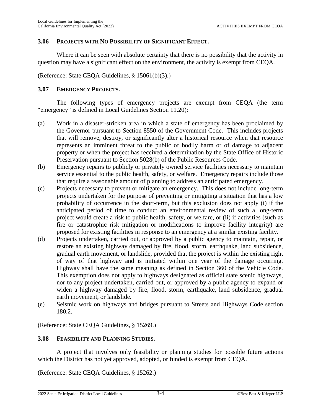#### <span id="page-25-0"></span>**3.06 PROJECTS WITH NO POSSIBILITY OF SIGNIFICANT EFFECT.**

Where it can be seen with absolute certainty that there is no possibility that the activity in question may have a significant effect on the environment, the activity is exempt from CEQA.

(Reference: State CEQA Guidelines, § 15061(b)(3).)

#### <span id="page-25-1"></span>**3.07 EMERGENCY PROJECTS.**

The following types of emergency projects are exempt from CEQA (the term "emergency" is defined in Local Guidelines Section [11.20\)](#page-178-2):

- (a) Work in a disaster-stricken area in which a state of emergency has been proclaimed by the Governor pursuant to Section 8550 of the Government Code. This includes projects that will remove, destroy, or significantly alter a historical resource when that resource represents an imminent threat to the public of bodily harm or of damage to adjacent property or when the project has received a determination by the State Office of Historic Preservation pursuant to Section 5028(b) of the Public Resources Code.
- (b) Emergency repairs to publicly or privately owned service facilities necessary to maintain service essential to the public health, safety, or welfare. Emergency repairs include those that require a reasonable amount of planning to address an anticipated emergency.
- (c) Projects necessary to prevent or mitigate an emergency. This does not include long-term projects undertaken for the purpose of preventing or mitigating a situation that has a low probability of occurrence in the short-term, but this exclusion does not apply (i) if the anticipated period of time to conduct an environmental review of such a long-term project would create a risk to public health, safety, or welfare, or (ii) if activities (such as fire or catastrophic risk mitigation or modifications to improve facility integrity) are proposed for existing facilities in response to an emergency at a similar existing facility.
- (d) Projects undertaken, carried out, or approved by a public agency to maintain, repair, or restore an existing highway damaged by fire, flood, storm, earthquake, land subsidence, gradual earth movement, or landslide, provided that the project is within the existing right of way of that highway and is initiated within one year of the damage occurring. Highway shall have the same meaning as defined in Section 360 of the Vehicle Code. This exemption does not apply to highways designated as official state scenic highways, nor to any project undertaken, carried out, or approved by a public agency to expand or widen a highway damaged by fire, flood, storm, earthquake, land subsidence, gradual earth movement, or landslide.
- (e) Seismic work on highways and bridges pursuant to Streets and Highways Code section 180.2.

(Reference: State CEQA Guidelines, § 15269.)

#### <span id="page-25-2"></span>**3.08 FEASIBILITY AND PLANNING STUDIES.**

A project that involves only feasibility or planning studies for possible future actions which the District has not yet approved, adopted, or funded is exempt from CEQA.

(Reference: State CEQA Guidelines, § 15262.)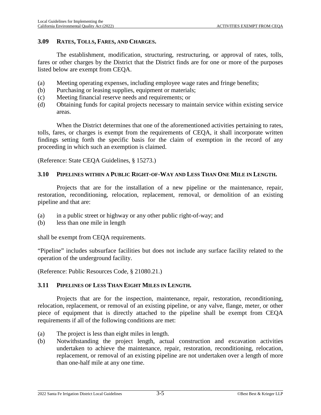#### <span id="page-26-0"></span>**3.09 RATES, TOLLS, FARES, AND CHARGES.**

The establishment, modification, structuring, restructuring, or approval of rates, tolls, fares or other charges by the District that the District finds are for one or more of the purposes listed below are exempt from CEQA.

- (a) Meeting operating expenses, including employee wage rates and fringe benefits;
- (b) Purchasing or leasing supplies, equipment or materials;
- (c) Meeting financial reserve needs and requirements; or
- (d) Obtaining funds for capital projects necessary to maintain service within existing service areas.

When the District determines that one of the aforementioned activities pertaining to rates, tolls, fares, or charges is exempt from the requirements of CEQA, it shall incorporate written findings setting forth the specific basis for the claim of exemption in the record of any proceeding in which such an exemption is claimed.

(Reference: State CEQA Guidelines, § 15273.)

#### <span id="page-26-1"></span>3.10 PIPELINES WITHIN A PURLIC RIGHT-OF-WAY AND LESS THAN ONE MILE IN LENGTH.

Projects that are for the installation of a new pipeline or the maintenance, repair, restoration, reconditioning, relocation, replacement, removal, or demolition of an existing pipeline and that are:

- (a) in a public street or highway or any other public right-of-way; and
- (b) less than one mile in length

shall be exempt from CEQA requirements.

"Pipeline" includes subsurface facilities but does not include any surface facility related to the operation of the underground facility.

(Reference: Public Resources Code, § 21080.21.)

#### <span id="page-26-2"></span>**3.11 PIPELINES OF LESS THAN EIGHT MILES IN LENGTH.**

Projects that are for the inspection, maintenance, repair, restoration, reconditioning, relocation, replacement, or removal of an existing pipeline, or any valve, flange, meter, or other piece of equipment that is directly attached to the pipeline shall be exempt from CEQA requirements if all of the following conditions are met:

- (a) The project is less than eight miles in length.
- (b) Notwithstanding the project length, actual construction and excavation activities undertaken to achieve the maintenance, repair, restoration, reconditioning, relocation, replacement, or removal of an existing pipeline are not undertaken over a length of more than one-half mile at any one time.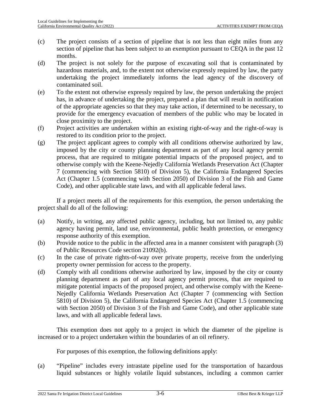- (c) The project consists of a section of pipeline that is not less than eight miles from any section of pipeline that has been subject to an exemption pursuant to CEQA in the past 12 months.
- (d) The project is not solely for the purpose of excavating soil that is contaminated by hazardous materials, and, to the extent not otherwise expressly required by law, the party undertaking the project immediately informs the lead agency of the discovery of contaminated soil.
- (e) To the extent not otherwise expressly required by law, the person undertaking the project has, in advance of undertaking the project, prepared a plan that will result in notification of the appropriate agencies so that they may take action, if determined to be necessary, to provide for the emergency evacuation of members of the public who may be located in close proximity to the project.
- (f) Project activities are undertaken within an existing right-of-way and the right-of-way is restored to its condition prior to the project.
- (g) The project applicant agrees to comply with all conditions otherwise authorized by law, imposed by the city or county planning department as part of any local agency permit process, that are required to mitigate potential impacts of the proposed project, and to otherwise comply with the Keene-Nejedly California Wetlands Preservation Act (Chapter 7 (commencing with Section 5810) of Division 5), the California Endangered Species Act (Chapter 1.5 (commencing with Section 2050) of Division 3 of the Fish and Game Code), and other applicable state laws, and with all applicable federal laws.

If a project meets all of the requirements for this exemption, the person undertaking the project shall do all of the following:

- (a) Notify, in writing, any affected public agency, including, but not limited to, any public agency having permit, land use, environmental, public health protection, or emergency response authority of this exemption.
- (b) Provide notice to the public in the affected area in a manner consistent with paragraph (3) of Public Resources Code section 21092(b).
- (c) In the case of private rights-of-way over private property, receive from the underlying property owner permission for access to the property.
- (d) Comply with all conditions otherwise authorized by law, imposed by the city or county planning department as part of any local agency permit process, that are required to mitigate potential impacts of the proposed project, and otherwise comply with the Keene-Nejedly California Wetlands Preservation Act (Chapter 7 (commencing with Section 5810) of Division 5), the California Endangered Species Act (Chapter 1.5 (commencing with Section 2050) of Division 3 of the Fish and Game Code), and other applicable state laws, and with all applicable federal laws.

This exemption does not apply to a project in which the diameter of the pipeline is increased or to a project undertaken within the boundaries of an oil refinery.

For purposes of this exemption, the following definitions apply:

(a) "Pipeline" includes every intrastate pipeline used for the transportation of hazardous liquid substances or highly volatile liquid substances, including a common carrier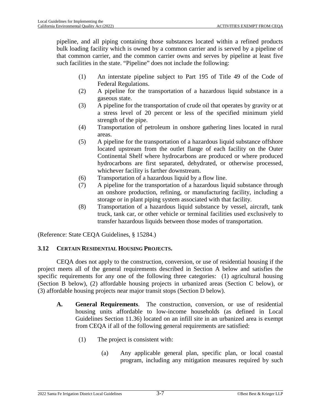pipeline, and all piping containing those substances located within a refined products bulk loading facility which is owned by a common carrier and is served by a pipeline of that common carrier, and the common carrier owns and serves by pipeline at least five such facilities in the state. "Pipeline" does not include the following:

- (1) An interstate pipeline subject to Part 195 of Title 49 of the Code of Federal Regulations.
- (2) A pipeline for the transportation of a hazardous liquid substance in a gaseous state.
- (3) A pipeline for the transportation of crude oil that operates by gravity or at a stress level of 20 percent or less of the specified minimum yield strength of the pipe.
- (4) Transportation of petroleum in onshore gathering lines located in rural areas.
- (5) A pipeline for the transportation of a hazardous liquid substance offshore located upstream from the outlet flange of each facility on the Outer Continental Shelf where hydrocarbons are produced or where produced hydrocarbons are first separated, dehydrated, or otherwise processed, whichever facility is farther downstream.
- (6) Transportation of a hazardous liquid by a flow line.
- (7) A pipeline for the transportation of a hazardous liquid substance through an onshore production, refining, or manufacturing facility, including a storage or in plant piping system associated with that facility.
- (8) Transportation of a hazardous liquid substance by vessel, aircraft, tank truck, tank car, or other vehicle or terminal facilities used exclusively to transfer hazardous liquids between those modes of transportation.

(Reference: State CEQA Guidelines, § 15284.)

#### <span id="page-28-0"></span>**3.12 CERTAIN RESIDENTIAL HOUSING PROJECTS.**

CEQA does not apply to the construction, conversion, or use of residential housing if the project meets all of the general requirements described in Section [A](#page-28-1) below and satisfies the specific requirements for any one of the following three categories: (1) agricultural housing (Section [B](#page-30-0) below), (2) affordable housing projects in urbanized areas (Section [C](#page-31-0) below), or (3) affordable housing projects near major transit stops (Section [D](#page-33-0) below).

- <span id="page-28-2"></span><span id="page-28-1"></span>**A. General Requirements**. The construction, conversion, or use of residential housing units aff[ordable](#page-181-5) to low-income households (as defined in Local Guidelines Section 11.36) located on an infill site in an urbanized area is exempt from CEQA if all of the following general requirements are satisfied:
	- (1) The project is consistent with:
		- (a) Any applicable general plan, specific plan, or local coastal program, including any mitigation measures required by such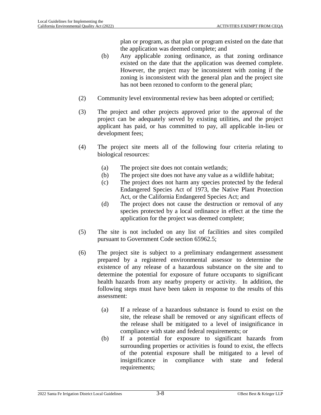plan or program, as that plan or program existed on the date that the application was deemed complete; and

- (b) Any applicable zoning ordinance, as that zoning ordinance existed on the date that the application was deemed complete. However, the project may be inconsistent with zoning if the zoning is inconsistent with the general plan and the project site has not been rezoned to conform to the general plan;
- (2) Community level environmental review has been adopted or certified;
- (3) The project and other projects approved prior to the approval of the project can be adequately served by existing utilities, and the project applicant has paid, or has committed to pay, all applicable in-lieu or development fees;
- (4) The project site meets all of the following four criteria relating to biological resources:
	- (a) The project site does not contain wetlands;
	- (b) The project site does not have any value as a wildlife habitat;
	- (c) The project does not harm any species protected by the federal Endangered Species Act of 1973, the Native Plant Protection Act, or the California Endangered Species Act; and
	- (d) The project does not cause the destruction or removal of any species protected by a local ordinance in effect at the time the application for the project was deemed complete;
- (5) The site is not included on any list of facilities and sites compiled pursuant to Government Code section 65962.5;
- (6) The project site is subject to a preliminary endangerment assessment prepared by a registered environmental assessor to determine the existence of any release of a hazardous substance on the site and to determine the potential for exposure of future occupants to significant health hazards from any nearby property or activity. In addition, the following steps must have been taken in response to the results of this assessment:
	- (a) If a release of a hazardous substance is found to exist on the site, the release shall be removed or any significant effects of the release shall be mitigated to a level of insignificance in compliance with state and federal requirements; or
	- (b) If a potential for exposure to significant hazards from surrounding properties or activities is found to exist, the effects of the potential exposure shall be mitigated to a level of insignificance in compliance with state and federal requirements;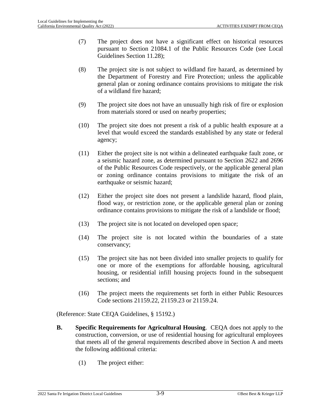- (7) The project does not have a significant effect on historical resources pursuant to Section 21084.1 of the Public Resources Code (see Local Guidelines Section [11.28\)](#page-179-5);
- (8) The project site is not subject to wildland fire hazard, as determined by the Department of Forestry and Fire Protection; unless the applicable general plan or zoning ordinance contains provisions to mitigate the risk of a wildland fire hazard;
- (9) The project site does not have an unusually high risk of fire or explosion from materials stored or used on nearby properties;
- (10) The project site does not present a risk of a public health exposure at a level that would exceed the standards established by any state or federal agency;
- (11) Either the project site is not within a delineated earthquake fault zone, or a seismic hazard zone, as determined pursuant to Section 2622 and 2696 of the Public Resources Code respectively, or the applicable general plan or zoning ordinance contains provisions to mitigate the risk of an earthquake or seismic hazard;
- (12) Either the project site does not present a landslide hazard, flood plain, flood way, or restriction zone, or the applicable general plan or zoning ordinance contains provisions to mitigate the risk of a landslide or flood;
- (13) The project site is not located on developed open space;
- (14) The project site is not located within the boundaries of a state conservancy;
- (15) The project site has not been divided into smaller projects to qualify for one or more of the exemptions for affordable housing, agricultural housing, or residential infill housing projects found in the subsequent sections; and
- (16) The project meets the requirements set forth in either Public Resources Code sections 21159.22, 21159.23 or 21159.24.

(Reference: State CEQA Guidelines, § 15192.)

- <span id="page-30-1"></span><span id="page-30-0"></span>**B. Specific Requirements for Agricultural Housing**. CEQA does not apply to the construction, conversion, or use of residential housing for agricultur[al e](#page-28-2)mployees that meets all of the general requirements described above in Section A and meets the following additional criteria:
	- (1) The project either: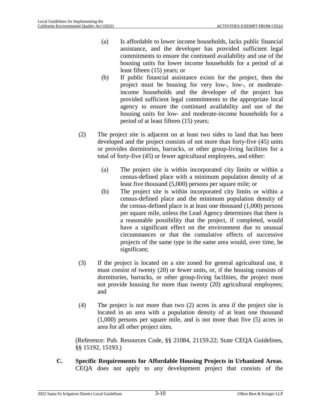- (a) Is affordable to lower income households, lacks public financial assistance, and the developer has provided sufficient legal commitments to ensure the continued availability and use of the housing units for lower income households for a period of at least fifteen (15) years; or
- (b) If public financial assistance exists for the project, then the project must be housing for very low-, low-, or moderateincome households and the developer of the project has provided sufficient legal commitments to the appropriate local agency to ensure the continued availability and use of the housing units for low- and moderate-income households for a period of at least fifteen (15) years;
- (2) The project site is adjacent on at least two sides to land that has been developed and the project consists of not more than forty-five (45) units or provides dormitories, barracks, or other group-living facilities for a total of forty-five (45) or fewer agricultural employees, and either:
	- (a) The project site is within incorporated city limits or within a census-defined place with a minimum population density of at least five thousand (5,000) persons per square mile; or
	- (b) The project site is within incorporated city limits or within a census-defined place and the minimum population density of the census-defined place is at least one thousand (1,000) persons per square mile, unless the Lead Agency determines that there is a reasonable possibility that the project, if completed, would have a significant effect on the environment due to unusual circumstances or that the cumulative effects of successive projects of the same type in the same area would, over time, be significant;
- (3) If the project is located on a site zoned for general agricultural use, it must consist of twenty (20) or fewer units, or, if the housing consists of dormitories, barracks, or other group-living facilities, the project must not provide housing for more than twenty (20) agricultural employees; and
- (4) The project is not more than two (2) acres in area if the project site is located in an area with a population density of at least one thousand (1,000) persons per square mile, and is not more than five (5) acres in area for all other project sites.

(Reference: Pub. Resources Code, §§ 21084, 21159.22; State CEQA Guidelines, §§ 15192, 15193.)

<span id="page-31-0"></span>**C. Specific Requirements for Affordable Housing Projects in Urbanized Areas**. CEQA does not apply to any development project that consists of the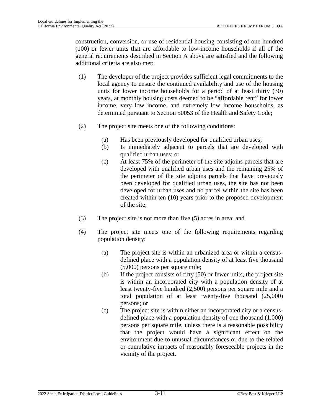construction, conversion, or use of residential housing consisting of one hundred (100) or fewer units that are affordable to low-income households if all of the general requirements described in Section A above are satisfied and the following additional criteria are also met:

- (1) The developer of the project provides sufficient legal commitments to the local agency to ensure the continued availability and use of the housing units for lower income households for a period of at least thirty (30) years, at monthly housing costs deemed to be "affordable rent" for lower income, very low income, and extremely low income households, as determined pursuant to Section 50053 of the Health and Safety Code;
- (2) The project site meets one of the following conditions:
	- (a) Has been previously developed for qualified urban uses;
	- (b) Is immediately adjacent to parcels that are developed with qualified urban uses; or
	- (c) At least 75% of the perimeter of the site adjoins parcels that are developed with qualified urban uses and the remaining 25% of the perimeter of the site adjoins parcels that have previously been developed for qualified urban uses, the site has not been developed for urban uses and no parcel within the site has been created within ten (10) years prior to the proposed development of the site;
- (3) The project site is not more than five (5) acres in area; and
- (4) The project site meets one of the following requirements regarding population density:
	- (a) The project site is within an urbanized area or within a censusdefined place with a population density of at least five thousand (5,000) persons per square mile;
	- (b) If the project consists of fifty (50) or fewer units, the project site is within an incorporated city with a population density of at least twenty-five hundred (2,500) persons per square mile and a total population of at least twenty-five thousand (25,000) persons; or
	- (c) The project site is within either an incorporated city or a censusdefined place with a population density of one thousand (1,000) persons per square mile, unless there is a reasonable possibility that the project would have a significant effect on the environment due to unusual circumstances or due to the related or cumulative impacts of reasonably foreseeable projects in the vicinity of the project.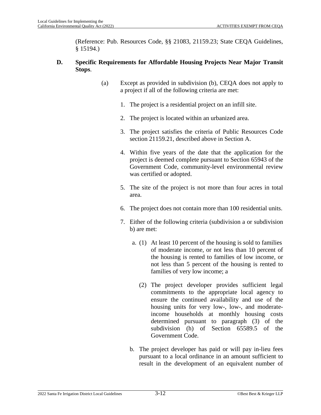(Reference: Pub. Resources Code, §§ 21083, 21159.23; State CEQA Guidelines, § 15194.)

#### <span id="page-33-0"></span>**D. Specific Requirements for Affordable Housing Projects Near Major Transit Stops**.

- (a) Except as provided in subdivision (b), CEQA does not apply to a project if all of the following criteria are met:
	- 1. The project is a residential project on an infill site.
	- 2. The project is located within an urbanized area.
	- 3. The project satisfies the criteria of Public Resources Code section 21159.21, described above in Section A.
	- 4. Within five years of the date that the application for the project is deemed complete pursuant to Section 65943 of the Government Code, community-level environmental review was certified or adopted.
	- 5. The site of the project is not more than four acres in total area.
	- 6. The project does not contain more than 100 residential units.
	- 7. Either of the following criteria (subdivision a or subdivision b) are met:
		- a. (1) At least 10 percent of the housing is sold to families of moderate income, or not less than 10 percent of the housing is rented to families of low income, or not less than 5 percent of the housing is rented to families of very low income; a
			- (2) The project developer provides sufficient legal commitments to the appropriate local agency to ensure the continued availability and use of the housing units for very low-, low-, and moderateincome households at monthly housing costs determined pursuant to paragraph (3) of the subdivision (h) of Section 65589.5 of the Government Code.
		- b. The project developer has paid or will pay in-lieu fees pursuant to a local ordinance in an amount sufficient to result in the development of an equivalent number of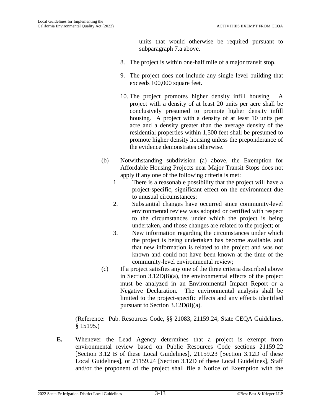units that would otherwise be required pursuant to subparagraph 7.a above.

- 8. The project is within one-half mile of a major transit stop.
- 9. The project does not include any single level building that exceeds 100,000 square feet.
- 10. The project promotes higher density infill housing. A project with a density of at least 20 units per acre shall be conclusively presumed to promote higher density infill housing. A project with a density of at least 10 units per acre and a density greater than the average density of the residential properties within 1,500 feet shall be presumed to promote higher density housing unless the preponderance of the evidence demonstrates otherwise.
- (b) Notwithstanding subdivision (a) above, the Exemption for Affordable Housing Projects near Major Transit Stops does not apply if any one of the following criteria is met:
	- 1. There is a reasonable possibility that the project will have a project-specific, significant effect on the environment due to unusual circumstances;
	- 2. Substantial changes have occurred since community-level environmental review was adopted or certified with respect to the circumstances under which the project is being undertaken, and those changes are related to the project; or
	- 3. New information regarding the circumstances under which the project is being undertaken has become available, and that new information is related to the project and was not known and could not have been known at the time of the community-level environmental review;
- (c) If a project satisfies any one of the three criteria described above in Section [3.12D](#page-28-0)(8)(a), the environmental effects of the project must be analyzed in an Environmental Impact Report or a Negative Declaration. The environmental analysis shall be limited to the project-specific effects and any effects identified pursuant to Section [3.12D](#page-28-0)(8)(a).

(Reference: Pub. Resources Code, §§ 21083, 21159.24; State CEQA Guidelines, § 15195.)

**E.** Whenever the Lead Agency determines that a project is exempt from environmental [re](#page-30-1)view based on Public Resources Code sections 21159.22 [Section 3.12 B of these Local Guideli[nes\],](#page-28-0) 21159.23 [Section 3.12D of these Local Guidelines], or 21159.24 [Section 3.12D of these Local Guidelines], Staff and/or the proponent of the project shall file a Notice of Exemption with the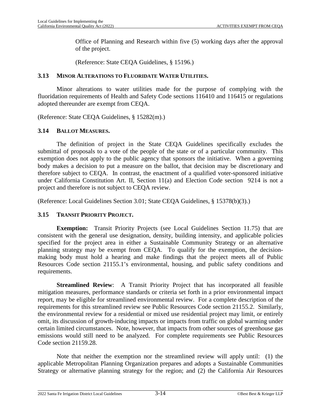Office of Planning and Research within five (5) working days after the approval of the project.

(Reference: State CEQA Guidelines, § 15196.)

#### <span id="page-35-0"></span>**3.13 MINOR ALTERATIONS TO FLUORIDATE WATER UTILITIES.**

Minor alterations to water utilities made for the purpose of complying with the fluoridation requirements of Health and Safety Code sections 116410 and 116415 or regulations adopted thereunder are exempt from CEQA.

(Reference: State CEQA Guidelines, § 15282(m).)

#### <span id="page-35-1"></span>**3.14 BALLOT MEASURES.**

The definition of project in the State CEQA Guidelines specifically excludes the submittal of proposals to a vote of the people of the state or of a particular community. This exemption does not apply to the public agency that sponsors the initiative. When a governing body makes a decision to put a measure on the ballot, that decision may be discretionary and therefore subject to CEQA. In contrast, the enactment of a qualified voter-sponsored initiative under California Constitution Art. II, Section 11(a) and Election Code section 9214 is not a project and therefore is not subject to CEQA review.

(Reference: Local Guidelines Section [3.01](#page-22-1); State CEQA Guidelines, § 15378(b)(3).)

#### <span id="page-35-2"></span>**3.15 TRANSIT PRIORITY PROJECT.**

**Exemption:** Transit Priority Projects (see Local Guidelines Section [11.75\)](#page-188-1) that are consistent with the general use designation, density, building intensity, and applicable policies specified for the project area in either a Sustainable Community Strategy or an alternative planning strategy may be exempt from CEQA. To qualify for the exemption, the decisionmaking body must hold a hearing and make findings that the project meets all of Public Resources Code section 21155.1's environmental, housing, and public safety conditions and requirements.

**Streamlined Review**: A Transit Priority Project that has incorporated all feasible mitigation measures, performance standards or criteria set forth in a prior environmental impact report, may be eligible for streamlined environmental review. For a complete description of the requirements for this streamlined review see Public Resources Code section 21155.2. Similarly, the environmental review for a residential or mixed use residential project may limit, or entirely omit, its discussion of growth-inducing impacts or impacts from traffic on global warming under certain limited circumstances. Note, however, that impacts from other sources of greenhouse gas emissions would still need to be analyzed. For complete requirements see Public Resources Code section 21159.28.

Note that neither the exemption nor the streamlined review will apply until: (1) the applicable Metropolitan Planning Organization prepares and adopts a Sustainable Communities Strategy or alternative planning strategy for the region; and (2) the California Air Resources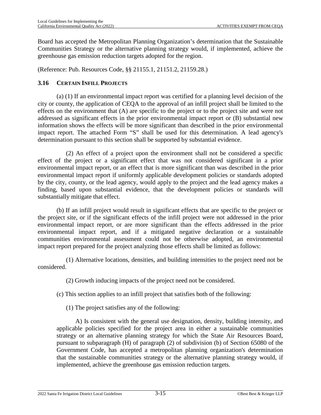Board has accepted the Metropolitan Planning Organization's determination that the Sustainable Communities Strategy or the alternative planning strategy would, if implemented, achieve the greenhouse gas emission reduction targets adopted for the region.

(Reference: Pub. Resources Code, §§ 21155.1, 21151.2, 21159.28.)

# **3.16 CERTAIN INFILL PROJECTS**

(a) (1) If an environmental impact report was certified for a planning level decision of the city or county, the application of CEQA to the approval of an infill project shall be limited to the effects on the environment that (A) are specific to the project or to the project site and were not addressed as significant effects in the prior environmental impact report or (B) substantial new information shows the effects will be more significant than described in the prior environmental impact report. The attached Form "S" shall be used for this determination. A lead agency's determination pursuant to this section shall be supported by substantial evidence.

(2) An effect of a project upon the environment shall not be considered a specific effect of the project or a significant effect that was not considered significant in a prior environmental impact report, or an effect that is more significant than was described in the prior environmental impact report if uniformly applicable development policies or standards adopted by the city, county, or the lead agency, would apply to the project and the lead agency makes a finding, based upon substantial evidence, that the development policies or standards will substantially mitigate that effect.

(b) If an infill project would result in significant effects that are specific to the project or the project site, or if the significant effects of the infill project were not addressed in the prior environmental impact report, or are more significant than the effects addressed in the prior environmental impact report, and if a mitigated negative declaration or a sustainable communities environmental assessment could not be otherwise adopted, an environmental impact report prepared for the project analyzing those effects shall be limited as follows:

(1) Alternative locations, densities, and building intensities to the project need not be considered.

(2) Growth inducing impacts of the project need not be considered.

(c) This section applies to an infill project that satisfies both of the following:

(1) The project satisfies any of the following:

A) Is consistent with the general use designation, density, building intensity, and applicable policies specified for the project area in either a sustainable communities strategy or an alternative planning strategy for which the State Air Resources Board, pursuant to subparagraph (H) of paragraph (2) of subdivision (b) of Section 65080 of the Government Code, has accepted a metropolitan planning organization's determination that the sustainable communities strategy or the alternative planning strategy would, if implemented, achieve the greenhouse gas emission reduction targets.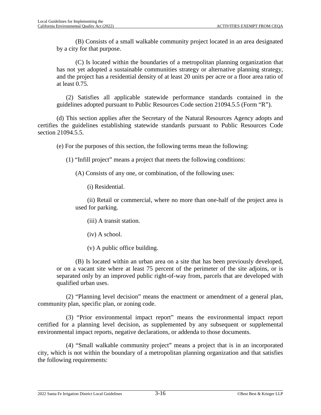(B) Consists of a small walkable community project located in an area designated by a city for that purpose.

(C) Is located within the boundaries of a metropolitan planning organization that has not yet adopted a sustainable communities strategy or alternative planning strategy, and the project has a residential density of at least 20 units per acre or a floor area ratio of at least 0.75.

(2) Satisfies all applicable statewide performance standards contained in the guidelines adopted pursuant to Public Resources Code section 21094.5.5 (Form "R").

(d) This section applies after the Secretary of the Natural Resources Agency adopts and certifies the guidelines establishing statewide standards pursuant to Public Resources Code section 21094.5.5.

(e) For the purposes of this section, the following terms mean the following:

(1) "Infill project" means a project that meets the following conditions:

(A) Consists of any one, or combination, of the following uses:

(i) Residential.

(ii) Retail or commercial, where no more than one-half of the project area is used for parking.

(iii) A transit station.

(iv) A school.

(v) A public office building.

(B) Is located within an urban area on a site that has been previously developed, or on a vacant site where at least 75 percent of the perimeter of the site adjoins, or is separated only by an improved public right-of-way from, parcels that are developed with qualified urban uses.

(2) "Planning level decision" means the enactment or amendment of a general plan, community plan, specific plan, or zoning code.

(3) "Prior environmental impact report" means the environmental impact report certified for a planning level decision, as supplemented by any subsequent or supplemental environmental impact reports, negative declarations, or addenda to those documents.

(4) "Small walkable community project" means a project that is in an incorporated city, which is not within the boundary of a metropolitan planning organization and that satisfies the following requirements: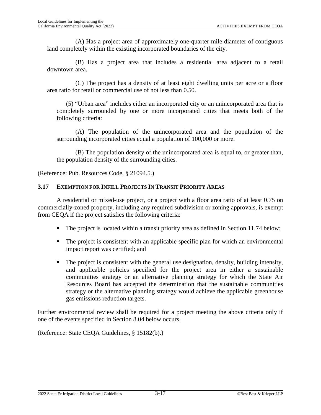(A) Has a project area of approximately one-quarter mile diameter of contiguous land completely within the existing incorporated boundaries of the city.

(B) Has a project area that includes a residential area adjacent to a retail downtown area.

(C) The project has a density of at least eight dwelling units per acre or a floor area ratio for retail or commercial use of not less than 0.50.

(5) "Urban area" includes either an incorporated city or an unincorporated area that is completely surrounded by one or more incorporated cities that meets both of the following criteria:

(A) The population of the unincorporated area and the population of the surrounding incorporated cities equal a population of 100,000 or more.

(B) The population density of the unincorporated area is equal to, or greater than, the population density of the surrounding cities.

(Reference: Pub. Resources Code, § 21094.5.)

#### **3.17 EXEMPTION FOR INFILL PROJECTS IN TRANSIT PRIORITY AREAS**

A residential or mixed-use project, or a project with a floor area ratio of at least 0.75 on commercially-zoned property, including any required subdivision or zoning approvals, is exempt from CEQA if the project satisfies the following criteria:

- The project is located within a transit priority area as defined in Section [11.74](#page-188-0) below;
- The project is consistent with an applicable specific plan for which an environmental impact report was certified; and
- The project is consistent with the general use designation, density, building intensity, and applicable policies specified for the project area in either a sustainable communities strategy or an alternative planning strategy for which the State Air Resources Board has accepted the determination that the sustainable communities strategy or the alternative planning strategy would achieve the applicable greenhouse gas emissions reduction targets.

Further environmental review shall be required for a project meeting the above criteria only if one of the events specified in Section [8.04](#page-137-0) below occurs.

(Reference: State CEQA Guidelines, § 15182(b).)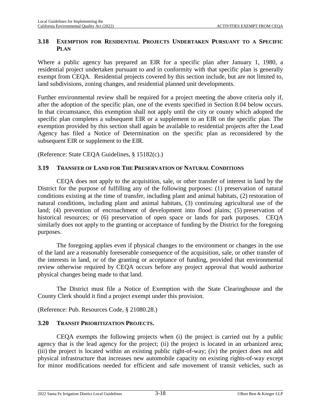# **3.18 EXEMPTION FOR RESIDENTIAL PROJECTS UNDERTAKEN PURSUANT TO A SPECIFIC PLAN**

Where a public agency has prepared an EIR for a specific plan after January 1, 1980, a residential project undertaken pursuant to and in conformity with that specific plan is generally exempt from CEQA. Residential projects covered by this section include, but are not limited to, land subdivisions, zoning changes, and residential planned unit developments.

Further environmental review shall be required for a project meeting the above criteria only if, after the adoption of the specific plan, one of the events specified in Section [8.04](#page-137-0) below occurs. In that circumstance, this exemption shall not apply until the city or county which adopted the specific plan completes a subsequent EIR or a supplement to an EIR on the specific plan. The exemption provided by this section shall again be available to residential projects after the Lead Agency has filed a Notice of Determination on the specific plan as reconsidered by the subsequent EIR or supplement to the EIR.

(Reference: State CEQA Guidelines, § 15182(c).)

# **3.19 TRANSFER OF LAND FOR THE PRESERVATION OF NATURAL CONDITIONS**

CEQA does not apply to the acquisition, sale, or other transfer of interest in land by the District for the purpose of fulfilling any of the following purposes: (1) preservation of natural conditions existing at the time of transfer, including plant and animal habitats, (2) restoration of natural conditions, including plant and animal habitats, (3) continuing agricultural use of the land; (4) prevention of encroachment of development into flood plains; (5) preservation of historical resources; or (6) preservation of open space or lands for park purposes. CEQA similarly does not apply to the granting or acceptance of funding by the District for the foregoing purposes.

The foregoing applies even if physical changes to the environment or changes in the use of the land are a reasonably foreseeable consequence of the acquisition, sale, or other transfer of the interests in land, or of the granting or acceptance of funding, provided that environmental review otherwise required by CEQA occurs before any project approval that would authorize physical changes being made to that land.

The District must file a Notice of Exemption with the State Clearinghouse and the County Clerk should it find a project exempt under this provision.

(Reference: Pub. Resources Code, § 21080.28.)

# **3.20 TRANSIT PRIORITIZATION PROJECTS.**

CEQA exempts the following projects when (i) the project is carried out by a public agency that is the lead agency for the project; (ii) the project is located in an urbanized area; (iii) the project is located within an existing public right-of-way; (iv) the project does not add physical infrastructure that increases new automobile capacity on existing rights-of-way except for minor modifications needed for efficient and safe movement of transit vehicles, such as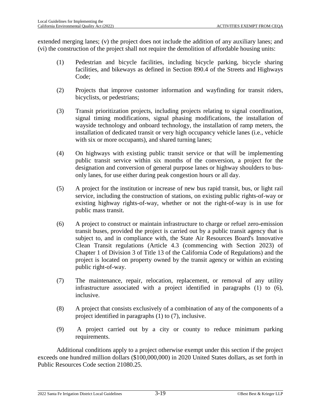extended merging lanes; (v) the project does not include the addition of any auxiliary lanes; and (vi) the construction of the project shall not require the demolition of affordable housing units:

- (1) Pedestrian and bicycle facilities, including bicycle parking, bicycle sharing facilities, and bikeways as defined in Section 890.4 of the Streets and Highways Code;
- (2) Projects that improve customer information and wayfinding for transit riders, bicyclists, or pedestrians;
- (3) Transit prioritization projects, including projects relating to signal coordination, signal timing modifications, signal phasing modifications, the installation of wayside technology and onboard technology, the installation of ramp meters, the installation of dedicated transit or very high occupancy vehicle lanes (i.e., vehicle with six or more occupants), and shared turning lanes;
- (4) On highways with existing public transit service or that will be implementing public transit service within six months of the conversion, a project for the designation and conversion of general purpose lanes or highway shoulders to busonly lanes, for use either during peak congestion hours or all day.
- (5) A project for the institution or increase of new bus rapid transit, bus, or light rail service, including the construction of stations, on existing public rights-of-way or existing highway rights-of-way, whether or not the right-of-way is in use for public mass transit.
- (6) A project to construct or maintain infrastructure to charge or refuel zero-emission transit buses, provided the project is carried out by a public transit agency that is subject to, and in compliance with, the State Air Resources Board's Innovative Clean Transit regulations (Article 4.3 (commencing with Section 2023) of Chapter 1 of Division 3 of Title 13 of the California Code of Regulations) and the project is located on property owned by the transit agency or within an existing public right-of-way.
- (7) The maintenance, repair, relocation, replacement, or removal of any utility infrastructure associated with a project identified in paragraphs (1) to (6), inclusive.
- (8) A project that consists exclusively of a combination of any of the components of a project identified in paragraphs (1) to (7), inclusive.
- (9) A project carried out by a city or county to reduce minimum parking requirements.

Additional conditions apply to a project otherwise exempt under this section if the project exceeds one hundred million dollars (\$100,000,000) in 2020 United States dollars, as set forth in Public Resources Code section 21080.25.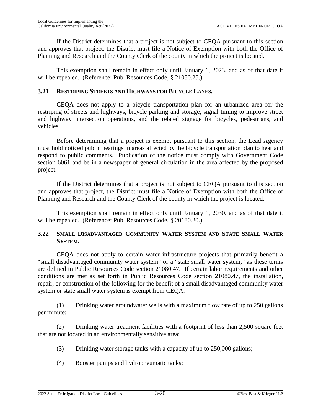If the District determines that a project is not subject to CEQA pursuant to this section and approves that project, the District must file a Notice of Exemption with both the Office of Planning and Research and the County Clerk of the county in which the project is located.

This exemption shall remain in effect only until January 1, 2023, and as of that date it will be repealed. (Reference: Pub. Resources Code, § 21080.25.)

# **3.21 RESTRIPING STREETS AND HIGHWAYS FOR BICYCLE LANES.**

CEQA does not apply to a bicycle transportation plan for an urbanized area for the restriping of streets and highways, bicycle parking and storage, signal timing to improve street and highway intersection operations, and the related signage for bicycles, pedestrians, and vehicles.

Before determining that a project is exempt pursuant to this section, the Lead Agency must hold noticed public hearings in areas affected by the bicycle transportation plan to hear and respond to public comments. Publication of the notice must comply with Government Code section 6061 and be in a newspaper of general circulation in the area affected by the proposed project.

If the District determines that a project is not subject to CEQA pursuant to this section and approves that project, the District must file a Notice of Exemption with both the Office of Planning and Research and the County Clerk of the county in which the project is located.

This exemption shall remain in effect only until January 1, 2030, and as of that date it will be repealed. (Reference: Pub. Resources Code, § 20180.20.)

# **3.22 SMALL DISADVANTAGED COMMUNITY WATER SYSTEM AND STATE SMALL WATER SYSTEM.**

CEQA does not apply to certain water infrastructure projects that primarily benefit a "small disadvantaged community water system" or a "state small water system," as these terms are defined in Public Resources Code section 21080.47. If certain labor requirements and other conditions are met as set forth in Public Resources Code section 21080.47, the installation, repair, or construction of the following for the benefit of a small disadvantaged community water system or state small water system is exempt from CEQA:

(1) Drinking water groundwater wells with a maximum flow rate of up to 250 gallons per minute;

(2) Drinking water treatment facilities with a footprint of less than 2,500 square feet that are not located in an environmentally sensitive area;

- (3) Drinking water storage tanks with a capacity of up to 250,000 gallons;
- (4) Booster pumps and hydropneumatic tanks;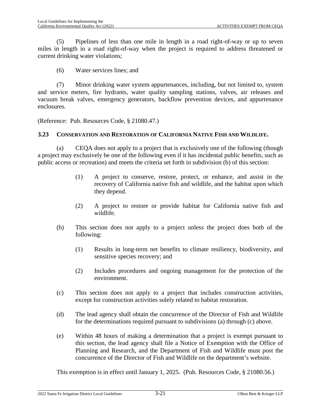(5) Pipelines of less than one mile in length in a road right-of-way or up to seven miles in length in a road right-of-way when the project is required to address threatened or current drinking water violations;

(6) Water services lines; and

(7) Minor drinking water system appurtenances, including, but not limited to, system and service meters, fire hydrants, water quality sampling stations, valves, air releases and vacuum break valves, emergency generators, backflow prevention devices, and appurtenance enclosures.

(Reference: Pub. Resources Code, § 21080.47.)

### **3.23 CONSERVATION AND RESTORATION OF CALIFORNIA NATIVE FISH AND WILDLIFE.**

(a) CEQA does not apply to a project that is exclusively one of the following (though a project may exclusively be one of the following even if it has incidental public benefits, such as public access or recreation) and meets the criteria set forth in subdivision (b) of this section:

- (1) A project to conserve, restore, protect, or enhance, and assist in the recovery of California native fish and wildlife, and the habitat upon which they depend.
- (2) A project to restore or provide habitat for California native fish and wildlife.
- (b) This section does not apply to a project unless the project does both of the following:
	- (1) Results in long-term net benefits to climate resiliency, biodiversity, and sensitive species recovery; and
	- (2) Includes procedures and ongoing management for the protection of the environment.
- (c) This section does not apply to a project that includes construction activities, except for construction activities solely related to habitat restoration.
- (d) The lead agency shall obtain the concurrence of the Director of Fish and Wildlife for the determinations required pursuant to subdivisions (a) through (c) above.
- (e) Within 48 hours of making a determination that a project is exempt pursuant to this section, the lead agency shall file a Notice of Exemption with the Office of Planning and Research, and the Department of Fish and Wildlife must post the concurrence of the Director of Fish and Wildlife on the department's website.

This exemption is in effect until January 1, 2025. (Pub. Resources Code, § 21080.56.)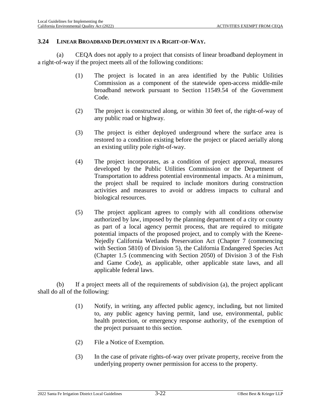#### **3.24 LINEAR BROADBAND DEPLOYMENT IN A RIGHT-OF-WAY.**

(a) CEQA does not apply to a project that consists of linear broadband deployment in a right-of-way if the project meets all of the following conditions:

- (1) The project is located in an area identified by the Public Utilities Commission as a component of the statewide open-access middle-mile broadband network pursuant to Section 11549.54 of the Government Code.
- (2) The project is constructed along, or within 30 feet of, the right-of-way of any public road or highway.
- (3) The project is either deployed underground where the surface area is restored to a condition existing before the project or placed aerially along an existing utility pole right-of-way.
- (4) The project incorporates, as a condition of project approval, measures developed by the Public Utilities Commission or the Department of Transportation to address potential environmental impacts. At a minimum, the project shall be required to include monitors during construction activities and measures to avoid or address impacts to cultural and biological resources.
- (5) The project applicant agrees to comply with all conditions otherwise authorized by law, imposed by the planning department of a city or county as part of a local agency permit process, that are required to mitigate potential impacts of the proposed project, and to comply with the Keene-Nejedly California Wetlands Preservation Act (Chapter 7 (commencing with Section 5810) of Division 5), the California Endangered Species Act (Chapter 1.5 (commencing with Section 2050) of Division 3 of the Fish and Game Code), as applicable, other applicable state laws, and all applicable federal laws.

(b) If a project meets all of the requirements of subdivision (a), the project applicant shall do all of the following:

- (1) Notify, in writing, any affected public agency, including, but not limited to, any public agency having permit, land use, environmental, public health protection, or emergency response authority, of the exemption of the project pursuant to this section.
- (2) File a Notice of Exemption.
- (3) In the case of private rights-of-way over private property, receive from the underlying property owner permission for access to the property.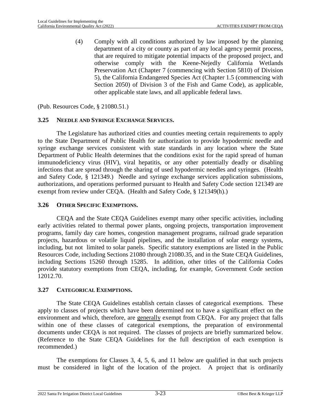(4) Comply with all conditions authorized by law imposed by the planning department of a city or county as part of any local agency permit process, that are required to mitigate potential impacts of the proposed project, and otherwise comply with the Keene-Nejedly California Wetlands Preservation Act (Chapter 7 (commencing with Section 5810) of Division 5), the California Endangered Species Act (Chapter 1.5 (commencing with Section 2050) of Division 3 of the Fish and Game Code), as applicable, other applicable state laws, and all applicable federal laws.

(Pub. Resources Code, § 21080.51.)

### **3.25 NEEDLE AND SYRINGE EXCHANGE SERVICES.**

The Legislature has authorized cities and counties meeting certain requirements to apply to the State Department of Public Health for authorization to provide hypodermic needle and syringe exchange services consistent with state standards in any location where the State Department of Public Health determines that the conditions exist for the rapid spread of human immunodeficiency virus (HIV), viral hepatitis, or any other potentially deadly or disabling infections that are spread through the sharing of used hypodermic needles and syringes. (Health and Safety Code, § 121349.) Needle and syringe exchange services application submissions, authorizations, and operations performed pursuant to Health and Safety Code section 121349 are exempt from review under CEQA. (Health and Safety Code, § 121349(h).)

#### **3.26 OTHER SPECIFIC EXEMPTIONS.**

CEQA and the State CEQA Guidelines exempt many other specific activities, including early activities related to thermal power plants, ongoing projects, transportation improvement programs, family day care homes, congestion management programs, railroad grade separation projects, hazardous or volatile liquid pipelines, and the installation of solar energy systems, including, but not limited to solar panels. Specific statutory exemptions are listed in the Public Resources Code, including Sections 21080 through 21080.35, and in the State CEQA Guidelines, including Sections 15260 through 15285. In addition, other titles of the California Codes provide statutory exemptions from CEQA, including, for example, Government Code section 12012.70.

#### **3.27 CATEGORICAL EXEMPTIONS.**

The State CEQA Guidelines establish certain classes of categorical exemptions. These apply to classes of projects which have been determined not to have a significant effect on the environment and which, therefore, are generally exempt from CEQA. For any project that falls within one of these classes of categorical exemptions, the preparation of environmental documents under CEQA is not required. The classes of projects are briefly summarized below. (Reference to the State CEQA Guidelines for the full description of each exemption is recommended.)

The exemptions for Classes 3, 4, 5, 6, and 11 below are qualified in that such projects must be considered in light of the location of the project. A project that is ordinarily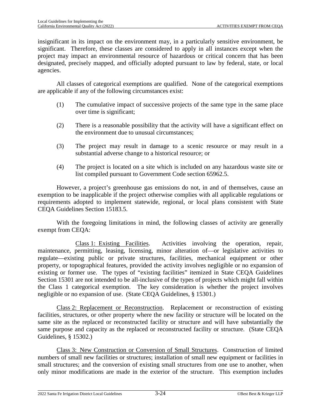insignificant in its impact on the environment may, in a particularly sensitive environment, be significant. Therefore, these classes are considered to apply in all instances except when the project may impact an environmental resource of hazardous or critical concern that has been designated, precisely mapped, and officially adopted pursuant to law by federal, state, or local agencies.

All classes of categorical exemptions are qualified. None of the categorical exemptions are applicable if any of the following circumstances exist:

- (1) The cumulative impact of successive projects of the same type in the same place over time is significant;
- (2) There is a reasonable possibility that the activity will have a significant effect on the environment due to unusual circumstances;
- (3) The project may result in damage to a scenic resource or may result in a substantial adverse change to a historical resource; or
- (4) The project is located on a site which is included on any hazardous waste site or list compiled pursuant to Government Code section 65962.5.

However, a project's greenhouse gas emissions do not, in and of themselves, cause an exemption to be inapplicable if the project otherwise complies with all applicable regulations or requirements adopted to implement statewide, regional, or local plans consistent with State CEQA Guidelines Section 15183.5.

With the foregoing limitations in mind, the following classes of activity are generally exempt from CEQA:

Class 1: Existing Facilities. Activities involving the operation, repair, maintenance, permitting, leasing, licensing, minor alteration of—or legislative activities to regulate—existing public or private structures, facilities, mechanical equipment or other property, or topographical features, provided the activity involves negligible or no expansion of existing or former use. The types of "existing facilities" itemized in State CEQA Guidelines Section 15301 are not intended to be all-inclusive of the types of projects which might fall within the Class 1 categorical exemption. The key consideration is whether the project involves negligible or no expansion of use. (State CEQA Guidelines, § 15301.)

Class 2: Replacement or Reconstruction. Replacement or reconstruction of existing facilities, structures, or other property where the new facility or structure will be located on the same site as the replaced or reconstructed facility or structure and will have substantially the same purpose and capacity as the replaced or reconstructed facility or structure. (State CEQA Guidelines, § 15302.)

Class 3: New Construction or Conversion of Small Structures. Construction of limited numbers of small new facilities or structures; installation of small new equipment or facilities in small structures; and the conversion of existing small structures from one use to another, when only minor modifications are made in the exterior of the structure. This exemption includes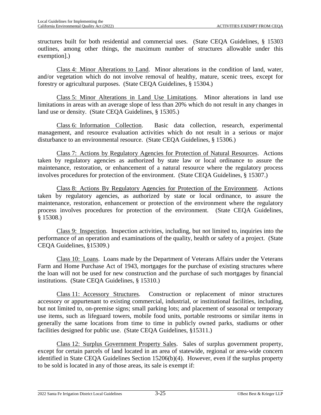structures built for both residential and commercial uses. (State CEQA Guidelines, § 15303 outlines, among other things, the maximum number of structures allowable under this exemption].)

Class 4: Minor Alterations to Land. Minor alterations in the condition of land, water, and/or vegetation which do not involve removal of healthy, mature, scenic trees, except for forestry or agricultural purposes. (State CEQA Guidelines, § 15304.)

Class 5: Minor Alterations in Land Use Limitations. Minor alterations in land use limitations in areas with an average slope of less than 20% which do not result in any changes in land use or density. (State CEQA Guidelines, § 15305.)

Class 6: Information Collection. Basic data collection, research, experimental management, and resource evaluation activities which do not result in a serious or major disturbance to an environmental resource. (State CEQA Guidelines, § 15306.)

Class 7: Actions by Regulatory Agencies for Protection of Natural Resources. Actions taken by regulatory agencies as authorized by state law or local ordinance to assure the maintenance, restoration, or enhancement of a natural resource where the regulatory process involves procedures for protection of the environment. (State CEQA Guidelines, § 15307.)

Class 8: Actions By Regulatory Agencies for Protection of the Environment. Actions taken by regulatory agencies, as authorized by state or local ordinance, to assure the maintenance, restoration, enhancement or protection of the environment where the regulatory process involves procedures for protection of the environment. (State CEQA Guidelines, § 15308.)

Class 9: Inspection. Inspection activities, including, but not limited to, inquiries into the performance of an operation and examinations of the quality, health or safety of a project. (State CEQA Guidelines, §15309.)

Class 10: Loans. Loans made by the Department of Veterans Affairs under the Veterans Farm and Home Purchase Act of 1943, mortgages for the purchase of existing structures where the loan will not be used for new construction and the purchase of such mortgages by financial institutions. (State CEQA Guidelines, § 15310.)

Class 11: Accessory Structures. Construction or replacement of minor structures accessory or appurtenant to existing commercial, industrial, or institutional facilities, including, but not limited to, on-premise signs; small parking lots; and placement of seasonal or temporary use items, such as lifeguard towers, mobile food units, portable restrooms or similar items in generally the same locations from time to time in publicly owned parks, stadiums or other facilities designed for public use. (State CEQA Guidelines, §15311.)

Class 12: Surplus Government Property Sales. Sales of surplus government property, except for certain parcels of land located in an area of statewide, regional or area-wide concern identified in State CEQA Guidelines Section 15206(b)(4). However, even if the surplus property to be sold is located in any of those areas, its sale is exempt if: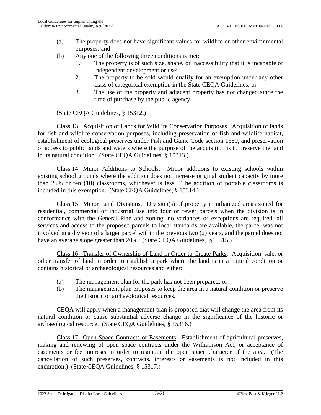- (a) The property does not have significant values for wildlife or other environmental purposes; and
- (b) Any one of the following three conditions is met:
	- 1. The property is of such size, shape, or inaccessibility that it is incapable of independent development or use;
	- 2. The property to be sold would qualify for an exemption under any other class of categorical exemption in the State CEQA Guidelines; or
	- 3. The use of the property and adjacent property has not changed since the time of purchase by the public agency.

(State CEQA Guidelines, § 15312.)

Class 13: Acquisition of Lands for Wildlife Conservation Purposes. Acquisition of lands for fish and wildlife conservation purposes, including preservation of fish and wildlife habitat, establishment of ecological preserves under Fish and Game Code section 1580, and preservation of access to public lands and waters where the purpose of the acquisition is to preserve the land in its natural condition. (State CEQA Guidelines, § 15313.)

Class 14: Minor Additions to Schools. Minor additions to existing schools within existing school grounds where the addition does not increase original student capacity by more than 25% or ten (10) classrooms, whichever is less. The addition of portable classrooms is included in this exemption. (State CEQA Guidelines, § 15314.)

Class 15: Minor Land Divisions. Division(s) of property in urbanized areas zoned for residential, commercial or industrial use into four or fewer parcels when the division is in conformance with the General Plan and zoning, no variances or exceptions are required, all services and access to the proposed parcels to local standards are available, the parcel was not involved in a division of a larger parcel within the previous two (2) years, and the parcel does not have an average slope greater than 20%. (State CEQA Guidelines, §15315.)

Class 16: Transfer of Ownership of Land in Order to Create Parks. Acquisition, sale, or other transfer of land in order to establish a park where the land is in a natural condition or contains historical or archaeological resources and either:

- (a) The management plan for the park has not been prepared, or
- (b) The management plan proposes to keep the area in a natural condition or preserve the historic or archaeological resources.

CEQA will apply when a management plan is proposed that will change the area from its natural condition or cause substantial adverse change in the significance of the historic or archaeological resource. (State CEQA Guidelines, § 15316.)

Class 17: Open Space Contracts or Easements. Establishment of agricultural preserves, making and renewing of open space contracts under the Williamson Act, or acceptance of easements or fee interests in order to maintain the open space character of the area. (The cancellation of such preserves, contracts, interests or easements is not included in this exemption.) (State CEQA Guidelines, § 15317.)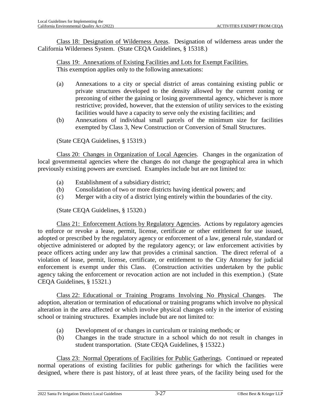Class 18: Designation of Wilderness Areas. Designation of wilderness areas under the California Wilderness System. (State CEQA Guidelines, § 15318.)

Class 19: Annexations of Existing Facilities and Lots for Exempt Facilities. This exemption applies only to the following annexations:

- (a) Annexations to a city or special district of areas containing existing public or private structures developed to the density allowed by the current zoning or prezoning of either the gaining or losing governmental agency, whichever is more restrictive; provided, however, that the extension of utility services to the existing facilities would have a capacity to serve only the existing facilities; and
- (b) Annexations of individual small parcels of the minimum size for facilities exempted by Class 3, New Construction or Conversion of Small Structures.

(State CEQA Guidelines, § 15319.)

Class 20: Changes in Organization of Local Agencies. Changes in the organization of local governmental agencies where the changes do not change the geographical area in which previously existing powers are exercised. Examples include but are not limited to:

- (a) Establishment of a subsidiary district;
- (b) Consolidation of two or more districts having identical powers; and
- (c) Merger with a city of a district lying entirely within the boundaries of the city.

(State CEQA Guidelines, § 15320.)

Class 21: Enforcement Actions by Regulatory Agencies. Actions by regulatory agencies to enforce or revoke a lease, permit, license, certificate or other entitlement for use issued, adopted or prescribed by the regulatory agency or enforcement of a law, general rule, standard or objective administered or adopted by the regulatory agency; or law enforcement activities by peace officers acting under any law that provides a criminal sanction. The direct referral of a violation of lease, permit, license, certificate, or entitlement to the City Attorney for judicial enforcement is exempt under this Class. (Construction activities undertaken by the public agency taking the enforcement or revocation action are not included in this exemption.) (State CEQA Guidelines, § 15321.)

Class 22: Educational or Training Programs Involving No Physical Changes. The adoption, alteration or termination of educational or training programs which involve no physical alteration in the area affected or which involve physical changes only in the interior of existing school or training structures. Examples include but are not limited to:

- (a) Development of or changes in curriculum or training methods; or
- (b) Changes in the trade structure in a school which do not result in changes in student transportation. (State CEQA Guidelines, § 15322.)

Class 23: Normal Operations of Facilities for Public Gatherings. Continued or repeated normal operations of existing facilities for public gatherings for which the facilities were designed, where there is past history, of at least three years, of the facility being used for the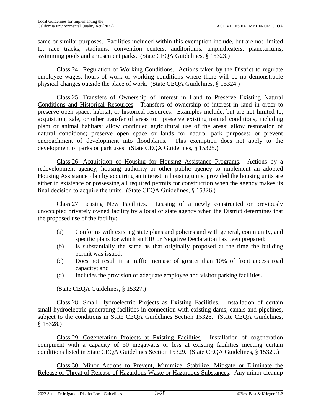same or similar purposes. Facilities included within this exemption include, but are not limited to, race tracks, stadiums, convention centers, auditoriums, amphitheaters, planetariums, swimming pools and amusement parks. (State CEQA Guidelines, § 15323.)

Class 24: Regulation of Working Conditions. Actions taken by the District to regulate employee wages, hours of work or working conditions where there will be no demonstrable physical changes outside the place of work. (State CEQA Guidelines, § 15324.)

Class 25: Transfers of Ownership of Interest in Land to Preserve Existing Natural Conditions and Historical Resources. Transfers of ownership of interest in land in order to preserve open space, habitat, or historical resources. Examples include, but are not limited to, acquisition, sale, or other transfer of areas to: preserve existing natural conditions, including plant or animal habitats; allow continued agricultural use of the areas; allow restoration of natural conditions; preserve open space or lands for natural park purposes; or prevent encroachment of development into floodplains. This exemption does not apply to the development of parks or park uses. (State CEQA Guidelines, § 15325.)

Class 26: Acquisition of Housing for Housing Assistance Programs. Actions by a redevelopment agency, housing authority or other public agency to implement an adopted Housing Assistance Plan by acquiring an interest in housing units, provided the housing units are either in existence or possessing all required permits for construction when the agency makes its final decision to acquire the units. (State CEQA Guidelines, § 15326.)

Class 27: Leasing New Facilities. Leasing of a newly constructed or previously unoccupied privately owned facility by a local or state agency when the District determines that the proposed use of the facility:

- (a) Conforms with existing state plans and policies and with general, community, and specific plans for which an EIR or Negative Declaration has been prepared;
- (b) Is substantially the same as that originally proposed at the time the building permit was issued;
- (c) Does not result in a traffic increase of greater than 10% of front access road capacity; and
- (d) Includes the provision of adequate employee and visitor parking facilities.

(State CEQA Guidelines, § 15327.)

Class 28: Small Hydroelectric Projects as Existing Facilities. Installation of certain small hydroelectric-generating facilities in connection with existing dams, canals and pipelines, subject to the conditions in State CEQA Guidelines Section 15328. (State CEQA Guidelines, § 15328.)

Class 29: Cogeneration Projects at Existing Facilities. Installation of cogeneration equipment with a capacity of 50 megawatts or less at existing facilities meeting certain conditions listed in State CEQA Guidelines Section 15329. (State CEQA Guidelines, § 15329.)

Class 30: Minor Actions to Prevent, Minimize, Stabilize, Mitigate or Eliminate the Release or Threat of Release of Hazardous Waste or Hazardous Substances. Any minor cleanup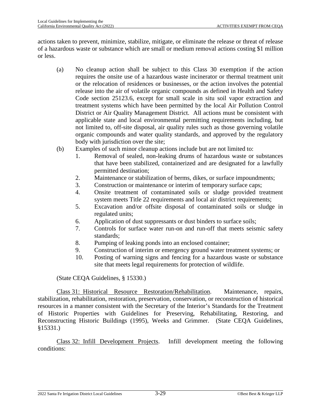actions taken to prevent, minimize, stabilize, mitigate, or eliminate the release or threat of release of a hazardous waste or substance which are small or medium removal actions costing \$1 million or less.

- (a) No cleanup action shall be subject to this Class 30 exemption if the action requires the onsite use of a hazardous waste incinerator or thermal treatment unit or the relocation of residences or businesses, or the action involves the potential release into the air of volatile organic compounds as defined in Health and Safety Code section 25123.6, except for small scale in situ soil vapor extraction and treatment systems which have been permitted by the local Air Pollution Control District or Air Quality Management District. All actions must be consistent with applicable state and local environmental permitting requirements including, but not limited to, off-site disposal, air quality rules such as those governing volatile organic compounds and water quality standards, and approved by the regulatory body with jurisdiction over the site;
- (b) Examples of such minor cleanup actions include but are not limited to:
	- 1. Removal of sealed, non-leaking drums of hazardous waste or substances that have been stabilized, containerized and are designated for a lawfully permitted destination;
	- 2. Maintenance or stabilization of berms, dikes, or surface impoundments;
	- 3. Construction or maintenance or interim of temporary surface caps;
	- 4. Onsite treatment of contaminated soils or sludge provided treatment system meets Title 22 requirements and local air district requirements;
	- 5. Excavation and/or offsite disposal of contaminated soils or sludge in regulated units;
	- 6. Application of dust suppressants or dust binders to surface soils;
	- 7. Controls for surface water run-on and run-off that meets seismic safety standards;
	- 8. Pumping of leaking ponds into an enclosed container;
	- 9. Construction of interim or emergency ground water treatment systems; or
	- 10. Posting of warning signs and fencing for a hazardous waste or substance site that meets legal requirements for protection of wildlife.

(State CEQA Guidelines, § 15330.)

Class 31: Historical Resource Restoration/Rehabilitation. Maintenance, repairs, stabilization, rehabilitation, restoration, preservation, conservation, or reconstruction of historical resources in a manner consistent with the Secretary of the Interior's Standards for the Treatment of Historic Properties with Guidelines for Preserving, Rehabilitating, Restoring, and Reconstructing Historic Buildings (1995), Weeks and Grimmer. (State CEQA Guidelines, §15331.)

Class 32: Infill Development Projects. Infill development meeting the following conditions: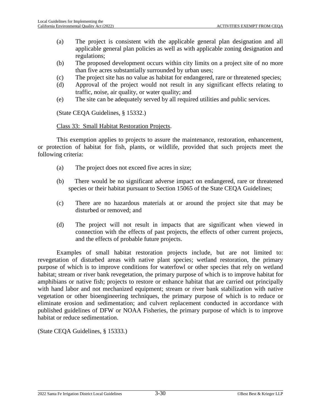- (a) The project is consistent with the applicable general plan designation and all applicable general plan policies as well as with applicable zoning designation and regulations;
- (b) The proposed development occurs within city limits on a project site of no more than five acres substantially surrounded by urban uses;
- (c) The project site has no value as habitat for endangered, rare or threatened species;
- (d) Approval of the project would not result in any significant effects relating to traffic, noise, air quality, or water quality; and
- (e) The site can be adequately served by all required utilities and public services.

(State CEQA Guidelines, § 15332.)

#### Class 33: Small Habitat Restoration Projects.

This exemption applies to projects to assure the maintenance, restoration, enhancement, or protection of habitat for fish, plants, or wildlife, provided that such projects meet the following criteria:

- (a) The project does not exceed five acres in size;
- (b) There would be no significant adverse impact on endangered, rare or threatened species or their habitat pursuant to Section 15065 of the State CEQA Guidelines;
- (c) There are no hazardous materials at or around the project site that may be disturbed or removed; and
- (d) The project will not result in impacts that are significant when viewed in connection with the effects of past projects, the effects of other current projects, and the effects of probable future projects.

Examples of small habitat restoration projects include, but are not limited to: revegetation of disturbed areas with native plant species; wetland restoration, the primary purpose of which is to improve conditions for waterfowl or other species that rely on wetland habitat; stream or river bank revegetation, the primary purpose of which is to improve habitat for amphibians or native fish; projects to restore or enhance habitat that are carried out principally with hand labor and not mechanized equipment; stream or river bank stabilization with native vegetation or other bioengineering techniques, the primary purpose of which is to reduce or eliminate erosion and sedimentation; and culvert replacement conducted in accordance with published guidelines of DFW or NOAA Fisheries, the primary purpose of which is to improve habitat or reduce sedimentation.

(State CEQA Guidelines, § 15333.)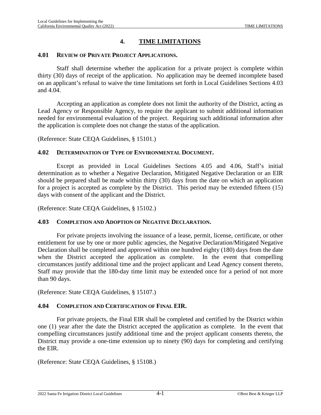# **4. TIME LIMITATIONS**

#### **4.01 REVIEW OF PRIVATE PROJECT APPLICATIONS.**

Staff shall determine whether the application for a private project is complete within thirty (30) days of receipt of the application. No application may be deemed incomplete based on an applicant's refusal to waive the time limitations set forth in Local Guidelines Sections [4.03](#page-52-0) and [4.04](#page-52-1).

Accepting an application as complete does not limit the authority of the District, acting as Lead Agency or Responsible Agency, to require the applicant to submit additional information needed for environmental evaluation of the project. Requiring such additional information after the application is complete does not change the status of the application.

(Reference: State CEQA Guidelines, § 15101.)

#### **4.02 DETERMINATION OF TYPE OF ENVIRONMENTAL DOCUMENT.**

Except as provided in Local Guidelines Sections [4.05](#page-53-0) and [4.06,](#page-53-1) Staff's initial determination as to whether a Negative Declaration, Mitigated Negative Declaration or an EIR should be prepared shall be made within thirty (30) days from the date on which an application for a project is accepted as complete by the District. This period may be extended fifteen (15) days with consent of the applicant and the District.

(Reference: State CEQA Guidelines, § 15102.)

#### <span id="page-52-0"></span>**4.03 COMPLETION AND ADOPTION OF NEGATIVE DECLARATION.**

For private projects involving the issuance of a lease, permit, license, certificate, or other entitlement for use by one or more public agencies, the Negative Declaration/Mitigated Negative Declaration shall be completed and approved within one hundred eighty (180) days from the date when the District accepted the application as complete. In the event that compelling circumstances justify additional time and the project applicant and Lead Agency consent thereto, Staff may provide that the 180-day time limit may be extended once for a period of not more than 90 days.

(Reference: State CEQA Guidelines, § 15107.)

#### <span id="page-52-1"></span>**4.04 COMPLETION AND CERTIFICATION OF FINAL EIR.**

For private projects, the Final EIR shall be completed and certified by the District within one (1) year after the date the District accepted the application as complete. In the event that compelling circumstances justify additional time and the project applicant consents thereto, the District may provide a one-time extension up to ninety (90) days for completing and certifying the EIR.

(Reference: State CEQA Guidelines, § 15108.)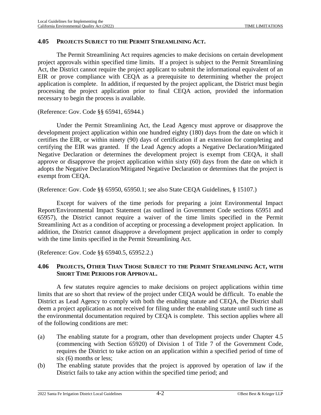### <span id="page-53-0"></span>**4.05 PROJECTS SUBJECT TO THE PERMIT STREAMLINING ACT.**

The Permit Streamlining Act requires agencies to make decisions on certain development project approvals within specified time limits. If a project is subject to the Permit Streamlining Act, the District cannot require the project applicant to submit the informational equivalent of an EIR or prove compliance with CEQA as a prerequisite to determining whether the project application is complete. In addition, if requested by the project applicant, the District must begin processing the project application prior to final CEQA action, provided the information necessary to begin the process is available.

### (Reference: Gov. Code §§ 65941, 65944.)

Under the Permit Streamlining Act, the Lead Agency must approve or disapprove the development project application within one hundred eighty (180) days from the date on which it certifies the EIR, or within ninety (90) days of certification if an extension for completing and certifying the EIR was granted. If the Lead Agency adopts a Negative Declaration/Mitigated Negative Declaration or determines the development project is exempt from CEQA, it shall approve or disapprove the project application within sixty (60) days from the date on which it adopts the Negative Declaration/Mitigated Negative Declaration or determines that the project is exempt from CEQA.

(Reference: Gov. Code §§ 65950, 65950.1; see also State CEQA Guidelines, § 15107.)

Except for waivers of the time periods for preparing a joint Environmental Impact Report/Environmental Impact Statement (as outlined in Government Code sections 65951 and 65957), the District cannot require a waiver of the time limits specified in the Permit Streamlining Act as a condition of accepting or processing a development project application. In addition, the District cannot disapprove a development project application in order to comply with the time limits specified in the Permit Streamlining Act.

(Reference: Gov. Code §§ 65940.5, 65952.2.)

### <span id="page-53-1"></span>**4.06 PROJECTS, OTHER THAN THOSE SUBJECT TO THE PERMIT STREAMLINING ACT, WITH SHORT TIME PERIODS FOR APPROVAL.**

A few statutes require agencies to make decisions on project applications within time limits that are so short that review of the project under CEQA would be difficult. To enable the District as Lead Agency to comply with both the enabling statute and CEQA, the District shall deem a project application as not received for filing under the enabling statute until such time as the environmental documentation required by CEQA is complete. This section applies where all of the following conditions are met:

- (a) The enabling statute for a program, other than development projects under Chapter 4.5 (commencing with Section 65920) of Division 1 of Title 7 of the Government Code, requires the District to take action on an application within a specified period of time of six (6) months or less;
- (b) The enabling statute provides that the project is approved by operation of law if the District fails to take any action within the specified time period; and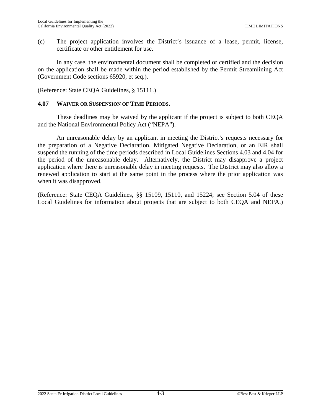(c) The project application involves the District's issuance of a lease, permit, license, certificate or other entitlement for use.

In any case, the environmental document shall be completed or certified and the decision on the application shall be made within the period established by the Permit Streamlining Act (Government Code sections 65920, et seq.).

(Reference: State CEQA Guidelines, § 15111.)

#### **4.07 WAIVER OR SUSPENSION OF TIME PERIODS.**

These deadlines may be waived by the applicant if the project is subject to both CEQA and the National Environmental Policy Act ("NEPA").

An unreasonable delay by an applicant in meeting the District's requests necessary for the preparation of a Negative Declaration, Mitigated Negative Declaration, or an EIR shall suspend the running of the time periods described in Local Guidelines Sections [4.03](#page-52-0) and [4.04](#page-52-1) for the period of the unreasonable delay. Alternatively, the District may disapprove a project application where there is unreasonable delay in meeting requests. The District may also allow a renewed application to start at the same point in the process where the prior application was when it was disapproved.

(Reference: State CEQA Guidelines, §§ 15109, 15110, and 15224; see Section [5.04](#page-56-0) of these Local Guidelines for information about projects that are subject to both CEQA and NEPA.)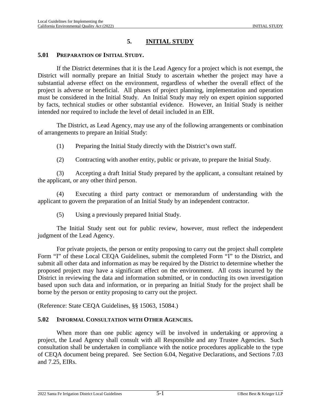# **5. INITIAL STUDY**

#### **5.01 PREPARATION OF INITIAL STUDY.**

If the District determines that it is the Lead Agency for a project which is not exempt, the District will normally prepare an Initial Study to ascertain whether the project may have a substantial adverse effect on the environment, regardless of whether the overall effect of the project is adverse or beneficial. All phases of project planning, implementation and operation must be considered in the Initial Study. An Initial Study may rely on expert opinion supported by facts, technical studies or other substantial evidence. However, an Initial Study is neither intended nor required to include the level of detail included in an EIR.

The District, as Lead Agency, may use any of the following arrangements or combination of arrangements to prepare an Initial Study:

(1) Preparing the Initial Study directly with the District's own staff.

(2) Contracting with another entity, public or private, to prepare the Initial Study.

(3) Accepting a draft Initial Study prepared by the applicant, a consultant retained by the applicant, or any other third person.

(4) Executing a third party contract or memorandum of understanding with the applicant to govern the preparation of an Initial Study by an independent contractor.

(5) Using a previously prepared Initial Study.

The Initial Study sent out for public review, however, must reflect the independent judgment of the Lead Agency.

For private projects, the person or entity proposing to carry out the project shall complete Form "I" of these Local CEQA Guidelines, submit the completed Form "I" to the District, and submit all other data and information as may be required by the District to determine whether the proposed project may have a significant effect on the environment. All costs incurred by the District in reviewing the data and information submitted, or in conducting its own investigation based upon such data and information, or in preparing an Initial Study for the project shall be borne by the person or entity proposing to carry out the project.

(Reference: State CEQA Guidelines, §§ 15063, 15084.)

#### **5.02 INFORMAL CONSULTATION WITH OTHER AGENCIES.**

When more than one public agency will be involved in undertaking or approving a project, the Lead Agency shall consult with all Responsible and any Trustee Agencies. Such consultation shall be undertaken in compliance with the notice procedures applicable to the type of CEQA document being prepared. See Section [6.04](#page-75-0), Negative Declarations, and Sections [7.03](#page-96-0) and [7.25](#page-118-0), EIRs.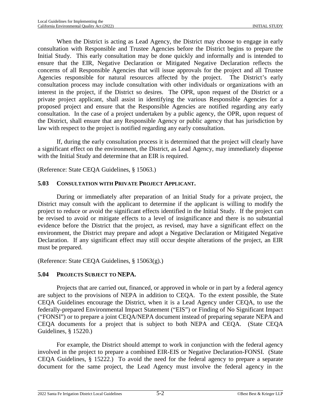When the District is acting as Lead Agency, the District may choose to engage in early consultation with Responsible and Trustee Agencies before the District begins to prepare the Initial Study. This early consultation may be done quickly and informally and is intended to ensure that the EIR, Negative Declaration or Mitigated Negative Declaration reflects the concerns of all Responsible Agencies that will issue approvals for the project and all Trustee Agencies responsible for natural resources affected by the project. The District's early consultation process may include consultation with other individuals or organizations with an interest in the project, if the District so desires. The OPR, upon request of the District or a private project applicant, shall assist in identifying the various Responsible Agencies for a proposed project and ensure that the Responsible Agencies are notified regarding any early consultation. In the case of a project undertaken by a public agency, the OPR, upon request of the District, shall ensure that any Responsible Agency or public agency that has jurisdiction by law with respect to the project is notified regarding any early consultation.

If, during the early consultation process it is determined that the project will clearly have a significant effect on the environment, the District, as Lead Agency, may immediately dispense with the Initial Study and determine that an EIR is required.

(Reference: State CEQA Guidelines, § 15063.)

# **5.03 CONSULTATION WITH PRIVATE PROJECT APPLICANT.**

During or immediately after preparation of an Initial Study for a private project, the District may consult with the applicant to determine if the applicant is willing to modify the project to reduce or avoid the significant effects identified in the Initial Study. If the project can be revised to avoid or mitigate effects to a level of insignificance and there is no substantial evidence before the District that the project, as revised, may have a significant effect on the environment, the District may prepare and adopt a Negative Declaration or Mitigated Negative Declaration. If any significant effect may still occur despite alterations of the project, an EIR must be prepared.

(Reference: State CEQA Guidelines, § 15063(g).)

# <span id="page-56-0"></span>**5.04 PROJECTS SUBJECT TO NEPA.**

Projects that are carried out, financed, or approved in whole or in part by a federal agency are subject to the provisions of NEPA in addition to CEQA. To the extent possible, the State CEQA Guidelines encourage the District, when it is a Lead Agency under CEQA, to use the federally-prepared Environmental Impact Statement ("EIS") or Finding of No Significant Impact ("FONSI") or to prepare a joint CEQA/NEPA document instead of preparing separate NEPA and CEQA documents for a project that is subject to both NEPA and CEQA. (State CEQA Guidelines, § 15220.)

For example, the District should attempt to work in conjunction with the federal agency involved in the project to prepare a combined EIR-EIS or Negative Declaration-FONSI. (State CEQA Guidelines, § 15222.) To avoid the need for the federal agency to prepare a separate document for the same project, the Lead Agency must involve the federal agency in the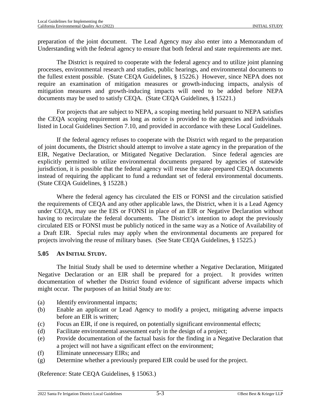preparation of the joint document. The Lead Agency may also enter into a Memorandum of Understanding with the federal agency to ensure that both federal and state requirements are met.

The District is required to cooperate with the federal agency and to utilize joint planning processes, environmental research and studies, public hearings, and environmental documents to the fullest extent possible. (State CEQA Guidelines, § 15226.) However, since NEPA does not require an examination of mitigation measures or growth-inducing impacts, analysis of mitigation measures and growth-inducing impacts will need to be added before NEPA documents may be used to satisfy CEQA. (State CEQA Guidelines, § 15221.)

For projects that are subject to NEPA, a scoping meeting held pursuant to NEPA satisfies the CEQA scoping requirement as long as notice is provided to the agencies and individuals listed in Local Guidelines Section [7.10,](#page-104-0) and provided in accordance with these Local Guidelines.

If the federal agency refuses to cooperate with the District with regard to the preparation of joint documents, the District should attempt to involve a state agency in the preparation of the EIR, Negative Declaration, or Mitigated Negative Declaration. Since federal agencies are explicitly permitted to utilize environmental documents prepared by agencies of statewide jurisdiction, it is possible that the federal agency will reuse the state-prepared CEQA documents instead of requiring the applicant to fund a redundant set of federal environmental documents. (State CEQA Guidelines, § 15228.)

Where the federal agency has circulated the EIS or FONSI and the circulation satisfied the requirements of CEQA and any other applicable laws, the District, when it is a Lead Agency under CEQA, may use the EIS or FONSI in place of an EIR or Negative Declaration without having to recirculate the federal documents. The District's intention to adopt the previously circulated EIS or FONSI must be publicly noticed in the same way as a Notice of Availability of a Draft EIR. Special rules may apply when the environmental documents are prepared for projects involving the reuse of military bases. (See State CEQA Guidelines, § 15225.)

# <span id="page-57-0"></span>**5.05 AN INITIAL STUDY.**

The Initial Study shall be used to determine whether a Negative Declaration, Mitigated Negative Declaration or an EIR shall be prepared for a project. It provides written documentation of whether the District found evidence of significant adverse impacts which might occur. The purposes of an Initial Study are to:

- (a) Identify environmental impacts;
- (b) Enable an applicant or Lead Agency to modify a project, mitigating adverse impacts before an EIR is written;
- (c) Focus an EIR, if one is required, on potentially significant environmental effects;
- (d) Facilitate environmental assessment early in the design of a project;
- (e) Provide documentation of the factual basis for the finding in a Negative Declaration that a project will not have a significant effect on the environment;
- (f) Eliminate unnecessary EIRs; and
- (g) Determine whether a previously prepared EIR could be used for the project.

(Reference: State CEQA Guidelines, § 15063.)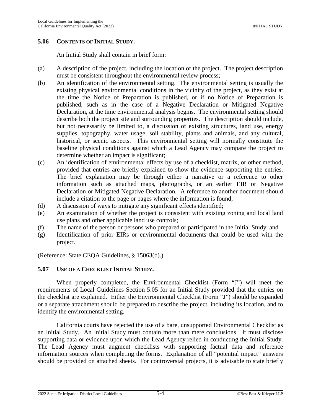#### **5.06 CONTENTS OF INITIAL STUDY.**

An Initial Study shall contain in brief form:

- (a) A description of the project, including the location of the project. The project description must be consistent throughout the environmental review process;
- (b) An identification of the environmental setting. The environmental setting is usually the existing physical environmental conditions in the vicinity of the project, as they exist at the time the Notice of Preparation is published, or if no Notice of Preparation is published, such as in the case of a Negative Declaration or Mitigated Negative Declaration, at the time environmental analysis begins. The environmental setting should describe both the project site and surrounding properties. The description should include, but not necessarily be limited to, a discussion of existing structures, land use, energy supplies, topography, water usage, soil stability, plants and animals, and any cultural, historical, or scenic aspects. This environmental setting will normally constitute the baseline physical conditions against which a Lead Agency may compare the project to determine whether an impact is significant;
- (c) An identification of environmental effects by use of a checklist, matrix, or other method, provided that entries are briefly explained to show the evidence supporting the entries. The brief explanation may be through either a narrative or a reference to other information such as attached maps, photographs, or an earlier EIR or Negative Declaration or Mitigated Negative Declaration. A reference to another document should include a citation to the page or pages where the information is found;
- (d) A discussion of ways to mitigate any significant effects identified;
- (e) An examination of whether the project is consistent with existing zoning and local land use plans and other applicable land use controls;
- (f) The name of the person or persons who prepared or participated in the Initial Study; and
- (g) Identification of prior EIRs or environmental documents that could be used with the project.

(Reference: State CEQA Guidelines, § 15063(d).)

#### **5.07 USE OF A CHECKLIST INITIAL STUDY.**

When properly completed, the Environmental Checklist (Form "J") will meet the requirements of Local Guidelines Section [5.05](#page-57-0) for an Initial Study provided that the entries on the checklist are explained. Either the Environmental Checklist (Form "J") should be expanded or a separate attachment should be prepared to describe the project, including its location, and to identify the environmental setting.

California courts have rejected the use of a bare, unsupported Environmental Checklist as an Initial Study. An Initial Study must contain more than mere conclusions. It must disclose supporting data or evidence upon which the Lead Agency relied in conducting the Initial Study. The Lead Agency must augment checklists with supporting factual data and reference information sources when completing the forms. Explanation of all "potential impact" answers should be provided on attached sheets. For controversial projects, it is advisable to state briefly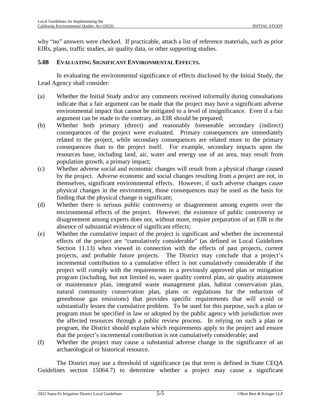why "no" answers were checked. If practicable, attach a list of reference materials, such as prior EIRs, plans, traffic studies, air quality data, or other supporting studies.

### **5.08 EVALUATING SIGNIFICANT ENVIRONMENTAL EFFECTS.**

In evaluating the environmental significance of effects disclosed by the Initial Study, the Lead Agency shall consider:

- (a) Whether the Initial Study and/or any comments received informally during consultations indicate that a fair argument can be made that the project may have a significant adverse environmental impact that cannot be mitigated to a level of insignificance. Even if a fair argument can be made to the contrary, an EIR should be prepared;
- (b) Whether both primary (direct) and reasonably foreseeable secondary (indirect) consequences of the project were evaluated. Primary consequences are immediately related to the project, while secondary consequences are related more to the primary consequences than to the project itself. For example, secondary impacts upon the resources base, including land, air, water and energy use of an area, may result from population growth, a primary impact;
- (c) Whether adverse social and economic changes will result from a physical change caused by the project. Adverse economic and social changes resulting from a project are not, in themselves, significant environmental effects. However, if such adverse changes cause physical changes in the environment, those consequences may be used as the basis for finding that the physical change is significant;
- (d) Whether there is serious public controversy or disagreement among experts over the environmental effects of the project. However, the existence of public controversy or disagreement among experts does not, without more, require preparation of an EIR in the absence of substantial evidence of significant effects;
- (e) Whether the cumulative impact of the project is significant and whether the incremental effects of the project are "cumulatively considerable" (as defined in Local Guidelines Section [11.13\)](#page-177-0) when viewed in connection with the effects of past projects, current projects, and probable future projects. The District may conclude that a project's incremental contribution to a cumulative effect is not cumulatively considerable if the project will comply with the requirements in a previously approved plan or mitigation program (including, but not limited to, water quality control plan, air quality attainment or maintenance plan, integrated waste management plan, habitat conservation plan, natural community conservation plan, plans or regulations for the reduction of greenhouse gas emissions) that provides specific requirements that will avoid or substantially lessen the cumulative problem. To be used for this purpose, such a plan or program must be specified in law or adopted by the public agency with jurisdiction over the affected resources through a public review process. In relying on such a plan or program, the District should explain which requirements apply to the project and ensure that the project's incremental contribution is not cumulatively considerable; and
- (f) Whether the project may cause a substantial adverse change in the significance of an archaeological or historical resource.

The District may use a threshold of significance (as that term is defined in State CEQA Guidelines section 15064.7) to determine whether a project may cause a significant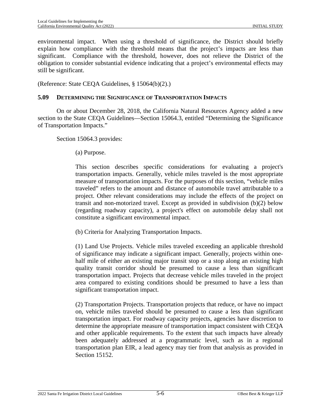environmental impact. When using a threshold of significance, the District should briefly explain how compliance with the threshold means that the project's impacts are less than significant. Compliance with the threshold, however, does not relieve the District of the obligation to consider substantial evidence indicating that a project's environmental effects may still be significant.

(Reference: State CEQA Guidelines, § 15064(b)(2).)

### **5.09 DETERMINING THE SIGNIFICANCE OF TRANSPORTATION IMPACTS**

On or about December 28, 2018, the California Natural Resources Agency added a new section to the State CEQA Guidelines—Section 15064.3, entitled "Determining the Significance of Transportation Impacts."

Section 15064.3 provides:

(a) Purpose.

This section describes specific considerations for evaluating a project's transportation impacts. Generally, vehicle miles traveled is the most appropriate measure of transportation impacts. For the purposes of this section, "vehicle miles traveled" refers to the amount and distance of automobile travel attributable to a project. Other relevant considerations may include the effects of the project on transit and non-motorized travel. Except as provided in subdivision (b)(2) below (regarding roadway capacity), a project's effect on automobile delay shall not constitute a significant environmental impact.

(b) Criteria for Analyzing Transportation Impacts.

(1) Land Use Projects. Vehicle miles traveled exceeding an applicable threshold of significance may indicate a significant impact. Generally, projects within onehalf mile of either an existing major transit stop or a stop along an existing high quality transit corridor should be presumed to cause a less than significant transportation impact. Projects that decrease vehicle miles traveled in the project area compared to existing conditions should be presumed to have a less than significant transportation impact.

(2) Transportation Projects. Transportation projects that reduce, or have no impact on, vehicle miles traveled should be presumed to cause a less than significant transportation impact. For roadway capacity projects, agencies have discretion to determine the appropriate measure of transportation impact consistent with CEQA and other applicable requirements. To the extent that such impacts have already been adequately addressed at a programmatic level, such as in a regional transportation plan EIR, a lead agency may tier from that analysis as provided in Section 15152.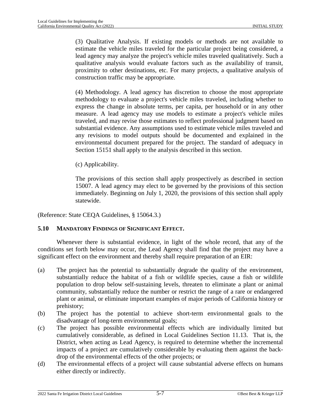(3) Qualitative Analysis. If existing models or methods are not available to estimate the vehicle miles traveled for the particular project being considered, a lead agency may analyze the project's vehicle miles traveled qualitatively. Such a qualitative analysis would evaluate factors such as the availability of transit, proximity to other destinations, etc. For many projects, a qualitative analysis of construction traffic may be appropriate.

(4) Methodology. A lead agency has discretion to choose the most appropriate methodology to evaluate a project's vehicle miles traveled, including whether to express the change in absolute terms, per capita, per household or in any other measure. A lead agency may use models to estimate a project's vehicle miles traveled, and may revise those estimates to reflect professional judgment based on substantial evidence. Any assumptions used to estimate vehicle miles traveled and any revisions to model outputs should be documented and explained in the environmental document prepared for the project. The standard of adequacy in Section 15151 shall apply to the analysis described in this section.

(c) Applicability.

The provisions of this section shall apply prospectively as described in section 15007. A lead agency may elect to be governed by the provisions of this section immediately. Beginning on July 1, 2020, the provisions of this section shall apply statewide.

(Reference: State CEQA Guidelines, § 15064.3.)

# **5.10 MANDATORY FINDINGS OF SIGNIFICANT EFFECT.**

Whenever there is substantial evidence, in light of the whole record, that any of the conditions set forth below may occur, the Lead Agency shall find that the project may have a significant effect on the environment and thereby shall require preparation of an EIR:

- (a) The project has the potential to substantially degrade the quality of the environment, substantially reduce the habitat of a fish or wildlife species, cause a fish or wildlife population to drop below self-sustaining levels, threaten to eliminate a plant or animal community, substantially reduce the number or restrict the range of a rare or endangered plant or animal, or eliminate important examples of major periods of California history or prehistory;
- (b) The project has the potential to achieve short-term environmental goals to the disadvantage of long-term environmental goals;
- (c) The project has possible environmental effects which are individually limited but cumulatively considerable, as defined in Local Guidelines Section [11.13](#page-177-0). That is, the District, when acting as Lead Agency, is required to determine whether the incremental impacts of a project are cumulatively considerable by evaluating them against the backdrop of the environmental effects of the other projects; or
- (d) The environmental effects of a project will cause substantial adverse effects on humans either directly or indirectly.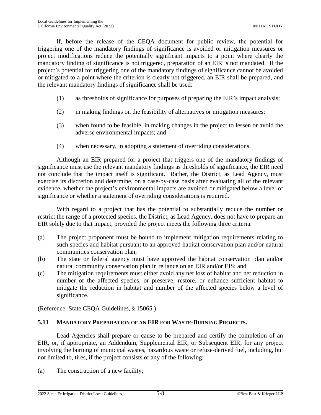If, before the release of the CEQA document for public review, the potential for triggering one of the mandatory findings of significance is avoided or mitigation measures or project modifications reduce the potentially significant impacts to a point where clearly the mandatory finding of significance is not triggered, preparation of an EIR is not mandated. If the project's potential for triggering one of the mandatory findings of significance cannot be avoided or mitigated to a point where the criterion is clearly not triggered, an EIR shall be prepared, and the relevant mandatory findings of significance shall be used:

- (1) as thresholds of significance for purposes of preparing the EIR's impact analysis;
- (2) in making findings on the feasibility of alternatives or mitigation measures;
- (3) when found to be feasible, in making changes in the project to lessen or avoid the adverse environmental impacts; and
- (4) when necessary, in adopting a statement of overriding considerations.

Although an EIR prepared for a project that triggers one of the mandatory findings of significance must use the relevant mandatory findings as thresholds of significance, the EIR need not conclude that the impact itself is significant. Rather, the District, as Lead Agency, must exercise its discretion and determine, on a case-by-case basis after evaluating all of the relevant evidence, whether the project's environmental impacts are avoided or mitigated below a level of significance or whether a statement of overriding considerations is required.

With regard to a project that has the potential to substantially reduce the number or restrict the range of a protected species, the District, as Lead Agency, does not have to prepare an EIR solely due to that impact, provided the project meets the following three criteria:

- (a) The project proponent must be bound to implement mitigation requirements relating to such species and habitat pursuant to an approved habitat conservation plan and/or natural communities conservation plan;
- (b) The state or federal agency must have approved the habitat conservation plan and/or natural community conservation plan in reliance on an EIR and/or EIS; and
- (c) The mitigation requirements must either avoid any net loss of habitat and net reduction in number of the affected species, or preserve, restore, or enhance sufficient habitat to mitigate the reduction in habitat and number of the affected species below a level of significance.

(Reference: State CEQA Guidelines, § 15065.)

# **5.11 MANDATORY PREPARATION OF AN EIR FOR WASTE-BURNING PROJECTS.**

Lead Agencies shall prepare or cause to be prepared and certify the completion of an EIR, or, if appropriate, an Addendum, Supplemental EIR, or Subsequent EIR, for any project involving the burning of municipal wastes, hazardous waste or refuse-derived fuel, including, but not limited to, tires, if the project consists of any of the following:

(a) The construction of a new facility;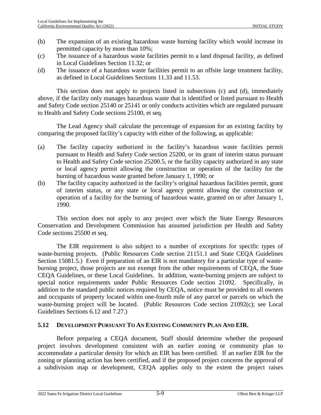- (b) The expansion of an existing hazardous waste burning facility which would increase its permitted capacity by more than 10%;
- (c) The issuance of a hazardous waste facilities permit to a land disposal facility, as defined in Local Guidelines Section [11.32;](#page-181-0) or
- (d) The issuance of a hazardous waste facilities permit to an offsite large treatment facility, as defined in Local Guidelines Sections [11.33](#page-181-1) and [11.53.](#page-184-0)

This section does not apply to projects listed in subsections (c) and (d), immediately above, if the facility only manages hazardous waste that is identified or listed pursuant to Health and Safety Code section 25140 or 25141 or only conducts activities which are regulated pursuant to Health and Safety Code sections 25100, et seq.

The Lead Agency shall calculate the percentage of expansion for an existing facility by comparing the proposed facility's capacity with either of the following, as applicable:

- (a) The facility capacity authorized in the facility's hazardous waste facilities permit pursuant to Health and Safety Code section 25200, or its grant of interim status pursuant to Health and Safety Code section 25200.5, or the facility capacity authorized in any state or local agency permit allowing the construction or operation of the facility for the burning of hazardous waste granted before January 1, 1990; or
- (b) The facility capacity authorized in the facility's original hazardous facilities permit, grant of interim status, or any state or local agency permit allowing the construction or operation of a facility for the burning of hazardous waste, granted on or after January 1, 1990.

This section does not apply to any project over which the State Energy Resources Conservation and Development Commission has assumed jurisdiction per Health and Safety Code sections 25500 et seq.

The EIR requirement is also subject to a number of exceptions for specific types of waste-burning projects. (Public Resources Code section 21151.1 and State CEQA Guidelines Section 15081.5.) Even if preparation of an EIR is not mandatory for a particular type of wasteburning project, those projects are not exempt from the other requirements of CEQA, the State CEQA Guidelines, or these Local Guidelines. In addition, waste-burning projects are subject to special notice requirements under Public Resources Code section 21092. Specifically, in addition to the standard public notices required by CEQA, notice must be provided to all owners and occupants of property located within one-fourth mile of any parcel or parcels on which the waste-burning project will be located. (Public Resources Code section 21092(c); see Local Guidelines Sections [6.12](#page-86-0) and [7.27](#page-122-0).)

# **5.12 DEVELOPMENT PURSUANT TO AN EXISTING COMMUNITY PLAN AND EIR.**

Before preparing a CEQA document, Staff should determine whether the proposed project involves development consistent with an earlier zoning or community plan to accommodate a particular density for which an EIR has been certified. If an earlier EIR for the zoning or planning action has been certified, and if the proposed project concerns the approval of a subdivision map or development, CEQA applies only to the extent the project raises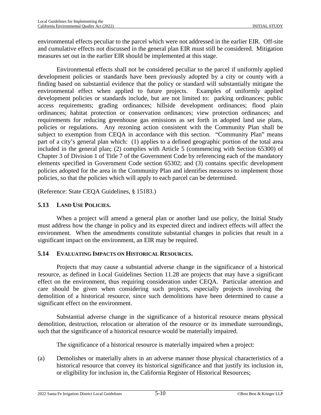environmental effects peculiar to the parcel which were not addressed in the earlier EIR. Off-site and cumulative effects not discussed in the general plan EIR must still be considered. Mitigation measures set out in the earlier EIR should be implemented at this stage.

Environmental effects shall not be considered peculiar to the parcel if uniformly applied development policies or standards have been previously adopted by a city or county with a finding based on substantial evidence that the policy or standard will substantially mitigate the environmental effect when applied to future projects. Examples of uniformly applied development policies or standards include, but are not limited to: parking ordinances; public access requirements; grading ordinances; hillside development ordinances; flood plain ordinances; habitat protection or conservation ordinances; view protection ordinances; and requirements for reducing greenhouse gas emissions as set forth in adopted land use plans, policies or regulations. Any rezoning action consistent with the Community Plan shall be subject to exemption from CEQA in accordance with this section. "Community Plan" means part of a city's general plan which: (1) applies to a defined geographic portion of the total area included in the general plan; (2) complies with Article 5 (commencing with Section 65300) of Chapter 3 of Division 1 of Title 7 of the Government Code by referencing each of the mandatory elements specified in Government Code section 65302; and (3) contains specific development policies adopted for the area in the Community Plan and identifies measures to implement those policies, so that the policies which will apply to each parcel can be determined.

(Reference: State CEQA Guidelines, § 15183.)

# **5.13 LAND USE POLICIES.**

When a project will amend a general plan or another land use policy, the Initial Study must address how the change in policy and its expected direct and indirect effects will affect the environment. When the amendments constitute substantial changes in policies that result in a significant impact on the environment, an EIR may be required.

# **5.14 EVALUATING IMPACTS ON HISTORICAL RESOURCES.**

Projects that may cause a substantial adverse change in the significance of a historical resource, as defined in Local Guidelines Section [11.28](#page-179-0) are projects that may have a significant effect on the environment, thus requiring consideration under CEQA. Particular attention and care should be given when considering such projects, especially projects involving the demolition of a historical resource, since such demolitions have been determined to cause a significant effect on the environment.

Substantial adverse change in the significance of a historical resource means physical demolition, destruction, relocation or alteration of the resource or its immediate surroundings, such that the significance of a historical resource would be materially impaired.

The significance of a historical resource is materially impaired when a project:

(a) Demolishes or materially alters in an adverse manner those physical characteristics of a historical resource that convey its historical significance and that justify its inclusion in, or eligibility for inclusion in, the California Register of Historical Resources;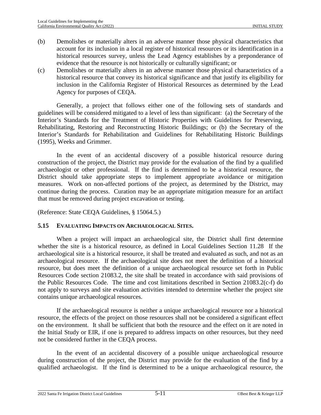- (b) Demolishes or materially alters in an adverse manner those physical characteristics that account for its inclusion in a local register of historical resources or its identification in a historical resources survey, unless the Lead Agency establishes by a preponderance of evidence that the resource is not historically or culturally significant; or
- (c) Demolishes or materially alters in an adverse manner those physical characteristics of a historical resource that convey its historical significance and that justify its eligibility for inclusion in the California Register of Historical Resources as determined by the Lead Agency for purposes of CEQA.

Generally, a project that follows either one of the following sets of standards and guidelines will be considered mitigated to a level of less than significant: (a) the Secretary of the Interior's Standards for the Treatment of Historic Properties with Guidelines for Preserving, Rehabilitating, Restoring and Reconstructing Historic Buildings; or (b) the Secretary of the Interior's Standards for Rehabilitation and Guidelines for Rehabilitating Historic Buildings (1995), Weeks and Grimmer.

In the event of an accidental discovery of a possible historical resource during construction of the project, the District may provide for the evaluation of the find by a qualified archaeologist or other professional. If the find is determined to be a historical resource, the District should take appropriate steps to implement appropriate avoidance or mitigation measures. Work on non-affected portions of the project, as determined by the District, may continue during the process. Curation may be an appropriate mitigation measure for an artifact that must be removed during project excavation or testing.

(Reference: State CEQA Guidelines, § 15064.5.)

#### **5.15 EVALUATING IMPACTS ON ARCHAEOLOGICAL SITES.**

When a project will impact an archaeological site, the District shall first determine whether the site is a historical resource, as defined in Local Guidelines Section [11.28](#page-179-0) If the archaeological site is a historical resource, it shall be treated and evaluated as such, and not as an archaeological resource. If the archaeological site does not meet the definition of a historical resource, but does meet the definition of a unique archaeological resource set forth in Public Resources Code section 21083.2, the site shall be treated in accordance with said provisions of the Public Resources Code. The time and cost limitations described in Section 21083.2(c-f) do not apply to surveys and site evaluation activities intended to determine whether the project site contains unique archaeological resources.

If the archaeological resource is neither a unique archaeological resource nor a historical resource, the effects of the project on those resources shall not be considered a significant effect on the environment. It shall be sufficient that both the resource and the effect on it are noted in the Initial Study or EIR, if one is prepared to address impacts on other resources, but they need not be considered further in the CEQA process.

In the event of an accidental discovery of a possible unique archaeological resource during construction of the project, the District may provide for the evaluation of the find by a qualified archaeologist. If the find is determined to be a unique archaeological resource, the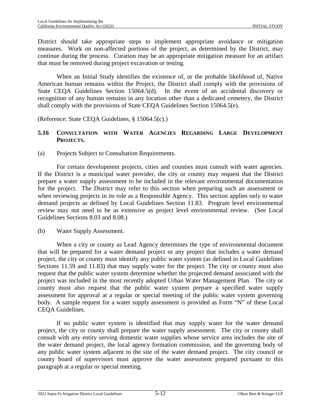District should take appropriate steps to implement appropriate avoidance or mitigation measures. Work on non-affected portions of the project, as determined by the District, may continue during the process. Curation may be an appropriate mitigation measure for an artifact that must be removed during project excavation or testing.

When an Initial Study identifies the existence of, or the probable likelihood of, Native American human remains within the Project, the District shall comply with the provisions of State CEQA Guidelines Section 15064.5(d). In the event of an accidental discovery or recognition of any human remains in any location other than a dedicated cemetery, the District shall comply with the provisions of State CEQA Guidelines Section 15064.5(e).

(Reference: State CEQA Guidelines, § 15064.5(c).)

# **5.16 CONSULTATION WITH WATER AGENCIES REGARDING LARGE DEVELOPMENT PROJECTS.**

(a) Projects Subject to Consultation Requirements.

For certain development projects, cities and counties must consult with water agencies. If the District is a municipal water provider, the city or county may request that the District prepare a water supply assessment to be included in the relevant environmental documentation for the project. The District may refer to this section when preparing such an assessment or when reviewing projects in its role as a Responsible Agency. This section applies only to water demand projects as defined by Local Guidelines Section 11.83. Program level environmental review may not need to be as extensive as project level environmental review. (See Local Guidelines Sections [8.03](#page-136-0) and [8.08](#page-139-0).)

(b) Water Supply Assessment.

When a city or county as Lead Agency determines the type of environmental document that will be prepared for a water demand project or any project that includes a water demand project, the city or county must identify any public water system (as defined in Local Guidelines Sections [11.59](#page-185-0) and [11.83\)](#page-190-0) that may supply water for the project. The city or county must also request that the public water system determine whether the projected demand associated with the project was included in the most recently adopted Urban Water Management Plan. The city or county must also request that the public water system prepare a specified water supply assessment for approval at a regular or special meeting of the public water system governing body. A sample request for a water supply assessment is provided as Form "N" of these Local CEQA Guidelines.

If no public water system is identified that may supply water for the water demand project, the city or county shall prepare the water supply assessment. The city or county shall consult with any entity serving domestic water supplies whose service area includes the site of the water demand project, the local agency formation commission, and the governing body of any public water system adjacent to the site of the water demand project. The city council or county board of supervisors must approve the water assessment prepared pursuant to this paragraph at a regular or special meeting.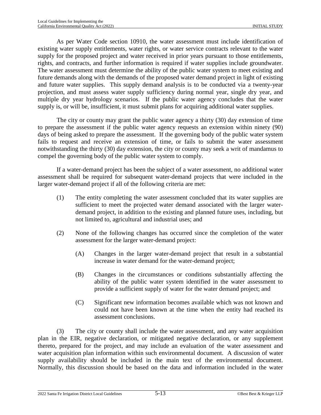As per Water Code section 10910, the water assessment must include identification of existing water supply entitlements, water rights, or water service contracts relevant to the water supply for the proposed project and water received in prior years pursuant to those entitlements, rights, and contracts, and further information is required if water supplies include groundwater. The water assessment must determine the ability of the public water system to meet existing and future demands along with the demands of the proposed water demand project in light of existing and future water supplies. This supply demand analysis is to be conducted via a twenty-year projection, and must assess water supply sufficiency during normal year, single dry year, and multiple dry year hydrology scenarios. If the public water agency concludes that the water supply is, or will be, insufficient, it must submit plans for acquiring additional water supplies.

The city or county may grant the public water agency a thirty (30) day extension of time to prepare the assessment if the public water agency requests an extension within ninety (90) days of being asked to prepare the assessment. If the governing body of the public water system fails to request and receive an extension of time, or fails to submit the water assessment notwithstanding the thirty (30) day extension, the city or county may seek a writ of mandamus to compel the governing body of the public water system to comply.

If a water-demand project has been the subject of a water assessment, no additional water assessment shall be required for subsequent water-demand projects that were included in the larger water-demand project if all of the following criteria are met:

- (1) The entity completing the water assessment concluded that its water supplies are sufficient to meet the projected water demand associated with the larger waterdemand project, in addition to the existing and planned future uses, including, but not limited to, agricultural and industrial uses; and
- (2) None of the following changes has occurred since the completion of the water assessment for the larger water-demand project:
	- (A) Changes in the larger water-demand project that result in a substantial increase in water demand for the water-demand project;
	- (B) Changes in the circumstances or conditions substantially affecting the ability of the public water system identified in the water assessment to provide a sufficient supply of water for the water demand project; and
	- (C) Significant new information becomes available which was not known and could not have been known at the time when the entity had reached its assessment conclusions.

(3) The city or county shall include the water assessment, and any water acquisition plan in the EIR, negative declaration, or mitigated negative declaration, or any supplement thereto, prepared for the project, and may include an evaluation of the water assessment and water acquisition plan information within such environmental document. A discussion of water supply availability should be included in the main text of the environmental document. Normally, this discussion should be based on the data and information included in the water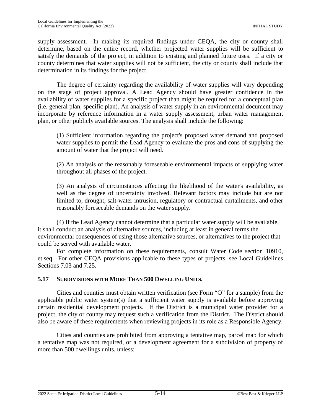supply assessment. In making its required findings under CEQA, the city or county shall determine, based on the entire record, whether projected water supplies will be sufficient to satisfy the demands of the project, in addition to existing and planned future uses. If a city or county determines that water supplies will not be sufficient, the city or county shall include that determination in its findings for the project.

The degree of certainty regarding the availability of water supplies will vary depending on the stage of project approval. A Lead Agency should have greater confidence in the availability of water supplies for a specific project than might be required for a conceptual plan (i.e. general plan, specific plan). An analysis of water supply in an environmental document may incorporate by reference information in a water supply assessment, urban water management plan, or other publicly available sources. The analysis shall include the following:

(1) Sufficient information regarding the project's proposed water demand and proposed water supplies to permit the Lead Agency to evaluate the pros and cons of supplying the amount of water that the project will need.

(2) An analysis of the reasonably foreseeable environmental impacts of supplying water throughout all phases of the project.

(3) An analysis of circumstances affecting the likelihood of the water's availability, as well as the degree of uncertainty involved. Relevant factors may include but are not limited to, drought, salt-water intrusion, regulatory or contractual curtailments, and other reasonably foreseeable demands on the water supply.

(4) If the Lead Agency cannot determine that a particular water supply will be available, it shall conduct an analysis of alternative sources, including at least in general terms the environmental consequences of using those alternative sources, or alternatives to the project that could be served with available water.

For complete information on these requirements, consult Water Code section 10910, et seq. For other CEQA provisions applicable to these types of projects, see Local Guidelines Sections [7.03](#page-96-0) and [7.25.](#page-118-0)

# **5.17 SUBDIVISIONS WITH MORE THAN 500 DWELLING UNITS.**

Cities and counties must obtain written verification (see Form "O" for a sample) from the applicable public water system(s) that a sufficient water supply is available before approving certain residential development projects. If the District is a municipal water provider for a project, the city or county may request such a verification from the District. The District should also be aware of these requirements when reviewing projects in its role as a Responsible Agency.

Cities and counties are prohibited from approving a tentative map, parcel map for which a tentative map was not required, or a development agreement for a subdivision of property of more than 500 dwellings units, unless: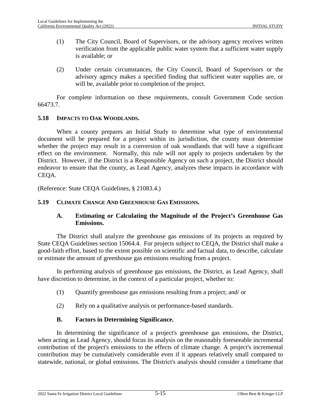- (1) The City Council, Board of Supervisors, or the advisory agency receives written verification from the applicable public water system that a sufficient water supply is available; or
- (2) Under certain circumstances, the City Council, Board of Supervisors or the advisory agency makes a specified finding that sufficient water supplies are, or will be, available prior to completion of the project.

For complete information on these requirements, consult Government Code section 66473.7.

# **5.18 IMPACTS TO OAK WOODLANDS.**

When a county prepares an Initial Study to determine what type of environmental document will be prepared for a project within its jurisdiction, the county must determine whether the project may result in a conversion of oak woodlands that will have a significant effect on the environment. Normally, this rule will not apply to projects undertaken by the District. However, if the District is a Responsible Agency on such a project, the District should endeavor to ensure that the county, as Lead Agency, analyzes these impacts in accordance with CEQA.

(Reference: State CEQA Guidelines, § 21083.4.)

### **5.19 CLIMATE CHANGE AND GREENHOUSE GAS EMISSIONS.**

### **A. Estimating or Calculating the Magnitude of the Project's Greenhouse Gas Emissions.**

The District shall analyze the greenhouse gas emissions of its projects as required by State CEQA Guidelines section 15064.4. For projects subject to CEQA, the District shall make a good-faith effort, based to the extent possible on scientific and factual data, to describe, calculate or estimate the amount of greenhouse gas emissions resulting from a project.

In performing analysis of greenhouse gas emissions, the District, as Lead Agency, shall have discretion to determine, in the context of a particular project, whether to:

- (1) Quantify greenhouse gas emissions resulting from a project; and/ or
- (2) Rely on a qualitative analysis or performance-based standards.

# **B. Factors in Determining Significance.**

In determining the significance of a project's greenhouse gas emissions, the District, when acting as Lead Agency, should focus its analysis on the reasonably foreseeable incremental contribution of the project's emissions to the effects of climate change. A project's incremental contribution may be cumulatively considerable even if it appears relatively small compared to statewide, national, or global emissions. The District's analysis should consider a timeframe that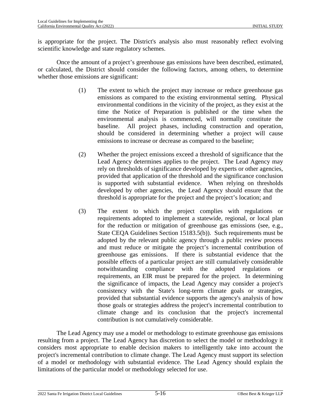is appropriate for the project. The District's analysis also must reasonably reflect evolving scientific knowledge and state regulatory schemes.

Once the amount of a project's greenhouse gas emissions have been described, estimated, or calculated, the District should consider the following factors, among others, to determine whether those emissions are significant:

- (1) The extent to which the project may increase or reduce greenhouse gas emissions as compared to the existing environmental setting. Physical environmental conditions in the vicinity of the project, as they exist at the time the Notice of Preparation is published or the time when the environmental analysis is commenced, will normally constitute the baseline. All project phases, including construction and operation, should be considered in determining whether a project will cause emissions to increase or decrease as compared to the baseline;
- (2) Whether the project emissions exceed a threshold of significance that the Lead Agency determines applies to the project. The Lead Agency may rely on thresholds of significance developed by experts or other agencies, provided that application of the threshold and the significance conclusion is supported with substantial evidence. When relying on thresholds developed by other agencies, the Lead Agency should ensure that the threshold is appropriate for the project and the project's location; and
- (3) The extent to which the project complies with regulations or requirements adopted to implement a statewide, regional, or local plan for the reduction or mitigation of greenhouse gas emissions (see, e.g., State CEQA Guidelines Section 15183.5(b)). Such requirements must be adopted by the relevant public agency through a public review process and must reduce or mitigate the project's incremental contribution of greenhouse gas emissions. If there is substantial evidence that the possible effects of a particular project are still cumulatively considerable notwithstanding compliance with the adopted regulations or requirements, an EIR must be prepared for the project. In determining the significance of impacts, the Lead Agency may consider a project's consistency with the State's long-term climate goals or strategies, provided that substantial evidence supports the agency's analysis of how those goals or strategies address the project's incremental contribution to climate change and its conclusion that the project's incremental contribution is not cumulatively considerable.

The Lead Agency may use a model or methodology to estimate greenhouse gas emissions resulting from a project. The Lead Agency has discretion to select the model or methodology it considers most appropriate to enable decision makers to intelligently take into account the project's incremental contribution to climate change. The Lead Agency must support its selection of a model or methodology with substantial evidence. The Lead Agency should explain the limitations of the particular model or methodology selected for use.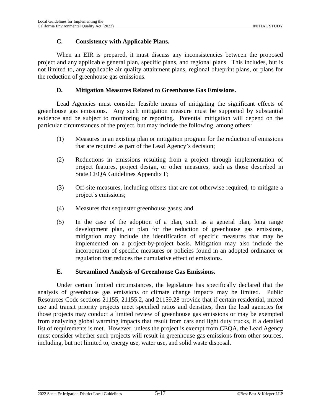### **C. Consistency with Applicable Plans.**

When an EIR is prepared, it must discuss any inconsistencies between the proposed project and any applicable general plan, specific plans, and regional plans. This includes, but is not limited to, any applicable air quality attainment plans, regional blueprint plans, or plans for the reduction of greenhouse gas emissions.

# **D. Mitigation Measures Related to Greenhouse Gas Emissions.**

Lead Agencies must consider feasible means of mitigating the significant effects of greenhouse gas emissions. Any such mitigation measure must be supported by substantial evidence and be subject to monitoring or reporting. Potential mitigation will depend on the particular circumstances of the project, but may include the following, among others:

- (1) Measures in an existing plan or mitigation program for the reduction of emissions that are required as part of the Lead Agency's decision;
- (2) Reductions in emissions resulting from a project through implementation of project features, project design, or other measures, such as those described in State CEQA Guidelines Appendix F;
- (3) Off-site measures, including offsets that are not otherwise required, to mitigate a project's emissions;
- (4) Measures that sequester greenhouse gases; and
- (5) In the case of the adoption of a plan, such as a general plan, long range development plan, or plan for the reduction of greenhouse gas emissions, mitigation may include the identification of specific measures that may be implemented on a project-by-project basis. Mitigation may also include the incorporation of specific measures or policies found in an adopted ordinance or regulation that reduces the cumulative effect of emissions.

# **E. Streamlined Analysis of Greenhouse Gas Emissions.**

Under certain limited circumstances, the legislature has specifically declared that the analysis of greenhouse gas emissions or climate change impacts may be limited. Public Resources Code sections 21155, 21155.2, and 21159.28 provide that if certain residential, mixed use and transit priority projects meet specified ratios and densities, then the lead agencies for those projects may conduct a limited review of greenhouse gas emissions or may be exempted from analyzing global warming impacts that result from cars and light duty trucks, if a detailed list of requirements is met. However, unless the project is exempt from CEQA, the Lead Agency must consider whether such projects will result in greenhouse gas emissions from other sources, including, but not limited to, energy use, water use, and solid waste disposal.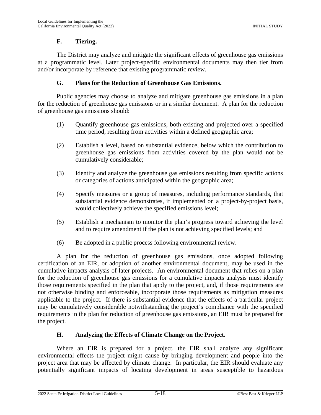# **F. Tiering.**

The District may analyze and mitigate the significant effects of greenhouse gas emissions at a programmatic level. Later project-specific environmental documents may then tier from and/or incorporate by reference that existing programmatic review.

## **G. Plans for the Reduction of Greenhouse Gas Emissions.**

Public agencies may choose to analyze and mitigate greenhouse gas emissions in a plan for the reduction of greenhouse gas emissions or in a similar document. A plan for the reduction of greenhouse gas emissions should:

- (1) Quantify greenhouse gas emissions, both existing and projected over a specified time period, resulting from activities within a defined geographic area;
- (2) Establish a level, based on substantial evidence, below which the contribution to greenhouse gas emissions from activities covered by the plan would not be cumulatively considerable;
- (3) Identify and analyze the greenhouse gas emissions resulting from specific actions or categories of actions anticipated within the geographic area;
- (4) Specify measures or a group of measures, including performance standards, that substantial evidence demonstrates, if implemented on a project-by-project basis, would collectively achieve the specified emissions level;
- (5) Establish a mechanism to monitor the plan's progress toward achieving the level and to require amendment if the plan is not achieving specified levels; and
- (6) Be adopted in a public process following environmental review.

A plan for the reduction of greenhouse gas emissions, once adopted following certification of an EIR, or adoption of another environmental document, may be used in the cumulative impacts analysis of later projects. An environmental document that relies on a plan for the reduction of greenhouse gas emissions for a cumulative impacts analysis must identify those requirements specified in the plan that apply to the project, and, if those requirements are not otherwise binding and enforceable, incorporate those requirements as mitigation measures applicable to the project. If there is substantial evidence that the effects of a particular project may be cumulatively considerable notwithstanding the project's compliance with the specified requirements in the plan for reduction of greenhouse gas emissions, an EIR must be prepared for the project.

# **H. Analyzing the Effects of Climate Change on the Project.**

Where an EIR is prepared for a project, the EIR shall analyze any significant environmental effects the project might cause by bringing development and people into the project area that may be affected by climate change. In particular, the EIR should evaluate any potentially significant impacts of locating development in areas susceptible to hazardous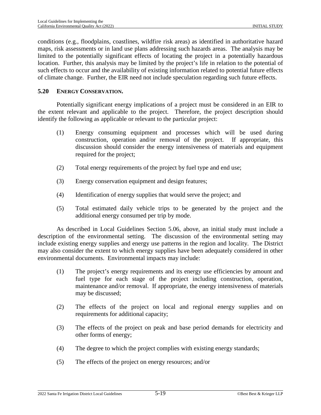conditions (e.g., floodplains, coastlines, wildfire risk areas) as identified in authoritative hazard maps, risk assessments or in land use plans addressing such hazards areas. The analysis may be limited to the potentially significant effects of locating the project in a potentially hazardous location. Further, this analysis may be limited by the project's life in relation to the potential of such effects to occur and the availability of existing information related to potential future effects of climate change. Further, the EIR need not include speculation regarding such future effects.

#### **5.20 ENERGY CONSERVATION.**

Potentially significant energy implications of a project must be considered in an EIR to the extent relevant and applicable to the project. Therefore, the project description should identify the following as applicable or relevant to the particular project:

- (1) Energy consuming equipment and processes which will be used during construction, operation and/or removal of the project. If appropriate, this discussion should consider the energy intensiveness of materials and equipment required for the project;
- (2) Total energy requirements of the project by fuel type and end use;
- (3) Energy conservation equipment and design features;
- (4) Identification of energy supplies that would serve the project; and
- (5) Total estimated daily vehicle trips to be generated by the project and the additional energy consumed per trip by mode.

As described in Local Guidelines Section [5.06](#page-58-0), above, an initial study must include a description of the environmental setting. The discussion of the environmental setting may include existing energy supplies and energy use patterns in the region and locality. The District may also consider the extent to which energy supplies have been adequately considered in other environmental documents. Environmental impacts may include:

- (1) The project's energy requirements and its energy use efficiencies by amount and fuel type for each stage of the project including construction, operation, maintenance and/or removal. If appropriate, the energy intensiveness of materials may be discussed;
- (2) The effects of the project on local and regional energy supplies and on requirements for additional capacity;
- (3) The effects of the project on peak and base period demands for electricity and other forms of energy;
- (4) The degree to which the project complies with existing energy standards;
- (5) The effects of the project on energy resources; and/or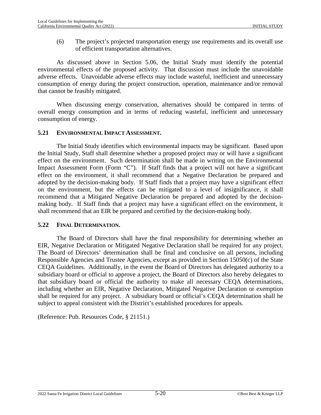(6) The project's projected transportation energy use requirements and its overall use of efficient transportation alternatives.

As discussed above in Section [5.06](#page-58-0), the Initial Study must identify the potential environmental effects of the proposed activity. That discussion must include the unavoidable adverse effects. Unavoidable adverse effects may include wasteful, inefficient and unnecessary consumption of energy during the project construction, operation, maintenance and/or removal that cannot be feasibly mitigated.

When discussing energy conservation, alternatives should be compared in terms of overall energy consumption and in terms of reducing wasteful, inefficient and unnecessary consumption of energy.

#### **5.21 ENVIRONMENTAL IMPACT ASSESSMENT.**

The Initial Study identifies which environmental impacts may be significant. Based upon the Initial Study, Staff shall determine whether a proposed project may or will have a significant effect on the environment. Such determination shall be made in writing on the Environmental Impact Assessment Form (Form "C"). If Staff finds that a project will not have a significant effect on the environment, it shall recommend that a Negative Declaration be prepared and adopted by the decision-making body. If Staff finds that a project may have a significant effect on the environment, but the effects can be mitigated to a level of insignificance, it shall recommend that a Mitigated Negative Declaration be prepared and adopted by the decisionmaking body. If Staff finds that a project may have a significant effect on the environment, it shall recommend that an EIR be prepared and certified by the decision-making body.

#### **5.22 FINAL DETERMINATION.**

The Board of Directors shall have the final responsibility for determining whether an EIR, Negative Declaration or Mitigated Negative Declaration shall be required for any project. The Board of Directors' determination shall be final and conclusive on all persons, including Responsible Agencies and Trustee Agencies, except as provided in Section 15050(c) of the State CEQA Guidelines. Additionally, in the event the Board of Directors has delegated authority to a subsidiary board or official to approve a project, the Board of Directors also hereby delegates to that subsidiary board or official the authority to make all necessary CEQA determinations, including whether an EIR, Negative Declaration, Mitigated Negative Declaration or exemption shall be required for any project. A subsidiary board or official's CEQA determination shall be subject to appeal consistent with the District's established procedures for appeals.

(Reference: Pub. Resources Code, § 21151.)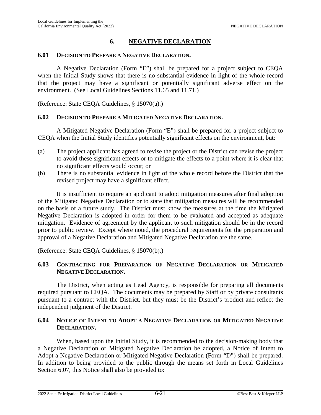# **6. NEGATIVE DECLARATION**

#### **6.01 DECISION TO PREPARE A NEGATIVE DECLARATION.**

A Negative Declaration (Form "E") shall be prepared for a project subject to CEQA when the Initial Study shows that there is no substantial evidence in light of the whole record that the project may have a significant or potentially significant adverse effect on the environment. (See Local Guidelines Sections [11.65](#page-186-0) and [11.71](#page-187-0).)

(Reference: State CEQA Guidelines, § 15070(a).)

#### **6.02 DECISION TO PREPARE A MITIGATED NEGATIVE DECLARATION.**

A Mitigated Negative Declaration (Form "E") shall be prepared for a project subject to CEQA when the Initial Study identifies potentially significant effects on the environment, but:

- (a) The project applicant has agreed to revise the project or the District can revise the project to avoid these significant effects or to mitigate the effects to a point where it is clear that no significant effects would occur; or
- (b) There is no substantial evidence in light of the whole record before the District that the revised project may have a significant effect.

It is insufficient to require an applicant to adopt mitigation measures after final adoption of the Mitigated Negative Declaration or to state that mitigation measures will be recommended on the basis of a future study. The District must know the measures at the time the Mitigated Negative Declaration is adopted in order for them to be evaluated and accepted as adequate mitigation. Evidence of agreement by the applicant to such mitigation should be in the record prior to public review. Except where noted, the procedural requirements for the preparation and approval of a Negative Declaration and Mitigated Negative Declaration are the same.

(Reference: State CEQA Guidelines, § 15070(b).)

## **6.03 CONTRACTING FOR PREPARATION OF NEGATIVE DECLARATION OR MITIGATED NEGATIVE DECLARATION.**

The District, when acting as Lead Agency, is responsible for preparing all documents required pursuant to CEQA. The documents may be prepared by Staff or by private consultants pursuant to a contract with the District, but they must be the District's product and reflect the independent judgment of the District.

## <span id="page-75-0"></span>**6.04 NOTICE OF INTENT TO ADOPT A NEGATIVE DECLARATION OR MITIGATED NEGATIVE DECLARATION.**

When, based upon the Initial Study, it is recommended to the decision-making body that a Negative Declaration or Mitigated Negative Declaration be adopted, a Notice of Intent to Adopt a Negative Declaration or Mitigated Negative Declaration (Form "D") shall be prepared. In addition to being provided to the public through the means set forth in Local Guidelines Section [6.07](#page-79-0), this Notice shall also be provided to: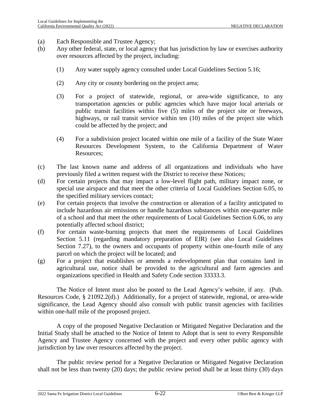- (a) Each Responsible and Trustee Agency;
- (b) Any other federal, state, or local agency that has jurisdiction by law or exercises authority over resources affected by the project, including:
	- (1) Any water supply agency consulted under Local Guidelines Section [5.16;](#page-66-0)
	- (2) Any city or county bordering on the project area;
	- (3) For a project of statewide, regional, or area-wide significance, to any transportation agencies or public agencies which have major local arterials or public transit facilities within five (5) miles of the project site or freeways, highways, or rail transit service within ten (10) miles of the project site which could be affected by the project; and
	- (4) For a subdivision project located within one mile of a facility of the State Water Resources Development System, to the California Department of Water Resources;
- (c) The last known name and address of all organizations and individuals who have previously filed a written request with the District to receive these Notices;
- (d) For certain projects that may impact a low-level flight path, military impact zone, or special use airspace and that meet the other criteria of Local Guidelines Section [6.05,](#page-78-0) to the specified military services contact;
- (e) For certain projects that involve the construction or alteration of a facility anticipated to include hazardous air emissions or handle hazardous substances within one-quarter mile of a school and that meet the other requirements of Local Guidelines Section [6.06,](#page-78-1) to any potentially affected school district;
- (f) For certain waste-burning projects that meet the requirements of Local Guidelines Section [5.11](#page-62-0) (regarding mandatory preparation of EIR) (see also Local Guidelines Section [7.27\)](#page-122-0), to the owners and occupants of property within one-fourth mile of any parcel on which the project will be located; and
- (g) For a project that establishes or amends a redevelopment plan that contains land in agricultural use, notice shall be provided to the agricultural and farm agencies and organizations specified in Health and Safety Code section 33333.3.

The Notice of Intent must also be posted to the Lead Agency's website, if any. (Pub. Resources Code, § 21092.2(d).) Additionally, for a project of statewide, regional, or area-wide significance, the Lead Agency should also consult with public transit agencies with facilities within one-half mile of the proposed project.

A copy of the proposed Negative Declaration or Mitigated Negative Declaration and the Initial Study shall be attached to the Notice of Intent to Adopt that is sent to every Responsible Agency and Trustee Agency concerned with the project and every other public agency with jurisdiction by law over resources affected by the project.

The public review period for a Negative Declaration or Mitigated Negative Declaration shall not be less than twenty (20) days; the public review period shall be at least thirty (30) days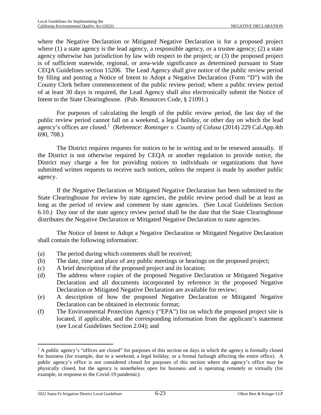where the Negative Declaration or Mitigated Negative Declaration is for a proposed project where (1) a state agency is the lead agency, a responsible agency, or a trustee agency; (2) a state agency otherwise has jurisdiction by law with respect to the project; or (3) the proposed project is of sufficient statewide, regional, or area-wide significance as determined pursuant to State CEQA Guidelines section 15206. The Lead Agency shall give notice of the public review period by filing and posting a Notice of Intent to Adopt a Negative Declaration (Form "D") with the County Clerk before commencement of the public review period; where a public review period of at least 30 days is required, the Lead Agency shall also electronically submit the Notice of Intent to the State Clearinghouse. (Pub. Resources Code, § 21091.)

For purposes of calculating the length of the public review period, the last day of the public review period cannot fall on a weekend, a legal holiday, or other day on which the lead agency'soffices are closed.<sup>1</sup> (Reference: *Rominger v. County of Colusa* (2014) 229 Cal.App.4th 690, 708.)

The District requires requests for notices to be in writing and to be renewed annually. If the District is not otherwise required by CEQA or another regulation to provide notice, the District may charge a fee for providing notices to individuals or organizations that have submitted written requests to receive such notices, unless the request is made by another public agency.

If the Negative Declaration or Mitigated Negative Declaration has been submitted to the State Clearinghouse for review by state agencies, the public review period shall be at least as long as the period of review and comment by state agencies. (See Local Guidelines Section [6.10](#page-83-0).) Day one of the state agency review period shall be the date that the State Clearinghouse distributes the Negative Declaration or Mitigated Negative Declaration to state agencies.

The Notice of Intent to Adopt a Negative Declaration or Mitigated Negative Declaration shall contain the following information:

- (a) The period during which comments shall be received;
- (b) The date, time and place of any public meetings or hearings on the proposed project;
- (c) A brief description of the proposed project and its location;
- (d) The address where copies of the proposed Negative Declaration or Mitigated Negative Declaration and all documents incorporated by reference in the proposed Negative Declaration or Mitigated Negative Declaration are available for review;
- (e) A description of how the proposed Negative Declaration or Mitigated Negative Declaration can be obtained in electronic format;
- (f) The Environmental Protection Agency ("EPA") list on which the proposed project site is located, if applicable, and the corresponding information from the applicant's statement (see Local Guidelines Section [2.04\)](#page-18-0); and

<span id="page-77-0"></span><sup>&</sup>lt;sup>1</sup> A public agency's "offices are closed" for purposes of this section on days in which the agency is formally closed for business (for example, due to a weekend, a legal holiday, or a formal furlough affecting the entire office). A public agency's office is not considered closed for purposes of this section where the agency's office may be physically closed, but the agency is nonetheless open for business and is operating remotely or virtually (for example, in response to the Covid-19 pandemic).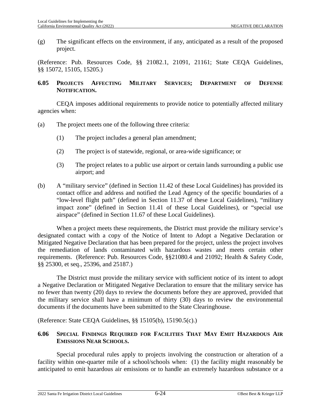(g) The significant effects on the environment, if any, anticipated as a result of the proposed project.

(Reference: Pub. Resources Code, §§ 21082.1, 21091, 21161; State CEQA Guidelines, §§ 15072, 15105, 15205.)

# <span id="page-78-0"></span>**6.05 PROJECTS AFFECTING MILITARY SERVICES; DEPARTMENT OF DEFENSE NOTIFICATION.**

CEQA imposes additional requirements to provide notice to potentially affected military agencies when:

- (a) The project meets one of the following three criteria:
	- (1) The project includes a general plan amendment;
	- (2) The project is of statewide, regional, or area-wide significance; or
	- (3) The project relates to a public use airport or certain lands surrounding a public use airport; and
- (b) A "military service" (defined in Section [11.42](#page-182-0) of these Local Guidelines) has provided its contact office and address and notified the Lead Agency of the specific boundaries of a "low-level flight path" (defined in Section [11.37](#page-181-0) of these Local Guidelines), "military impact zone" (defined in Section [11.41](#page-182-1) of these Local Guidelines), or "special use airspace" (defined in Section [11.67](#page-186-1) of these Local Guidelines).

When a project meets these requirements, the District must provide the military service's designated contact with a copy of the Notice of Intent to Adopt a Negative Declaration or Mitigated Negative Declaration that has been prepared for the project, unless the project involves the remediation of lands contaminated with hazardous wastes and meets certain other requirements. (Reference: Pub. Resources Code, §§21080.4 and 21092; Health & Safety Code, §§ 25300, et seq., 25396, and 25187.)

The District must provide the military service with sufficient notice of its intent to adopt a Negative Declaration or Mitigated Negative Declaration to ensure that the military service has no fewer than twenty (20) days to review the documents before they are approved, provided that the military service shall have a minimum of thirty (30) days to review the environmental documents if the documents have been submitted to the State Clearinghouse.

(Reference: State CEQA Guidelines, §§ 15105(b), 15190.5(c).)

## <span id="page-78-1"></span>**6.06 SPECIAL FINDINGS REQUIRED FOR FACILITIES THAT MAY EMIT HAZARDOUS AIR EMISSIONS NEAR SCHOOLS.**

Special procedural rules apply to projects involving the construction or alteration of a facility within one-quarter mile of a school/schools when: (1) the facility might reasonably be anticipated to emit hazardous air emissions or to handle an extremely hazardous substance or a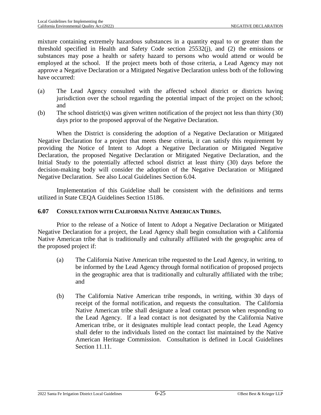mixture containing extremely hazardous substances in a quantity equal to or greater than the threshold specified in Health and Safety Code section 25532(j), and (2) the emissions or substances may pose a health or safety hazard to persons who would attend or would be employed at the school. If the project meets both of those criteria, a Lead Agency may not approve a Negative Declaration or a Mitigated Negative Declaration unless both of the following have occurred:

- (a) The Lead Agency consulted with the affected school district or districts having jurisdiction over the school regarding the potential impact of the project on the school; and
- (b) The school district(s) was given written notification of the project not less than thirty (30) days prior to the proposed approval of the Negative Declaration.

When the District is considering the adoption of a Negative Declaration or Mitigated Negative Declaration for a project that meets these criteria, it can satisfy this requirement by providing the Notice of Intent to Adopt a Negative Declaration or Mitigated Negative Declaration, the proposed Negative Declaration or Mitigated Negative Declaration, and the Initial Study to the potentially affected school district at least thirty (30) days before the decision-making body will consider the adoption of the Negative Declaration or Mitigated Negative Declaration. See also Local Guidelines Section [6.04](#page-75-0).

Implementation of this Guideline shall be consistent with the definitions and terms utilized in State CEQA Guidelines Section 15186.

#### <span id="page-79-0"></span>**6.07 CONSULTATION WITH CALIFORNIA NATIVE AMERICAN TRIBES.**

Prior to the release of a Notice of Intent to Adopt a Negative Declaration or Mitigated Negative Declaration for a project, the Lead Agency shall begin consultation with a California Native American tribe that is traditionally and culturally affiliated with the geographic area of the proposed project if:

- (a) The California Native American tribe requested to the Lead Agency, in writing, to be informed by the Lead Agency through formal notification of proposed projects in the geographic area that is traditionally and culturally affiliated with the tribe; and
- (b) The California Native American tribe responds, in writing, within 30 days of receipt of the formal notification, and requests the consultation. The California Native American tribe shall designate a lead contact person when responding to the Lead Agency. If a lead contact is not designated by the California Native American tribe, or it designates multiple lead contact people, the Lead Agency shall defer to the individuals listed on the contact list maintained by the Native American Heritage Commission. Consultation is defined in Local Guidelines Section [11.11](#page-177-0).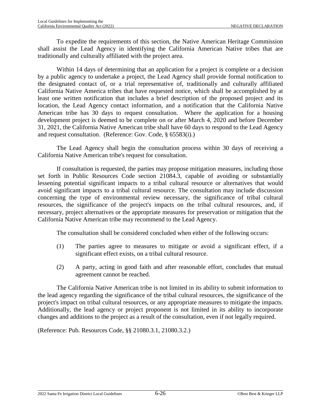To expedite the requirements of this section, the Native American Heritage Commission shall assist the Lead Agency in identifying the California American Native tribes that are traditionally and culturally affiliated with the project area.

Within 14 days of determining that an application for a project is complete or a decision by a public agency to undertake a project, the Lead Agency shall provide formal notification to the designated contact of, or a trial representative of, traditionally and culturally affiliated California Native America tribes that have requested notice, which shall be accomplished by at least one written notification that includes a brief description of the proposed project and its location, the Lead Agency contact information, and a notification that the California Native American tribe has 30 days to request consultation. Where the application for a housing development project is deemed to be complete on or after March 4, 2020 and before December 31, 2021, the California Native American tribe shall have 60 days to respond to the Lead Agency and request consultation. (Reference: Gov. Code, § 65583(i).)

The Lead Agency shall begin the consultation process within 30 days of receiving a California Native American tribe's request for consultation.

If consultation is requested, the parties may propose mitigation measures, including those set forth in Public Resources Code section 21084.3, capable of avoiding or substantially lessening potential significant impacts to a tribal cultural resource or alternatives that would avoid significant impacts to a tribal cultural resource. The consultation may include discussion concerning the type of environmental review necessary, the significance of tribal cultural resources, the significance of the project's impacts on the tribal cultural resources, and, if necessary, project alternatives or the appropriate measures for preservation or mitigation that the California Native American tribe may recommend to the Lead Agency.

The consultation shall be considered concluded when either of the following occurs:

- (1) The parties agree to measures to mitigate or avoid a significant effect, if a significant effect exists, on a tribal cultural resource.
- (2) A party, acting in good faith and after reasonable effort, concludes that mutual agreement cannot be reached.

The California Native American tribe is not limited in its ability to submit information to the lead agency regarding the significance of the tribal cultural resources, the significance of the project's impact on tribal cultural resources, or any appropriate measures to mitigate the impacts. Additionally, the lead agency or project proponent is not limited in its ability to incorporate changes and additions to the project as a result of the consultation, even if not legally required.

(Reference: Pub. Resources Code, §§ 21080.3.1, 21080.3.2.)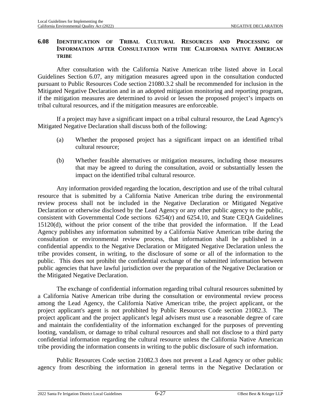## **6.08 IDENTIFICATION OF TRIBAL CULTURAL RESOURCES AND PROCESSING OF INFORMATION AFTER CONSULTATION WITH THE CALIFORNIA NATIVE AMERICAN TRIBE**

After consultation with the California Native American tribe listed above in Local Guidelines Section [6.07](#page-79-0), any mitigation measures agreed upon in the consultation conducted pursuant to Public Resources Code section 21080.3.2 shall be recommended for inclusion in the Mitigated Negative Declaration and in an adopted mitigation monitoring and reporting program, if the mitigation measures are determined to avoid or lessen the proposed project's impacts on tribal cultural resources, and if the mitigation measures are enforceable.

If a project may have a significant impact on a tribal cultural resource, the Lead Agency's Mitigated Negative Declaration shall discuss both of the following:

- (a) Whether the proposed project has a significant impact on an identified tribal cultural resource;
- (b) Whether feasible alternatives or mitigation measures, including those measures that may be agreed to during the consultation, avoid or substantially lessen the impact on the identified tribal cultural resource.

Any information provided regarding the location, description and use of the tribal cultural resource that is submitted by a California Native American tribe during the environmental review process shall not be included in the Negative Declaration or Mitigated Negative Declaration or otherwise disclosed by the Lead Agency or any other public agency to the public, consistent with Governmental Code sections 6254(r) and 6254.10, and State CEQA Guidelines 15120(d), without the prior consent of the tribe that provided the information. If the Lead Agency publishes any information submitted by a California Native American tribe during the consultation or environmental review process, that information shall be published in a confidential appendix to the Negative Declaration or Mitigated Negative Declaration unless the tribe provides consent, in writing, to the disclosure of some or all of the information to the public. This does not prohibit the confidential exchange of the submitted information between public agencies that have lawful jurisdiction over the preparation of the Negative Declaration or the Mitigated Negative Declaration.

The exchange of confidential information regarding tribal cultural resources submitted by a California Native American tribe during the consultation or environmental review process among the Lead Agency, the California Native American tribe, the project applicant, or the project applicant's agent is not prohibited by Public Resources Code section 21082.3. The project applicant and the project applicant's legal advisers must use a reasonable degree of care and maintain the confidentiality of the information exchanged for the purposes of preventing looting, vandalism, or damage to tribal cultural resources and shall not disclose to a third party confidential information regarding the cultural resource unless the California Native American tribe providing the information consents in writing to the public disclosure of such information.

Public Resources Code section 21082.3 does not prevent a Lead Agency or other public agency from describing the information in general terms in the Negative Declaration or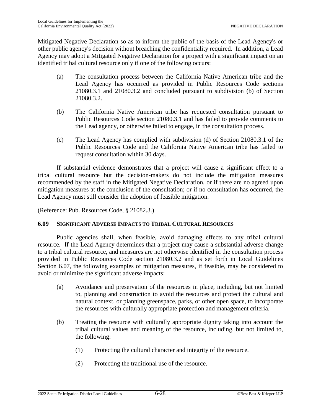Mitigated Negative Declaration so as to inform the public of the basis of the Lead Agency's or other public agency's decision without breaching the confidentiality required. In addition, a Lead Agency may adopt a Mitigated Negative Declaration for a project with a significant impact on an identified tribal cultural resource only if one of the following occurs:

- (a) The consultation process between the California Native American tribe and the Lead Agency has occurred as provided in Public Resources Code sections 21080.3.1 and 21080.3.2 and concluded pursuant to subdivision (b) of Section 21080.3.2.
- (b) The California Native American tribe has requested consultation pursuant to Public Resources Code section 21080.3.1 and has failed to provide comments to the Lead agency, or otherwise failed to engage, in the consultation process.
- (c) The Lead Agency has complied with subdivision (d) of Section 21080.3.1 of the Public Resources Code and the California Native American tribe has failed to request consultation within 30 days.

If substantial evidence demonstrates that a project will cause a significant effect to a tribal cultural resource but the decision-makers do not include the mitigation measures recommended by the staff in the Mitigated Negative Declaration, or if there are no agreed upon mitigation measures at the conclusion of the consultation; or if no consultation has occurred, the Lead Agency must still consider the adoption of feasible mitigation.

(Reference: Pub. Resources Code, § 21082.3.)

#### **6.09 SIGNIFICANT ADVERSE IMPACTS TO TRIBAL CULTURAL RESOURCES**

Public agencies shall, when feasible, avoid damaging effects to any tribal cultural resource. If the Lead Agency determines that a project may cause a substantial adverse change to a tribal cultural resource, and measures are not otherwise identified in the consultation process provided in Public Resources Code section 21080.3.2 and as set forth in Local Guidelines Section [6.07](#page-79-0), the following examples of mitigation measures, if feasible, may be considered to avoid or minimize the significant adverse impacts:

- (a) Avoidance and preservation of the resources in place, including, but not limited to, planning and construction to avoid the resources and protect the cultural and natural context, or planning greenspace, parks, or other open space, to incorporate the resources with culturally appropriate protection and management criteria.
- (b) Treating the resource with culturally appropriate dignity taking into account the tribal cultural values and meaning of the resource, including, but not limited to, the following:
	- (1) Protecting the cultural character and integrity of the resource.
	- (2) Protecting the traditional use of the resource.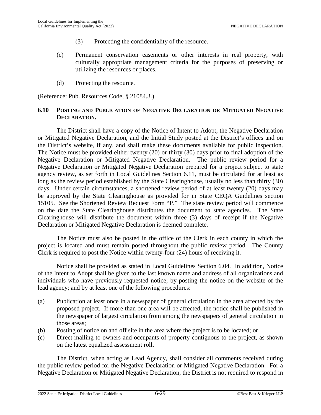- (3) Protecting the confidentiality of the resource.
- (c) Permanent conservation easements or other interests in real property, with culturally appropriate management criteria for the purposes of preserving or utilizing the resources or places.
- (d) Protecting the resource.

(Reference: Pub. Resources Code, § 21084.3.)

#### <span id="page-83-0"></span>**6.10 POSTING AND PUBLICATION OF NEGATIVE DECLARATION OR MITIGATED NEGATIVE DECLARATION.**

The District shall have a copy of the Notice of Intent to Adopt, the Negative Declaration or Mitigated Negative Declaration, and the Initial Study posted at the District's offices and on the District's website, if any, and shall make these documents available for public inspection. The Notice must be provided either twenty (20) or thirty (30) days prior to final adoption of the Negative Declaration or Mitigated Negative Declaration. The public review period for a Negative Declaration or Mitigated Negative Declaration prepared for a project subject to state agency review, as set forth in Local Guidelines Section [6.11](#page-84-0), must be circulated for at least as long as the review period established by the State Clearinghouse, usually no less than thirty (30) days. Under certain circumstances, a shortened review period of at least twenty (20) days may be approved by the State Clearinghouse as provided for in State CEQA Guidelines section 15105. See the Shortened Review Request Form "P." The state review period will commence on the date the State Clearinghouse distributes the document to state agencies. The State Clearinghouse will distribute the document within three (3) days of receipt if the Negative Declaration or Mitigated Negative Declaration is deemed complete.

The Notice must also be posted in the office of the Clerk in each county in which the project is located and must remain posted throughout the public review period. The County Clerk is required to post the Notice within twenty-four (24) hours of receiving it.

Notice shall be provided as stated in Local Guidelines Section [6.04.](#page-75-0) In addition, Notice of the Intent to Adopt shall be given to the last known name and address of all organizations and individuals who have previously requested notice; by posting the notice on the website of the lead agency; and by at least one of the following procedures:

- (a) Publication at least once in a newspaper of general circulation in the area affected by the proposed project. If more than one area will be affected, the notice shall be published in the newspaper of largest circulation from among the newspapers of general circulation in those areas;
- (b) Posting of notice on and off site in the area where the project is to be located; or
- (c) Direct mailing to owners and occupants of property contiguous to the project, as shown on the latest equalized assessment roll.

The District, when acting as Lead Agency, shall consider all comments received during the public review period for the Negative Declaration or Mitigated Negative Declaration. For a Negative Declaration or Mitigated Negative Declaration, the District is not required to respond in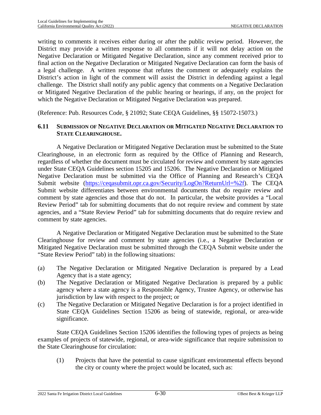writing to comments it receives either during or after the public review period. However, the District may provide a written response to all comments if it will not delay action on the Negative Declaration or Mitigated Negative Declaration, since any comment received prior to final action on the Negative Declaration or Mitigated Negative Declaration can form the basis of a legal challenge. A written response that refutes the comment or adequately explains the District's action in light of the comment will assist the District in defending against a legal challenge. The District shall notify any public agency that comments on a Negative Declaration or Mitigated Negative Declaration of the public hearing or hearings, if any, on the project for which the Negative Declaration or Mitigated Negative Declaration was prepared.

(Reference: Pub. Resources Code, § 21092; State CEQA Guidelines, §§ 15072-15073.)

## <span id="page-84-0"></span>**6.11 SUBMISSION OF NEGATIVE DECLARATION OR MITIGATED NEGATIVE DECLARATION TO STATE CLEARINGHOUSE.**

A Negative Declaration or Mitigated Negative Declaration must be submitted to the State Clearinghouse, in an electronic form as required by the Office of Planning and Research, regardless of whether the document must be circulated for review and comment by state agencies under State CEQA Guidelines section 15205 and 15206. The Negative Declaration or Mitigated Negative Declaration must be submitted via the Office of Planning and Research's CEQA Submit website [\(https://ceqasubmit.opr.ca.gov/Security/LogOn?ReturnUrl=%2f\)](https://ceqasubmit.opr.ca.gov/Security/LogOn?ReturnUrl=%2f). The CEQA Submit website differentiates between environmental documents that do require review and comment by state agencies and those that do not. In particular, the website provides a "Local Review Period" tab for submitting documents that do not require review and comment by state agencies, and a "State Review Period" tab for submitting documents that do require review and comment by state agencies.

A Negative Declaration or Mitigated Negative Declaration must be submitted to the State Clearinghouse for review and comment by state agencies (i.e., a Negative Declaration or Mitigated Negative Declaration must be submitted through the CEQA Submit website under the "State Review Period" tab) in the following situations:

- (a) The Negative Declaration or Mitigated Negative Declaration is prepared by a Lead Agency that is a state agency;
- (b) The Negative Declaration or Mitigated Negative Declaration is prepared by a public agency where a state agency is a Responsible Agency, Trustee Agency, or otherwise has jurisdiction by law with respect to the project; or
- (c) The Negative Declaration or Mitigated Negative Declaration is for a project identified in State CEQA Guidelines Section 15206 as being of statewide, regional, or area-wide significance.

State CEQA Guidelines Section 15206 identifies the following types of projects as being examples of projects of statewide, regional, or area-wide significance that require submission to the State Clearinghouse for circulation:

(1) Projects that have the potential to cause significant environmental effects beyond the city or county where the project would be located, such as: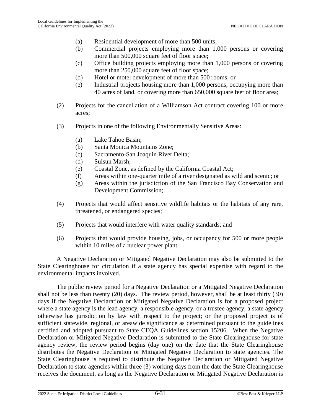- (a) Residential development of more than 500 units;
- (b) Commercial projects employing more than 1,000 persons or covering more than 500,000 square feet of floor space;
- (c) Office building projects employing more than 1,000 persons or covering more than 250,000 square feet of floor space;
- (d) Hotel or motel development of more than 500 rooms; or
- (e) Industrial projects housing more than 1,000 persons, occupying more than 40 acres of land, or covering more than 650,000 square feet of floor area;
- (2) Projects for the cancellation of a Williamson Act contract covering 100 or more acres;
- (3) Projects in one of the following Environmentally Sensitive Areas:
	- (a) Lake Tahoe Basin;
	- (b) Santa Monica Mountains Zone;
	- (c) Sacramento-San Joaquin River Delta;
	- (d) Suisun Marsh;
	- (e) Coastal Zone, as defined by the California Coastal Act;
	- (f) Areas within one-quarter mile of a river designated as wild and scenic; or
	- (g) Areas within the jurisdiction of the San Francisco Bay Conservation and Development Commission;
- (4) Projects that would affect sensitive wildlife habitats or the habitats of any rare, threatened, or endangered species;
- (5) Projects that would interfere with water quality standards; and
- (6) Projects that would provide housing, jobs, or occupancy for 500 or more people within 10 miles of a nuclear power plant.

A Negative Declaration or Mitigated Negative Declaration may also be submitted to the State Clearinghouse for circulation if a state agency has special expertise with regard to the environmental impacts involved.

The public review period for a Negative Declaration or a Mitigated Negative Declaration shall not be less than twenty (20) days. The review period, however, shall be at least thirty (30) days if the Negative Declaration or Mitigated Negative Declaration is for a proposed project where a state agency is the lead agency, a responsible agency, or a trustee agency; a state agency otherwise has jurisdiction by law with respect to the project; or the proposed project is of sufficient statewide, regional, or areawide significance as determined pursuant to the guidelines certified and adopted pursuant to State CEQA Guidelines section 15206. When the Negative Declaration or Mitigated Negative Declaration is submitted to the State Clearinghouse for state agency review, the review period begins (day one) on the date that the State Clearinghouse distributes the Negative Declaration or Mitigated Negative Declaration to state agencies. The State Clearinghouse is required to distribute the Negative Declaration or Mitigated Negative Declaration to state agencies within three (3) working days from the date the State Clearinghouse receives the document, as long as the Negative Declaration or Mitigated Negative Declaration is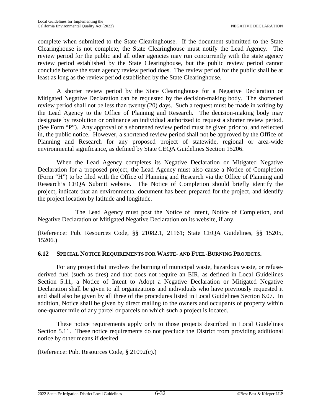complete when submitted to the State Clearinghouse. If the document submitted to the State Clearinghouse is not complete, the State Clearinghouse must notify the Lead Agency. The review period for the public and all other agencies may run concurrently with the state agency review period established by the State Clearinghouse, but the public review period cannot conclude before the state agency review period does. The review period for the public shall be at least as long as the review period established by the State Clearinghouse.

A shorter review period by the State Clearinghouse for a Negative Declaration or Mitigated Negative Declaration can be requested by the decision-making body. The shortened review period shall not be less than twenty (20) days. Such a request must be made in writing by the Lead Agency to the Office of Planning and Research. The decision-making body may designate by resolution or ordinance an individual authorized to request a shorter review period. (See Form "P"). Any approval of a shortened review period must be given prior to, and reflected in, the public notice. However, a shortened review period shall not be approved by the Office of Planning and Research for any proposed project of statewide, regional or area-wide environmental significance, as defined by State CEQA Guidelines Section 15206.

When the Lead Agency completes its Negative Declaration or Mitigated Negative Declaration for a proposed project, the Lead Agency must also cause a Notice of Completion (Form "H") to be filed with the Office of Planning and Research via the Office of Planning and Research's CEQA Submit website. The Notice of Completion should briefly identify the project, indicate that an environmental document has been prepared for the project, and identify the project location by latitude and longitude.

The Lead Agency must post the Notice of Intent, Notice of Completion, and Negative Declaration or Mitigated Negative Declaration on its website, if any.

(Reference: Pub. Resources Code, §§ 21082.1, 21161; State CEQA Guidelines, §§ 15205, 15206.)

## **6.12 SPECIAL NOTICE REQUIREMENTS FOR WASTE- AND FUEL-BURNING PROJECTS.**

For any project that involves the burning of municipal waste, hazardous waste, or refusederived fuel (such as tires) and that does not require an EIR, as defined in Local Guidelines Section [5.11,](#page-62-0) a Notice of Intent to Adopt a Negative Declaration or Mitigated Negative Declaration shall be given to all organizations and individuals who have previously requested it and shall also be given by all three of the procedures listed in Local Guidelines Section [6.07](#page-79-0). In addition, Notice shall be given by direct mailing to the owners and occupants of property within one-quarter mile of any parcel or parcels on which such a project is located.

These notice requirements apply only to those projects described in Local Guidelines Section [5.11.](#page-62-0) These notice requirements do not preclude the District from providing additional notice by other means if desired.

(Reference: Pub. Resources Code, § 21092(c).)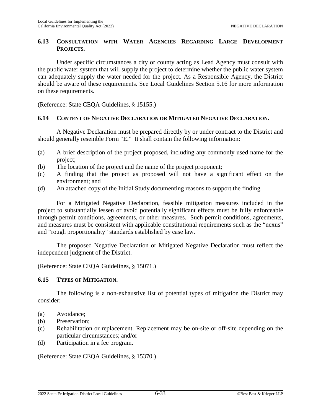## **6.13 CONSULTATION WITH WATER AGENCIES REGARDING LARGE DEVELOPMENT PROJECTS.**

Under specific circumstances a city or county acting as Lead Agency must consult with the public water system that will supply the project to determine whether the public water system can adequately supply the water needed for the project. As a Responsible Agency, the District should be aware of these requirements. See Local Guidelines Section [5.16](#page-66-0) for more information on these requirements.

(Reference: State CEQA Guidelines, § 15155.)

## **6.14 CONTENT OF NEGATIVE DECLARATION OR MITIGATED NEGATIVE DECLARATION.**

A Negative Declaration must be prepared directly by or under contract to the District and should generally resemble Form "E." It shall contain the following information:

- (a) A brief description of the project proposed, including any commonly used name for the project;
- (b) The location of the project and the name of the project proponent;
- (c) A finding that the project as proposed will not have a significant effect on the environment; and
- (d) An attached copy of the Initial Study documenting reasons to support the finding.

For a Mitigated Negative Declaration, feasible mitigation measures included in the project to substantially lessen or avoid potentially significant effects must be fully enforceable through permit conditions, agreements, or other measures. Such permit conditions, agreements, and measures must be consistent with applicable constitutional requirements such as the "nexus" and "rough proportionality" standards established by case law.

The proposed Negative Declaration or Mitigated Negative Declaration must reflect the independent judgment of the District.

(Reference: State CEQA Guidelines, § 15071.)

#### **6.15 TYPES OF MITIGATION.**

The following is a non-exhaustive list of potential types of mitigation the District may consider:

- (a) Avoidance;
- (b) Preservation;
- (c) Rehabilitation or replacement. Replacement may be on-site or off-site depending on the particular circumstances; and/or
- (d) Participation in a fee program.

(Reference: State CEQA Guidelines, § 15370.)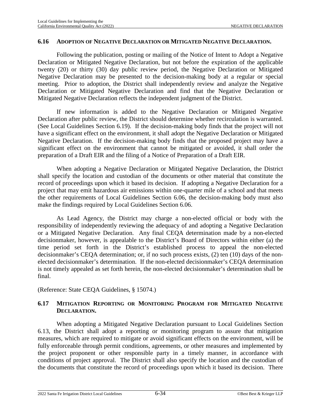#### **6.16 ADOPTION OF NEGATIVE DECLARATION OR MITIGATED NEGATIVE DECLARATION.**

Following the publication, posting or mailing of the Notice of Intent to Adopt a Negative Declaration or Mitigated Negative Declaration, but not before the expiration of the applicable twenty (20) or thirty (30) day public review period, the Negative Declaration or Mitigated Negative Declaration may be presented to the decision-making body at a regular or special meeting. Prior to adoption, the District shall independently review and analyze the Negative Declaration or Mitigated Negative Declaration and find that the Negative Declaration or Mitigated Negative Declaration reflects the independent judgment of the District.

If new information is added to the Negative Declaration or Mitigated Negative Declaration after public review, the District should determine whether recirculation is warranted. (See Local Guidelines Section [6.19\)](#page-90-0). If the decision-making body finds that the project will not have a significant effect on the environment, it shall adopt the Negative Declaration or Mitigated Negative Declaration. If the decision-making body finds that the proposed project may have a significant effect on the environment that cannot be mitigated or avoided, it shall order the preparation of a Draft EIR and the filing of a Notice of Preparation of a Draft EIR.

When adopting a Negative Declaration or Mitigated Negative Declaration, the District shall specify the location and custodian of the documents or other material that constitute the record of proceedings upon which it based its decision. If adopting a Negative Declaration for a project that may emit hazardous air emissions within one-quarter mile of a school and that meets the other requirements of Local Guidelines Section [6.06,](#page-78-1) the decision-making body must also make the findings required by Local Guidelines Section [6.06](#page-78-1).

As Lead Agency, the District may charge a non-elected official or body with the responsibility of independently reviewing the adequacy of and adopting a Negative Declaration or a Mitigated Negative Declaration. Any final CEQA determination made by a non-elected decisionmaker, however, is appealable to the District's Board of Directors within either (a) the time period set forth in the District's established process to appeal the non-elected decisionmaker's CEQA determination; or, if no such process exists, (2) ten (10) days of the nonelected decisionmaker's determination. If the non-elected decisionmaker's CEQA determination is not timely appealed as set forth herein, the non-elected decisionmaker's determination shall be final.

(Reference: State CEQA Guidelines, § 15074.)

# **6.17 MITIGATION REPORTING OR MONITORING PROGRAM FOR MITIGATED NEGATIVE DECLARATION.**

When adopting a Mitigated Negative Declaration pursuant to Local Guidelines Section 6.13, the District shall adopt a reporting or monitoring program to assure that mitigation measures, which are required to mitigate or avoid significant effects on the environment, will be fully enforceable through permit conditions, agreements, or other measures and implemented by the project proponent or other responsible party in a timely manner, in accordance with conditions of project approval. The District shall also specify the location and the custodian of the documents that constitute the record of proceedings upon which it based its decision. There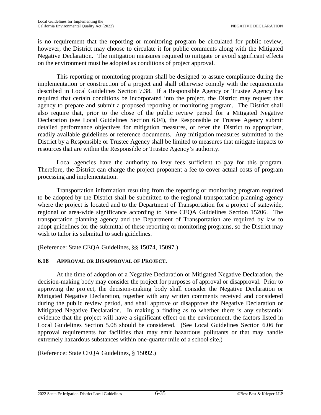is no requirement that the reporting or monitoring program be circulated for public review; however, the District may choose to circulate it for public comments along with the Mitigated Negative Declaration. The mitigation measures required to mitigate or avoid significant effects on the environment must be adopted as conditions of project approval.

This reporting or monitoring program shall be designed to assure compliance during the implementation or construction of a project and shall otherwise comply with the requirements described in Local Guidelines Section [7.38.](#page-130-0) If a Responsible Agency or Trustee Agency has required that certain conditions be incorporated into the project, the District may request that agency to prepare and submit a proposed reporting or monitoring program. The District shall also require that, prior to the close of the public review period for a Mitigated Negative Declaration (see Local Guidelines Section [6.04\)](#page-75-0), the Responsible or Trustee Agency submit detailed performance objectives for mitigation measures, or refer the District to appropriate, readily available guidelines or reference documents. Any mitigation measures submitted to the District by a Responsible or Trustee Agency shall be limited to measures that mitigate impacts to resources that are within the Responsible or Trustee Agency's authority.

Local agencies have the authority to levy fees sufficient to pay for this program. Therefore, the District can charge the project proponent a fee to cover actual costs of program processing and implementation.

Transportation information resulting from the reporting or monitoring program required to be adopted by the District shall be submitted to the regional transportation planning agency where the project is located and to the Department of Transportation for a project of statewide, regional or area-wide significance according to State CEQA Guidelines Section 15206. The transportation planning agency and the Department of Transportation are required by law to adopt guidelines for the submittal of these reporting or monitoring programs, so the District may wish to tailor its submittal to such guidelines.

(Reference: State CEQA Guidelines, §§ 15074, 15097.)

## **6.18 APPROVAL OR DISAPPROVAL OF PROJECT.**

At the time of adoption of a Negative Declaration or Mitigated Negative Declaration, the decision-making body may consider the project for purposes of approval or disapproval. Prior to approving the project, the decision-making body shall consider the Negative Declaration or Mitigated Negative Declaration, together with any written comments received and considered during the public review period, and shall approve or disapprove the Negative Declaration or Mitigated Negative Declaration. In making a finding as to whether there is any substantial evidence that the project will have a significant effect on the environment, the factors listed in Local Guidelines Section [5.08](#page-59-0) should be considered. (See Local Guidelines Section [6.06](#page-78-1) for approval requirements for facilities that may emit hazardous pollutants or that may handle extremely hazardous substances within one-quarter mile of a school site.)

(Reference: State CEQA Guidelines, § 15092.)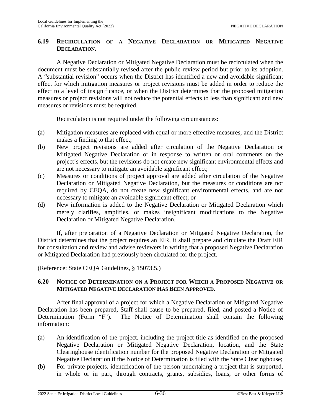## <span id="page-90-0"></span>**6.19 RECIRCULATION OF A NEGATIVE DECLARATION OR MITIGATED NEGATIVE DECLARATION.**

A Negative Declaration or Mitigated Negative Declaration must be recirculated when the document must be substantially revised after the public review period but prior to its adoption. A "substantial revision" occurs when the District has identified a new and avoidable significant effect for which mitigation measures or project revisions must be added in order to reduce the effect to a level of insignificance, or when the District determines that the proposed mitigation measures or project revisions will not reduce the potential effects to less than significant and new measures or revisions must be required.

Recirculation is not required under the following circumstances:

- (a) Mitigation measures are replaced with equal or more effective measures, and the District makes a finding to that effect;
- (b) New project revisions are added after circulation of the Negative Declaration or Mitigated Negative Declaration or in response to written or oral comments on the project's effects, but the revisions do not create new significant environmental effects and are not necessary to mitigate an avoidable significant effect;
- (c) Measures or conditions of project approval are added after circulation of the Negative Declaration or Mitigated Negative Declaration, but the measures or conditions are not required by CEQA, do not create new significant environmental effects, and are not necessary to mitigate an avoidable significant effect; or
- (d) New information is added to the Negative Declaration or Mitigated Declaration which merely clarifies, amplifies, or makes insignificant modifications to the Negative Declaration or Mitigated Negative Declaration.

If, after preparation of a Negative Declaration or Mitigated Negative Declaration, the District determines that the project requires an EIR, it shall prepare and circulate the Draft EIR for consultation and review and advise reviewers in writing that a proposed Negative Declaration or Mitigated Declaration had previously been circulated for the project.

(Reference: State CEQA Guidelines, § 15073.5.)

## **6.20 NOTICE OF DETERMINATION ON A PROJECT FOR WHICH A PROPOSED NEGATIVE OR MITIGATED NEGATIVE DECLARATION HAS BEEN APPROVED.**

After final approval of a project for which a Negative Declaration or Mitigated Negative Declaration has been prepared, Staff shall cause to be prepared, filed, and posted a Notice of Determination (Form "F"). The Notice of Determination shall contain the following information:

- (a) An identification of the project, including the project title as identified on the proposed Negative Declaration or Mitigated Negative Declaration, location, and the State Clearinghouse identification number for the proposed Negative Declaration or Mitigated Negative Declaration if the Notice of Determination is filed with the State Clearinghouse;
- (b) For private projects, identification of the person undertaking a project that is supported, in whole or in part, through contracts, grants, subsidies, loans, or other forms of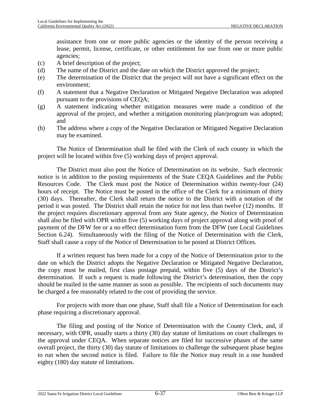assistance from one or more public agencies or the identity of the person receiving a lease, permit, license, certificate, or other entitlement for use from one or more public agencies;

- (c) A brief description of the project;
- (d) The name of the District and the date on which the District approved the project;
- (e) The determination of the District that the project will not have a significant effect on the environment;
- (f) A statement that a Negative Declaration or Mitigated Negative Declaration was adopted pursuant to the provisions of CEQA;
- (g) A statement indicating whether mitigation measures were made a condition of the approval of the project, and whether a mitigation monitoring plan/program was adopted; and
- (h) The address where a copy of the Negative Declaration or Mitigated Negative Declaration may be examined.

The Notice of Determination shall be filed with the Clerk of each county in which the project will be located within five (5) working days of project approval.

The District must also post the Notice of Determination on its website. Such electronic notice is in addition to the posting requirements of the State CEQA Guidelines and the Public Resources Code. The Clerk must post the Notice of Determination within twenty-four (24) hours of receipt. The Notice must be posted in the office of the Clerk for a minimum of thirty (30) days. Thereafter, the Clerk shall return the notice to the District with a notation of the period it was posted. The District shall retain the notice for not less than twelve (12) months. If the project requires discretionary approval from any State agency, the Notice of Determination shall also be filed with OPR within five (5) working days of project approval along with proof of payment of the DFW fee or a no effect determination form from the DFW (see Local Guidelines Section [6.24\)](#page-93-0). Simultaneously with the filing of the Notice of Determination with the Clerk, Staff shall cause a copy of the Notice of Determination to be posted at District Offices.

If a written request has been made for a copy of the Notice of Determination prior to the date on which the District adopts the Negative Declaration or Mitigated Negative Declaration, the copy must be mailed, first class postage prepaid, within five (5) days of the District's determination. If such a request is made following the District's determination, then the copy should be mailed in the same manner as soon as possible. The recipients of such documents may be charged a fee reasonably related to the cost of providing the service.

For projects with more than one phase, Staff shall file a Notice of Determination for each phase requiring a discretionary approval.

The filing and posting of the Notice of Determination with the County Clerk, and, if necessary, with OPR, usually starts a thirty (30) day statute of limitations on court challenges to the approval under CEQA. When separate notices are filed for successive phases of the same overall project, the thirty (30) day statute of limitations to challenge the subsequent phase begins to run when the second notice is filed. Failure to file the Notice may result in a one hundred eighty (180) day statute of limitations.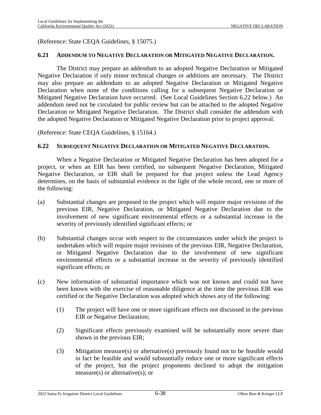(Reference: State CEQA Guidelines, § 15075.)

#### **6.21 ADDENDUM TO NEGATIVE DECLARATION OR MITIGATED NEGATIVE DECLARATION.**

The District may prepare an addendum to an adopted Negative Declaration or Mitigated Negative Declaration if only minor technical changes or additions are necessary. The District may also prepare an addendum to an adopted Negative Declaration or Mitigated Negative Declaration when none of the conditions calling for a subsequent Negative Declaration or Mitigated Negative Declaration have occurred. (See Local Guidelines Section [6.22](#page-92-0) below.) An addendum need not be circulated for public review but can be attached to the adopted Negative Declaration or Mitigated Negative Declaration. The District shall consider the addendum with the adopted Negative Declaration or Mitigated Negative Declaration prior to project approval.

(Reference: State CEQA Guidelines, § 15164.)

#### <span id="page-92-0"></span>**6.22 SUBSEQUENT NEGATIVE DECLARATION OR MITIGATED NEGATIVE DECLARATION.**

When a Negative Declaration or Mitigated Negative Declaration has been adopted for a project, or when an EIR has been certified, no subsequent Negative Declaration, Mitigated Negative Declaration, or EIR shall be prepared for that project unless the Lead Agency determines, on the basis of substantial evidence in the light of the whole record, one or more of the following:

- (a) Substantial changes are proposed in the project which will require major revisions of the previous EIR, Negative Declaration, or Mitigated Negative Declaration due to the involvement of new significant environmental effects or a substantial increase in the severity of previously identified significant effects; or
- (b) Substantial changes occur with respect to the circumstances under which the project is undertaken which will require major revisions of the previous EIR, Negative Declaration, or Mitigated Negative Declaration due to the involvement of new significant environmental effects or a substantial increase in the severity of previously identified significant effects; or
- (c) New information of substantial importance which was not known and could not have been known with the exercise of reasonable diligence at the time the previous EIR was certified or the Negative Declaration was adopted which shows any of the following:
	- (1) The project will have one or more significant effects not discussed in the previous EIR or Negative Declaration;
	- (2) Significant effects previously examined will be substantially more severe than shown in the previous EIR;
	- (3) Mitigation measure(s) or alternative(s) previously found not to be feasible would in fact be feasible and would substantially reduce one or more significant effects of the project, but the project proponents declined to adopt the mitigation measure(s) or alternative(s); or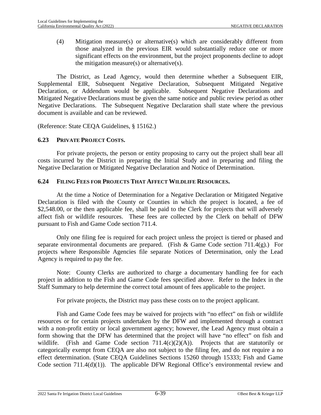(4) Mitigation measure(s) or alternative(s) which are considerably different from those analyzed in the previous EIR would substantially reduce one or more significant effects on the environment, but the project proponents decline to adopt the mitigation measure(s) or alternative(s).

The District, as Lead Agency, would then determine whether a Subsequent EIR, Supplemental EIR, Subsequent Negative Declaration, Subsequent Mitigated Negative Declaration, or Addendum would be applicable. Subsequent Negative Declarations and Mitigated Negative Declarations must be given the same notice and public review period as other Negative Declarations. The Subsequent Negative Declaration shall state where the previous document is available and can be reviewed.

(Reference: State CEQA Guidelines, § 15162.)

## **6.23 PRIVATE PROJECT COSTS.**

For private projects, the person or entity proposing to carry out the project shall bear all costs incurred by the District in preparing the Initial Study and in preparing and filing the Negative Declaration or Mitigated Negative Declaration and Notice of Determination.

## <span id="page-93-0"></span>**6.24 FILING FEES FOR PROJECTS THAT AFFECT WILDLIFE RESOURCES.**

At the time a Notice of Determination for a Negative Declaration or Mitigated Negative Declaration is filed with the County or Counties in which the project is located, a fee of \$2,548.00, or the then applicable fee, shall be paid to the Clerk for projects that will adversely affect fish or wildlife resources. These fees are collected by the Clerk on behalf of DFW pursuant to Fish and Game Code section 711.4.

Only one filing fee is required for each project unless the project is tiered or phased and separate environmental documents are prepared. (Fish & Game Code section 711.4(g).) For projects where Responsible Agencies file separate Notices of Determination, only the Lead Agency is required to pay the fee.

Note: County Clerks are authorized to charge a documentary handling fee for each project in addition to the Fish and Game Code fees specified above. Refer to the Index in the Staff Summary to help determine the correct total amount of fees applicable to the project.

For private projects, the District may pass these costs on to the project applicant.

Fish and Game Code fees may be waived for projects with "no effect" on fish or wildlife resources or for certain projects undertaken by the DFW and implemented through a contract with a non-profit entity or local government agency; however, the Lead Agency must obtain a form showing that the DFW has determined that the project will have "no effect" on fish and wildlife. (Fish and Game Code section 711.4(c)(2)(A)). Projects that are statutorily or categorically exempt from CEQA are also not subject to the filing fee, and do not require a no effect determination. (State CEQA Guidelines Sections 15260 through 15333; Fish and Game Code section 711.4(d)(1)). The applicable DFW Regional Office's environmental review and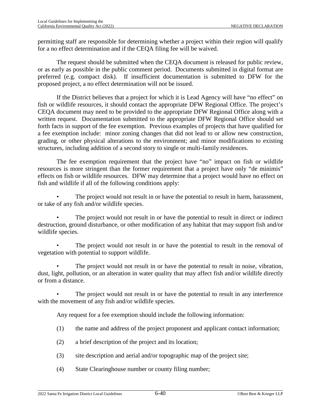permitting staff are responsible for determining whether a project within their region will qualify for a no effect determination and if the CEQA filing fee will be waived.

The request should be submitted when the CEQA document is released for public review, or as early as possible in the public comment period. Documents submitted in digital format are preferred (e.g. compact disk). If insufficient documentation is submitted to DFW for the proposed project, a no effect determination will not be issued.

If the District believes that a project for which it is Lead Agency will have "no effect" on fish or wildlife resources, it should contact the appropriate DFW Regional Office. The project's CEQA document may need to be provided to the appropriate DFW Regional Office along with a written request. Documentation submitted to the appropriate DFW Regional Office should set forth facts in support of the fee exemption. Previous examples of projects that have qualified for a fee exemption include: minor zoning changes that did not lead to or allow new construction, grading, or other physical alterations to the environment; and minor modifications to existing structures, including addition of a second story to single or multi-family residences.

The fee exemption requirement that the project have "no" impact on fish or wildlife resources is more stringent than the former requirement that a project have only "de minimis" effects on fish or wildlife resources. DFW may determine that a project would have no effect on fish and wildlife if all of the following conditions apply:

The project would not result in or have the potential to result in harm, harassment, or take of any fish and/or wildlife species.

The project would not result in or have the potential to result in direct or indirect destruction, ground disturbance, or other modification of any habitat that may support fish and/or wildlife species.

The project would not result in or have the potential to result in the removal of vegetation with potential to support wildlife.

The project would not result in or have the potential to result in noise, vibration, dust, light, pollution, or an alteration in water quality that may affect fish and/or wildlife directly or from a distance.

The project would not result in or have the potential to result in any interference with the movement of any fish and/or wildlife species.

Any request for a fee exemption should include the following information:

- (1) the name and address of the project proponent and applicant contact information;
- (2) a brief description of the project and its location;
- (3) site description and aerial and/or topographic map of the project site;
- (4) State Clearinghouse number or county filing number;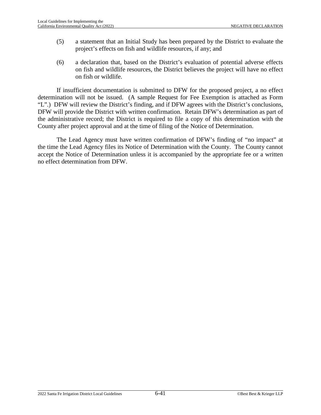- (5) a statement that an Initial Study has been prepared by the District to evaluate the project's effects on fish and wildlife resources, if any; and
- (6) a declaration that, based on the District's evaluation of potential adverse effects on fish and wildlife resources, the District believes the project will have no effect on fish or wildlife.

If insufficient documentation is submitted to DFW for the proposed project, a no effect determination will not be issued. (A sample Request for Fee Exemption is attached as Form "L".) DFW will review the District's finding, and if DFW agrees with the District's conclusions, DFW will provide the District with written confirmation. Retain DFW's determination as part of the administrative record; the District is required to file a copy of this determination with the County after project approval and at the time of filing of the Notice of Determination.

The Lead Agency must have written confirmation of DFW's finding of "no impact" at the time the Lead Agency files its Notice of Determination with the County. The County cannot accept the Notice of Determination unless it is accompanied by the appropriate fee or a written no effect determination from DFW.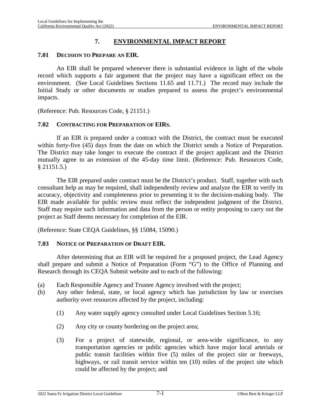# **7. ENVIRONMENTAL IMPACT REPORT**

## **7.01 DECISION TO PREPARE AN EIR.**

An EIR shall be prepared whenever there is substantial evidence in light of the whole record which supports a fair argument that the project may have a significant effect on the environment. (See Local Guidelines Sections [11.65](#page-186-0) and [11.71](#page-187-0).) The record may include the Initial Study or other documents or studies prepared to assess the project's environmental impacts.

(Reference: Pub. Resources Code, § 21151.)

## **7.02 CONTRACTING FOR PREPARATION OF EIRS.**

If an EIR is prepared under a contract with the District, the contract must be executed within forty-five (45) days from the date on which the District sends a Notice of Preparation. The District may take longer to execute the contract if the project applicant and the District mutually agree to an extension of the 45-day time limit. (Reference: Pub. Resources Code, § 21151.5.)

The EIR prepared under contract must be the District's product. Staff, together with such consultant help as may be required, shall independently review and analyze the EIR to verify its accuracy, objectivity and completeness prior to presenting it to the decision-making body. The EIR made available for public review must reflect the independent judgment of the District. Staff may require such information and data from the person or entity proposing to carry out the project as Staff deems necessary for completion of the EIR.

(Reference: State CEQA Guidelines, §§ 15084, 15090.)

## <span id="page-96-0"></span>**7.03 NOTICE OF PREPARATION OF DRAFT EIR.**

After determining that an EIR will be required for a proposed project, the Lead Agency shall prepare and submit a Notice of Preparation (Form "G") to the Office of Planning and Research through its CEQA Submit website and to each of the following:

- (a) Each Responsible Agency and Trustee Agency involved with the project;
- (b) Any other federal, state, or local agency which has jurisdiction by law or exercises authority over resources affected by the project, including:
	- (1) Any water supply agency consulted under Local Guidelines Section [5.16;](#page-66-0)
	- (2) Any city or county bordering on the project area;
	- (3) For a project of statewide, regional, or area-wide significance, to any transportation agencies or public agencies which have major local arterials or public transit facilities within five (5) miles of the project site or freeways, highways, or rail transit service within ten (10) miles of the project site which could be affected by the project; and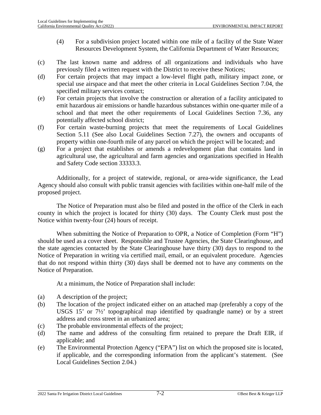- (4) For a subdivision project located within one mile of a facility of the State Water Resources Development System, the California Department of Water Resources;
- (c) The last known name and address of all organizations and individuals who have previously filed a written request with the District to receive these Notices;
- (d) For certain projects that may impact a low-level flight path, military impact zone, or special use airspace and that meet the other criteria in Local Guidelines Section [7.04](#page-98-0), the specified military services contact;
- (e) For certain projects that involve the construction or alteration of a facility anticipated to emit hazardous air emissions or handle hazardous substances within one-quarter mile of a school and that meet the other requirements of Local Guidelines Section [7.36,](#page-128-0) any potentially affected school district;
- (f) For certain waste-burning projects that meet the requirements of Local Guidelines Section [5.11](#page-62-0) (See also Local Guidelines Section [7.27\)](#page-122-0), the owners and occupants of property within one-fourth mile of any parcel on which the project will be located; and
- (g) For a project that establishes or amends a redevelopment plan that contains land in agricultural use, the agricultural and farm agencies and organizations specified in Health and Safety Code section 33333.3.

Additionally, for a project of statewide, regional, or area-wide significance, the Lead Agency should also consult with public transit agencies with facilities within one-half mile of the proposed project.

The Notice of Preparation must also be filed and posted in the office of the Clerk in each county in which the project is located for thirty (30) days. The County Clerk must post the Notice within twenty-four (24) hours of receipt.

When submitting the Notice of Preparation to OPR, a Notice of Completion (Form "H") should be used as a cover sheet. Responsible and Trustee Agencies, the State Clearinghouse, and the state agencies contacted by the State Clearinghouse have thirty (30) days to respond to the Notice of Preparation in writing via certified mail, email, or an equivalent procedure. Agencies that do not respond within thirty (30) days shall be deemed not to have any comments on the Notice of Preparation.

At a minimum, the Notice of Preparation shall include:

- (a) A description of the project;
- (b) The location of the project indicated either on an attached map (preferably a copy of the USGS 15' or 7½' topographical map identified by quadrangle name) or by a street address and cross street in an urbanized area;
- (c) The probable environmental effects of the project;
- (d) The name and address of the consulting firm retained to prepare the Draft EIR, if applicable; and
- (e) The Environmental Protection Agency ("EPA") list on which the proposed site is located, if applicable, and the corresponding information from the applicant's statement. (See Local Guidelines Section [2.04](#page-18-0).)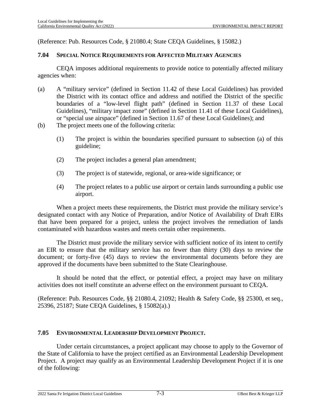(Reference: Pub. Resources Code, § 21080.4; State CEQA Guidelines, § 15082.)

#### <span id="page-98-0"></span>**7.04 SPECIAL NOTICE REQUIREMENTS FOR AFFECTED MILITARY AGENCIES**

CEQA imposes additional requirements to provide notice to potentially affected military agencies when:

- (a) A "military service" (defined in Section [11.42](#page-182-0) of these Local Guidelines) has provided the District with its contact office and address and notified the District of the specific boundaries of a "low-level flight path" (defined in Section [11.37](#page-181-0) of these Local Guidelines), "military impact zone" (defined in Section [11.41](#page-182-1) of these Local Guidelines), or "special use airspace" (defined in Section [11.67](#page-186-1) of these Local Guidelines); and
- (b) The project meets one of the following criteria:
	- (1) The project is within the boundaries specified pursuant to subsection (a) of this guideline;
	- (2) The project includes a general plan amendment;
	- (3) The project is of statewide, regional, or area-wide significance; or
	- (4) The project relates to a public use airport or certain lands surrounding a public use airport.

When a project meets these requirements, the District must provide the military service's designated contact with any Notice of Preparation, and/or Notice of Availability of Draft EIRs that have been prepared for a project, unless the project involves the remediation of lands contaminated with hazardous wastes and meets certain other requirements.

The District must provide the military service with sufficient notice of its intent to certify an EIR to ensure that the military service has no fewer than thirty (30) days to review the document; or forty-five (45) days to review the environmental documents before they are approved if the documents have been submitted to the State Clearinghouse.

It should be noted that the effect, or potential effect, a project may have on military activities does not itself constitute an adverse effect on the environment pursuant to CEQA.

(Reference: Pub. Resources Code, §§ 21080.4, 21092; Health & Safety Code, §§ 25300, et seq., 25396, 25187; State CEQA Guidelines, § 15082(a).)

#### **7.05 ENVIRONMENTAL LEADERSHIP DEVELOPMENT PROJECT.**

Under certain circumstances, a project applicant may choose to apply to the Governor of the State of California to have the project certified as an Environmental Leadership Development Project. A project may qualify as an Environmental Leadership Development Project if it is one of the following: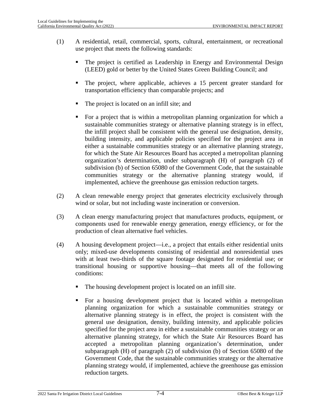- (1) A residential, retail, commercial, sports, cultural, entertainment, or recreational use project that meets the following standards:
	- The project is certified as Leadership in Energy and Environmental Design (LEED) gold or better by the United States Green Building Council; and
	- The project, where applicable, achieves a 15 percent greater standard for transportation efficiency than comparable projects; and
	- The project is located on an infill site; and
	- For a project that is within a metropolitan planning organization for which a sustainable communities strategy or alternative planning strategy is in effect, the infill project shall be consistent with the general use designation, density, building intensity, and applicable policies specified for the project area in either a sustainable communities strategy or an alternative planning strategy, for which the State Air Resources Board has accepted a metropolitan planning organization's determination, under subparagraph (H) of paragraph (2) of subdivision (b) of Section 65080 of the Government Code, that the sustainable communities strategy or the alternative planning strategy would, if implemented, achieve the greenhouse gas emission reduction targets.
- (2) A clean renewable energy project that generates electricity exclusively through wind or solar, but not including waste incineration or conversion.
- (3) A clean energy manufacturing project that manufactures products, equipment, or components used for renewable energy generation, energy efficiency, or for the production of clean alternative fuel vehicles.
- (4) A housing development project—i.e., a project that entails either residential units only; mixed-use developments consisting of residential and nonresidential uses with at least two-thirds of the square footage designated for residential use; or transitional housing or supportive housing—that meets all of the following conditions:
	- The housing development project is located on an infill site.
	- For a housing development project that is located within a metropolitan planning organization for which a sustainable communities strategy or alternative planning strategy is in effect, the project is consistent with the general use designation, density, building intensity, and applicable policies specified for the project area in either a sustainable communities strategy or an alternative planning strategy, for which the State Air Resources Board has accepted a metropolitan planning organization's determination, under subparagraph (H) of paragraph (2) of subdivision (b) of Section 65080 of the Government Code, that the sustainable communities strategy or the alternative planning strategy would, if implemented, achieve the greenhouse gas emission reduction targets.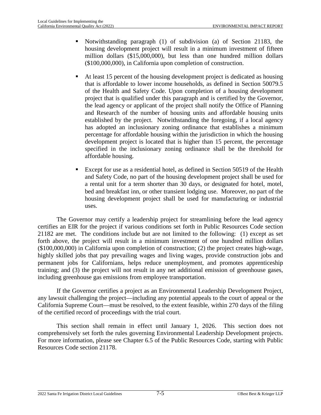- Notwithstanding paragraph (1) of subdivision (a) of Section 21183, the housing development project will result in a minimum investment of fifteen million dollars (\$15,000,000), but less than one hundred million dollars (\$100,000,000), in California upon completion of construction.
- At least 15 percent of the housing development project is dedicated as housing that is affordable to lower income households, as defined in Section 50079.5 of the Health and Safety Code. Upon completion of a housing development project that is qualified under this paragraph and is certified by the Governor, the lead agency or applicant of the project shall notify the Office of Planning and Research of the number of housing units and affordable housing units established by the project. Notwithstanding the foregoing, if a local agency has adopted an inclusionary zoning ordinance that establishes a minimum percentage for affordable housing within the jurisdiction in which the housing development project is located that is higher than 15 percent, the percentage specified in the inclusionary zoning ordinance shall be the threshold for affordable housing.
- Except for use as a residential hotel, as defined in Section 50519 of the Health and Safety Code, no part of the housing development project shall be used for a rental unit for a term shorter than 30 days, or designated for hotel, motel, bed and breakfast inn, or other transient lodging use. Moreover, no part of the housing development project shall be used for manufacturing or industrial uses.

The Governor may certify a leadership project for streamlining before the lead agency certifies an EIR for the project if various conditions set forth in Public Resources Code section 21182 are met. The conditions include but are not limited to the following: (1) except as set forth above, the project will result in a minimum investment of one hundred million dollars (\$100,000,000) in California upon completion of construction; (2) the project creates high-wage, highly skilled jobs that pay prevailing wages and living wages, provide construction jobs and permanent jobs for Californians, helps reduce unemployment, and promotes apprenticeship training; and (3) the project will not result in any net additional emission of greenhouse gases, including greenhouse gas emissions from employee transportation.

If the Governor certifies a project as an Environmental Leadership Development Project, any lawsuit challenging the project—including any potential appeals to the court of appeal or the California Supreme Court—must be resolved, to the extent feasible, within 270 days of the filing of the certified record of proceedings with the trial court.

This section shall remain in effect until January 1, 2026. This section does not comprehensively set forth the rules governing Environmental Leadership Development projects. For more information, please see Chapter 6.5 of the Public Resources Code, starting with Public Resources Code section 21178.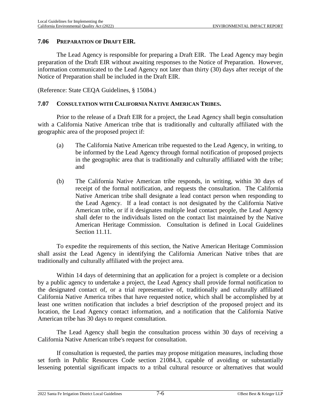#### **7.06 PREPARATION OF DRAFT EIR.**

The Lead Agency is responsible for preparing a Draft EIR. The Lead Agency may begin preparation of the Draft EIR without awaiting responses to the Notice of Preparation. However, information communicated to the Lead Agency not later than thirty (30) days after receipt of the Notice of Preparation shall be included in the Draft EIR.

(Reference: State CEQA Guidelines, § 15084.)

## <span id="page-101-0"></span>**7.07 CONSULTATION WITH CALIFORNIA NATIVE AMERICAN TRIBES.**

Prior to the release of a Draft EIR for a project, the Lead Agency shall begin consultation with a California Native American tribe that is traditionally and culturally affiliated with the geographic area of the proposed project if:

- (a) The California Native American tribe requested to the Lead Agency, in writing, to be informed by the Lead Agency through formal notification of proposed projects in the geographic area that is traditionally and culturally affiliated with the tribe; and
- (b) The California Native American tribe responds, in writing, within 30 days of receipt of the formal notification, and requests the consultation. The California Native American tribe shall designate a lead contact person when responding to the Lead Agency. If a lead contact is not designated by the California Native American tribe, or if it designates multiple lead contact people, the Lead Agency shall defer to the individuals listed on the contact list maintained by the Native American Heritage Commission. Consultation is defined in Local Guidelines Section [11.11](#page-177-0).

To expedite the requirements of this section, the Native American Heritage Commission shall assist the Lead Agency in identifying the California American Native tribes that are traditionally and culturally affiliated with the project area.

Within 14 days of determining that an application for a project is complete or a decision by a public agency to undertake a project, the Lead Agency shall provide formal notification to the designated contact of, or a trial representative of, traditionally and culturally affiliated California Native America tribes that have requested notice, which shall be accomplished by at least one written notification that includes a brief description of the proposed project and its location, the Lead Agency contact information, and a notification that the California Native American tribe has 30 days to request consultation.

The Lead Agency shall begin the consultation process within 30 days of receiving a California Native American tribe's request for consultation.

If consultation is requested, the parties may propose mitigation measures, including those set forth in Public Resources Code section 21084.3, capable of avoiding or substantially lessening potential significant impacts to a tribal cultural resource or alternatives that would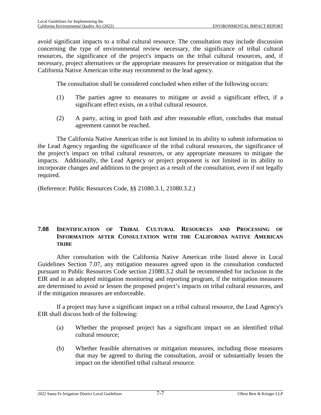avoid significant impacts to a tribal cultural resource. The consultation may include discussion concerning the type of environmental review necessary, the significance of tribal cultural resources, the significance of the project's impacts on the tribal cultural resources, and, if necessary, project alternatives or the appropriate measures for preservation or mitigation that the California Native American tribe may recommend to the lead agency.

The consultation shall be considered concluded when either of the following occurs:

- (1) The parties agree to measures to mitigate or avoid a significant effect, if a significant effect exists, on a tribal cultural resource.
- (2) A party, acting in good faith and after reasonable effort, concludes that mutual agreement cannot be reached.

The California Native American tribe is not limited in its ability to submit information to the Lead Agency regarding the significance of the tribal cultural resources, the significance of the project's impact on tribal cultural resources, or any appropriate measures to mitigate the impacts. Additionally, the Lead Agency or project proponent is not limited in its ability to incorporate changes and additions to the project as a result of the consultation, even if not legally required.

(Reference: Public Resources Code, §§ 21080.3.1, 21080.3.2.)

## **7.08 IDENTIFICATION OF TRIBAL CULTURAL RESOURCES AND PROCESSING OF INFORMATION AFTER CONSULTATION WITH THE CALIFORNIA NATIVE AMERICAN TRIBE**

After consultation with the California Native American tribe listed above in Local Guidelines Section [7.07](#page-101-0), any mitigation measures agreed upon in the consultation conducted pursuant to Public Resources Code section 21080.3.2 shall be recommended for inclusion in the EIR and in an adopted mitigation monitoring and reporting program, if the mitigation measures are determined to avoid or lessen the proposed project's impacts on tribal cultural resources, and if the mitigation measures are enforceable.

If a project may have a significant impact on a tribal cultural resource, the Lead Agency's EIR shall discuss both of the following:

- (a) Whether the proposed project has a significant impact on an identified tribal cultural resource;
- (b) Whether feasible alternatives or mitigation measures, including those measures that may be agreed to during the consultation, avoid or substantially lessen the impact on the identified tribal cultural resource.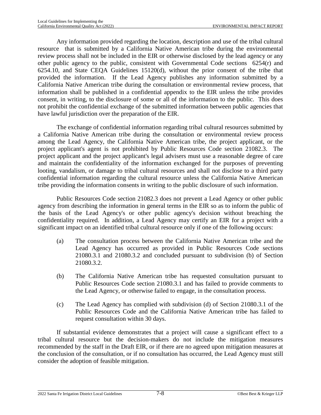Any information provided regarding the location, description and use of the tribal cultural resource that is submitted by a California Native American tribe during the environmental review process shall not be included in the EIR or otherwise disclosed by the lead agency or any other public agency to the public, consistent with Governmental Code sections 6254(r) and 6254.10, and State CEQA Guidelines 15120(d), without the prior consent of the tribe that provided the information. If the Lead Agency publishes any information submitted by a California Native American tribe during the consultation or environmental review process, that information shall be published in a confidential appendix to the EIR unless the tribe provides consent, in writing, to the disclosure of some or all of the information to the public. This does not prohibit the confidential exchange of the submitted information between public agencies that have lawful jurisdiction over the preparation of the EIR.

The exchange of confidential information regarding tribal cultural resources submitted by a California Native American tribe during the consultation or environmental review process among the Lead Agency, the California Native American tribe, the project applicant, or the project applicant's agent is not prohibited by Public Resources Code section 21082.3. The project applicant and the project applicant's legal advisers must use a reasonable degree of care and maintain the confidentiality of the information exchanged for the purposes of preventing looting, vandalism, or damage to tribal cultural resources and shall not disclose to a third party confidential information regarding the cultural resource unless the California Native American tribe providing the information consents in writing to the public disclosure of such information.

Public Resources Code section 21082.3 does not prevent a Lead Agency or other public agency from describing the information in general terms in the EIR so as to inform the public of the basis of the Lead Agency's or other public agency's decision without breaching the confidentiality required. In addition, a Lead Agency may certify an EIR for a project with a significant impact on an identified tribal cultural resource only if one of the following occurs:

- (a) The consultation process between the California Native American tribe and the Lead Agency has occurred as provided in Public Resources Code sections 21080.3.1 and 21080.3.2 and concluded pursuant to subdivision (b) of Section 21080.3.2.
- (b) The California Native American tribe has requested consultation pursuant to Public Resources Code section 21080.3.1 and has failed to provide comments to the Lead Agency, or otherwise failed to engage, in the consultation process.
- (c) The Lead Agency has complied with subdivision (d) of Section 21080.3.1 of the Public Resources Code and the California Native American tribe has failed to request consultation within 30 days.

If substantial evidence demonstrates that a project will cause a significant effect to a tribal cultural resource but the decision-makers do not include the mitigation measures recommended by the staff in the Draft EIR, or if there are no agreed upon mitigation measures at the conclusion of the consultation, or if no consultation has occurred, the Lead Agency must still consider the adoption of feasible mitigation.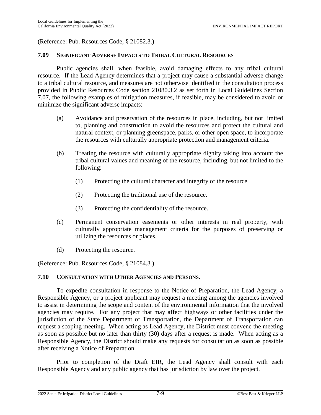(Reference: Pub. Resources Code, § 21082.3.)

#### **7.09 SIGNIFICANT ADVERSE IMPACTS TO TRIBAL CULTURAL RESOURCES**

Public agencies shall, when feasible, avoid damaging effects to any tribal cultural resource. If the Lead Agency determines that a project may cause a substantial adverse change to a tribal cultural resource, and measures are not otherwise identified in the consultation process provided in Public Resources Code section 21080.3.2 as set forth in Local Guidelines Section [7.07](#page-101-0), the following examples of mitigation measures, if feasible, may be considered to avoid or minimize the significant adverse impacts:

- (a) Avoidance and preservation of the resources in place, including, but not limited to, planning and construction to avoid the resources and protect the cultural and natural context, or planning greenspace, parks, or other open space, to incorporate the resources with culturally appropriate protection and management criteria.
- (b) Treating the resource with culturally appropriate dignity taking into account the tribal cultural values and meaning of the resource, including, but not limited to the following:
	- (1) Protecting the cultural character and integrity of the resource.
	- (2) Protecting the traditional use of the resource.
	- (3) Protecting the confidentiality of the resource.
- (c) Permanent conservation easements or other interests in real property, with culturally appropriate management criteria for the purposes of preserving or utilizing the resources or places.
- (d) Protecting the resource.

(Reference: Pub. Resources Code, § 21084.3.)

#### **7.10 CONSULTATION WITH OTHER AGENCIES AND PERSONS.**

To expedite consultation in response to the Notice of Preparation, the Lead Agency, a Responsible Agency, or a project applicant may request a meeting among the agencies involved to assist in determining the scope and content of the environmental information that the involved agencies may require. For any project that may affect highways or other facilities under the jurisdiction of the State Department of Transportation, the Department of Transportation can request a scoping meeting. When acting as Lead Agency, the District must convene the meeting as soon as possible but no later than thirty (30) days after a request is made. When acting as a Responsible Agency, the District should make any requests for consultation as soon as possible after receiving a Notice of Preparation.

Prior to completion of the Draft EIR, the Lead Agency shall consult with each Responsible Agency and any public agency that has jurisdiction by law over the project.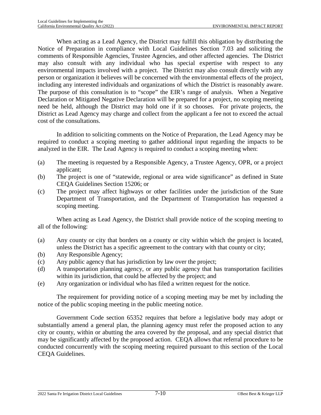When acting as a Lead Agency, the District may fulfill this obligation by distributing the Notice of Preparation in compliance with Local Guidelines Section [7.03](#page-96-0) and soliciting the comments of Responsible Agencies, Trustee Agencies, and other affected agencies. The District may also consult with any individual who has special expertise with respect to any environmental impacts involved with a project. The District may also consult directly with any person or organization it believes will be concerned with the environmental effects of the project, including any interested individuals and organizations of which the District is reasonably aware. The purpose of this consultation is to "scope" the EIR's range of analysis. When a Negative Declaration or Mitigated Negative Declaration will be prepared for a project, no scoping meeting need be held, although the District may hold one if it so chooses. For private projects, the District as Lead Agency may charge and collect from the applicant a fee not to exceed the actual cost of the consultations.

In addition to soliciting comments on the Notice of Preparation, the Lead Agency may be required to conduct a scoping meeting to gather additional input regarding the impacts to be analyzed in the EIR. The Lead Agency is required to conduct a scoping meeting when:

- (a) The meeting is requested by a Responsible Agency, a Trustee Agency, OPR, or a project applicant;
- (b) The project is one of "statewide, regional or area wide significance" as defined in State CEQA Guidelines Section 15206; or
- (c) The project may affect highways or other facilities under the jurisdiction of the State Department of Transportation, and the Department of Transportation has requested a scoping meeting.

When acting as Lead Agency, the District shall provide notice of the scoping meeting to all of the following:

- (a) Any county or city that borders on a county or city within which the project is located, unless the District has a specific agreement to the contrary with that county or city;
- (b) Any Responsible Agency;
- (c) Any public agency that has jurisdiction by law over the project;
- (d) A transportation planning agency, or any public agency that has transportation facilities within its jurisdiction, that could be affected by the project; and
- (e) Any organization or individual who has filed a written request for the notice.

The requirement for providing notice of a scoping meeting may be met by including the notice of the public scoping meeting in the public meeting notice.

Government Code section 65352 requires that before a legislative body may adopt or substantially amend a general plan, the planning agency must refer the proposed action to any city or county, within or abutting the area covered by the proposal, and any special district that may be significantly affected by the proposed action. CEQA allows that referral procedure to be conducted concurrently with the scoping meeting required pursuant to this section of the Local CEQA Guidelines.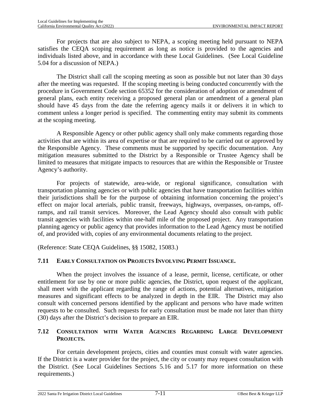For projects that are also subject to NEPA, a scoping meeting held pursuant to NEPA satisfies the CEQA scoping requirement as long as notice is provided to the agencies and individuals listed above, and in accordance with these Local Guidelines. (See Local Guideline [5.04](#page-56-0) for a discussion of NEPA.)

The District shall call the scoping meeting as soon as possible but not later than 30 days after the meeting was requested. If the scoping meeting is being conducted concurrently with the procedure in Government Code section 65352 for the consideration of adoption or amendment of general plans, each entity receiving a proposed general plan or amendment of a general plan should have 45 days from the date the referring agency mails it or delivers it in which to comment unless a longer period is specified. The commenting entity may submit its comments at the scoping meeting.

A Responsible Agency or other public agency shall only make comments regarding those activities that are within its area of expertise or that are required to be carried out or approved by the Responsible Agency. These comments must be supported by specific documentation. Any mitigation measures submitted to the District by a Responsible or Trustee Agency shall be limited to measures that mitigate impacts to resources that are within the Responsible or Trustee Agency's authority.

For projects of statewide, area-wide, or regional significance, consultation with transportation planning agencies or with public agencies that have transportation facilities within their jurisdictions shall be for the purpose of obtaining information concerning the project's effect on major local arterials, public transit, freeways, highways, overpasses, on-ramps, offramps, and rail transit services. Moreover, the Lead Agency should also consult with public transit agencies with facilities within one-half mile of the proposed project. Any transportation planning agency or public agency that provides information to the Lead Agency must be notified of, and provided with, copies of any environmental documents relating to the project.

(Reference: State CEQA Guidelines, §§ 15082, 15083.)

# **7.11 EARLY CONSULTATION ON PROJECTS INVOLVING PERMIT ISSUANCE.**

When the project involves the issuance of a lease, permit, license, certificate, or other entitlement for use by one or more public agencies, the District, upon request of the applicant, shall meet with the applicant regarding the range of actions, potential alternatives, mitigation measures and significant effects to be analyzed in depth in the EIR. The District may also consult with concerned persons identified by the applicant and persons who have made written requests to be consulted. Such requests for early consultation must be made not later than thirty (30) days after the District's decision to prepare an EIR.

## **7.12 CONSULTATION WITH WATER AGENCIES REGARDING LARGE DEVELOPMENT PROJECTS.**

For certain development projects, cities and counties must consult with water agencies. If the District is a water provider for the project, the city or county may request consultation with the District. (See Local Guidelines Sections [5.16](#page-66-0) and [5.17](#page-68-0) for more information on these requirements.)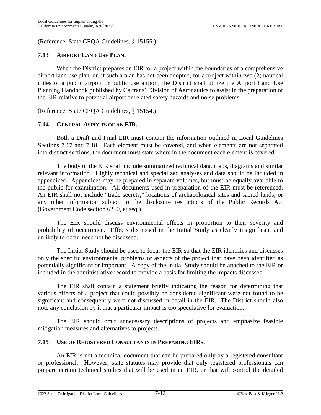(Reference: State CEQA Guidelines, § 15155.)

## **7.13 AIRPORT LAND USE PLAN.**

When the District prepares an EIR for a project within the boundaries of a comprehensive airport land use plan, or, if such a plan has not been adopted, for a project within two (2) nautical miles of a public airport or public use airport, the District shall utilize the Airport Land Use Planning Handbook published by Caltrans' Division of Aeronautics to assist in the preparation of the EIR relative to potential airport or related safety hazards and noise problems.

(Reference: State CEQA Guidelines, § 15154.)

## **7.14 GENERAL ASPECTS OF AN EIR.**

Both a Draft and Final EIR must contain the information outlined in Local Guidelines Sections [7.17](#page-108-0) and [7.18](#page-109-0). Each element must be covered, and when elements are not separated into distinct sections, the document must state where in the document each element is covered.

The body of the EIR shall include summarized technical data, maps, diagrams and similar relevant information. Highly technical and specialized analyses and data should be included in appendices. Appendices may be prepared in separate volumes, but must be equally available to the public for examination. All documents used in preparation of the EIR must be referenced. An EIR shall not include "trade secrets," locations of archaeological sites and sacred lands, or any other information subject to the disclosure restrictions of the Public Records Act (Government Code section 6250, et seq.).

The EIR should discuss environmental effects in proportion to their severity and probability of occurrence. Effects dismissed in the Initial Study as clearly insignificant and unlikely to occur need not be discussed.

The Initial Study should be used to focus the EIR so that the EIR identifies and discusses only the specific environmental problems or aspects of the project that have been identified as potentially significant or important. A copy of the Initial Study should be attached to the EIR or included in the administrative record to provide a basis for limiting the impacts discussed.

The EIR shall contain a statement briefly indicating the reason for determining that various effects of a project that could possibly be considered significant were not found to be significant and consequently were not discussed in detail in the EIR. The District should also note any conclusion by it that a particular impact is too speculative for evaluation.

The EIR should omit unnecessary descriptions of projects and emphasize feasible mitigation measures and alternatives to projects.

#### **7.15 USE OF REGISTERED CONSULTANTS IN PREPARING EIRS.**

An EIR is not a technical document that can be prepared only by a registered consultant or professional. However, state statutes may provide that only registered professionals can prepare certain technical studies that will be used in an EIR, or that will control the detailed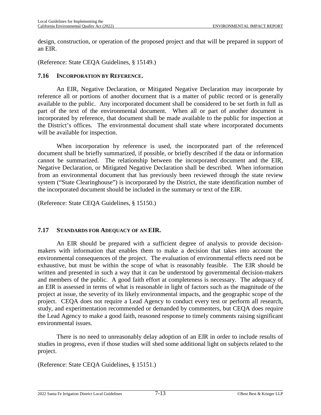design, construction, or operation of the proposed project and that will be prepared in support of an EIR.

(Reference: State CEQA Guidelines, § 15149.)

#### **7.16 INCORPORATION BY REFERENCE.**

An EIR, Negative Declaration, or Mitigated Negative Declaration may incorporate by reference all or portions of another document that is a matter of public record or is generally available to the public. Any incorporated document shall be considered to be set forth in full as part of the text of the environmental document. When all or part of another document is incorporated by reference, that document shall be made available to the public for inspection at the District's offices. The environmental document shall state where incorporated documents will be available for inspection.

When incorporation by reference is used, the incorporated part of the referenced document shall be briefly summarized, if possible, or briefly described if the data or information cannot be summarized. The relationship between the incorporated document and the EIR, Negative Declaration, or Mitigated Negative Declaration shall be described. When information from an environmental document that has previously been reviewed through the state review system ("State Clearinghouse") is incorporated by the District, the state identification number of the incorporated document should be included in the summary or text of the EIR.

(Reference: State CEQA Guidelines, § 15150.)

#### **7.17 STANDARDS FOR ADEQUACY OF AN EIR.**

An EIR should be prepared with a sufficient degree of analysis to provide decisionmakers with information that enables them to make a decision that takes into account the environmental consequences of the project. The evaluation of environmental effects need not be exhaustive, but must be within the scope of what is reasonably feasible. The EIR should be written and presented in such a way that it can be understood by governmental decision-makers and members of the public. A good faith effort at completeness is necessary. The adequacy of an EIR is assessed in terms of what is reasonable in light of factors such as the magnitude of the project at issue, the severity of its likely environmental impacts, and the geographic scope of the project. CEQA does not require a Lead Agency to conduct every test or perform all research, study, and experimentation recommended or demanded by commenters, but CEQA does require the Lead Agency to make a good faith, reasoned response to timely comments raising significant environmental issues.

There is no need to unreasonably delay adoption of an EIR in order to include results of studies in progress, even if those studies will shed some additional light on subjects related to the project.

(Reference: State CEQA Guidelines, § 15151.)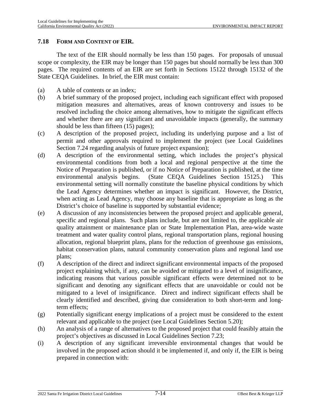### <span id="page-109-0"></span>**7.18 FORM AND CONTENT OF EIR.**

The text of the EIR should normally be less than 150 pages. For proposals of unusual scope or complexity, the EIR may be longer than 150 pages but should normally be less than 300 pages. The required contents of an EIR are set forth in Sections 15122 through 15132 of the State CEQA Guidelines. In brief, the EIR must contain:

- (a) A table of contents or an index;
- (b) A brief summary of the proposed project, including each significant effect with proposed mitigation measures and alternatives, areas of known controversy and issues to be resolved including the choice among alternatives, how to mitigate the significant effects and whether there are any significant and unavoidable impacts (generally, the summary should be less than fifteen (15) pages);
- (c) A description of the proposed project, including its underlying purpose and a list of permit and other approvals required to implement the project (see Local Guidelines Section [7.24](#page-118-0) regarding analysis of future project expansion);
- (d) A description of the environmental setting, which includes the project's physical environmental conditions from both a local and regional perspective at the time the Notice of Preparation is published, or if no Notice of Preparation is published, at the time environmental analysis begins. (State CEQA Guidelines Section 15125.) This environmental setting will normally constitute the baseline physical conditions by which the Lead Agency determines whether an impact is significant. However, the District, when acting as Lead Agency, may choose any baseline that is appropriate as long as the District's choice of baseline is supported by substantial evidence;
- (e) A discussion of any inconsistencies between the proposed project and applicable general, specific and regional plans. Such plans include, but are not limited to, the applicable air quality attainment or maintenance plan or State Implementation Plan, area-wide waste treatment and water quality control plans, regional transportation plans, regional housing allocation, regional blueprint plans, plans for the reduction of greenhouse gas emissions, habitat conservation plans, natural community conservation plans and regional land use plans;
- (f) A description of the direct and indirect significant environmental impacts of the proposed project explaining which, if any, can be avoided or mitigated to a level of insignificance, indicating reasons that various possible significant effects were determined not to be significant and denoting any significant effects that are unavoidable or could not be mitigated to a level of insignificance. Direct and indirect significant effects shall be clearly identified and described, giving due consideration to both short-term and longterm effects;
- (g) Potentially significant energy implications of a project must be considered to the extent relevant and applicable to the project (see Local Guidelines Section [5.20](#page-73-0));
- (h) An analysis of a range of alternatives to the proposed project that could feasibly attain the project's objectives as discussed in Local Guidelines Section [7.23](#page-116-0);
- (i) A description of any significant irreversible environmental changes that would be involved in the proposed action should it be implemented if, and only if, the EIR is being prepared in connection with: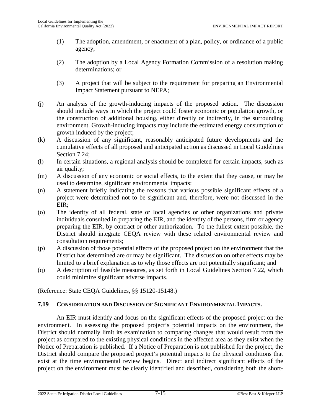- (1) The adoption, amendment, or enactment of a plan, policy, or ordinance of a public agency;
- (2) The adoption by a Local Agency Formation Commission of a resolution making determinations; or
- (3) A project that will be subject to the requirement for preparing an Environmental Impact Statement pursuant to NEPA;
- (j) An analysis of the growth-inducing impacts of the proposed action. The discussion should include ways in which the project could foster economic or population growth, or the construction of additional housing, either directly or indirectly, in the surrounding environment. Growth-inducing impacts may include the estimated energy consumption of growth induced by the project;
- (k) A discussion of any significant, reasonably anticipated future developments and the cumulative effects of all proposed and anticipated action as discussed in Local Guidelines Section [7.24](#page-118-0);
- (l) In certain situations, a regional analysis should be completed for certain impacts, such as air quality;
- (m) A discussion of any economic or social effects, to the extent that they cause, or may be used to determine, significant environmental impacts;
- (n) A statement briefly indicating the reasons that various possible significant effects of a project were determined not to be significant and, therefore, were not discussed in the EIR;
- (o) The identity of all federal, state or local agencies or other organizations and private individuals consulted in preparing the EIR, and the identity of the persons, firm or agency preparing the EIR, by contract or other authorization. To the fullest extent possible, the District should integrate CEQA review with these related environmental review and consultation requirements;
- (p) A discussion of those potential effects of the proposed project on the environment that the District has determined are or may be significant. The discussion on other effects may be limited to a brief explanation as to why those effects are not potentially significant; and
- (q) A description of feasible measures, as set forth in Local Guidelines Section [7.22,](#page-114-0) which could minimize significant adverse impacts.

(Reference: State CEQA Guidelines, §§ 15120-15148.)

## **7.19 CONSIDERATION AND DISCUSSION OF SIGNIFICANT ENVIRONMENTAL IMPACTS.**

An EIR must identify and focus on the significant effects of the proposed project on the environment. In assessing the proposed project's potential impacts on the environment, the District should normally limit its examination to comparing changes that would result from the project as compared to the existing physical conditions in the affected area as they exist when the Notice of Preparation is published. If a Notice of Preparation is not published for the project, the District should compare the proposed project's potential impacts to the physical conditions that exist at the time environmental review begins. Direct and indirect significant effects of the project on the environment must be clearly identified and described, considering both the short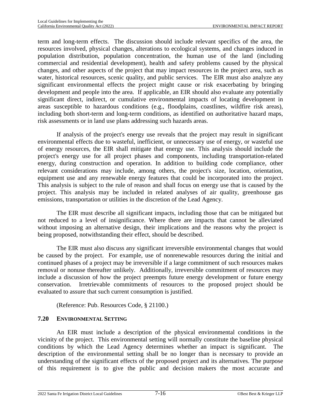term and long-term effects. The discussion should include relevant specifics of the area, the resources involved, physical changes, alterations to ecological systems, and changes induced in population distribution, population concentration, the human use of the land (including commercial and residential development), health and safety problems caused by the physical changes, and other aspects of the project that may impact resources in the project area, such as water, historical resources, scenic quality, and public services. The EIR must also analyze any significant environmental effects the project might cause or risk exacerbating by bringing development and people into the area. If applicable, an EIR should also evaluate any potentially significant direct, indirect, or cumulative environmental impacts of locating development in areas susceptible to hazardous conditions (e.g., floodplains, coastlines, wildfire risk areas), including both short-term and long-term conditions, as identified on authoritative hazard maps, risk assessments or in land use plans addressing such hazards areas.

If analysis of the project's energy use reveals that the project may result in significant environmental effects due to wasteful, inefficient, or unnecessary use of energy, or wasteful use of energy resources, the EIR shall mitigate that energy use. This analysis should include the project's energy use for all project phases and components, including transportation-related energy, during construction and operation. In addition to building code compliance, other relevant considerations may include, among others, the project's size, location, orientation, equipment use and any renewable energy features that could be incorporated into the project. This analysis is subject to the rule of reason and shall focus on energy use that is caused by the project. This analysis may be included in related analyses of air quality, greenhouse gas emissions, transportation or utilities in the discretion of the Lead Agency.

The EIR must describe all significant impacts, including those that can be mitigated but not reduced to a level of insignificance. Where there are impacts that cannot be alleviated without imposing an alternative design, their implications and the reasons why the project is being proposed, notwithstanding their effect, should be described.

The EIR must also discuss any significant irreversible environmental changes that would be caused by the project. For example, use of nonrenewable resources during the initial and continued phases of a project may be irreversible if a large commitment of such resources makes removal or nonuse thereafter unlikely. Additionally, irreversible commitment of resources may include a discussion of how the project preempts future energy development or future energy conservation. Irretrievable commitments of resources to the proposed project should be evaluated to assure that such current consumption is justified.

(Reference: Pub. Resources Code, § 21100.)

# **7.20 ENVIRONMENTAL SETTING**

An EIR must include a description of the physical environmental conditions in the vicinity of the project. This environmental setting will normally constitute the baseline physical conditions by which the Lead Agency determines whether an impact is significant. The description of the environmental setting shall be no longer than is necessary to provide an understanding of the significant effects of the proposed project and its alternatives. The purpose of this requirement is to give the public and decision makers the most accurate and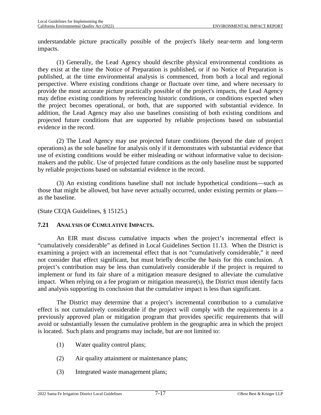understandable picture practically possible of the project's likely near-term and long-term impacts.

(1) Generally, the Lead Agency should describe physical environmental conditions as they exist at the time the Notice of Preparation is published, or if no Notice of Preparation is published, at the time environmental analysis is commenced, from both a local and regional perspective. Where existing conditions change or fluctuate over time, and where necessary to provide the most accurate picture practically possible of the project's impacts, the Lead Agency may define existing conditions by referencing historic conditions, or conditions expected when the project becomes operational, or both, that are supported with substantial evidence. In addition, the Lead Agency may also use baselines consisting of both existing conditions and projected future conditions that are supported by reliable projections based on substantial evidence in the record.

(2) The Lead Agency may use projected future conditions (beyond the date of project operations) as the sole baseline for analysis only if it demonstrates with substantial evidence that use of existing conditions would be either misleading or without informative value to decisionmakers and the public. Use of projected future conditions as the only baseline must be supported by reliable projections based on substantial evidence in the record.

(3) An existing conditions baseline shall not include hypothetical conditions—such as those that might be allowed, but have never actually occurred, under existing permits or plans as the baseline.

(State CEQA Guidelines, § 15125.)

### **7.21 ANALYSIS OF CUMULATIVE IMPACTS.**

An EIR must discuss cumulative impacts when the project's incremental effect is "cumulatively considerable" as defined in Local Guidelines Section [11.13.](#page-177-0) When the District is examining a project with an incremental effect that is not "cumulatively considerable," it need not consider that effect significant, but must briefly describe the basis for this conclusion. A project's contribution may be less than cumulatively considerable if the project is required to implement or fund its fair share of a mitigation measure designed to alleviate the cumulative impact. When relying on a fee program or mitigation measure(s), the District must identify facts and analysis supporting its conclusion that the cumulative impact is less than significant.

The District may determine that a project's incremental contribution to a cumulative effect is not cumulatively considerable if the project will comply with the requirements in a previously approved plan or mitigation program that provides specific requirements that will avoid or substantially lessen the cumulative problem in the geographic area in which the project is located. Such plans and programs may include, but are not limited to:

- (1) Water quality control plans;
- (2) Air quality attainment or maintenance plans;
- (3) Integrated waste management plans;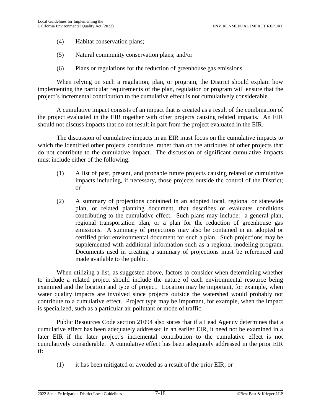- (4) Habitat conservation plans;
- (5) Natural community conservation plans; and/or
- (6) Plans or regulations for the reduction of greenhouse gas emissions.

When relying on such a regulation, plan, or program, the District should explain how implementing the particular requirements of the plan, regulation or program will ensure that the project's incremental contribution to the cumulative effect is not cumulatively considerable.

A cumulative impact consists of an impact that is created as a result of the combination of the project evaluated in the EIR together with other projects causing related impacts. An EIR should not discuss impacts that do not result in part from the project evaluated in the EIR.

The discussion of cumulative impacts in an EIR must focus on the cumulative impacts to which the identified other projects contribute, rather than on the attributes of other projects that do not contribute to the cumulative impact. The discussion of significant cumulative impacts must include either of the following:

- (1) A list of past, present, and probable future projects causing related or cumulative impacts including, if necessary, those projects outside the control of the District; or
- (2) A summary of projections contained in an adopted local, regional or statewide plan, or related planning document, that describes or evaluates conditions contributing to the cumulative effect. Such plans may include: a general plan, regional transportation plan, or a plan for the reduction of greenhouse gas emissions. A summary of projections may also be contained in an adopted or certified prior environmental document for such a plan. Such projections may be supplemented with additional information such as a regional modeling program. Documents used in creating a summary of projections must be referenced and made available to the public.

When utilizing a list, as suggested above, factors to consider when determining whether to include a related project should include the nature of each environmental resource being examined and the location and type of project. Location may be important, for example, when water quality impacts are involved since projects outside the watershed would probably not contribute to a cumulative effect. Project type may be important, for example, when the impact is specialized, such as a particular air pollutant or mode of traffic.

Public Resources Code section 21094 also states that if a Lead Agency determines that a cumulative effect has been adequately addressed in an earlier EIR, it need not be examined in a later EIR if the later project's incremental contribution to the cumulative effect is not cumulatively considerable. A cumulative effect has been adequately addressed in the prior EIR if:

(1) it has been mitigated or avoided as a result of the prior EIR; or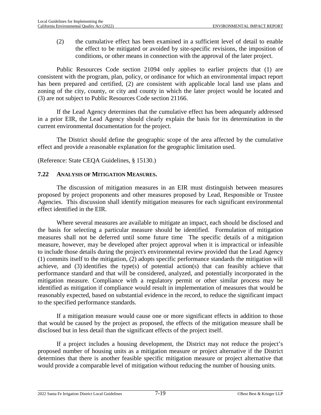(2) the cumulative effect has been examined in a sufficient level of detail to enable the effect to be mitigated or avoided by site-specific revisions, the imposition of conditions, or other means in connection with the approval of the later project.

Public Resources Code section 21094 only applies to earlier projects that (1) are consistent with the program, plan, policy, or ordinance for which an environmental impact report has been prepared and certified, (2) are consistent with applicable local land use plans and zoning of the city, county, or city and county in which the later project would be located and (3) are not subject to Public Resources Code section 21166.

If the Lead Agency determines that the cumulative effect has been adequately addressed in a prior EIR, the Lead Agency should clearly explain the basis for its determination in the current environmental documentation for the project.

The District should define the geographic scope of the area affected by the cumulative effect and provide a reasonable explanation for the geographic limitation used.

(Reference: State CEQA Guidelines, § 15130.)

#### <span id="page-114-0"></span>**7.22 ANALYSIS OF MITIGATION MEASURES.**

The discussion of mitigation measures in an EIR must distinguish between measures proposed by project proponents and other measures proposed by Lead, Responsible or Trustee Agencies. This discussion shall identify mitigation measures for each significant environmental effect identified in the EIR.

Where several measures are available to mitigate an impact, each should be disclosed and the basis for selecting a particular measure should be identified. Formulation of mitigation measures shall not be deferred until some future time The specific details of a mitigation measure, however, may be developed after project approval when it is impractical or infeasible to include those details during the project's environmental review provided that the Lead Agency (1) commits itself to the mitigation, (2) adopts specific performance standards the mitigation will achieve, and (3) identifies the type(s) of potential action(s) that can feasibly achieve that performance standard and that will be considered, analyzed, and potentially incorporated in the mitigation measure. Compliance with a regulatory permit or other similar process may be identified as mitigation if compliance would result in implementation of measures that would be reasonably expected, based on substantial evidence in the record, to reduce the significant impact to the specified performance standards.

If a mitigation measure would cause one or more significant effects in addition to those that would be caused by the project as proposed, the effects of the mitigation measure shall be disclosed but in less detail than the significant effects of the project itself.

If a project includes a housing development, the District may not reduce the project's proposed number of housing units as a mitigation measure or project alternative if the District determines that there is another feasible specific mitigation measure or project alternative that would provide a comparable level of mitigation without reducing the number of housing units.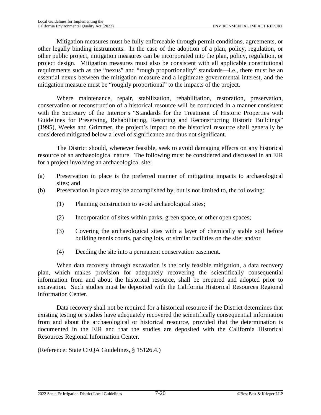Mitigation measures must be fully enforceable through permit conditions, agreements, or other legally binding instruments. In the case of the adoption of a plan, policy, regulation, or other public project, mitigation measures can be incorporated into the plan, policy, regulation, or project design. Mitigation measures must also be consistent with all applicable constitutional requirements such as the "nexus" and "rough proportionality" standards—i.e., there must be an essential nexus between the mitigation measure and a legitimate governmental interest, and the mitigation measure must be "roughly proportional" to the impacts of the project.

Where maintenance, repair, stabilization, rehabilitation, restoration, preservation, conservation or reconstruction of a historical resource will be conducted in a manner consistent with the Secretary of the Interior's "Standards for the Treatment of Historic Properties with Guidelines for Preserving, Rehabilitating, Restoring and Reconstructing Historic Buildings" (1995), Weeks and Grimmer, the project's impact on the historical resource shall generally be considered mitigated below a level of significance and thus not significant.

The District should, whenever feasible, seek to avoid damaging effects on any historical resource of an archaeological nature. The following must be considered and discussed in an EIR for a project involving an archaeological site:

- (a) Preservation in place is the preferred manner of mitigating impacts to archaeological sites; and
- (b) Preservation in place may be accomplished by, but is not limited to, the following:
	- (1) Planning construction to avoid archaeological sites;
	- (2) Incorporation of sites within parks, green space, or other open spaces;
	- (3) Covering the archaeological sites with a layer of chemically stable soil before building tennis courts, parking lots, or similar facilities on the site; and/or
	- (4) Deeding the site into a permanent conservation easement.

When data recovery through excavation is the only feasible mitigation, a data recovery plan, which makes provision for adequately recovering the scientifically consequential information from and about the historical resource, shall be prepared and adopted prior to excavation. Such studies must be deposited with the California Historical Resources Regional Information Center.

Data recovery shall not be required for a historical resource if the District determines that existing testing or studies have adequately recovered the scientifically consequential information from and about the archaeological or historical resource, provided that the determination is documented in the EIR and that the studies are deposited with the California Historical Resources Regional Information Center.

(Reference: State CEQA Guidelines, § 15126.4.)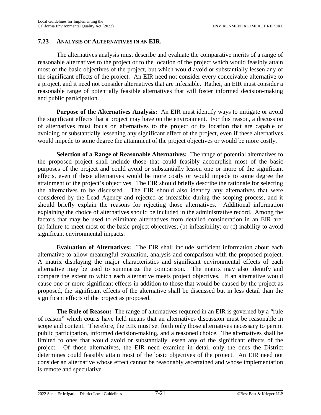### <span id="page-116-0"></span>**7.23 ANALYSIS OF ALTERNATIVES IN AN EIR.**

The alternatives analysis must describe and evaluate the comparative merits of a range of reasonable alternatives to the project or to the location of the project which would feasibly attain most of the basic objectives of the project, but which would avoid or substantially lessen any of the significant effects of the project. An EIR need not consider every conceivable alternative to a project, and it need not consider alternatives that are infeasible. Rather, an EIR must consider a reasonable range of potentially feasible alternatives that will foster informed decision-making and public participation.

**Purpose of the Alternatives Analysis:** An EIR must identify ways to mitigate or avoid the significant effects that a project may have on the environment. For this reason, a discussion of alternatives must focus on alternatives to the project or its location that are capable of avoiding or substantially lessening any significant effect of the project, even if these alternatives would impede to some degree the attainment of the project objectives or would be more costly.

**Selection of a Range of Reasonable Alternatives:** The range of potential alternatives to the proposed project shall include those that could feasibly accomplish most of the basic purposes of the project and could avoid or substantially lessen one or more of the significant effects, even if those alternatives would be more costly or would impede to some degree the attainment of the project's objectives. The EIR should briefly describe the rationale for selecting the alternatives to be discussed. The EIR should also identify any alternatives that were considered by the Lead Agency and rejected as infeasible during the scoping process, and it should briefly explain the reasons for rejecting those alternatives. Additional information explaining the choice of alternatives should be included in the administrative record. Among the factors that may be used to eliminate alternatives from detailed consideration in an EIR are: (a) failure to meet most of the basic project objectives; (b) infeasibility; or (c) inability to avoid significant environmental impacts.

**Evaluation of Alternatives:** The EIR shall include sufficient information about each alternative to allow meaningful evaluation, analysis and comparison with the proposed project. A matrix displaying the major characteristics and significant environmental effects of each alternative may be used to summarize the comparison. The matrix may also identify and compare the extent to which each alternative meets project objectives. If an alternative would cause one or more significant effects in addition to those that would be caused by the project as proposed, the significant effects of the alternative shall be discussed but in less detail than the significant effects of the project as proposed.

**The Rule of Reason:** The range of alternatives required in an EIR is governed by a "rule" of reason" which courts have held means that an alternatives discussion must be reasonable in scope and content. Therefore, the EIR must set forth only those alternatives necessary to permit public participation, informed decision-making, and a reasoned choice. The alternatives shall be limited to ones that would avoid or substantially lessen any of the significant effects of the project. Of those alternatives, the EIR need examine in detail only the ones the District determines could feasibly attain most of the basic objectives of the project. An EIR need not consider an alternative whose effect cannot be reasonably ascertained and whose implementation is remote and speculative.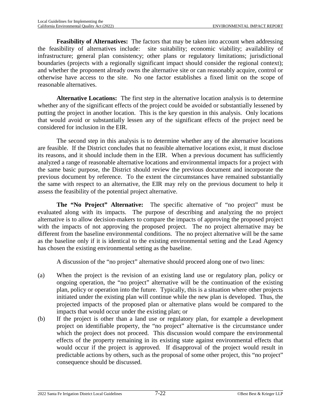**Feasibility of Alternatives:** The factors that may be taken into account when addressing the feasibility of alternatives include: site suitability; economic viability; availability of infrastructure; general plan consistency; other plans or regulatory limitations; jurisdictional boundaries (projects with a regionally significant impact should consider the regional context); and whether the proponent already owns the alternative site or can reasonably acquire, control or otherwise have access to the site. No one factor establishes a fixed limit on the scope of reasonable alternatives.

**Alternative Locations:** The first step in the alternative location analysis is to determine whether any of the significant effects of the project could be avoided or substantially lessened by putting the project in another location. This is the key question in this analysis. Only locations that would avoid or substantially lessen any of the significant effects of the project need be considered for inclusion in the EIR.

The second step in this analysis is to determine whether any of the alternative locations are feasible. If the District concludes that no feasible alternative locations exist, it must disclose its reasons, and it should include them in the EIR. When a previous document has sufficiently analyzed a range of reasonable alternative locations and environmental impacts for a project with the same basic purpose, the District should review the previous document and incorporate the previous document by reference. To the extent the circumstances have remained substantially the same with respect to an alternative, the EIR may rely on the previous document to help it assess the feasibility of the potential project alternative.

**The "No Project" Alternative:** The specific alternative of "no project" must be evaluated along with its impacts. The purpose of describing and analyzing the no project alternative is to allow decision-makers to compare the impacts of approving the proposed project with the impacts of not approving the proposed project. The no project alternative may be different from the baseline environmental conditions. The no project alternative will be the same as the baseline only if it is identical to the existing environmental setting and the Lead Agency has chosen the existing environmental setting as the baseline.

A discussion of the "no project" alternative should proceed along one of two lines:

- (a) When the project is the revision of an existing land use or regulatory plan, policy or ongoing operation, the "no project" alternative will be the continuation of the existing plan, policy or operation into the future. Typically, this is a situation where other projects initiated under the existing plan will continue while the new plan is developed. Thus, the projected impacts of the proposed plan or alternative plans would be compared to the impacts that would occur under the existing plan; or
- (b) If the project is other than a land use or regulatory plan, for example a development project on identifiable property, the "no project" alternative is the circumstance under which the project does not proceed. This discussion would compare the environmental effects of the property remaining in its existing state against environmental effects that would occur if the project is approved. If disapproval of the project would result in predictable actions by others, such as the proposal of some other project, this "no project" consequence should be discussed.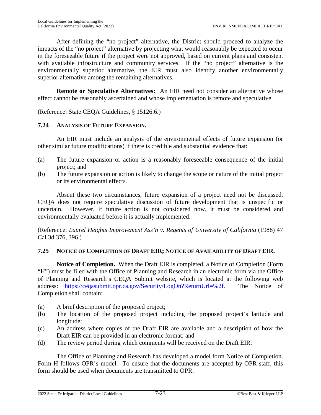After defining the "no project" alternative, the District should proceed to analyze the impacts of the "no project" alternative by projecting what would reasonably be expected to occur in the foreseeable future if the project were not approved, based on current plans and consistent with available infrastructure and community services. If the "no project" alternative is the environmentally superior alternative, the EIR must also identify another environmentally superior alternative among the remaining alternatives.

**Remote or Speculative Alternatives:** An EIR need not consider an alternative whose effect cannot be reasonably ascertained and whose implementation is remote and speculative.

(Reference: State CEQA Guidelines, § 15126.6.)

### <span id="page-118-0"></span>**7.24 ANALYSIS OF FUTURE EXPANSION.**

An EIR must include an analysis of the environmental effects of future expansion (or other similar future modifications) if there is credible and substantial evidence that:

- (a) The future expansion or action is a reasonably foreseeable consequence of the initial project; and
- (b) The future expansion or action is likely to change the scope or nature of the initial project or its environmental effects.

Absent these two circumstances, future expansion of a project need not be discussed. CEQA does not require speculative discussion of future development that is unspecific or uncertain. However, if future action is not considered now, it must be considered and environmentally evaluated before it is actually implemented.

(Reference: *Laurel Heights Improvement Ass'n v. Regents of University of California* (1988) 47 Cal.3d 376, 396.)

## <span id="page-118-1"></span>**7.25 NOTICE OF COMPLETION OF DRAFT EIR; NOTICE OF AVAILABILITY OF DRAFT EIR.**

**Notice of Completion.** When the Draft EIR is completed, a Notice of Completion (Form "H") must be filed with the Office of Planning and Research in an electronic form via the Office of Planning and Research's CEQA Submit website, which is located at the following web address: [https://ceqasubmit.opr.ca.gov/Security/LogOn?ReturnUrl=%2f.](https://ceqasubmit.opr.ca.gov/Security/LogOn?ReturnUrl=%2f) The Notice of Completion shall contain:

- (a) A brief description of the proposed project;
- (b) The location of the proposed project including the proposed project's latitude and longitude;
- (c) An address where copies of the Draft EIR are available and a description of how the Draft EIR can be provided in an electronic format; and
- (d) The review period during which comments will be received on the Draft EIR.

The Office of Planning and Research has developed a model form Notice of Completion. Form H follows OPR's model. To ensure that the documents are accepted by OPR staff, this form should be used when documents are transmitted to OPR.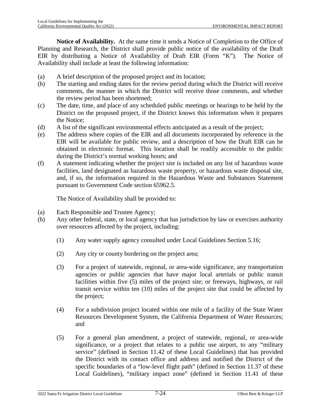**Notice of Availability.** At the same time it sends a Notice of Completion to the Office of Planning and Research, the District shall provide public notice of the availability of the Draft EIR by distributing a Notice of Availability of Draft EIR (Form "K"). The Notice of Availability shall include at least the following information:

- (a) A brief description of the proposed project and its location;
- (b) The starting and ending dates for the review period during which the District will receive comments, the manner in which the District will receive those comments, and whether the review period has been shortened;
- (c) The date, time, and place of any scheduled public meetings or hearings to be held by the District on the proposed project, if the District knows this information when it prepares the Notice;
- (d) A list of the significant environmental effects anticipated as a result of the project;
- (e) The address where copies of the EIR and all documents incorporated by reference in the EIR will be available for public review, and a description of how the Draft EIR can be obtained in electronic format. This location shall be readily accessible to the public during the District's normal working hours; and
- (f) A statement indicating whether the project site is included on any list of hazardous waste facilities, land designated as hazardous waste property, or hazardous waste disposal site, and, if so, the information required in the Hazardous Waste and Substances Statement pursuant to Government Code section 65962.5.

The Notice of Availability shall be provided to:

- (a) Each Responsible and Trustee Agency;
- (b) Any other federal, state, or local agency that has jurisdiction by law or exercises authority over resources affected by the project, including:
	- (1) Any water supply agency consulted under Local Guidelines Section [5.16;](#page-66-0)
	- (2) Any city or county bordering on the project area;
	- (3) For a project of statewide, regional, or area-wide significance, any transportation agencies or public agencies that have major local arterials or public transit facilities within five (5) miles of the project site; or freeways, highways, or rail transit service within ten (10) miles of the project site that could be affected by the project;
	- (4) For a subdivision project located within one mile of a facility of the State Water Resources Development System, the California Department of Water Resources; and
	- (5) For a general plan amendment, a project of statewide, regional, or area-wide significance, or a project th[at rela](#page-182-0)tes to a public use airport, to any "military service" (defined in Section 11.42 of these Local Guidelines) that has provided the District with its contact office and address and notified the [Distric](#page-181-0)t of the specific boundaries of a "low-level flight path" (defined in Section 11.37 of these Local Guidelines), "military impact zone" (defined in Section [11.41](#page-182-1) of these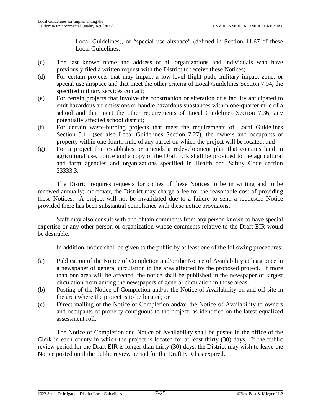Local Guidelines), or "special use airspace" (defined in Section 11.67 of these Local Guidelines;

- (c) The last known name and address of all organizations and individuals who have previously filed a written request with the District to receive these Notices;
- (d) For certain projects that may impact a low-level flight path, military impact zone, or special use airspace and that meet the other criteria of Local Guidelines Section [7.04,](#page-98-0) the specified military services contact;
- (e) For certain projects that involve the construction or alteration of a facility anticipated to emit hazardous air emissions or handle hazardous substances within one-quarter mile of a school and that meet the other requirements of Local Guidelines Section [7.36,](#page-128-0) any potentially affected school district;
- (f) For certain waste-burning projects that meet the requirements of Local Guidelines Section [5.11](#page-62-0) (see also Local Guidelines Section [7.27\)](#page-122-0), the owners and occupants of property within one-fourth mile of any parcel on which the project will be located; and
- (g) For a project that establishes or amends a redevelopment plan that contains land in agricultural use, notice and a copy of the Draft EIR shall be provided to the agricultural and farm agencies and organizations specified in Health and Safety Code section 33333.3.

The District requires requests for copies of these Notices to be in writing and to be renewed annually; moreover, the District may charge a fee for the reasonable cost of providing these Notices. A project will not be invalidated due to a failure to send a requested Notice provided there has been substantial compliance with these notice provisions.

Staff may also consult with and obtain comments from any person known to have special expertise or any other person or organization whose comments relative to the Draft EIR would be desirable.

In addition, notice shall be given to the public by at least one of the following procedures:

- (a) Publication of the Notice of Completion and/or the Notice of Availability at least once in a newspaper of general circulation in the area affected by the proposed project. If more than one area will be affected, the notice shall be published in the newspaper of largest circulation from among the newspapers of general circulation in those areas;
- (b) Posting of the Notice of Completion and/or the Notice of Availability on and off site in the area where the project is to be located; or
- (c) Direct mailing of the Notice of Completion and/or the Notice of Availability to owners and occupants of property contiguous to the project, as identified on the latest equalized assessment roll.

The Notice of Completion and Notice of Availability shall be posted in the office of the Clerk in each county in which the project is located for at least thirty (30) days. If the public review period for the Draft EIR is longer than thirty (30) days, the District may wish to leave the Notice posted until the public review period for the Draft EIR has expired.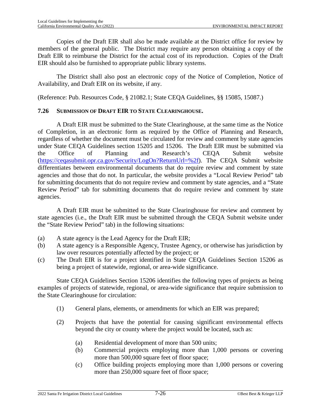Copies of the Draft EIR shall also be made available at the District office for review by members of the general public. The District may require any person obtaining a copy of the Draft EIR to reimburse the District for the actual cost of its reproduction. Copies of the Draft EIR should also be furnished to appropriate public library systems.

The District shall also post an electronic copy of the Notice of Completion, Notice of Availability, and Draft EIR on its website, if any.

(Reference: Pub. Resources Code, § 21082.1; State CEQA Guidelines, §§ 15085, 15087.)

### <span id="page-121-0"></span>**7.26 SUBMISSION OF DRAFT EIR TO STATE CLEARINGHOUSE.**

A Draft EIR must be submitted to the State Clearinghouse, at the same time as the Notice of Completion, in an electronic form as required by the Office of Planning and Research, regardless of whether the document must be circulated for review and comment by state agencies under State CEQA Guidelines section 15205 and 15206. The Draft EIR must be submitted via the Office of Planning and Research's CEQA Submit website ([https://ceqasubmit.opr.ca.gov/Security/LogOn?ReturnUrl=%2f\)](https://ceqasubmit.opr.ca.gov/Security/LogOn?ReturnUrl=%2f). The CEQA Submit website differentiates between environmental documents that do require review and comment by state agencies and those that do not. In particular, the website provides a "Local Review Period" tab for submitting documents that do not require review and comment by state agencies, and a "State Review Period" tab for submitting documents that do require review and comment by state agencies.

A Draft EIR must be submitted to the State Clearinghouse for review and comment by state agencies (i.e., the Draft EIR must be submitted through the CEQA Submit website under the "State Review Period" tab) in the following situations:

- (a) A state agency is the Lead Agency for the Draft EIR;
- (b) A state agency is a Responsible Agency, Trustee Agency, or otherwise has jurisdiction by law over resources potentially affected by the project; or
- (c) The Draft EIR is for a project identified in State CEQA Guidelines Section 15206 as being a project of statewide, regional, or area-wide significance.

State CEQA Guidelines Section 15206 identifies the following types of projects as being examples of projects of statewide, regional, or area-wide significance that require submission to the State Clearinghouse for circulation:

- (1) General plans, elements, or amendments for which an EIR was prepared;
- (2) Projects that have the potential for causing significant environmental effects beyond the city or county where the project would be located, such as:
	- (a) Residential development of more than 500 units;
	- (b) Commercial projects employing more than 1,000 persons or covering more than 500,000 square feet of floor space;
	- (c) Office building projects employing more than 1,000 persons or covering more than 250,000 square feet of floor space;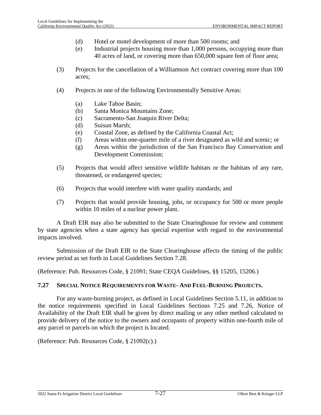- (d) Hotel or motel development of more than 500 rooms; and
- (e) Industrial projects housing more than 1,000 persons, occupying more than 40 acres of land, or covering more than 650,000 square feet of floor area;
- (3) Projects for the cancellation of a Williamson Act contract covering more than 100 acres;
- (4) Projects in one of the following Environmentally Sensitive Areas:
	- (a) Lake Tahoe Basin;
	- (b) Santa Monica Mountains Zone;
	- (c) Sacramento-San Joaquin River Delta;
	- (d) Suisun Marsh;
	- (e) Coastal Zone, as defined by the California Coastal Act;
	- (f) Areas within one-quarter mile of a river designated as wild and scenic; or
	- (g) Areas within the jurisdiction of the San Francisco Bay Conservation and Development Commission;
- (5) Projects that would affect sensitive wildlife habitats or the habitats of any rare, threatened, or endangered species;
- (6) Projects that would interfere with water quality standards; and
- (7) Projects that would provide housing, jobs, or occupancy for 500 or more people within 10 miles of a nuclear power plant.

A Draft EIR may also be submitted to the State Clearinghouse for review and comment by state agencies when a state agency has special expertise with regard to the environmental impacts involved.

Submission of the Draft EIR to the State Clearinghouse affects the timing of the public review period as set forth in Local Guidelines Section 7.28.

(Reference: Pub. Resources Code, § 21091; State CEQA Guidelines, §§ 15205, 15206.)

#### <span id="page-122-0"></span>**7.27 SPECIAL NOTICE REQUIREMENTS FOR WASTE- AND FUEL-BURNING PROJECTS.**

For any waste-burning project, as defined in Local Guidelines Section [5.11,](#page-62-0) in addition to the notice requirements specified in Local Guidelines Sections [7.25](#page-118-1) and [7.26](#page-121-0), Notice of Availability of the Draft EIR shall be given by direct mailing or any other method calculated to provide delivery of the notice to the owners and occupants of property within one-fourth mile of any parcel or parcels on which the project is located.

(Reference: Pub. Resources Code, § 21092(c).)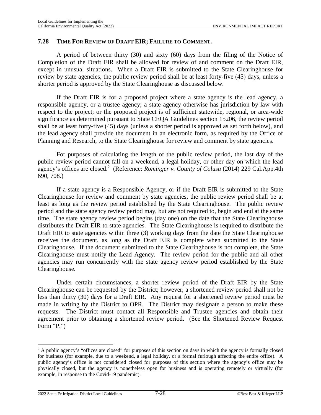#### **7.28 TIME FOR REVIEW OF DRAFT EIR; FAILURE TO COMMENT.**

A period of between thirty (30) and sixty (60) days from the filing of the Notice of Completion of the Draft EIR shall be allowed for review of and comment on the Draft EIR, except in unusual situations. When a Draft EIR is submitted to the State Clearinghouse for review by state agencies, the public review period shall be at least forty-five (45) days, unless a shorter period is approved by the State Clearinghouse as discussed below.

If the Draft EIR is for a proposed project where a state agency is the lead agency, a responsible agency, or a trustee agency; a state agency otherwise has jurisdiction by law with respect to the project; or the proposed project is of sufficient statewide, regional, or area-wide significance as determined pursuant to State CEQA Guidelines section 15206, the review period shall be at least forty-five (45) days (unless a shorter period is approved as set forth below), and the lead agency shall provide the document in an electronic form, as required by the Office of Planning and Research, to the State Clearinghouse for review and comment by state agencies.

For purposes of calculating the length of the public review period, the last day of the public review period cannot fall on a weekend, a legal holiday, or other day on which the lead agency'soffices are closed.<sup>2</sup> (Reference: *Rominger v. County of Colusa* (2014) 229 Cal.App.4th 690, 708.)

If a state agency is a Responsible Agency, or if the Draft EIR is submitted to the State Clearinghouse for review and comment by state agencies, the public review period shall be at least as long as the review period established by the State Clearinghouse. The public review period and the state agency review period may, but are not required to, begin and end at the same time. The state agency review period begins (day one) on the date that the State Clearinghouse distributes the Draft EIR to state agencies. The State Clearinghouse is required to distribute the Draft EIR to state agencies within three (3) working days from the date the State Clearinghouse receives the document, as long as the Draft EIR is complete when submitted to the State Clearinghouse. If the document submitted to the State Clearinghouse is not complete, the State Clearinghouse must notify the Lead Agency. The review period for the public and all other agencies may run concurrently with the state agency review period established by the State Clearinghouse.

Under certain circumstances, a shorter review period of the Draft EIR by the State Clearinghouse can be requested by the District; however, a shortened review period shall not be less than thirty (30) days for a Draft EIR. Any request for a shortened review period must be made in writing by the District to OPR. The District may designate a person to make these requests. The District must contact all Responsible and Trustee agencies and obtain their agreement prior to obtaining a shortened review period. (See the Shortened Review Request Form "P.")

<span id="page-123-0"></span><sup>&</sup>lt;sup>2</sup> A public agency's "offices are closed" for purposes of this section on days in which the agency is formally closed for business (for example, due to a weekend, a legal holiday, or a formal furlough affecting the entire office). A public agency's office is not considered closed for purposes of this section where the agency's office may be physically closed, but the agency is nonetheless open for business and is operating remotely or virtually (for example, in response to the Covid-19 pandemic).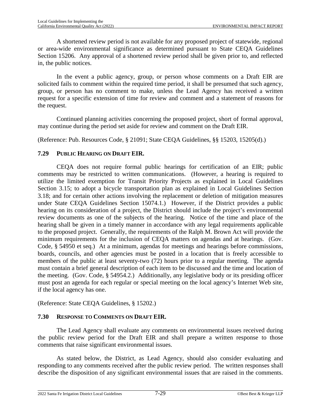A shortened review period is not available for any proposed project of statewide, regional or area-wide environmental significance as determined pursuant to State CEQA Guidelines Section 15206. Any approval of a shortened review period shall be given prior to, and reflected in, the public notices.

In the event a public agency, group, or person whose comments on a Draft EIR are solicited fails to comment within the required time period, it shall be presumed that such agency, group, or person has no comment to make, unless the Lead Agency has received a written request for a specific extension of time for review and comment and a statement of reasons for the request.

Continued planning activities concerning the proposed project, short of formal approval, may continue during the period set aside for review and comment on the Draft EIR.

(Reference: Pub. Resources Code, § 21091; State CEQA Guidelines, §§ 15203, 15205(d).)

### **7.29 PUBLIC HEARING ON DRAFT EIR.**

CEQA does not require formal public hearings for certification of an EIR; public comments may be restricted to written communications. (However, a hearing is required to utilize the limited exemption for Transit Priority Projects as explained in Local Guidelines Section 3.15; to adopt a bicycle transportation plan as explained in Local Guidelines Section 3.18; and for certain other actions involving the replacement or deletion of mitigation measures under State CEQA Guidelines Section 15074.1.) However, if the District provides a public hearing on its consideration of a project, the District should include the project's environmental review documents as one of the subjects of the hearing. Notice of the time and place of the hearing shall be given in a timely manner in accordance with any legal requirements applicable to the proposed project. Generally, the requirements of the Ralph M. Brown Act will provide the minimum requirements for the inclusion of CEQA matters on agendas and at hearings. (Gov. Code, § 54950 et seq.) At a minimum, agendas for meetings and hearings before commissions, boards, councils, and other agencies must be posted in a location that is freely accessible to members of the public at least seventy-two (72) hours prior to a regular meeting. The agenda must contain a brief general description of each item to be discussed and the time and location of the meeting. (Gov. Code, § 54954.2.) Additionally, any legislative body or its presiding officer must post an agenda for each regular or special meeting on the local agency's Internet Web site, if the local agency has one.

(Reference: State CEQA Guidelines, § 15202.)

## **7.30 RESPONSE TO COMMENTS ON DRAFT EIR.**

The Lead Agency shall evaluate any comments on environmental issues received during the public review period for the Draft EIR and shall prepare a written response to those comments that raise significant environmental issues.

As stated below, the District, as Lead Agency, should also consider evaluating and responding to any comments received after the public review period. The written responses shall describe the disposition of any significant environmental issues that are raised in the comments.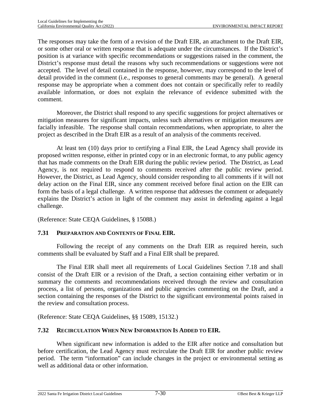The responses may take the form of a revision of the Draft EIR, an attachment to the Draft EIR, or some other oral or written response that is adequate under the circumstances. If the District's position is at variance with specific recommendations or suggestions raised in the comment, the District's response must detail the reasons why such recommendations or suggestions were not accepted. The level of detail contained in the response, however, may correspond to the level of detail provided in the comment (i.e., responses to general comments may be general). A general response may be appropriate when a comment does not contain or specifically refer to readily available information, or does not explain the relevance of evidence submitted with the comment.

Moreover, the District shall respond to any specific suggestions for project alternatives or mitigation measures for significant impacts, unless such alternatives or mitigation measures are facially infeasible. The response shall contain recommendations, when appropriate, to alter the project as described in the Draft EIR as a result of an analysis of the comments received.

At least ten (10) days prior to certifying a Final EIR, the Lead Agency shall provide its proposed written response, either in printed copy or in an electronic format, to any public agency that has made comments on the Draft EIR during the public review period. The District, as Lead Agency, is not required to respond to comments received after the public review period. However, the District, as Lead Agency, should consider responding to all comments if it will not delay action on the Final EIR, since any comment received before final action on the EIR can form the basis of a legal challenge. A written response that addresses the comment or adequately explains the District's action in light of the comment may assist in defending against a legal challenge.

(Reference: State CEQA Guidelines, § 15088.)

## **7.31 PREPARATION AND CONTENTS OF FINAL EIR.**

Following the receipt of any comments on the Draft EIR as required herein, such comments shall be evaluated by Staff and a Final EIR shall be prepared.

The Final EIR shall meet all requirements of Local Guidelines Section [7.18](#page-109-0) and shall consist of the Draft EIR or a revision of the Draft, a section containing either verbatim or in summary the comments and recommendations received through the review and consultation process, a list of persons, organizations and public agencies commenting on the Draft, and a section containing the responses of the District to the significant environmental points raised in the review and consultation process.

(Reference: State CEQA Guidelines, §§ 15089, 15132.)

## **7.32 RECIRCULATION WHEN NEW INFORMATION IS ADDED TO EIR.**

When significant new information is added to the EIR after notice and consultation but before certification, the Lead Agency must recirculate the Draft EIR for another public review period. The term "information" can include changes in the project or environmental setting as well as additional data or other information.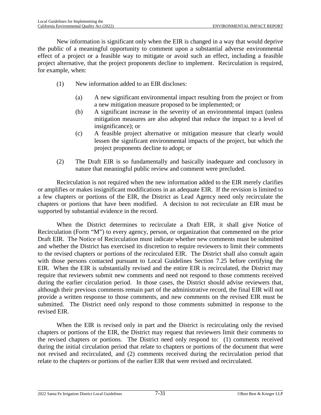New information is significant only when the EIR is changed in a way that would deprive the public of a meaningful opportunity to comment upon a substantial adverse environmental effect of a project or a feasible way to mitigate or avoid such an effect, including a feasible project alternative, that the project proponents decline to implement. Recirculation is required, for example, when:

- (1) New information added to an EIR discloses:
	- (a) A new significant environmental impact resulting from the project or from a new mitigation measure proposed to be implemented; or
	- (b) A significant increase in the severity of an environmental impact (unless mitigation measures are also adopted that reduce the impact to a level of insignificance); or
	- (c) A feasible project alternative or mitigation measure that clearly would lessen the significant environmental impacts of the project, but which the project proponents decline to adopt; or
- (2) The Draft EIR is so fundamentally and basically inadequate and conclusory in nature that meaningful public review and comment were precluded.

Recirculation is not required when the new information added to the EIR merely clarifies or amplifies or makes insignificant modifications in an adequate EIR. If the revision is limited to a few chapters or portions of the EIR, the District as Lead Agency need only recirculate the chapters or portions that have been modified. A decision to not recirculate an EIR must be supported by substantial evidence in the record.

When the District determines to recirculate a Draft EIR, it shall give Notice of Recirculation (Form "M") to every agency, person, or organization that commented on the prior Draft EIR. The Notice of Recirculation must indicate whether new comments must be submitted and whether the District has exercised its discretion to require reviewers to limit their comments to the revised chapters or portions of the recirculated EIR. The District shall also consult again with those persons contacted pursuant to Local Guidelines Section [7.25](#page-118-1) before certifying the EIR. When the EIR is substantially revised and the entire EIR is recirculated, the District may require that reviewers submit new comments and need not respond to those comments received during the earlier circulation period. In those cases, the District should advise reviewers that, although their previous comments remain part of the administrative record, the final EIR will not provide a written response to those comments, and new comments on the revised EIR must be submitted. The District need only respond to those comments submitted in response to the revised EIR.

When the EIR is revised only in part and the District is recirculating only the revised chapters or portions of the EIR, the District may request that reviewers limit their comments to the revised chapters or portions. The District need only respond to: (1) comments received during the initial circulation period that relate to chapters or portions of the document that were not revised and recirculated, and (2) comments received during the recirculation period that relate to the chapters or portions of the earlier EIR that were revised and recirculated.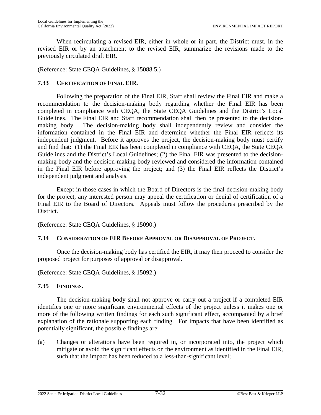When recirculating a revised EIR, either in whole or in part, the District must, in the revised EIR or by an attachment to the revised EIR, summarize the revisions made to the previously circulated draft EIR.

(Reference: State CEQA Guidelines, § 15088.5.)

### **7.33 CERTIFICATION OF FINAL EIR.**

Following the preparation of the Final EIR, Staff shall review the Final EIR and make a recommendation to the decision-making body regarding whether the Final EIR has been completed in compliance with CEQA, the State CEQA Guidelines and the District's Local Guidelines. The Final EIR and Staff recommendation shall then be presented to the decisionmaking body. The decision-making body shall independently review and consider the information contained in the Final EIR and determine whether the Final EIR reflects its independent judgment. Before it approves the project, the decision-making body must certify and find that: (1) the Final EIR has been completed in compliance with CEQA, the State CEQA Guidelines and the District's Local Guidelines; (2) the Final EIR was presented to the decisionmaking body and the decision-making body reviewed and considered the information contained in the Final EIR before approving the project; and (3) the Final EIR reflects the District's independent judgment and analysis.

Except in those cases in which the Board of Directors is the final decision-making body for the project, any interested person may appeal the certification or denial of certification of a Final EIR to the Board of Directors. Appeals must follow the procedures prescribed by the District.

(Reference: State CEQA Guidelines, § 15090.)

#### **7.34 CONSIDERATION OF EIR BEFORE APPROVAL OR DISAPPROVAL OF PROJECT.**

Once the decision-making body has certified the EIR, it may then proceed to consider the proposed project for purposes of approval or disapproval.

(Reference: State CEQA Guidelines, § 15092.)

#### **7.35 FINDINGS.**

The decision-making body shall not approve or carry out a project if a completed EIR identifies one or more significant environmental effects of the project unless it makes one or more of the following written findings for each such significant effect, accompanied by a brief explanation of the rationale supporting each finding. For impacts that have been identified as potentially significant, the possible findings are:

(a) Changes or alterations have been required in, or incorporated into, the project which mitigate or avoid the significant effects on the environment as identified in the Final EIR, such that the impact has been reduced to a less-than-significant level;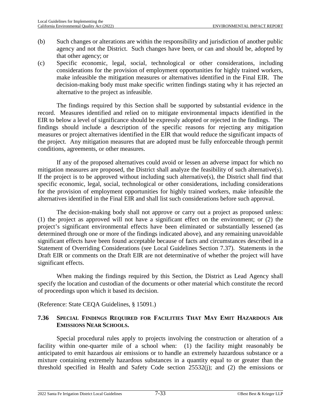- (b) Such changes or alterations are within the responsibility and jurisdiction of another public agency and not the District. Such changes have been, or can and should be, adopted by that other agency; or
- (c) Specific economic, legal, social, technological or other considerations, including considerations for the provision of employment opportunities for highly trained workers, make infeasible the mitigation measures or alternatives identified in the Final EIR. The decision-making body must make specific written findings stating why it has rejected an alternative to the project as infeasible.

The findings required by this Section shall be supported by substantial evidence in the record. Measures identified and relied on to mitigate environmental impacts identified in the EIR to below a level of significance should be expressly adopted or rejected in the findings. The findings should include a description of the specific reasons for rejecting any mitigation measures or project alternatives identified in the EIR that would reduce the significant impacts of the project. Any mitigation measures that are adopted must be fully enforceable through permit conditions, agreements, or other measures.

If any of the proposed alternatives could avoid or lessen an adverse impact for which no mitigation measures are proposed, the District shall analyze the feasibility of such alternative(s). If the project is to be approved without including such alternative(s), the District shall find that specific economic, legal, social, technological or other considerations, including considerations for the provision of employment opportunities for highly trained workers, make infeasible the alternatives identified in the Final EIR and shall list such considerations before such approval.

The decision-making body shall not approve or carry out a project as proposed unless: (1) the project as approved will not have a significant effect on the environment; or (2) the project's significant environmental effects have been eliminated or substantially lessened (as determined through one or more of the findings indicated above), and any remaining unavoidable significant effects have been found acceptable because of facts and circumstances described in a Statement of Overriding Considerations (see Local Guidelines Section [7.37](#page-129-0)). Statements in the Draft EIR or comments on the Draft EIR are not determinative of whether the project will have significant effects.

When making the findings required by this Section, the District as Lead Agency shall specify the location and custodian of the documents or other material which constitute the record of proceedings upon which it based its decision.

(Reference: State CEQA Guidelines, § 15091.)

### <span id="page-128-0"></span>**7.36 SPECIAL FINDINGS REQUIRED FOR FACILITIES THAT MAY EMIT HAZARDOUS AIR EMISSIONS NEAR SCHOOLS.**

Special procedural rules apply to projects involving the construction or alteration of a facility within one-quarter mile of a school when: (1) the facility might reasonably be anticipated to emit hazardous air emissions or to handle an extremely hazardous substance or a mixture containing extremely hazardous substances in a quantity equal to or greater than the threshold specified in Health and Safety Code section 25532(j); and (2) the emissions or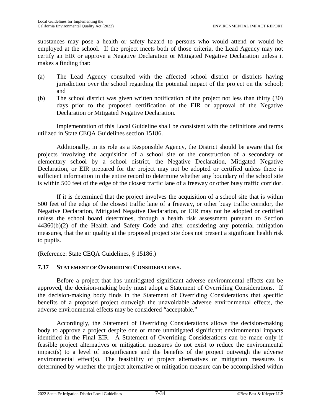substances may pose a health or safety hazard to persons who would attend or would be employed at the school. If the project meets both of those criteria, the Lead Agency may not certify an EIR or approve a Negative Declaration or Mitigated Negative Declaration unless it makes a finding that:

- (a) The Lead Agency consulted with the affected school district or districts having jurisdiction over the school regarding the potential impact of the project on the school; and
- (b) The school district was given written notification of the project not less than thirty (30) days prior to the proposed certification of the EIR or approval of the Negative Declaration or Mitigated Negative Declaration.

Implementation of this Local Guideline shall be consistent with the definitions and terms utilized in State CEQA Guidelines section 15186.

Additionally, in its role as a Responsible Agency, the District should be aware that for projects involving the acquisition of a school site or the construction of a secondary or elementary school by a school district, the Negative Declaration, Mitigated Negative Declaration, or EIR prepared for the project may not be adopted or certified unless there is sufficient information in the entire record to determine whether any boundary of the school site is within 500 feet of the edge of the closest traffic lane of a freeway or other busy traffic corridor.

If it is determined that the project involves the acquisition of a school site that is within 500 feet of the edge of the closest traffic lane of a freeway, or other busy traffic corridor, the Negative Declaration, Mitigated Negative Declaration, or EIR may not be adopted or certified unless the school board determines, through a health risk assessment pursuant to Section 44360(b)(2) of the Health and Safety Code and after considering any potential mitigation measures, that the air quality at the proposed project site does not present a significant health risk to pupils.

(Reference: State CEQA Guidelines, § 15186.)

## <span id="page-129-0"></span>**7.37 STATEMENT OF OVERRIDING CONSIDERATIONS.**

Before a project that has unmitigated significant adverse environmental effects can be approved, the decision-making body must adopt a Statement of Overriding Considerations. If the decision-making body finds in the Statement of Overriding Considerations that specific benefits of a proposed project outweigh the unavoidable adverse environmental effects, the adverse environmental effects may be considered "acceptable."

Accordingly, the Statement of Overriding Considerations allows the decision-making body to approve a project despite one or more unmitigated significant environmental impacts identified in the Final EIR. A Statement of Overriding Considerations can be made only if feasible project alternatives or mitigation measures do not exist to reduce the environmental impact(s) to a level of insignificance and the benefits of the project outweigh the adverse environmental effect(s). The feasibility of project alternatives or mitigation measures is determined by whether the project alternative or mitigation measure can be accomplished within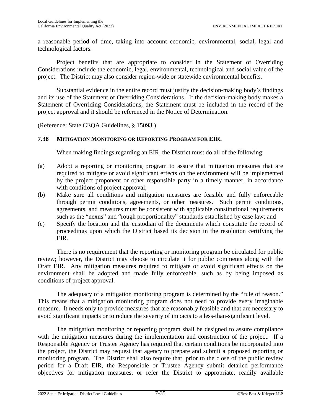a reasonable period of time, taking into account economic, environmental, social, legal and technological factors.

Project benefits that are appropriate to consider in the Statement of Overriding Considerations include the economic, legal, environmental, technological and social value of the project. The District may also consider region-wide or statewide environmental benefits.

Substantial evidence in the entire record must justify the decision-making body's findings and its use of the Statement of Overriding Considerations. If the decision-making body makes a Statement of Overriding Considerations, the Statement must be included in the record of the project approval and it should be referenced in the Notice of Determination.

(Reference: State CEQA Guidelines, § 15093.)

#### **7.38 MITIGATION MONITORING OR REPORTING PROGRAM FOR EIR.**

When making findings regarding an EIR, the District must do all of the following:

- (a) Adopt a reporting or monitoring program to assure that mitigation measures that are required to mitigate or avoid significant effects on the environment will be implemented by the project proponent or other responsible party in a timely manner, in accordance with conditions of project approval;
- (b) Make sure all conditions and mitigation measures are feasible and fully enforceable through permit conditions, agreements, or other measures. Such permit conditions, agreements, and measures must be consistent with applicable constitutional requirements such as the "nexus" and "rough proportionality" standards established by case law; and
- (c) Specify the location and the custodian of the documents which constitute the record of proceedings upon which the District based its decision in the resolution certifying the EIR.

There is no requirement that the reporting or monitoring program be circulated for public review; however, the District may choose to circulate it for public comments along with the Draft EIR. Any mitigation measures required to mitigate or avoid significant effects on the environment shall be adopted and made fully enforceable, such as by being imposed as conditions of project approval.

The adequacy of a mitigation monitoring program is determined by the "rule of reason." This means that a mitigation monitoring program does not need to provide every imaginable measure. It needs only to provide measures that are reasonably feasible and that are necessary to avoid significant impacts or to reduce the severity of impacts to a less-than-significant level.

The mitigation monitoring or reporting program shall be designed to assure compliance with the mitigation measures during the implementation and construction of the project. If a Responsible Agency or Trustee Agency has required that certain conditions be incorporated into the project, the District may request that agency to prepare and submit a proposed reporting or monitoring program. The District shall also require that, prior to the close of the public review period for a Draft EIR, the Responsible or Trustee Agency submit detailed performance objectives for mitigation measures, or refer the District to appropriate, readily available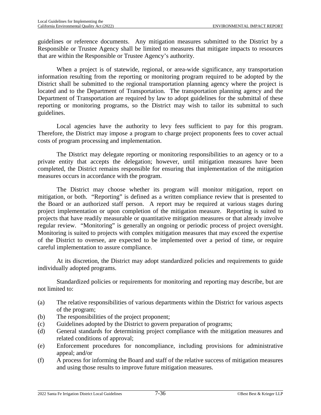guidelines or reference documents. Any mitigation measures submitted to the District by a Responsible or Trustee Agency shall be limited to measures that mitigate impacts to resources that are within the Responsible or Trustee Agency's authority.

When a project is of statewide, regional, or area-wide significance, any transportation information resulting from the reporting or monitoring program required to be adopted by the District shall be submitted to the regional transportation planning agency where the project is located and to the Department of Transportation. The transportation planning agency and the Department of Transportation are required by law to adopt guidelines for the submittal of these reporting or monitoring programs, so the District may wish to tailor its submittal to such guidelines.

Local agencies have the authority to levy fees sufficient to pay for this program. Therefore, the District may impose a program to charge project proponents fees to cover actual costs of program processing and implementation.

The District may delegate reporting or monitoring responsibilities to an agency or to a private entity that accepts the delegation; however, until mitigation measures have been completed, the District remains responsible for ensuring that implementation of the mitigation measures occurs in accordance with the program.

The District may choose whether its program will monitor mitigation, report on mitigation, or both. "Reporting" is defined as a written compliance review that is presented to the Board or an authorized staff person. A report may be required at various stages during project implementation or upon completion of the mitigation measure. Reporting is suited to projects that have readily measurable or quantitative mitigation measures or that already involve regular review. "Monitoring" is generally an ongoing or periodic process of project oversight. Monitoring is suited to projects with complex mitigation measures that may exceed the expertise of the District to oversee, are expected to be implemented over a period of time, or require careful implementation to assure compliance.

At its discretion, the District may adopt standardized policies and requirements to guide individually adopted programs.

Standardized policies or requirements for monitoring and reporting may describe, but are not limited to:

- (a) The relative responsibilities of various departments within the District for various aspects of the program;
- (b) The responsibilities of the project proponent;
- (c) Guidelines adopted by the District to govern preparation of programs;
- (d) General standards for determining project compliance with the mitigation measures and related conditions of approval;
- (e) Enforcement procedures for noncompliance, including provisions for administrative appeal; and/or
- (f) A process for informing the Board and staff of the relative success of mitigation measures and using those results to improve future mitigation measures.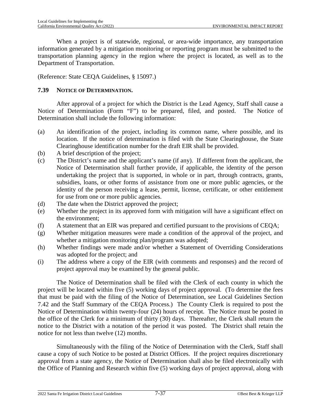When a project is of statewide, regional, or area-wide importance, any transportation information generated by a mitigation monitoring or reporting program must be submitted to the transportation planning agency in the region where the project is located, as well as to the Department of Transportation.

(Reference: State CEQA Guidelines, § 15097.)

### **7.39 NOTICE OF DETERMINATION.**

After approval of a project for which the District is the Lead Agency, Staff shall cause a Notice of Determination (Form "F") to be prepared, filed, and posted. The Notice of Determination shall include the following information:

- (a) An identification of the project, including its common name, where possible, and its location. If the notice of determination is filed with the State Clearinghouse, the State Clearinghouse identification number for the draft EIR shall be provided.
- (b) A brief description of the project;
- (c) The District's name and the applicant's name (if any). If different from the applicant, the Notice of Determination shall further provide, if applicable, the identity of the person undertaking the project that is supported, in whole or in part, through contracts, grants, subsidies, loans, or other forms of assistance from one or more public agencies, or the identity of the person receiving a lease, permit, license, certificate, or other entitlement for use from one or more public agencies.
- (d) The date when the District approved the project;
- (e) Whether the project in its approved form with mitigation will have a significant effect on the environment;
- (f) A statement that an EIR was prepared and certified pursuant to the provisions of CEQA;
- (g) Whether mitigation measures were made a condition of the approval of the project, and whether a mitigation monitoring plan/program was adopted;
- (h) Whether findings were made and/or whether a Statement of Overriding Considerations was adopted for the project; and
- (i) The address where a copy of the EIR (with comments and responses) and the record of project approval may be examined by the general public.

The Notice of Determination shall be filed with the Clerk of each county in which the project will be located within five (5) working days of project approval. (To determine the fees that must be paid with the filing of the Notice of Determination, see Local Guidelines Section [7.42](#page-133-0) and the Staff Summary of the CEQA Process.) The County Clerk is required to post the Notice of Determination within twenty-four (24) hours of receipt. The Notice must be posted in the office of the Clerk for a minimum of thirty (30) days. Thereafter, the Clerk shall return the notice to the District with a notation of the period it was posted. The District shall retain the notice for not less than twelve (12) months.

Simultaneously with the filing of the Notice of Determination with the Clerk, Staff shall cause a copy of such Notice to be posted at District Offices. If the project requires discretionary approval from a state agency, the Notice of Determination shall also be filed electronically with the Office of Planning and Research within five (5) working days of project approval, along with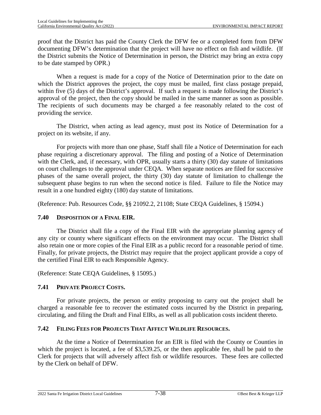proof that the District has paid the County Clerk the DFW fee or a completed form from DFW documenting DFW's determination that the project will have no effect on fish and wildlife. (If the District submits the Notice of Determination in person, the District may bring an extra copy to be date stamped by OPR.)

When a request is made for a copy of the Notice of Determination prior to the date on which the District approves the project, the copy must be mailed, first class postage prepaid, within five (5) days of the District's approval. If such a request is made following the District's approval of the project, then the copy should be mailed in the same manner as soon as possible. The recipients of such documents may be charged a fee reasonably related to the cost of providing the service.

The District, when acting as lead agency, must post its Notice of Determination for a project on its website, if any.

For projects with more than one phase, Staff shall file a Notice of Determination for each phase requiring a discretionary approval. The filing and posting of a Notice of Determination with the Clerk, and, if necessary, with OPR, usually starts a thirty (30) day statute of limitations on court challenges to the approval under CEQA. When separate notices are filed for successive phases of the same overall project, the thirty (30) day statute of limitation to challenge the subsequent phase begins to run when the second notice is filed. Failure to file the Notice may result in a one hundred eighty (180) day statute of limitations.

(Reference: Pub. Resources Code, §§ 21092.2, 21108; State CEQA Guidelines, § 15094.)

## **7.40 DISPOSITION OF A FINAL EIR.**

The District shall file a copy of the Final EIR with the appropriate planning agency of any city or county where significant effects on the environment may occur. The District shall also retain one or more copies of the Final EIR as a public record for a reasonable period of time. Finally, for private projects, the District may require that the project applicant provide a copy of the certified Final EIR to each Responsible Agency.

(Reference: State CEQA Guidelines, § 15095.)

## **7.41 PRIVATE PROJECT COSTS.**

For private projects, the person or entity proposing to carry out the project shall be charged a reasonable fee to recover the estimated costs incurred by the District in preparing, circulating, and filing the Draft and Final EIRs, as well as all publication costs incident thereto.

## <span id="page-133-0"></span>**7.42 FILING FEES FOR PROJECTS THAT AFFECT WILDLIFE RESOURCES.**

At the time a Notice of Determination for an EIR is filed with the County or Counties in which the project is located, a fee of \$3,539.25, or the then applicable fee, shall be paid to the Clerk for projects that will adversely affect fish or wildlife resources. These fees are collected by the Clerk on behalf of DFW.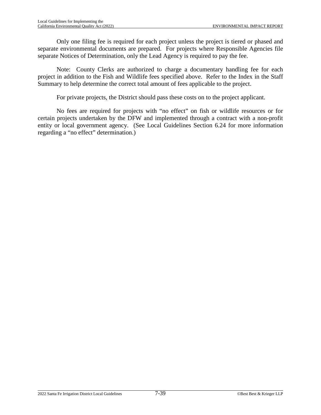Only one filing fee is required for each project unless the project is tiered or phased and separate environmental documents are prepared. For projects where Responsible Agencies file separate Notices of Determination, only the Lead Agency is required to pay the fee.

Note: County Clerks are authorized to charge a documentary handling fee for each project in addition to the Fish and Wildlife fees specified above. Refer to the Index in the Staff Summary to help determine the correct total amount of fees applicable to the project.

For private projects, the District should pass these costs on to the project applicant.

No fees are required for projects with "no effect" on fish or wildlife resources or for certain projects undertaken by the DFW and implemented through a contract with a non-profit entity or local government agency. (See Local Guidelines Section [6.24](#page-93-0) for more information regarding a "no effect" determination.)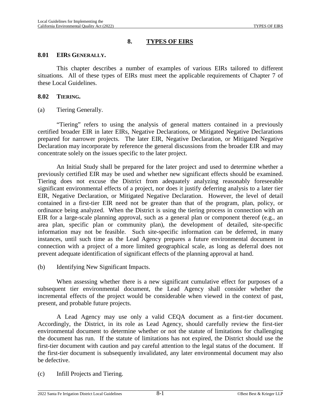### **8. TYPES OF EIRS**

#### **8.01 EIRS GENERALLY.**

This chapter describes a number of examples of various EIRs tailored to different situations. All of these types of EIRs must meet the applicable requirements of Chapter 7 of these Local Guidelines.

#### <span id="page-135-0"></span>**8.02 TIERING.**

(a) Tiering Generally.

"Tiering" refers to using the analysis of general matters contained in a previously certified broader EIR in later EIRs, Negative Declarations, or Mitigated Negative Declarations prepared for narrower projects. The later EIR, Negative Declaration, or Mitigated Negative Declaration may incorporate by reference the general discussions from the broader EIR and may concentrate solely on the issues specific to the later project.

An Initial Study shall be prepared for the later project and used to determine whether a previously certified EIR may be used and whether new significant effects should be examined. Tiering does not excuse the District from adequately analyzing reasonably foreseeable significant environmental effects of a project, nor does it justify deferring analysis to a later tier EIR, Negative Declaration, or Mitigated Negative Declaration. However, the level of detail contained in a first-tier EIR need not be greater than that of the program, plan, policy, or ordinance being analyzed. When the District is using the tiering process in connection with an EIR for a large-scale planning approval, such as a general plan or component thereof (e.g., an area plan, specific plan or community plan), the development of detailed, site-specific information may not be feasible. Such site-specific information can be deferred, in many instances, until such time as the Lead Agency prepares a future environmental document in connection with a project of a more limited geographical scale, as long as deferral does not prevent adequate identification of significant effects of the planning approval at hand.

(b) Identifying New Significant Impacts.

When assessing whether there is a new significant cumulative effect for purposes of a subsequent tier environmental document, the Lead Agency shall consider whether the incremental effects of the project would be considerable when viewed in the context of past, present, and probable future projects.

A Lead Agency may use only a valid CEQA document as a first-tier document. Accordingly, the District, in its role as Lead Agency, should carefully review the first-tier environmental document to determine whether or not the statute of limitations for challenging the document has run. If the statute of limitations has not expired, the District should use the first-tier document with caution and pay careful attention to the legal status of the document. If the first-tier document is subsequently invalidated, any later environmental document may also be defective.

(c) Infill Projects and Tiering.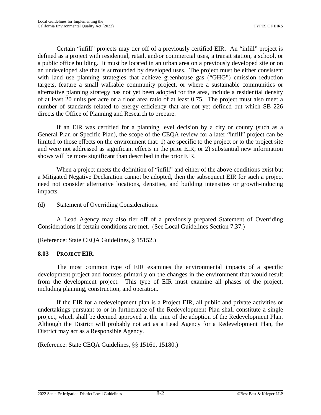Certain "infill" projects may tier off of a previously certified EIR. An "infill" project is defined as a project with residential, retail, and/or commercial uses, a transit station, a school, or a public office building. It must be located in an urban area on a previously developed site or on an undeveloped site that is surrounded by developed uses. The project must be either consistent with land use planning strategies that achieve greenhouse gas ("GHG") emission reduction targets, feature a small walkable community project, or where a sustainable communities or alternative planning strategy has not yet been adopted for the area, include a residential density of at least 20 units per acre or a floor area ratio of at least 0.75. The project must also meet a number of standards related to energy efficiency that are not yet defined but which SB 226 directs the Office of Planning and Research to prepare.

If an EIR was certified for a planning level decision by a city or county (such as a General Plan or Specific Plan), the scope of the CEQA review for a later "infill" project can be limited to those effects on the environment that: 1) are specific to the project or to the project site and were not addressed as significant effects in the prior EIR; or 2) substantial new information shows will be more significant than described in the prior EIR.

When a project meets the definition of "infill" and either of the above conditions exist but a Mitigated Negative Declaration cannot be adopted, then the subsequent EIR for such a project need not consider alternative locations, densities, and building intensities or growth-inducing impacts.

(d) Statement of Overriding Considerations.

A Lead Agency may also tier off of a previously prepared Statement of Overriding Considerations if certain conditions are met. (See Local Guidelines Section [7.37](#page-129-0).)

(Reference: State CEQA Guidelines, § 15152.)

## **8.03 PROJECT EIR.**

The most common type of EIR examines the environmental impacts of a specific development project and focuses primarily on the changes in the environment that would result from the development project. This type of EIR must examine all phases of the project, including planning, construction, and operation.

If the EIR for a redevelopment plan is a Project EIR, all public and private activities or undertakings pursuant to or in furtherance of the Redevelopment Plan shall constitute a single project, which shall be deemed approved at the time of the adoption of the Redevelopment Plan. Although the District will probably not act as a Lead Agency for a Redevelopment Plan, the District may act as a Responsible Agency.

(Reference: State CEQA Guidelines, §§ 15161, 15180.)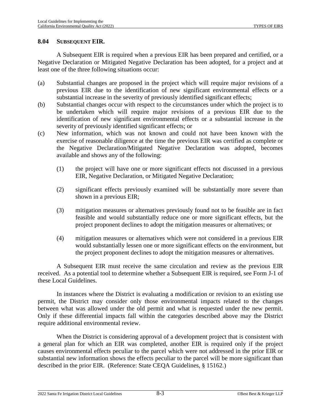#### <span id="page-137-0"></span>**8.04 SUBSEQUENT EIR.**

A Subsequent EIR is required when a previous EIR has been prepared and certified, or a Negative Declaration or Mitigated Negative Declaration has been adopted, for a project and at least one of the three following situations occur:

- (a) Substantial changes are proposed in the project which will require major revisions of a previous EIR due to the identification of new significant environmental effects or a substantial increase in the severity of previously identified significant effects;
- (b) Substantial changes occur with respect to the circumstances under which the project is to be undertaken which will require major revisions of a previous EIR due to the identification of new significant environmental effects or a substantial increase in the severity of previously identified significant effects; or
- (c) New information, which was not known and could not have been known with the exercise of reasonable diligence at the time the previous EIR was certified as complete or the Negative Declaration/Mitigated Negative Declaration was adopted, becomes available and shows any of the following:
	- (1) the project will have one or more significant effects not discussed in a previous EIR, Negative Declaration, or Mitigated Negative Declaration;
	- (2) significant effects previously examined will be substantially more severe than shown in a previous EIR;
	- (3) mitigation measures or alternatives previously found not to be feasible are in fact feasible and would substantially reduce one or more significant effects, but the project proponent declines to adopt the mitigation measures or alternatives; or
	- (4) mitigation measures or alternatives which were not considered in a previous EIR would substantially lessen one or more significant effects on the environment, but the project proponent declines to adopt the mitigation measures or alternatives.

A Subsequent EIR must receive the same circulation and review as the previous EIR received. As a potential tool to determine whether a Subsequent EIR is required, see Form J-1 of these Local Guidelines.

In instances where the District is evaluating a modification or revision to an existing use permit, the District may consider only those environmental impacts related to the changes between what was allowed under the old permit and what is requested under the new permit. Only if these differential impacts fall within the categories described above may the District require additional environmental review.

When the District is considering approval of a development project that is consistent with a general plan for which an EIR was completed, another EIR is required only if the project causes environmental effects peculiar to the parcel which were not addressed in the prior EIR or substantial new information shows the effects peculiar to the parcel will be more significant than described in the prior EIR. (Reference: State CEQA Guidelines, § 15162.)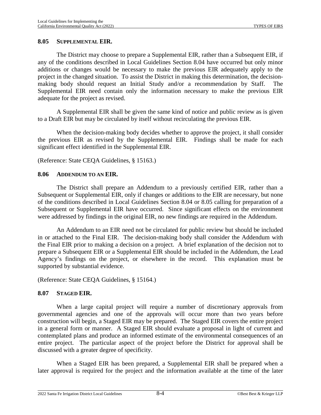#### <span id="page-138-0"></span>**8.05 SUPPLEMENTAL EIR.**

The District may choose to prepare a Supplemental EIR, rather than a Subsequent EIR, if any of the conditions described in Local Guidelines Section [8.04](#page-137-0) have occurred but only minor additions or changes would be necessary to make the previous EIR adequately apply to the project in the changed situation. To assist the District in making this determination, the decisionmaking body should request an Initial Study and/or a recommendation by Staff. Supplemental EIR need contain only the information necessary to make the previous EIR adequate for the project as revised.

A Supplemental EIR shall be given the same kind of notice and public review as is given to a Draft EIR but may be circulated by itself without recirculating the previous EIR.

When the decision-making body decides whether to approve the project, it shall consider the previous EIR as revised by the Supplemental EIR. Findings shall be made for each significant effect identified in the Supplemental EIR.

(Reference: State CEQA Guidelines, § 15163.)

#### **8.06 ADDENDUM TO AN EIR.**

The District shall prepare an Addendum to a previously certified EIR, rather than a Subsequent or Supplemental EIR, only if changes or additions to the EIR are necessary, but none of the conditions described in Local Guidelines Section [8.04](#page-137-0) or [8.05](#page-138-0) calling for preparation of a Subsequent or Supplemental EIR have occurred. Since significant effects on the environment were addressed by findings in the original EIR, no new findings are required in the Addendum.

An Addendum to an EIR need not be circulated for public review but should be included in or attached to the Final EIR. The decision-making body shall consider the Addendum with the Final EIR prior to making a decision on a project. A brief explanation of the decision not to prepare a Subsequent EIR or a Supplemental EIR should be included in the Addendum, the Lead Agency's findings on the project, or elsewhere in the record. This explanation must be supported by substantial evidence.

(Reference: State CEQA Guidelines, § 15164.)

## **8.07 STAGED EIR.**

When a large capital project will require a number of discretionary approvals from governmental agencies and one of the approvals will occur more than two years before construction will begin, a Staged EIR may be prepared. The Staged EIR covers the entire project in a general form or manner. A Staged EIR should evaluate a proposal in light of current and contemplated plans and produce an informed estimate of the environmental consequences of an entire project. The particular aspect of the project before the District for approval shall be discussed with a greater degree of specificity.

When a Staged EIR has been prepared, a Supplemental EIR shall be prepared when a later approval is required for the project and the information available at the time of the later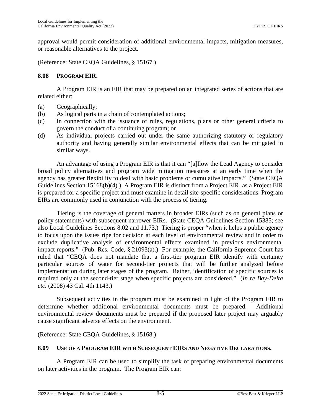approval would permit consideration of additional environmental impacts, mitigation measures, or reasonable alternatives to the project.

(Reference: State CEQA Guidelines, § 15167.)

#### **8.08 PROGRAM EIR.**

A Program EIR is an EIR that may be prepared on an integrated series of actions that are related either:

- (a) Geographically;
- (b) As logical parts in a chain of contemplated actions;
- (c) In connection with the issuance of rules, regulations, plans or other general criteria to govern the conduct of a continuing program; or
- (d) As individual projects carried out under the same authorizing statutory or regulatory authority and having generally similar environmental effects that can be mitigated in similar ways.

An advantage of using a Program EIR is that it can "[a]llow the Lead Agency to consider broad policy alternatives and program wide mitigation measures at an early time when the agency has greater flexibility to deal with basic problems or cumulative impacts." (State CEQA Guidelines Section 15168(b)(4).) A Program EIR is distinct from a Project EIR, as a Project EIR is prepared for a specific project and must examine in detail site-specific considerations. Program EIRs are commonly used in conjunction with the process of tiering.

Tiering is the coverage of general matters in broader EIRs (such as on general plans or policy statements) with subsequent narrower EIRs. (State CEQA Guidelines Section 15385; see also Local Guidelines Sections [8.02](#page-135-0) and [11.73](#page-187-0).) Tiering is proper "when it helps a public agency to focus upon the issues ripe for decision at each level of environmental review and in order to exclude duplicative analysis of environmental effects examined in previous environmental impact reports." (Pub. Res. Code, § 21093(a).) For example, the California Supreme Court has ruled that "CEQA does not mandate that a first-tier program EIR identify with certainty particular sources of water for second-tier projects that will be further analyzed before implementation during later stages of the program. Rather, identification of specific sources is required only at the second-tier stage when specific projects are considered." (*In re Bay-Delta etc*. (2008) 43 Cal. 4th 1143.)

Subsequent activities in the program must be examined in light of the Program EIR to determine whether additional environmental documents must be prepared. Additional environmental review documents must be prepared if the proposed later project may arguably cause significant adverse effects on the environment.

(Reference: State CEQA Guidelines, § 15168.)

#### **8.09 USE OF A PROGRAM EIR WITH SUBSEQUENT EIRS AND NEGATIVE DECLARATIONS.**

A Program EIR can be used to simplify the task of preparing environmental documents on later activities in the program. The Program EIR can: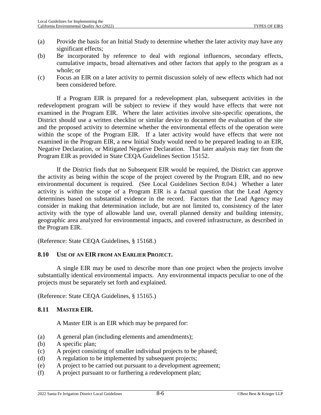- (a) Provide the basis for an Initial Study to determine whether the later activity may have any significant effects;
- (b) Be incorporated by reference to deal with regional influences, secondary effects, cumulative impacts, broad alternatives and other factors that apply to the program as a whole; or
- (c) Focus an EIR on a later activity to permit discussion solely of new effects which had not been considered before.

If a Program EIR is prepared for a redevelopment plan, subsequent activities in the redevelopment program will be subject to review if they would have effects that were not examined in the Program EIR. Where the later activities involve site-specific operations, the District should use a written checklist or similar device to document the evaluation of the site and the proposed activity to determine whether the environmental effects of the operation were within the scope of the Program EIR. If a later activity would have effects that were not examined in the Program EIR, a new Initial Study would need to be prepared leading to an EIR, Negative Declaration, or Mitigated Negative Declaration. That later analysis may tier from the Program EIR as provided in State CEQA Guidelines Section 15152.

If the District finds that no Subsequent EIR would be required, the District can approve the activity as being within the scope of the project covered by the Program EIR, and no new environmental document is required. (See Local Guidelines Section [8.04](#page-137-0).) Whether a later activity is within the scope of a Program EIR is a factual question that the Lead Agency determines based on substantial evidence in the record. Factors that the Lead Agency may consider in making that determination include, but are not limited to, consistency of the later activity with the type of allowable land use, overall planned density and building intensity, geographic area analyzed for environmental impacts, and covered infrastructure, as described in the Program EIR.

(Reference: State CEQA Guidelines, § 15168.)

#### **8.10 USE OF AN EIR FROM AN EARLIER PROJECT.**

A single EIR may be used to describe more than one project when the projects involve substantially identical environmental impacts. Any environmental impacts peculiar to one of the projects must be separately set forth and explained.

(Reference: State CEQA Guidelines, § 15165.)

#### **8.11 MASTER EIR.**

A Master EIR is an EIR which may be prepared for:

- (a) A general plan (including elements and amendments);
- (b) A specific plan;
- (c) A project consisting of smaller individual projects to be phased;
- (d) A regulation to be implemented by subsequent projects;
- (e) A project to be carried out pursuant to a development agreement;
- (f) A project pursuant to or furthering a redevelopment plan;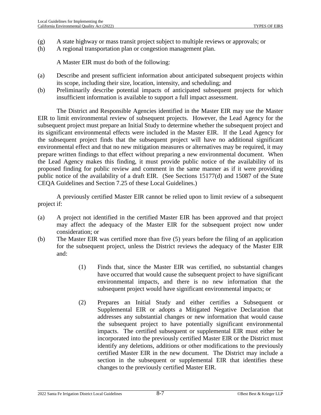- (g) A state highway or mass transit project subject to multiple reviews or approvals; or
- (h) A regional transportation plan or congestion management plan.

A Master EIR must do both of the following:

- (a) Describe and present sufficient information about anticipated subsequent projects within its scope, including their size, location, intensity, and scheduling; and
- (b) Preliminarily describe potential impacts of anticipated subsequent projects for which insufficient information is available to support a full impact assessment.

The District and Responsible Agencies identified in the Master EIR may use the Master EIR to limit environmental review of subsequent projects. However, the Lead Agency for the subsequent project must prepare an Initial Study to determine whether the subsequent project and its significant environmental effects were included in the Master EIR. If the Lead Agency for the subsequent project finds that the subsequent project will have no additional significant environmental effect and that no new mitigation measures or alternatives may be required, it may prepare written findings to that effect without preparing a new environmental document. When the Lead Agency makes this finding, it must provide public notice of the availability of its proposed finding for public review and comment in the same manner as if it were providing public notice of the availability of a draft EIR. (See Sections 15177(d) and 15087 of the State CEQA Guidelines and Section [7.25](#page-118-1) of these Local Guidelines.)

A previously certified Master EIR cannot be relied upon to limit review of a subsequent project if:

- (a) A project not identified in the certified Master EIR has been approved and that project may affect the adequacy of the Master EIR for the subsequent project now under consideration; or
- (b) The Master EIR was certified more than five (5) years before the filing of an application for the subsequent project, unless the District reviews the adequacy of the Master EIR and:
	- (1) Finds that, since the Master EIR was certified, no substantial changes have occurred that would cause the subsequent project to have significant environmental impacts, and there is no new information that the subsequent project would have significant environmental impacts; or
	- (2) Prepares an Initial Study and either certifies a Subsequent or Supplemental EIR or adopts a Mitigated Negative Declaration that addresses any substantial changes or new information that would cause the subsequent project to have potentially significant environmental impacts. The certified subsequent or supplemental EIR must either be incorporated into the previously certified Master EIR or the District must identify any deletions, additions or other modifications to the previously certified Master EIR in the new document. The District may include a section in the subsequent or supplemental EIR that identifies these changes to the previously certified Master EIR.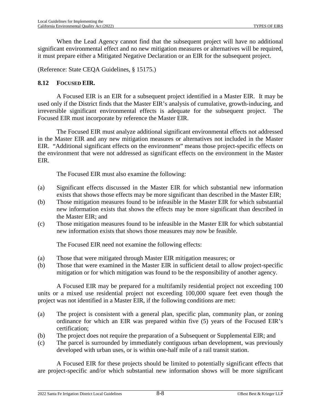When the Lead Agency cannot find that the subsequent project will have no additional significant environmental effect and no new mitigation measures or alternatives will be required, it must prepare either a Mitigated Negative Declaration or an EIR for the subsequent project.

(Reference: State CEQA Guidelines, § 15175.)

### **8.12 FOCUSED EIR.**

A Focused EIR is an EIR for a subsequent project identified in a Master EIR. It may be used only if the District finds that the Master EIR's analysis of cumulative, growth-inducing, and irreversible significant environmental effects is adequate for the subsequent project. The Focused EIR must incorporate by reference the Master EIR.

The Focused EIR must analyze additional significant environmental effects not addressed in the Master EIR and any new mitigation measures or alternatives not included in the Master EIR. "Additional significant effects on the environment" means those project-specific effects on the environment that were not addressed as significant effects on the environment in the Master EIR.

The Focused EIR must also examine the following:

- (a) Significant effects discussed in the Master EIR for which substantial new information exists that shows those effects may be more significant than described in the Master EIR;
- (b) Those mitigation measures found to be infeasible in the Master EIR for which substantial new information exists that shows the effects may be more significant than described in the Master EIR; and
- (c) Those mitigation measures found to be infeasible in the Master EIR for which substantial new information exists that shows those measures may now be feasible.

The Focused EIR need not examine the following effects:

- (a) Those that were mitigated through Master EIR mitigation measures; or
- (b) Those that were examined in the Master EIR in sufficient detail to allow project-specific mitigation or for which mitigation was found to be the responsibility of another agency.

A Focused EIR may be prepared for a multifamily residential project not exceeding 100 units or a mixed use residential project not exceeding 100,000 square feet even though the project was not identified in a Master EIR, if the following conditions are met:

- (a) The project is consistent with a general plan, specific plan, community plan, or zoning ordinance for which an EIR was prepared within five (5) years of the Focused EIR's certification;
- (b) The project does not require the preparation of a Subsequent or Supplemental EIR; and
- (c) The parcel is surrounded by immediately contiguous urban development, was previously developed with urban uses, or is within one-half mile of a rail transit station.

A Focused EIR for these projects should be limited to potentially significant effects that are project-specific and/or which substantial new information shows will be more significant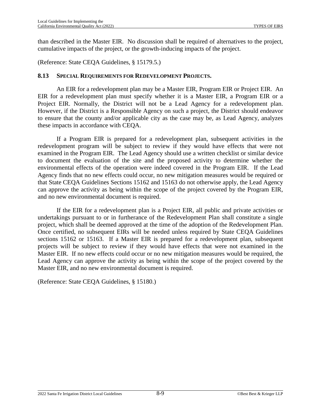than described in the Master EIR. No discussion shall be required of alternatives to the project, cumulative impacts of the project, or the growth-inducing impacts of the project.

(Reference: State CEQA Guidelines, § 15179.5.)

#### **8.13 SPECIAL REQUIREMENTS FOR REDEVELOPMENT PROJECTS.**

An EIR for a redevelopment plan may be a Master EIR, Program EIR or Project EIR. An EIR for a redevelopment plan must specify whether it is a Master EIR, a Program EIR or a Project EIR. Normally, the District will not be a Lead Agency for a redevelopment plan. However, if the District is a Responsible Agency on such a project, the District should endeavor to ensure that the county and/or applicable city as the case may be, as Lead Agency, analyzes these impacts in accordance with CEQA.

If a Program EIR is prepared for a redevelopment plan, subsequent activities in the redevelopment program will be subject to review if they would have effects that were not examined in the Program EIR. The Lead Agency should use a written checklist or similar device to document the evaluation of the site and the proposed activity to determine whether the environmental effects of the operation were indeed covered in the Program EIR. If the Lead Agency finds that no new effects could occur, no new mitigation measures would be required or that State CEQA Guidelines Sections 15162 and 15163 do not otherwise apply, the Lead Agency can approve the activity as being within the scope of the project covered by the Program EIR, and no new environmental document is required.

If the EIR for a redevelopment plan is a Project EIR, all public and private activities or undertakings pursuant to or in furtherance of the Redevelopment Plan shall constitute a single project, which shall be deemed approved at the time of the adoption of the Redevelopment Plan. Once certified, no subsequent EIRs will be needed unless required by State CEQA Guidelines sections 15162 or 15163. If a Master EIR is prepared for a redevelopment plan, subsequent projects will be subject to review if they would have effects that were not examined in the Master EIR. If no new effects could occur or no new mitigation measures would be required, the Lead Agency can approve the activity as being within the scope of the project covered by the Master EIR, and no new environmental document is required.

(Reference: State CEQA Guidelines, § 15180.)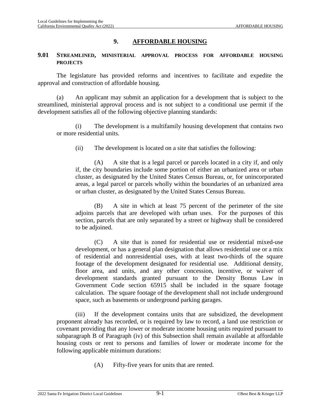#### **9. AFFORDABLE HOUSING**

#### **9.01 STREAMLINED, MINISTERIAL APPROVAL PROCESS FOR AFFORDABLE HOUSING PROJECTS**

The legislature has provided reforms and incentives to facilitate and expedite the approval and construction of affordable housing.

(a) An applicant may submit an application for a development that is subject to the streamlined, ministerial approval process and is not subject to a conditional use permit if the development satisfies all of the following objective planning standards:

(i) The development is a multifamily housing development that contains two or more residential units.

(ii) The development is located on a site that satisfies the following:

(A) A site that is a legal parcel or parcels located in a city if, and only if, the city boundaries include some portion of either an urbanized area or urban cluster, as designated by the United States Census Bureau, or, for unincorporated areas, a legal parcel or parcels wholly within the boundaries of an urbanized area or urban cluster, as designated by the United States Census Bureau.

(B) A site in which at least 75 percent of the perimeter of the site adjoins parcels that are developed with urban uses. For the purposes of this section, parcels that are only separated by a street or highway shall be considered to be adjoined.

(C) A site that is zoned for residential use or residential mixed-use development, or has a general plan designation that allows residential use or a mix of residential and nonresidential uses, with at least two-thirds of the square footage of the development designated for residential use. Additional density, floor area, and units, and any other concession, incentive, or waiver of development standards granted pursuant to the Density Bonus Law in Government Code section 65915 shall be included in the square footage calculation. The square footage of the development shall not include underground space, such as basements or underground parking garages.

(iii) If the development contains units that are subsidized, the development proponent already has recorded, or is required by law to record, a land use restriction or covenant providing that any lower or moderate income housing units required pursuant to subparagraph B of Paragraph (iv) of this Subsection shall remain available at affordable housing costs or rent to persons and families of lower or moderate income for the following applicable minimum durations:

(A) Fifty-five years for units that are rented.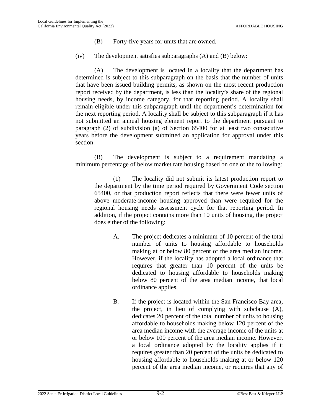- (B) Forty-five years for units that are owned.
- (iv) The development satisfies subparagraphs (A) and (B) below:

(A) The development is located in a locality that the department has determined is subject to this subparagraph on the basis that the number of units that have been issued building permits, as shown on the most recent production report received by the department, is less than the locality's share of the regional housing needs, by income category, for that reporting period. A locality shall remain eligible under this subparagraph until the department's determination for the next reporting period. A locality shall be subject to this subparagraph if it has not submitted an annual housing element report to the department pursuant to paragraph (2) of subdivision (a) of Section 65400 for at least two consecutive years before the development submitted an application for approval under this section.

(B) The development is subject to a requirement mandating a minimum percentage of below market rate housing based on one of the following:

(1) The locality did not submit its latest production report to the department by the time period required by Government Code section 65400, or that production report reflects that there were fewer units of above moderate-income housing approved than were required for the regional housing needs assessment cycle for that reporting period. In addition, if the project contains more than 10 units of housing, the project does either of the following:

- A. The project dedicates a minimum of 10 percent of the total number of units to housing affordable to households making at or below 80 percent of the area median income. However, if the locality has adopted a local ordinance that requires that greater than 10 percent of the units be dedicated to housing affordable to households making below 80 percent of the area median income, that local ordinance applies.
- B. If the project is located within the San Francisco Bay area, the project, in lieu of complying with subclause (A), dedicates 20 percent of the total number of units to housing affordable to households making below 120 percent of the area median income with the average income of the units at or below 100 percent of the area median income. However, a local ordinance adopted by the locality applies if it requires greater than 20 percent of the units be dedicated to housing affordable to households making at or below 120 percent of the area median income, or requires that any of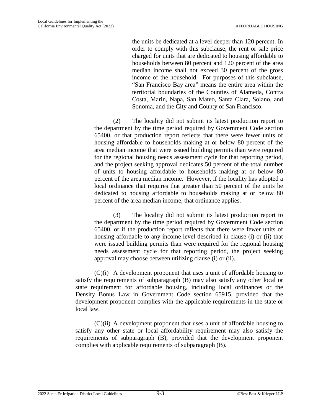the units be dedicated at a level deeper than 120 percent. In order to comply with this subclause, the rent or sale price charged for units that are dedicated to housing affordable to households between 80 percent and 120 percent of the area median income shall not exceed 30 percent of the gross income of the household. For purposes of this subclause, "San Francisco Bay area" means the entire area within the territorial boundaries of the Counties of Alameda, Contra Costa, Marin, Napa, San Mateo, Santa Clara, Solano, and Sonoma, and the City and County of San Francisco.

(2) The locality did not submit its latest production report to the department by the time period required by Government Code section 65400, or that production report reflects that there were fewer units of housing affordable to households making at or below 80 percent of the area median income that were issued building permits than were required for the regional housing needs assessment cycle for that reporting period, and the project seeking approval dedicates 50 percent of the total number of units to housing affordable to households making at or below 80 percent of the area median income. However, if the locality has adopted a local ordinance that requires that greater than 50 percent of the units be dedicated to housing affordable to households making at or below 80 percent of the area median income, that ordinance applies.

(3) The locality did not submit its latest production report to the department by the time period required by Government Code section 65400, or if the production report reflects that there were fewer units of housing affordable to any income level described in clause (i) or (ii) that were issued building permits than were required for the regional housing needs assessment cycle for that reporting period, the project seeking approval may choose between utilizing clause (i) or (ii).

(C)(i) A development proponent that uses a unit of affordable housing to satisfy the requirements of subparagraph (B) may also satisfy any other local or state requirement for affordable housing, including local ordinances or the Density Bonus Law in Government Code section 65915, provided that the development proponent complies with the applicable requirements in the state or local law.

(C)(ii) A development proponent that uses a unit of affordable housing to satisfy any other state or local affordability requirement may also satisfy the requirements of subparagraph (B), provided that the development proponent complies with applicable requirements of subparagraph (B).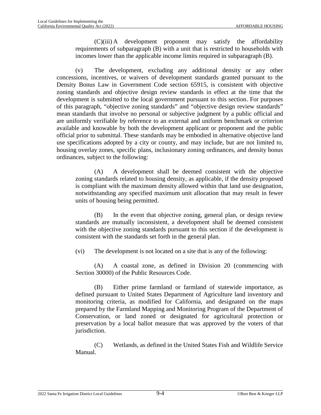(C)(iii) A development proponent may satisfy the affordability requirements of subparagraph (B) with a unit that is restricted to households with incomes lower than the applicable income limits required in subparagraph (B).

(v) The development, excluding any additional density or any other concessions, incentives, or waivers of development standards granted pursuant to the Density Bonus Law in Government Code section 65915, is consistent with objective zoning standards and objective design review standards in effect at the time that the development is submitted to the local government pursuant to this section. For purposes of this paragraph, "objective zoning standards" and "objective design review standards" mean standards that involve no personal or subjective judgment by a public official and are uniformly verifiable by reference to an external and uniform benchmark or criterion available and knowable by both the development applicant or proponent and the public official prior to submittal. These standards may be embodied in alternative objective land use specifications adopted by a city or county, and may include, but are not limited to, housing overlay zones, specific plans, inclusionary zoning ordinances, and density bonus ordinances, subject to the following:

(A) A development shall be deemed consistent with the objective zoning standards related to housing density, as applicable, if the density proposed is compliant with the maximum density allowed within that land use designation, notwithstanding any specified maximum unit allocation that may result in fewer units of housing being permitted.

(B) In the event that objective zoning, general plan, or design review standards are mutually inconsistent, a development shall be deemed consistent with the objective zoning standards pursuant to this section if the development is consistent with the standards set forth in the general plan.

(vi) The development is not located on a site that is any of the following:

(A) A coastal zone, as defined in Division 20 (commencing with Section 30000) of the Public Resources Code.

(B) Either prime farmland or farmland of statewide importance, as defined pursuant to United States Department of Agriculture land inventory and monitoring criteria, as modified for California, and designated on the maps prepared by the Farmland Mapping and Monitoring Program of the Department of Conservation, or land zoned or designated for agricultural protection or preservation by a local ballot measure that was approved by the voters of that jurisdiction.

(C) Wetlands, as defined in the United States Fish and Wildlife Service Manual.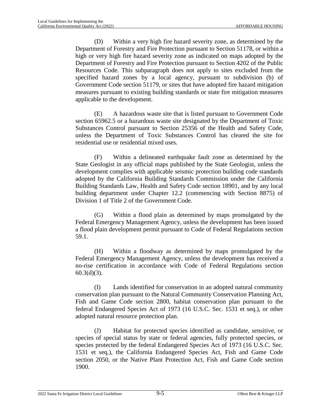(D) Within a very high fire hazard severity zone, as determined by the Department of Forestry and Fire Protection pursuant to Section 51178, or within a high or very high fire hazard severity zone as indicated on maps adopted by the Department of Forestry and Fire Protection pursuant to Section 4202 of the Public Resources Code. This subparagraph does not apply to sites excluded from the specified hazard zones by a local agency, pursuant to subdivision (b) of Government Code section 51179, or sites that have adopted fire hazard mitigation measures pursuant to existing building standards or state fire mitigation measures applicable to the development.

(E) A hazardous waste site that is listed pursuant to Government Code section 65962.5 or a hazardous waste site designated by the Department of Toxic Substances Control pursuant to Section 25356 of the Health and Safety Code, unless the Department of Toxic Substances Control has cleared the site for residential use or residential mixed uses.

(F) Within a delineated earthquake fault zone as determined by the State Geologist in any official maps published by the State Geologist, unless the development complies with applicable seismic protection building code standards adopted by the California Building Standards Commission under the California Building Standards Law, Health and Safety Code section 18901, and by any local building department under Chapter 12.2 (commencing with Section 8875) of Division 1 of Title 2 of the Government Code.

(G) Within a flood plain as determined by maps promulgated by the Federal Emergency Management Agency, unless the development has been issued a flood plain development permit pursuant to Code of Federal Regulations section 59.1.

(H) Within a floodway as determined by maps promulgated by the Federal Emergency Management Agency, unless the development has received a no-rise certification in accordance with Code of Federal Regulations section  $60.3(d)(3)$ .

(I) Lands identified for conservation in an adopted natural community conservation plan pursuant to the Natural Community Conservation Planning Act, Fish and Game Code section 2800, habitat conservation plan pursuant to the federal Endangered Species Act of 1973 (16 U.S.C. Sec. 1531 et seq.), or other adopted natural resource protection plan.

(J) Habitat for protected species identified as candidate, sensitive, or species of special status by state or federal agencies, fully protected species, or species protected by the federal Endangered Species Act of 1973 (16 U.S.C. Sec. 1531 et seq.), the California Endangered Species Act, Fish and Game Code section 2050, or the Native Plant Protection Act, Fish and Game Code section 1900.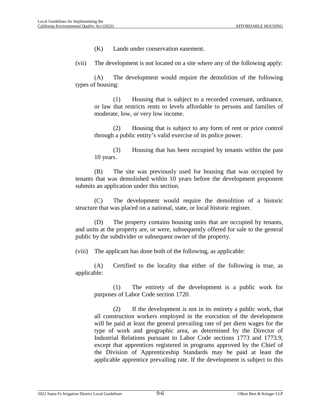(K) Lands under conservation easement.

(vii) The development is not located on a site where any of the following apply:

(A) The development would require the demolition of the following types of housing:

(1) Housing that is subject to a recorded covenant, ordinance, or law that restricts rents to levels affordable to persons and families of moderate, low, or very low income.

(2) Housing that is subject to any form of rent or price control through a public entity's valid exercise of its police power.

(3) Housing that has been occupied by tenants within the past 10 years.

(B) The site was previously used for housing that was occupied by tenants that was demolished within 10 years before the development proponent submits an application under this section.

(C) The development would require the demolition of a historic structure that was placed on a national, state, or local historic register.

(D) The property contains housing units that are occupied by tenants, and units at the property are, or were, subsequently offered for sale to the general public by the subdivider or subsequent owner of the property.

(viii) The applicant has done both of the following, as applicable:

(A) Certified to the locality that either of the following is true, as applicable:

(1) The entirety of the development is a public work for purposes of Labor Code section 1720.

(2) If the development is not in its entirety a public work, that all construction workers employed in the execution of the development will be paid at least the general prevailing rate of per diem wages for the type of work and geographic area, as determined by the Director of Industrial Relations pursuant to Labor Code sections 1773 and 1773.9, except that apprentices registered in programs approved by the Chief of the Division of Apprenticeship Standards may be paid at least the applicable apprentice prevailing rate. If the development is subject to this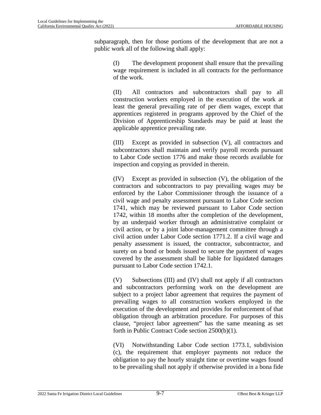subparagraph, then for those portions of the development that are not a public work all of the following shall apply:

(I) The development proponent shall ensure that the prevailing wage requirement is included in all contracts for the performance of the work.

(II) All contractors and subcontractors shall pay to all construction workers employed in the execution of the work at least the general prevailing rate of per diem wages, except that apprentices registered in programs approved by the Chief of the Division of Apprenticeship Standards may be paid at least the applicable apprentice prevailing rate.

(III) Except as provided in subsection (V), all contractors and subcontractors shall maintain and verify payroll records pursuant to Labor Code section 1776 and make those records available for inspection and copying as provided in therein.

(IV) Except as provided in subsection (V), the obligation of the contractors and subcontractors to pay prevailing wages may be enforced by the Labor Commissioner through the issuance of a civil wage and penalty assessment pursuant to Labor Code section 1741, which may be reviewed pursuant to Labor Code section 1742, within 18 months after the completion of the development, by an underpaid worker through an administrative complaint or civil action, or by a joint labor-management committee through a civil action under Labor Code section 1771.2. If a civil wage and penalty assessment is issued, the contractor, subcontractor, and surety on a bond or bonds issued to secure the payment of wages covered by the assessment shall be liable for liquidated damages pursuant to Labor Code section 1742.1.

(V) Subsections (III) and (IV) shall not apply if all contractors and subcontractors performing work on the development are subject to a project labor agreement that requires the payment of prevailing wages to all construction workers employed in the execution of the development and provides for enforcement of that obligation through an arbitration procedure. For purposes of this clause, "project labor agreement" has the same meaning as set forth in Public Contract Code section 2500(b)(1).

(VI) Notwithstanding Labor Code section 1773.1, subdivision (c), the requirement that employer payments not reduce the obligation to pay the hourly straight time or overtime wages found to be prevailing shall not apply if otherwise provided in a bona fide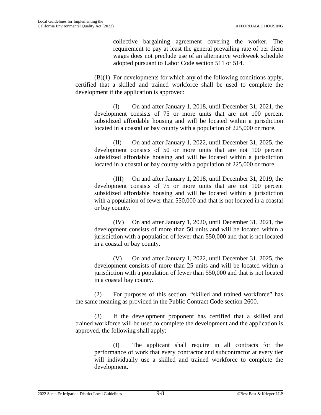collective bargaining agreement covering the worker. The requirement to pay at least the general prevailing rate of per diem wages does not preclude use of an alternative workweek schedule adopted pursuant to Labor Code section 511 or 514.

(B)(1) For developments for which any of the following conditions apply, certified that a skilled and trained workforce shall be used to complete the development if the application is approved:

(I) On and after January 1, 2018, until December 31, 2021, the development consists of 75 or more units that are not 100 percent subsidized affordable housing and will be located within a jurisdiction located in a coastal or bay county with a population of 225,000 or more.

(II) On and after January 1, 2022, until December 31, 2025, the development consists of 50 or more units that are not 100 percent subsidized affordable housing and will be located within a jurisdiction located in a coastal or bay county with a population of 225,000 or more.

(III) On and after January 1, 2018, until December 31, 2019, the development consists of 75 or more units that are not 100 percent subsidized affordable housing and will be located within a jurisdiction with a population of fewer than 550,000 and that is not located in a coastal or bay county.

(IV) On and after January 1, 2020, until December 31, 2021, the development consists of more than 50 units and will be located within a jurisdiction with a population of fewer than 550,000 and that is not located in a coastal or bay county.

(V) On and after January 1, 2022, until December 31, 2025, the development consists of more than 25 units and will be located within a jurisdiction with a population of fewer than 550,000 and that is not located in a coastal bay county.

(2) For purposes of this section, "skilled and trained workforce" has the same meaning as provided in the Public Contract Code section 2600.

(3) If the development proponent has certified that a skilled and trained workforce will be used to complete the development and the application is approved, the following shall apply:

(I) The applicant shall require in all contracts for the performance of work that every contractor and subcontractor at every tier will individually use a skilled and trained workforce to complete the development.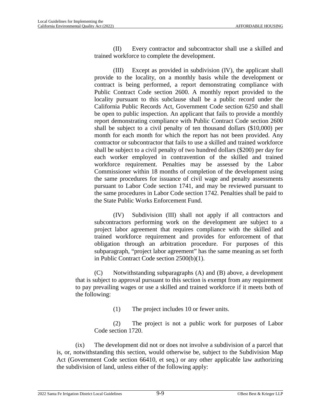(II) Every contractor and subcontractor shall use a skilled and trained workforce to complete the development.

(III) Except as provided in subdivision (IV), the applicant shall provide to the locality, on a monthly basis while the development or contract is being performed, a report demonstrating compliance with Public Contract Code section 2600. A monthly report provided to the locality pursuant to this subclause shall be a public record under the California Public Records Act, Government Code section 6250 and shall be open to public inspection. An applicant that fails to provide a monthly report demonstrating compliance with Public Contract Code section 2600 shall be subject to a civil penalty of ten thousand dollars (\$10,000) per month for each month for which the report has not been provided. Any contractor or subcontractor that fails to use a skilled and trained workforce shall be subject to a civil penalty of two hundred dollars (\$200) per day for each worker employed in contravention of the skilled and trained workforce requirement. Penalties may be assessed by the Labor Commissioner within 18 months of completion of the development using the same procedures for issuance of civil wage and penalty assessments pursuant to Labor Code section 1741, and may be reviewed pursuant to the same procedures in Labor Code section 1742. Penalties shall be paid to the State Public Works Enforcement Fund.

(IV) Subdivision (III) shall not apply if all contractors and subcontractors performing work on the development are subject to a project labor agreement that requires compliance with the skilled and trained workforce requirement and provides for enforcement of that obligation through an arbitration procedure. For purposes of this subparagraph, "project labor agreement" has the same meaning as set forth in Public Contract Code section 2500(b)(1).

(C) Notwithstanding subparagraphs (A) and (B) above, a development that is subject to approval pursuant to this section is exempt from any requirement to pay prevailing wages or use a skilled and trained workforce if it meets both of the following:

(1) The project includes 10 or fewer units.

(2) The project is not a public work for purposes of Labor Code section 1720.

(ix) The development did not or does not involve a subdivision of a parcel that is, or, notwithstanding this section, would otherwise be, subject to the Subdivision Map Act (Government Code section 66410, et seq.) or any other applicable law authorizing the subdivision of land, unless either of the following apply: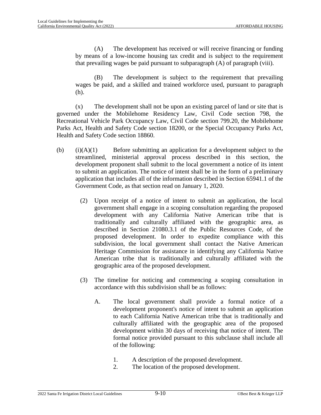(A) The development has received or will receive financing or funding by means of a low-income housing tax credit and is subject to the requirement that prevailing wages be paid pursuant to subparagraph (A) of paragraph (viii).

(B) The development is subject to the requirement that prevailing wages be paid, and a skilled and trained workforce used, pursuant to paragraph (h).

(x) The development shall not be upon an existing parcel of land or site that is governed under the Mobilehome Residency Law, Civil Code section 798, the Recreational Vehicle Park Occupancy Law, Civil Code section 799.20, the Mobilehome Parks Act, Health and Safety Code section 18200, or the Special Occupancy Parks Act, Health and Safety Code section 18860.

- (b)  $(i)(A)(1)$  Before submitting an application for a development subject to the streamlined, ministerial approval process described in this section, the development proponent shall submit to the local government a notice of its intent to submit an application. The notice of intent shall be in the form of a preliminary application that includes all of the information described in Section 65941.1 of the Government Code, as that section read on January 1, 2020.
	- (2) Upon receipt of a notice of intent to submit an application, the local government shall engage in a scoping consultation regarding the proposed development with any California Native American tribe that is traditionally and culturally affiliated with the geographic area, as described in Section 21080.3.1 of the Public Resources Code, of the proposed development. In order to expedite compliance with this subdivision, the local government shall contact the Native American Heritage Commission for assistance in identifying any California Native American tribe that is traditionally and culturally affiliated with the geographic area of the proposed development.
	- (3) The timeline for noticing and commencing a scoping consultation in accordance with this subdivision shall be as follows:
		- A. The local government shall provide a formal notice of a development proponent's notice of intent to submit an application to each California Native American tribe that is traditionally and culturally affiliated with the geographic area of the proposed development within 30 days of receiving that notice of intent. The formal notice provided pursuant to this subclause shall include all of the following:
			- 1. A description of the proposed development.
			- 2. The location of the proposed development.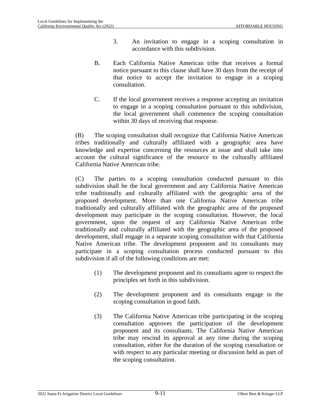- 3. An invitation to engage in a scoping consultation in accordance with this subdivision.
- B. Each California Native American tribe that receives a formal notice pursuant to this clause shall have 30 days from the receipt of that notice to accept the invitation to engage in a scoping consultation.
- C. If the local government receives a response accepting an invitation to engage in a scoping consultation pursuant to this subdivision, the local government shall commence the scoping consultation within 30 days of receiving that response.

(B) The scoping consultation shall recognize that California Native American tribes traditionally and culturally affiliated with a geographic area have knowledge and expertise concerning the resources at issue and shall take into account the cultural significance of the resource to the culturally affiliated California Native American tribe.

(C) The parties to a scoping consultation conducted pursuant to this subdivision shall be the local government and any California Native American tribe traditionally and culturally affiliated with the geographic area of the proposed development. More than one California Native American tribe traditionally and culturally affiliated with the geographic area of the proposed development may participate in the scoping consultation. However, the local government, upon the request of any California Native American tribe traditionally and culturally affiliated with the geographic area of the proposed development, shall engage in a separate scoping consultation with that California Native American tribe. The development proponent and its consultants may participate in a scoping consultation process conducted pursuant to this subdivision if all of the following conditions are met:

- (1) The development proponent and its consultants agree to respect the principles set forth in this subdivision.
- (2) The development proponent and its consultants engage in the scoping consultation in good faith.
- (3) The California Native American tribe participating in the scoping consultation approves the participation of the development proponent and its consultants. The California Native American tribe may rescind its approval at any time during the scoping consultation, either for the duration of the scoping consultation or with respect to any particular meeting or discussion held as part of the scoping consultation.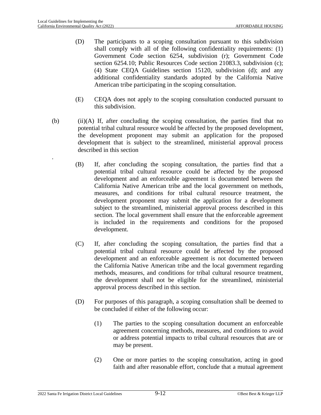.

- (D) The participants to a scoping consultation pursuant to this subdivision shall comply with all of the following confidentiality requirements: (1) Government Code section 6254, subdivision (r); Government Code section 6254.10; Public Resources Code section 21083.3, subdivision (c); (4) State CEQA Guidelines section 15120, subdivision (d); and any additional confidentiality standards adopted by the California Native American tribe participating in the scoping consultation.
- (E) CEQA does not apply to the scoping consultation conducted pursuant to this subdivision.
- (b) (ii)(A) If, after concluding the scoping consultation, the parties find that no potential tribal cultural resource would be affected by the proposed development, the development proponent may submit an application for the proposed development that is subject to the streamlined, ministerial approval process described in this section
	- (B) If, after concluding the scoping consultation, the parties find that a potential tribal cultural resource could be affected by the proposed development and an enforceable agreement is documented between the California Native American tribe and the local government on methods, measures, and conditions for tribal cultural resource treatment, the development proponent may submit the application for a development subject to the streamlined, ministerial approval process described in this section. The local government shall ensure that the enforceable agreement is included in the requirements and conditions for the proposed development.
	- (C) If, after concluding the scoping consultation, the parties find that a potential tribal cultural resource could be affected by the proposed development and an enforceable agreement is not documented between the California Native American tribe and the local government regarding methods, measures, and conditions for tribal cultural resource treatment, the development shall not be eligible for the streamlined, ministerial approval process described in this section.
	- (D) For purposes of this paragraph, a scoping consultation shall be deemed to be concluded if either of the following occur:
		- (1) The parties to the scoping consultation document an enforceable agreement concerning methods, measures, and conditions to avoid or address potential impacts to tribal cultural resources that are or may be present.
		- (2) One or more parties to the scoping consultation, acting in good faith and after reasonable effort, conclude that a mutual agreement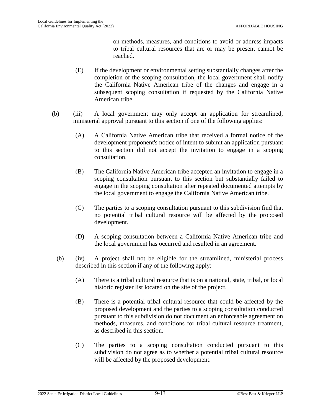on methods, measures, and conditions to avoid or address impacts to tribal cultural resources that are or may be present cannot be reached.

- (E) If the development or environmental setting substantially changes after the completion of the scoping consultation, the local government shall notify the California Native American tribe of the changes and engage in a subsequent scoping consultation if requested by the California Native American tribe.
- (b) (iii) A local government may only accept an application for streamlined, ministerial approval pursuant to this section if one of the following applies:
	- (A) A California Native American tribe that received a formal notice of the development proponent's notice of intent to submit an application pursuant to this section did not accept the invitation to engage in a scoping consultation.
	- (B) The California Native American tribe accepted an invitation to engage in a scoping consultation pursuant to this section but substantially failed to engage in the scoping consultation after repeated documented attempts by the local government to engage the California Native American tribe.
	- (C) The parties to a scoping consultation pursuant to this subdivision find that no potential tribal cultural resource will be affected by the proposed development.
	- (D) A scoping consultation between a California Native American tribe and the local government has occurred and resulted in an agreement.
	- (b) (iv) A project shall not be eligible for the streamlined, ministerial process described in this section if any of the following apply:
		- (A) There is a tribal cultural resource that is on a national, state, tribal, or local historic register list located on the site of the project.
		- (B) There is a potential tribal cultural resource that could be affected by the proposed development and the parties to a scoping consultation conducted pursuant to this subdivision do not document an enforceable agreement on methods, measures, and conditions for tribal cultural resource treatment, as described in this section.
		- (C) The parties to a scoping consultation conducted pursuant to this subdivision do not agree as to whether a potential tribal cultural resource will be affected by the proposed development.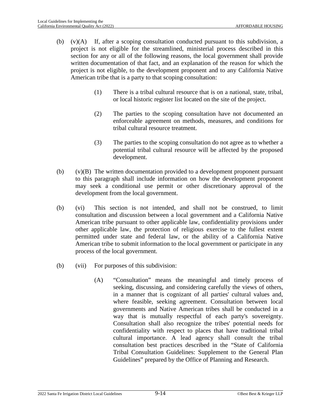- (b) (v)(A) If, after a scoping consultation conducted pursuant to this subdivision, a project is not eligible for the streamlined, ministerial process described in this section for any or all of the following reasons, the local government shall provide written documentation of that fact, and an explanation of the reason for which the project is not eligible, to the development proponent and to any California Native American tribe that is a party to that scoping consultation:
	- (1) There is a tribal cultural resource that is on a national, state, tribal, or local historic register list located on the site of the project.
	- (2) The parties to the scoping consultation have not documented an enforceable agreement on methods, measures, and conditions for tribal cultural resource treatment.
	- (3) The parties to the scoping consultation do not agree as to whether a potential tribal cultural resource will be affected by the proposed development.
- (b)  $(v)(B)$  The written documentation provided to a development proponent pursuant to this paragraph shall include information on how the development proponent may seek a conditional use permit or other discretionary approval of the development from the local government.
- (b) (vi) This section is not intended, and shall not be construed, to limit consultation and discussion between a local government and a California Native American tribe pursuant to other applicable law, confidentiality provisions under other applicable law, the protection of religious exercise to the fullest extent permitted under state and federal law, or the ability of a California Native American tribe to submit information to the local government or participate in any process of the local government.
- (b) (vii) For purposes of this subdivision:
	- (A) "Consultation" means the meaningful and timely process of seeking, discussing, and considering carefully the views of others, in a manner that is cognizant of all parties' cultural values and, where feasible, seeking agreement. Consultation between local governments and Native American tribes shall be conducted in a way that is mutually respectful of each party's sovereignty. Consultation shall also recognize the tribes' potential needs for confidentiality with respect to places that have traditional tribal cultural importance. A lead agency shall consult the tribal consultation best practices described in the "State of California Tribal Consultation Guidelines: Supplement to the General Plan Guidelines" prepared by the Office of Planning and Research.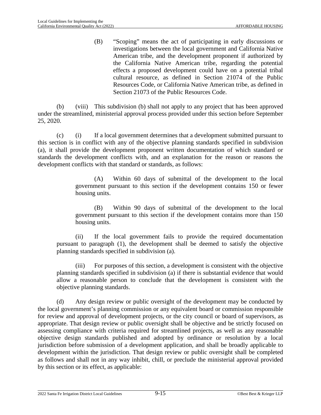(B) "Scoping" means the act of participating in early discussions or investigations between the local government and California Native American tribe, and the development proponent if authorized by the California Native American tribe, regarding the potential effects a proposed development could have on a potential tribal cultural resource, as defined in Section 21074 of the Public Resources Code, or California Native American tribe, as defined in Section 21073 of the Public Resources Code.

(b) (viii) This subdivision (b) shall not apply to any project that has been approved under the streamlined, ministerial approval process provided under this section before September 25, 2020.

(c) (i) If a local government determines that a development submitted pursuant to this section is in conflict with any of the objective planning standards specified in subdivision (a), it shall provide the development proponent written documentation of which standard or standards the development conflicts with, and an explanation for the reason or reasons the development conflicts with that standard or standards, as follows:

> (A) Within 60 days of submittal of the development to the local government pursuant to this section if the development contains 150 or fewer housing units.

> (B) Within 90 days of submittal of the development to the local government pursuant to this section if the development contains more than 150 housing units.

(ii) If the local government fails to provide the required documentation pursuant to paragraph (1), the development shall be deemed to satisfy the objective planning standards specified in subdivision (a).

(iii) For purposes of this section, a development is consistent with the objective planning standards specified in subdivision (a) if there is substantial evidence that would allow a reasonable person to conclude that the development is consistent with the objective planning standards.

(d) Any design review or public oversight of the development may be conducted by the local government's planning commission or any equivalent board or commission responsible for review and approval of development projects, or the city council or board of supervisors, as appropriate. That design review or public oversight shall be objective and be strictly focused on assessing compliance with criteria required for streamlined projects, as well as any reasonable objective design standards published and adopted by ordinance or resolution by a local jurisdiction before submission of a development application, and shall be broadly applicable to development within the jurisdiction. That design review or public oversight shall be completed as follows and shall not in any way inhibit, chill, or preclude the ministerial approval provided by this section or its effect, as applicable: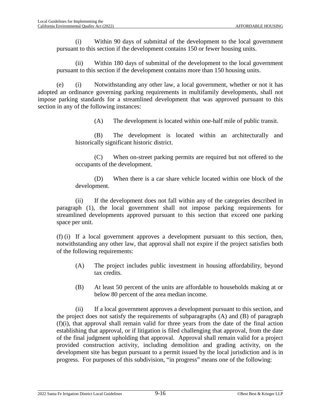(i) Within 90 days of submittal of the development to the local government pursuant to this section if the development contains 150 or fewer housing units.

(ii) Within 180 days of submittal of the development to the local government pursuant to this section if the development contains more than 150 housing units.

(e) (i) Notwithstanding any other law, a local government, whether or not it has adopted an ordinance governing parking requirements in multifamily developments, shall not impose parking standards for a streamlined development that was approved pursuant to this section in any of the following instances:

(A) The development is located within one-half mile of public transit.

(B) The development is located within an architecturally and historically significant historic district.

(C) When on-street parking permits are required but not offered to the occupants of the development.

(D) When there is a car share vehicle located within one block of the development.

(ii) If the development does not fall within any of the categories described in paragraph (1), the local government shall not impose parking requirements for streamlined developments approved pursuant to this section that exceed one parking space per unit.

(f) (i) If a local government approves a development pursuant to this section, then, notwithstanding any other law, that approval shall not expire if the project satisfies both of the following requirements:

- (A) The project includes public investment in housing affordability, beyond tax credits.
- (B) At least 50 percent of the units are affordable to households making at or below 80 percent of the area median income.

(ii) If a local government approves a development pursuant to this section, and the project does not satisfy the requirements of subparagraphs (A) and (B) of paragraph (f)(i), that approval shall remain valid for three years from the date of the final action establishing that approval, or if litigation is filed challenging that approval, from the date of the final judgment upholding that approval. Approval shall remain valid for a project provided construction activity, including demolition and grading activity, on the development site has begun pursuant to a permit issued by the local jurisdiction and is in progress. For purposes of this subdivision, "in progress" means one of the following: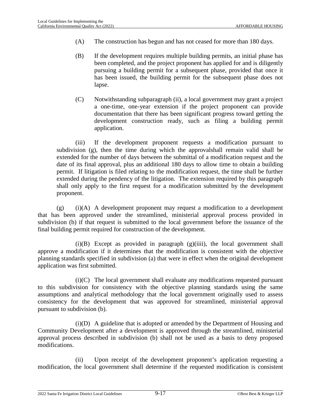- (A) The construction has begun and has not ceased for more than 180 days.
- (B) If the development requires multiple building permits, an initial phase has been completed, and the project proponent has applied for and is diligently pursuing a building permit for a subsequent phase, provided that once it has been issued, the building permit for the subsequent phase does not lapse.
- (C) Notwithstanding subparagraph (ii), a local government may grant a project a one-time, one-year extension if the project proponent can provide documentation that there has been significant progress toward getting the development construction ready, such as filing a building permit application.

(iii) If the development proponent requests a modification pursuant to subdivision (g), then the time during which the approvalshall remain valid shall be extended for the number of days between the submittal of a modification request and the date of its final approval, plus an additional 180 days to allow time to obtain a building permit. If litigation is filed relating to the modification request, the time shall be further extended during the pendency of the litigation. The extension required by this paragraph shall only apply to the first request for a modification submitted by the development proponent.

(g) (i)(A) A development proponent may request a modification to a development that has been approved under the streamlined, ministerial approval process provided in subdivision (b) if that request is submitted to the local government before the issuance of the final building permit required for construction of the development.

 $(i)(B)$  Except as provided in paragraph  $(g)(iii)$ , the local government shall approve a modification if it determines that the modification is consistent with the objective planning standards specified in subdivision (a) that were in effect when the original development application was first submitted.

(i)(C) The local government shall evaluate any modifications requested pursuant to this subdivision for consistency with the objective planning standards using the same assumptions and analytical methodology that the local government originally used to assess consistency for the development that was approved for streamlined, ministerial approval pursuant to subdivision (b).

(i)(D) A guideline that is adopted or amended by the Department of Housing and Community Development after a development is approved through the streamlined, ministerial approval process described in subdivision (b) shall not be used as a basis to deny proposed modifications.

(ii) Upon receipt of the development proponent's application requesting a modification, the local government shall determine if the requested modification is consistent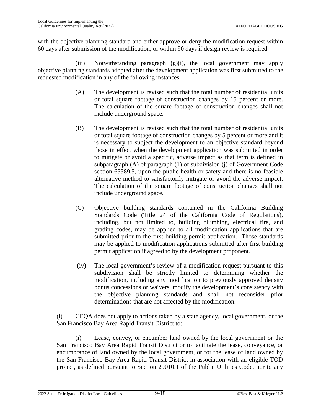with the objective planning standard and either approve or deny the modification request within 60 days after submission of the modification, or within 90 days if design review is required.

(iii) Notwithstanding paragraph (g)(i), the local government may apply objective planning standards adopted after the development application was first submitted to the requested modification in any of the following instances:

- (A) The development is revised such that the total number of residential units or total square footage of construction changes by 15 percent or more. The calculation of the square footage of construction changes shall not include underground space.
- (B) The development is revised such that the total number of residential units or total square footage of construction changes by 5 percent or more and it is necessary to subject the development to an objective standard beyond those in effect when the development application was submitted in order to mitigate or avoid a specific, adverse impact as that term is defined in subparagraph (A) of paragraph (1) of subdivision (j) of Government Code section 65589.5, upon the public health or safety and there is no feasible alternative method to satisfactorily mitigate or avoid the adverse impact. The calculation of the square footage of construction changes shall not include underground space.
- (C) Objective building standards contained in the California Building Standards Code (Title 24 of the California Code of Regulations), including, but not limited to, building plumbing, electrical fire, and grading codes, may be applied to all modification applications that are submitted prior to the first building permit application. Those standards may be applied to modification applications submitted after first building permit application if agreed to by the development proponent.
- (iv) The local government's review of a modification request pursuant to this subdivision shall be strictly limited to determining whether the modification, including any modification to previously approved density bonus concessions or waivers, modify the development's consistency with the objective planning standards and shall not reconsider prior determinations that are not affected by the modification.

(i) CEQA does not apply to actions taken by a state agency, local government, or the San Francisco Bay Area Rapid Transit District to:

(i) Lease, convey, or encumber land owned by the local government or the San Francisco Bay Area Rapid Transit District or to facilitate the lease, conveyance, or encumbrance of land owned by the local government, or for the lease of land owned by the San Francisco Bay Area Rapid Transit District in association with an eligible TOD project, as defined pursuant to Section 29010.1 of the Public Utilities Code, nor to any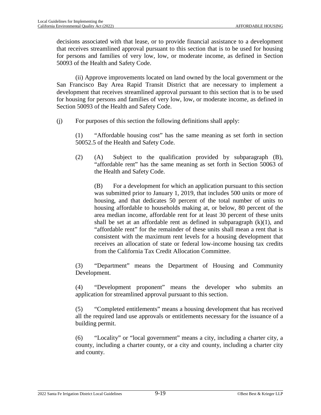decisions associated with that lease, or to provide financial assistance to a development that receives streamlined approval pursuant to this section that is to be used for housing for persons and families of very low, low, or moderate income, as defined in Section 50093 of the Health and Safety Code.

(ii) Approve improvements located on land owned by the local government or the San Francisco Bay Area Rapid Transit District that are necessary to implement a development that receives streamlined approval pursuant to this section that is to be used for housing for persons and families of very low, low, or moderate income, as defined in Section 50093 of the Health and Safety Code.

(j) For purposes of this section the following definitions shall apply:

(1) "Affordable housing cost" has the same meaning as set forth in section 50052.5 of the Health and Safety Code.

(2) (A) Subject to the qualification provided by subparagraph (B), "affordable rent" has the same meaning as set forth in Section 50063 of the Health and Safety Code.

(B) For a development for which an application pursuant to this section was submitted prior to January 1, 2019, that includes 500 units or more of housing, and that dedicates 50 percent of the total number of units to housing affordable to households making at, or below, 80 percent of the area median income, affordable rent for at least 30 percent of these units shall be set at an affordable rent as defined in subparagraph  $(k)(1)$ , and "affordable rent" for the remainder of these units shall mean a rent that is consistent with the maximum rent levels for a housing development that receives an allocation of state or federal low-income housing tax credits from the California Tax Credit Allocation Committee.

(3) "Department" means the Department of Housing and Community Development.

(4) "Development proponent" means the developer who submits an application for streamlined approval pursuant to this section.

(5) "Completed entitlements" means a housing development that has received all the required land use approvals or entitlements necessary for the issuance of a building permit.

(6) "Locality" or "local government" means a city, including a charter city, a county, including a charter county, or a city and county, including a charter city and county.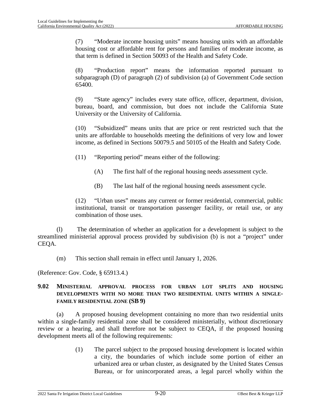(7) "Moderate income housing units" means housing units with an affordable housing cost or affordable rent for persons and families of moderate income, as that term is defined in Section 50093 of the Health and Safety Code.

(8) "Production report" means the information reported pursuant to subparagraph (D) of paragraph (2) of subdivision (a) of Government Code section 65400.

(9) "State agency" includes every state office, officer, department, division, bureau, board, and commission, but does not include the California State University or the University of California.

(10) "Subsidized" means units that are price or rent restricted such that the units are affordable to households meeting the definitions of very low and lower income, as defined in Sections 50079.5 and 50105 of the Health and Safety Code.

(11) "Reporting period" means either of the following:

- (A) The first half of the regional housing needs assessment cycle.
- (B) The last half of the regional housing needs assessment cycle.

(12) "Urban uses" means any current or former residential, commercial, public institutional, transit or transportation passenger facility, or retail use, or any combination of those uses.

(l) The determination of whether an application for a development is subject to the streamlined ministerial approval process provided by subdivision (b) is not a "project" under CEQA.

(m) This section shall remain in effect until January 1, 2026.

(Reference: Gov. Code, § 65913.4.)

## **9.02 MINISTERIAL APPROVAL PROCESS FOR URBAN LOT SPLITS AND HOUSING DEVELOPMENTS WITH NO MORE THAN TWO RESIDENTIAL UNITS WITHIN A SINGLE-FAMILY RESIDENTIAL ZONE (SB 9)**

(a) A proposed housing development containing no more than two residential units within a single-family residential zone shall be considered ministerially, without discretionary review or a hearing, and shall therefore not be subject to CEQA, if the proposed housing development meets all of the following requirements:

> (1) The parcel subject to the proposed housing development is located within a city, the boundaries of which include some portion of either an urbanized area or urban cluster, as designated by the United States Census Bureau, or for unincorporated areas, a legal parcel wholly within the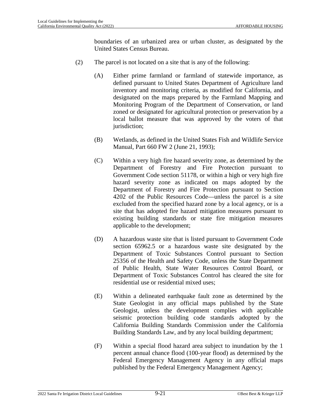boundaries of an urbanized area or urban cluster, as designated by the United States Census Bureau.

- (2) The parcel is not located on a site that is any of the following:
	- (A) Either prime farmland or farmland of statewide importance, as defined pursuant to United States Department of Agriculture land inventory and monitoring criteria, as modified for California, and designated on the maps prepared by the Farmland Mapping and Monitoring Program of the Department of Conservation, or land zoned or designated for agricultural protection or preservation by a local ballot measure that was approved by the voters of that jurisdiction;
	- (B) Wetlands, as defined in the United States Fish and Wildlife Service Manual, Part 660 FW 2 (June 21, 1993);
	- (C) Within a very high fire hazard severity zone, as determined by the Department of Forestry and Fire Protection pursuant to Government Code section 51178, or within a high or very high fire hazard severity zone as indicated on maps adopted by the Department of Forestry and Fire Protection pursuant to Section 4202 of the Public Resources Code—unless the parcel is a site excluded from the specified hazard zone by a local agency, or is a site that has adopted fire hazard mitigation measures pursuant to existing building standards or state fire mitigation measures applicable to the development;
	- (D) A hazardous waste site that is listed pursuant to Government Code section 65962.5 or a hazardous waste site designated by the Department of Toxic Substances Control pursuant to Section 25356 of the Health and Safety Code, unless the State Department of Public Health, State Water Resources Control Board, or Department of Toxic Substances Control has cleared the site for residential use or residential mixed uses;
	- (E) Within a delineated earthquake fault zone as determined by the State Geologist in any official maps published by the State Geologist, unless the development complies with applicable seismic protection building code standards adopted by the California Building Standards Commission under the California Building Standards Law, and by any local building department;
	- (F) Within a special flood hazard area subject to inundation by the 1 percent annual chance flood (100-year flood) as determined by the Federal Emergency Management Agency in any official maps published by the Federal Emergency Management Agency;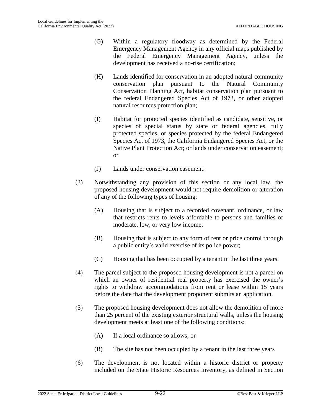- (G) Within a regulatory floodway as determined by the Federal Emergency Management Agency in any official maps published by the Federal Emergency Management Agency, unless the development has received a no-rise certification;
- (H) Lands identified for conservation in an adopted natural community conservation plan pursuant to the Natural Community Conservation Planning Act, habitat conservation plan pursuant to the federal Endangered Species Act of 1973, or other adopted natural resources protection plan;
- (I) Habitat for protected species identified as candidate, sensitive, or species of special status by state or federal agencies, fully protected species, or species protected by the federal Endangered Species Act of 1973, the California Endangered Species Act, or the Native Plant Protection Act; or lands under conservation easement; or
- (J) Lands under conservation easement.
- (3) Notwithstanding any provision of this section or any local law, the proposed housing development would not require demolition or alteration of any of the following types of housing:
	- (A) Housing that is subject to a recorded covenant, ordinance, or law that restricts rents to levels affordable to persons and families of moderate, low, or very low income;
	- (B) Housing that is subject to any form of rent or price control through a public entity's valid exercise of its police power;
	- (C) Housing that has been occupied by a tenant in the last three years.
- (4) The parcel subject to the proposed housing development is not a parcel on which an owner of residential real property has exercised the owner's rights to withdraw accommodations from rent or lease within 15 years before the date that the development proponent submits an application.
- (5) The proposed housing development does not allow the demolition of more than 25 percent of the existing exterior structural walls, unless the housing development meets at least one of the following conditions:
	- (A) If a local ordinance so allows; or
	- (B) The site has not been occupied by a tenant in the last three years
- (6) The development is not located within a historic district or property included on the State Historic Resources Inventory, as defined in Section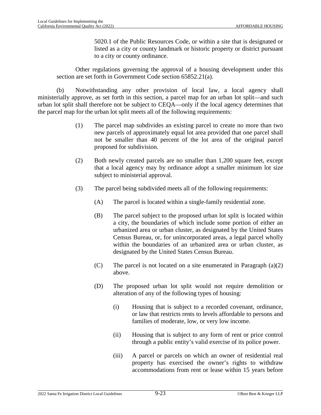5020.1 of the Public Resources Code, or within a site that is designated or listed as a city or county landmark or historic property or district pursuant to a city or county ordinance.

Other regulations governing the approval of a housing development under this section are set forth in Government Code section 65852.21(a).

(b) Notwithstanding any other provision of local law, a local agency shall ministerially approve, as set forth in this section, a parcel map for an urban lot split—and such urban lot split shall therefore not be subject to CEQA—only if the local agency determines that the parcel map for the urban lot split meets all of the following requirements:

- (1) The parcel map subdivides an existing parcel to create no more than two new parcels of approximately equal lot area provided that one parcel shall not be smaller than 40 percent of the lot area of the original parcel proposed for subdivision.
- (2) Both newly created parcels are no smaller than 1,200 square feet, except that a local agency may by ordinance adopt a smaller minimum lot size subject to ministerial approval.
- (3) The parcel being subdivided meets all of the following requirements:
	- (A) The parcel is located within a single-family residential zone.
	- (B) The parcel subject to the proposed urban lot split is located within a city, the boundaries of which include some portion of either an urbanized area or urban cluster, as designated by the United States Census Bureau, or, for unincorporated areas, a legal parcel wholly within the boundaries of an urbanized area or urban cluster, as designated by the United States Census Bureau.
	- (C) The parcel is not located on a site enumerated in Paragraph (a)(2) above.
	- (D) The proposed urban lot split would not require demolition or alteration of any of the following types of housing:
		- (i) Housing that is subject to a recorded covenant, ordinance, or law that restricts rents to levels affordable to persons and families of moderate, low, or very low income.
		- (ii) Housing that is subject to any form of rent or price control through a public entity's valid exercise of its police power.
		- (iii) A parcel or parcels on which an owner of residential real property has exercised the owner's rights to withdraw accommodations from rent or lease within 15 years before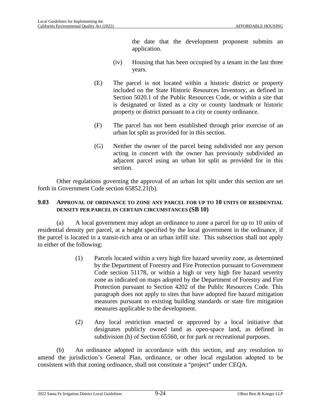the date that the development proponent submits an application.

- (iv) Housing that has been occupied by a tenant in the last three years.
- (E) The parcel is not located within a historic district or property included on the State Historic Resources Inventory, as defined in Section 5020.1 of the Public Resources Code, or within a site that is designated or listed as a city or county landmark or historic property or district pursuant to a city or county ordinance.
- (F) The parcel has not been established through prior exercise of an urban lot split as provided for in this section.
- (G) Neither the owner of the parcel being subdivided nor any person acting in concert with the owner has previously subdivided an adjacent parcel using an urban lot split as provided for in this section.

Other regulations governing the approval of an urban lot split under this section are set forth in Government Code section 65852.21(b).

#### **9.03 APPROVAL OF ORDINANCE TO ZONE ANY PARCEL FOR UP TO 10 UNITS OF RESIDENTIAL DENSITY PER PARCEL IN CERTAIN CIRCUMSTANCES (SB 10)**

(a) A local government may adopt an ordinance to zone a parcel for up to 10 units of residential density per parcel, at a height specified by the local government in the ordinance, if the parcel is located in a transit-rich area or an urban infill site. This subsection shall not apply to either of the following:

- (1) Parcels located within a very high fire hazard severity zone, as determined by the Department of Forestry and Fire Protection pursuant to Government Code section 51178, or within a high or very high fire hazard severity zone as indicated on maps adopted by the Department of Forestry and Fire Protection pursuant to Section 4202 of the Public Resources Code. This paragraph does not apply to sites that have adopted fire hazard mitigation measures pursuant to existing building standards or state fire mitigation measures applicable to the development.
- (2) Any local restriction enacted or approved by a local initiative that designates publicly owned land as open-space land, as defined in subdivision (h) of Section 65560, or for park or recreational purposes.

(b) An ordinance adopted in accordance with this section, and any resolution to amend the jurisdiction's General Plan, ordinance, or other local regulation adopted to be consistent with that zoning ordinance, shall not constitute a "project" under CEQA.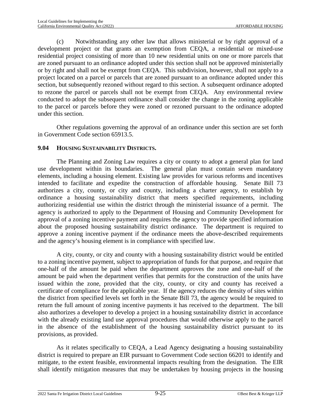(c) Notwithstanding any other law that allows ministerial or by right approval of a development project or that grants an exemption from CEQA, a residential or mixed-use residential project consisting of more than 10 new residential units on one or more parcels that are zoned pursuant to an ordinance adopted under this section shall not be approved ministerially or by right and shall not be exempt from CEQA. This subdivision, however, shall not apply to a project located on a parcel or parcels that are zoned pursuant to an ordinance adopted under this section, but subsequently rezoned without regard to this section. A subsequent ordinance adopted to rezone the parcel or parcels shall not be exempt from CEQA. Any environmental review conducted to adopt the subsequent ordinance shall consider the change in the zoning applicable to the parcel or parcels before they were zoned or rezoned pursuant to the ordinance adopted under this section.

Other regulations governing the approval of an ordinance under this section are set forth in Government Code section 65913.5.

## **9.04 HOUSING SUSTAINABILITY DISTRICTS.**

The Planning and Zoning Law requires a city or county to adopt a general plan for land use development within its boundaries. The general plan must contain seven mandatory elements, including a housing element. Existing law provides for various reforms and incentives intended to facilitate and expedite the construction of affordable housing. Senate Bill 73 authorizes a city, county, or city and county, including a charter agency, to establish by ordinance a housing sustainability district that meets specified requirements, including authorizing residential use within the district through the ministerial issuance of a permit. The agency is authorized to apply to the Department of Housing and Community Development for approval of a zoning incentive payment and requires the agency to provide specified information about the proposed housing sustainability district ordinance. The department is required to approve a zoning incentive payment if the ordinance meets the above-described requirements and the agency's housing element is in compliance with specified law.

A city, county, or city and county with a housing sustainability district would be entitled to a zoning incentive payment, subject to appropriation of funds for that purpose, and require that one-half of the amount be paid when the department approves the zone and one-half of the amount be paid when the department verifies that permits for the construction of the units have issued within the zone, provided that the city, county, or city and county has received a certificate of compliance for the applicable year. If the agency reduces the density of sites within the district from specified levels set forth in the Senate Bill 73, the agency would be required to return the full amount of zoning incentive payments it has received to the department. The bill also authorizes a developer to develop a project in a housing sustainability district in accordance with the already existing land use approval procedures that would otherwise apply to the parcel in the absence of the establishment of the housing sustainability district pursuant to its provisions, as provided.

As it relates specifically to CEQA, a Lead Agency designating a housing sustainability district is required to prepare an EIR pursuant to Government Code section 66201 to identify and mitigate, to the extent feasible, environmental impacts resulting from the designation. The EIR shall identify mitigation measures that may be undertaken by housing projects in the housing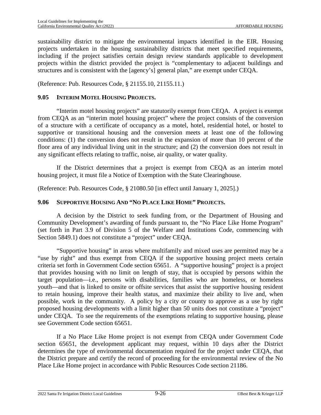sustainability district to mitigate the environmental impacts identified in the EIR. Housing projects undertaken in the housing sustainability districts that meet specified requirements, including if the project satisfies certain design review standards applicable to development projects within the district provided the project is "complementary to adjacent buildings and structures and is consistent with the [agency's] general plan," are exempt under CEQA.

(Reference: Pub. Resources Code, § 21155.10, 21155.11.)

## **9.05 INTERIM MOTEL HOUSING PROJECTS.**

"Interim motel housing projects" are statutorily exempt from CEQA. A project is exempt from CEQA as an "interim motel housing project" where the project consists of the conversion of a structure with a certificate of occupancy as a motel, hotel, residential hotel, or hostel to supportive or transitional housing and the conversion meets at least one of the following conditions: (1) the conversion does not result in the expansion of more than 10 percent of the floor area of any individual living unit in the structure; and (2) the conversion does not result in any significant effects relating to traffic, noise, air quality, or water quality.

If the District determines that a project is exempt from CEQA as an interim motel housing project, it must file a Notice of Exemption with the State Clearinghouse.

(Reference: Pub. Resources Code, § 21080.50 [in effect until January 1, 2025].)

## **9.06 SUPPORTIVE HOUSING AND "NO PLACE LIKE HOME" PROJECTS.**

A decision by the District to seek funding from, or the Department of Housing and Community Development's awarding of funds pursuant to, the "No Place Like Home Program" (set forth in Part 3.9 of Division 5 of the Welfare and Institutions Code, commencing with Section 5849.1) does not constitute a "project" under CEQA.

"Supportive housing" in areas where multifamily and mixed uses are permitted may be a "use by right" and thus exempt from CEQA if the supportive housing project meets certain criteria set forth in Government Code section 65651. A "supportive housing" project is a project that provides housing with no limit on length of stay, that is occupied by persons within the target population—i.e., persons with disabilities, families who are homeless, or homeless youth—and that is linked to onsite or offsite services that assist the supportive housing resident to retain housing, improve their health status, and maximize their ability to live and, when possible, work in the community. A policy by a city or county to approve as a use by right proposed housing developments with a limit higher than 50 units does not constitute a "project" under CEQA. To see the requirements of the exemptions relating to supportive housing, please see Government Code section 65651.

If a No Place Like Home project is not exempt from CEQA under Government Code section 65651, the development applicant may request, within 10 days after the District determines the type of environmental documentation required for the project under CEQA, that the District prepare and certify the record of proceeding for the environmental review of the No Place Like Home project in accordance with Public Resources Code section 21186.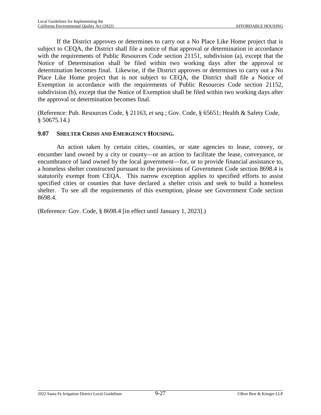If the District approves or determines to carry out a No Place Like Home project that is subject to CEQA, the District shall file a notice of that approval or determination in accordance with the requirements of Public Resources Code section 21151, subdivision (a), except that the Notice of Determination shall be filed within two working days after the approval or determination becomes final. Likewise, if the District approves or determines to carry out a No Place Like Home project that is not subject to CEQA, the District shall file a Notice of Exemption in accordance with the requirements of Public Resources Code section 21152, subdivision (b), except that the Notice of Exemption shall be filed within two working days after the approval or determination becomes final.

(Reference: Pub. Resources Code, § 21163, *et seq.*; Gov. Code, § 65651; Health & Safety Code,  $§ 50675.14.$ 

## **9.07 SHELTER CRISIS AND EMERGENCY HOUSING.**

An action taken by certain cities, counties, or state agencies to lease, convey, or encumber land owned by a city or county—or an action to facilitate the lease, conveyance, or encumbrance of land owned by the local government—for, or to provide financial assistance to, a homeless shelter constructed pursuant to the provisions of Government Code section 8698.4 is statutorily exempt from CEQA. This narrow exception applies to specified efforts to assist specified cities or counties that have declared a shelter crisis and seek to build a homeless shelter. To see all the requirements of this exemption, please see Government Code section 8698.4.

(Reference: Gov. Code, § 8698.4 [in effect until January 1, 2023].)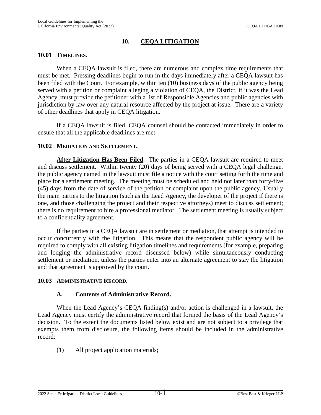## **10. CEQA LITIGATION**

## **10.01 TIMELINES.**

When a CEQA lawsuit is filed, there are numerous and complex time requirements that must be met. Pressing deadlines begin to run in the days immediately after a CEQA lawsuit has been filed with the Court. For example, within ten (10) business days of the public agency being served with a petition or complaint alleging a violation of CEQA, the District, if it was the Lead Agency, must provide the petitioner with a list of Responsible Agencies and public agencies with jurisdiction by law over any natural resource affected by the project at issue. There are a variety of other deadlines that apply in CEQA litigation.

If a CEQA lawsuit is filed, CEQA counsel should be contacted immediately in order to ensure that all the applicable deadlines are met.

#### **10.02 MEDIATION AND SETTLEMENT.**

**After Litigation Has Been Filed**. The parties in a CEQA lawsuit are required to meet and discuss settlement. Within twenty (20) days of being served with a CEQA legal challenge, the public agency named in the lawsuit must file a notice with the court setting forth the time and place for a settlement meeting. The meeting must be scheduled and held not later than forty-five (45) days from the date of service of the petition or complaint upon the public agency. Usually the main parties to the litigation (such as the Lead Agency, the developer of the project if there is one, and those challenging the project and their respective attorneys) meet to discuss settlement; there is no requirement to hire a professional mediator. The settlement meeting is usually subject to a confidentiality agreement.

If the parties in a CEQA lawsuit are in settlement or mediation, that attempt is intended to occur concurrently with the litigation. This means that the respondent public agency will be required to comply with all existing litigation timelines and requirements (for example, preparing and lodging the administrative record discussed below) while simultaneously conducting settlement or mediation, unless the parties enter into an alternate agreement to stay the litigation and that agreement is approved by the court.

#### **10.03 ADMINISTRATIVE RECORD.**

## **A. Contents of Administrative Record.**

When the Lead Agency's CEQA finding(s) and/or action is challenged in a lawsuit, the Lead Agency must certify the administrative record that formed the basis of the Lead Agency's decision. To the extent the documents listed below exist and are not subject to a privilege that exempts them from disclosure, the following items should be included in the administrative record:

(1) All project application materials;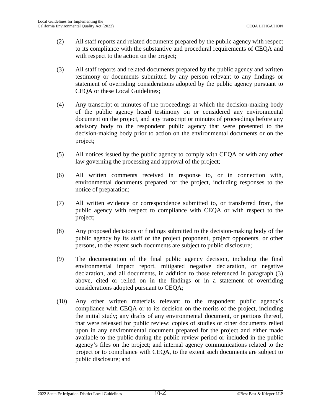- (2) All staff reports and related documents prepared by the public agency with respect to its compliance with the substantive and procedural requirements of CEQA and with respect to the action on the project;
- (3) All staff reports and related documents prepared by the public agency and written testimony or documents submitted by any person relevant to any findings or statement of overriding considerations adopted by the public agency pursuant to CEQA or these Local Guidelines;
- (4) Any transcript or minutes of the proceedings at which the decision-making body of the public agency heard testimony on or considered any environmental document on the project, and any transcript or minutes of proceedings before any advisory body to the respondent public agency that were presented to the decision-making body prior to action on the environmental documents or on the project;
- (5) All notices issued by the public agency to comply with CEQA or with any other law governing the processing and approval of the project;
- (6) All written comments received in response to, or in connection with, environmental documents prepared for the project, including responses to the notice of preparation;
- (7) All written evidence or correspondence submitted to, or transferred from, the public agency with respect to compliance with CEQA or with respect to the project;
- (8) Any proposed decisions or findings submitted to the decision-making body of the public agency by its staff or the project proponent, project opponents, or other persons, to the extent such documents are subject to public disclosure;
- (9) The documentation of the final public agency decision, including the final environmental impact report, mitigated negative declaration, or negative declaration, and all documents, in addition to those referenced in paragraph (3) above, cited or relied on in the findings or in a statement of overriding considerations adopted pursuant to CEQA;
- (10) Any other written materials relevant to the respondent public agency's compliance with CEQA or to its decision on the merits of the project, including the initial study; any drafts of any environmental document, or portions thereof, that were released for public review; copies of studies or other documents relied upon in any environmental document prepared for the project and either made available to the public during the public review period or included in the public agency's files on the project; and internal agency communications related to the project or to compliance with CEQA, to the extent such documents are subject to public disclosure; and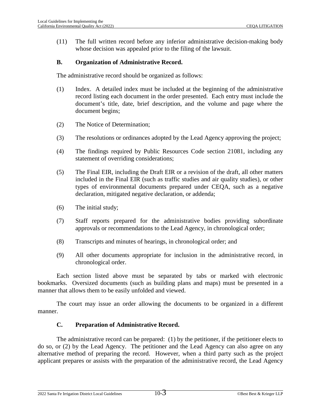(11) The full written record before any inferior administrative decision-making body whose decision was appealed prior to the filing of the lawsuit.

## **B. Organization of Administrative Record.**

The administrative record should be organized as follows:

- (1) Index. A detailed index must be included at the beginning of the administrative record listing each document in the order presented. Each entry must include the document's title, date, brief description, and the volume and page where the document begins;
- (2) The Notice of Determination;
- (3) The resolutions or ordinances adopted by the Lead Agency approving the project;
- (4) The findings required by Public Resources Code section 21081, including any statement of overriding considerations;
- (5) The Final EIR, including the Draft EIR or a revision of the draft, all other matters included in the Final EIR (such as traffic studies and air quality studies), or other types of environmental documents prepared under CEQA, such as a negative declaration, mitigated negative declaration, or addenda;
- (6) The initial study;
- (7) Staff reports prepared for the administrative bodies providing subordinate approvals or recommendations to the Lead Agency, in chronological order;
- (8) Transcripts and minutes of hearings, in chronological order; and
- (9) All other documents appropriate for inclusion in the administrative record, in chronological order.

Each section listed above must be separated by tabs or marked with electronic bookmarks. Oversized documents (such as building plans and maps) must be presented in a manner that allows them to be easily unfolded and viewed.

The court may issue an order allowing the documents to be organized in a different manner.

#### **C. Preparation of Administrative Record.**

The administrative record can be prepared: (1) by the petitioner, if the petitioner elects to do so, or (2) by the Lead Agency. The petitioner and the Lead Agency can also agree on any alternative method of preparing the record. However, when a third party such as the project applicant prepares or assists with the preparation of the administrative record, the Lead Agency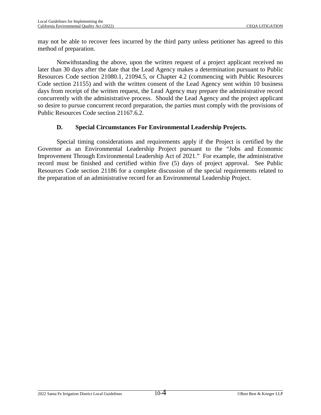may not be able to recover fees incurred by the third party unless petitioner has agreed to this method of preparation.

Notwithstanding the above, upon the written request of a project applicant received no later than 30 days after the date that the Lead Agency makes a determination pursuant to Public Resources Code section 21080.1, 21094.5, or Chapter 4.2 (commencing with Public Resources Code section 21155) and with the written consent of the Lead Agency sent within 10 business days from receipt of the written request, the Lead Agency may prepare the administrative record concurrently with the administrative process. Should the Lead Agency and the project applicant so desire to pursue concurrent record preparation, the parties must comply with the provisions of Public Resources Code section 21167.6.2.

# **D. Special Circumstances For Environmental Leadership Projects.**

Special timing considerations and requirements apply if the Project is certified by the Governor as an Environmental Leadership Project pursuant to the "Jobs and Economic Improvement Through Environmental Leadership Act of 2021." For example, the administrative record must be finished and certified within five (5) days of project approval. See Public Resources Code section 21186 for a complete discussion of the special requirements related to the preparation of an administrative record for an Environmental Leadership Project.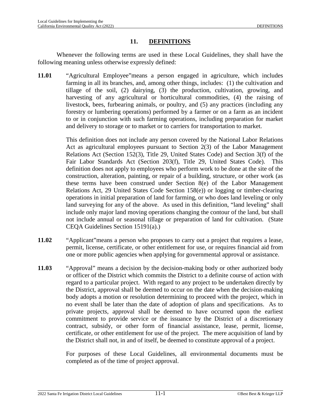#### **11. DEFINITIONS**

Whenever the following terms are used in these Local Guidelines, they shall have the following meaning unless otherwise expressly defined:

**11.01** "Agricultural Employee"means a person engaged in agriculture, which includes farming in all its branches, and, among other things, includes: (1) the cultivation and tillage of the soil, (2) dairying, (3) the production, cultivation, growing, and harvesting of any agricultural or horticultural commodities, (4) the raising of livestock, bees, furbearing animals, or poultry, and (5) any practices (including any forestry or lumbering operations) performed by a farmer or on a farm as an incident to or in conjunction with such farming operations, including preparation for market and delivery to storage or to market or to carriers for transportation to market.

> This definition does not include any person covered by the National Labor Relations Act as agricultural employees pursuant to Section 2(3) of the Labor Management Relations Act (Section 152(3), Title 29, United States Code) and Section 3(f) of the Fair Labor Standards Act (Section 203(f), Title 29, United States Code). This definition does not apply to employees who perform work to be done at the site of the construction, alteration, painting, or repair of a building, structure, or other work (as these terms have been construed under Section 8(e) of the Labor Management Relations Act, 29 United States Code Section 158(e)) or logging or timber-clearing operations in initial preparation of land for farming, or who does land leveling or only land surveying for any of the above. As used in this definition, "land leveling" shall include only major land moving operations changing the contour of the land, but shall not include annual or seasonal tillage or preparation of land for cultivation. (State CEQA Guidelines Section 15191(a).)

- **11.02** "Applicant"means a person who proposes to carry out a project that requires a lease, permit, license, certificate, or other entitlement for use, or requires financial aid from one or more public agencies when applying for governmental approval or assistance.
- **11.03** "Approval" means a decision by the decision-making body or other authorized body or officer of the District which commits the District to a definite course of action with regard to a particular project. With regard to any project to be undertaken directly by the District, approval shall be deemed to occur on the date when the decision-making body adopts a motion or resolution determining to proceed with the project, which in no event shall be later than the date of adoption of plans and specifications. As to private projects, approval shall be deemed to have occurred upon the earliest commitment to provide service or the issuance by the District of a discretionary contract, subsidy, or other form of financial assistance, lease, permit, license, certificate, or other entitlement for use of the project. The mere acquisition of land by the District shall not, in and of itself, be deemed to constitute approval of a project.

For purposes of these Local Guidelines, all environmental documents must be completed as of the time of project approval.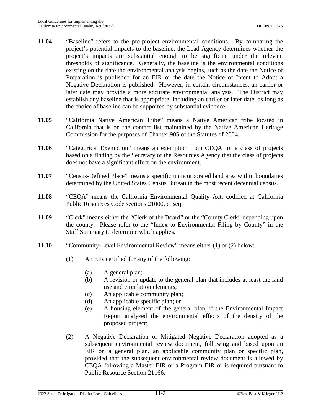- **11.04** "Baseline" refers to the pre-project environmental conditions. By comparing the project's potential impacts to the baseline, the Lead Agency determines whether the project's impacts are substantial enough to be significant under the relevant thresholds of significance. Generally, the baseline is the environmental conditions existing on the date the environmental analysis begins, such as the date the Notice of Preparation is published for an EIR or the date the Notice of Intent to Adopt a Negative Declaration is published. However, in certain circumstances, an earlier or later date may provide a more accurate environmental analysis. The District may establish any baseline that is appropriate, including an earlier or later date, as long as the choice of baseline can be supported by substantial evidence.
- **11.05** "California Native American Tribe" means a Native American tribe located in California that is on the contact list maintained by the Native American Heritage Commission for the purposes of Chapter 905 of the Statutes of 2004.
- **11.06** "Categorical Exemption" means an exemption from CEQA for a class of projects based on a finding by the Secretary of the Resources Agency that the class of projects does not have a significant effect on the environment.
- **11.07** "Census-Defined Place" means a specific unincorporated land area within boundaries determined by the United States Census Bureau in the most recent decennial census.
- **11.08** "CEQA" means the California Environmental Quality Act, codified at California Public Resources Code sections 21000, et seq.
- **11.09** "Clerk" means either the "Clerk of the Board" or the "County Clerk" depending upon the county. Please refer to the "Index to Environmental Filing by County" in the Staff Summary to determine which applies.
- **11.10** "Community-Level Environmental Review" means either (1) or (2) below:
	- (1) An EIR certified for any of the following:
		- (a) A general plan;
		- (b) A revision or update to the general plan that includes at least the land use and circulation elements;
		- (c) An applicable community plan;
		- (d) An applicable specific plan; or
		- (e) A housing element of the general plan, if the Environmental Impact Report analyzed the environmental effects of the density of the proposed project;
	- (2) A Negative Declaration or Mitigated Negative Declaration adopted as a subsequent environmental review document, following and based upon an EIR on a general plan, an applicable community plan or specific plan, provided that the subsequent environmental review document is allowed by CEQA following a Master EIR or a Program EIR or is required pursuant to Public Resource Section 21166.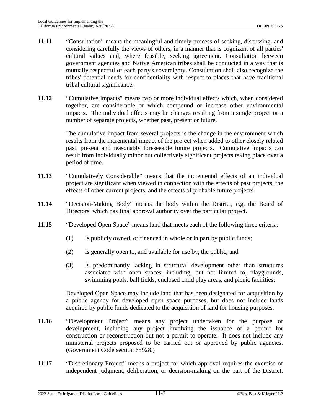- **11.11** "Consultation" means the meaningful and timely process of seeking, discussing, and considering carefully the views of others, in a manner that is cognizant of all parties' cultural values and, where feasible, seeking agreement. Consultation between government agencies and Native American tribes shall be conducted in a way that is mutually respectful of each party's sovereignty. Consultation shall also recognize the tribes' potential needs for confidentiality with respect to places that have traditional tribal cultural significance.
- **11.12** "Cumulative Impacts" means two or more individual effects which, when considered together, are considerable or which compound or increase other environmental impacts. The individual effects may be changes resulting from a single project or a number of separate projects, whether past, present or future.

The cumulative impact from several projects is the change in the environment which results from the incremental impact of the project when added to other closely related past, present and reasonably foreseeable future projects. Cumulative impacts can result from individually minor but collectively significant projects taking place over a period of time.

- **11.13** "Cumulatively Considerable" means that the incremental effects of an individual project are significant when viewed in connection with the effects of past projects, the effects of other current projects, and the effects of probable future projects.
- **11.14** "Decision-Making Body" means the body within the District, e.g. the Board of Directors, which has final approval authority over the particular project.
- **11.15** "Developed Open Space" means land that meets each of the following three criteria:
	- (1) Is publicly owned, or financed in whole or in part by public funds;
	- (2) Is generally open to, and available for use by, the public; and
	- (3) Is predominantly lacking in structural development other than structures associated with open spaces, including, but not limited to, playgrounds, swimming pools, ball fields, enclosed child play areas, and picnic facilities.

Developed Open Space may include land that has been designated for acquisition by a public agency for developed open space purposes, but does not include lands acquired by public funds dedicated to the acquisition of land for housing purposes.

- **11.16** "Development Project" means any project undertaken for the purpose of development, including any project involving the issuance of a permit for construction or reconstruction but not a permit to operate. It does not include any ministerial projects proposed to be carried out or approved by public agencies. (Government Code section 65928.)
- **11.17** "Discretionary Project" means a project for which approval requires the exercise of independent judgment, deliberation, or decision-making on the part of the District.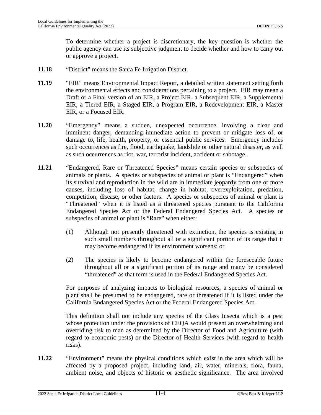To determine whether a project is discretionary, the key question is whether the public agency can use its subjective judgment to decide whether and how to carry out or approve a project.

- **11.18** "District" means the Santa Fe Irrigation District.
- **11.19** "EIR" means Environmental Impact Report, a detailed written statement setting forth the environmental effects and considerations pertaining to a project. EIR may mean a Draft or a Final version of an EIR, a Project EIR, a Subsequent EIR, a Supplemental EIR, a Tiered EIR, a Staged EIR, a Program EIR, a Redevelopment EIR, a Master EIR, or a Focused EIR.
- **11.20** "Emergency" means a sudden, unexpected occurrence, involving a clear and imminent danger, demanding immediate action to prevent or mitigate loss of, or damage to, life, health, property, or essential public services. Emergency includes such occurrences as fire, flood, earthquake, landslide or other natural disaster, as well as such occurrences as riot, war, terrorist incident, accident or sabotage.
- **11.21** "Endangered, Rare or Threatened Species" means certain species or subspecies of animals or plants. A species or subspecies of animal or plant is "Endangered" when its survival and reproduction in the wild are in immediate jeopardy from one or more causes, including loss of habitat, change in habitat, overexploitation, predation, competition, disease, or other factors. A species or subspecies of animal or plant is "Threatened" when it is listed as a threatened species pursuant to the California Endangered Species Act or the Federal Endangered Species Act. A species or subspecies of animal or plant is "Rare" when either:
	- (1) Although not presently threatened with extinction, the species is existing in such small numbers throughout all or a significant portion of its range that it may become endangered if its environment worsens; or
	- (2) The species is likely to become endangered within the foreseeable future throughout all or a significant portion of its range and many be considered "threatened" as that term is used in the Federal Endangered Species Act.

For purposes of analyzing impacts to biological resources, a species of animal or plant shall be presumed to be endangered, rare or threatened if it is listed under the California Endangered Species Act or the Federal Endangered Species Act.

This definition shall not include any species of the Class Insecta which is a pest whose protection under the provisions of CEQA would present an overwhelming and overriding risk to man as determined by the Director of Food and Agriculture (with regard to economic pests) or the Director of Health Services (with regard to health risks).

**11.22** "Environment" means the physical conditions which exist in the area which will be affected by a proposed project, including land, air, water, minerals, flora, fauna, ambient noise, and objects of historic or aesthetic significance. The area involved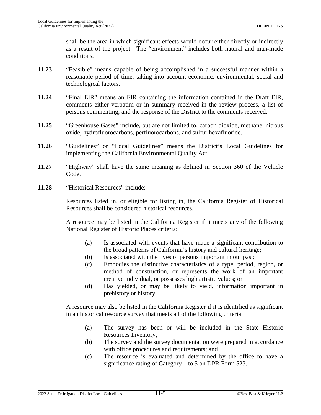shall be the area in which significant effects would occur either directly or indirectly as a result of the project. The "environment" includes both natural and man-made conditions.

- **11.23** "Feasible" means capable of being accomplished in a successful manner within a reasonable period of time, taking into account economic, environmental, social and technological factors.
- **11.24** "Final EIR" means an EIR containing the information contained in the Draft EIR, comments either verbatim or in summary received in the review process, a list of persons commenting, and the response of the District to the comments received.
- **11.25** "Greenhouse Gases" include, but are not limited to, carbon dioxide, methane, nitrous oxide, hydrofluorocarbons, perfluorocarbons, and sulfur hexafluoride.
- **11.26** "Guidelines" or "Local Guidelines" means the District's Local Guidelines for implementing the California Environmental Quality Act.
- **11.27** "Highway" shall have the same meaning as defined in Section 360 of the Vehicle Code.
- **11.28** "Historical Resources" include:

Resources listed in, or eligible for listing in, the California Register of Historical Resources shall be considered historical resources.

A resource may be listed in the California Register if it meets any of the following National Register of Historic Places criteria:

- (a) Is associated with events that have made a significant contribution to the broad patterns of California's history and cultural heritage;
- (b) Is associated with the lives of persons important in our past;
- (c) Embodies the distinctive characteristics of a type, period, region, or method of construction, or represents the work of an important creative individual, or possesses high artistic values; or
- (d) Has yielded, or may be likely to yield, information important in prehistory or history.

A resource may also be listed in the California Register if it is identified as significant in an historical resource survey that meets all of the following criteria:

- (a) The survey has been or will be included in the State Historic Resources Inventory;
- (b) The survey and the survey documentation were prepared in accordance with office procedures and requirements; and
- (c) The resource is evaluated and determined by the office to have a significance rating of Category 1 to 5 on DPR Form 523.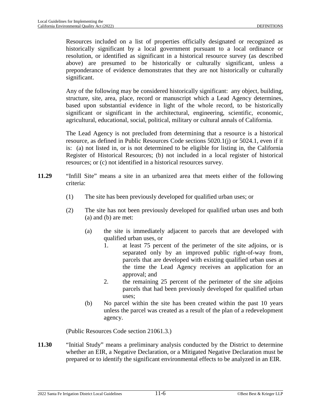Resources included on a list of properties officially designated or recognized as historically significant by a local government pursuant to a local ordinance or resolution, or identified as significant in a historical resource survey (as described above) are presumed to be historically or culturally significant, unless a preponderance of evidence demonstrates that they are not historically or culturally significant.

Any of the following may be considered historically significant: any object, building, structure, site, area, place, record or manuscript which a Lead Agency determines, based upon substantial evidence in light of the whole record, to be historically significant or significant in the architectural, engineering, scientific, economic, agricultural, educational, social, political, military or cultural annals of California.

The Lead Agency is not precluded from determining that a resource is a historical resource, as defined in Public Resources Code sections 5020.1(j) or 5024.1, even if it is: (a) not listed in, or is not determined to be eligible for listing in, the California Register of Historical Resources; (b) not included in a local register of historical resources; or (c) not identified in a historical resources survey.

- **11.29** "Infill Site" means a site in an urbanized area that meets either of the following criteria:
	- (1) The site has been previously developed for qualified urban uses; or
	- (2) The site has not been previously developed for qualified urban uses and both (a) and (b) are met:
		- (a) the site is immediately adjacent to parcels that are developed with qualified urban uses, or
			- 1. at least 75 percent of the perimeter of the site adjoins, or is separated only by an improved public right-of-way from, parcels that are developed with existing qualified urban uses at the time the Lead Agency receives an application for an approval; and
			- 2. the remaining 25 percent of the perimeter of the site adjoins parcels that had been previously developed for qualified urban uses;
		- (b) No parcel within the site has been created within the past 10 years unless the parcel was created as a result of the plan of a redevelopment agency.

(Public Resources Code section 21061.3.)

**11.30** "Initial Study" means a preliminary analysis conducted by the District to determine whether an EIR, a Negative Declaration, or a Mitigated Negative Declaration must be prepared or to identify the significant environmental effects to be analyzed in an EIR.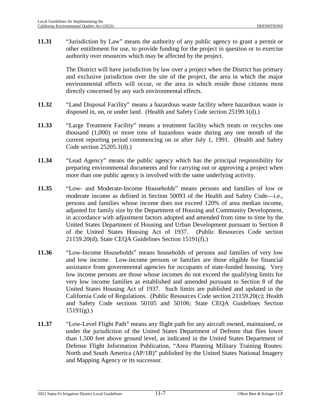**11.31** "Jurisdiction by Law" means the authority of any public agency to grant a permit or other entitlement for use, to provide funding for the project in question or to exercise authority over resources which may be affected by the project.

> The District will have jurisdiction by law over a project when the District has primary and exclusive jurisdiction over the site of the project, the area in which the major environmental effects will occur, or the area in which reside those citizens most directly concerned by any such environmental effects.

- **11.32** "Land Disposal Facility" means a hazardous waste facility where hazardous waste is disposed in, on, or under land. (Health and Safety Code section 25199.1(d).)
- **11.33** "Large Treatment Facility" means a treatment facility which treats or recycles one thousand (1,000) or more tons of hazardous waste during any one month of the current reporting period commencing on or after July 1, 1991. (Health and Safety Code section 25205.1(d).)
- **11.34** "Lead Agency" means the public agency which has the principal responsibility for preparing environmental documents and for carrying out or approving a project when more than one public agency is involved with the same underlying activity.
- **11.35** "Low- and Moderate-Income Households" means persons and families of low or moderate income as defined in Section 50093 of the Health and Safety Code—i.e., persons and families whose income does not exceed 120% of area median income, adjusted for family size by the Department of Housing and Community Development, in accordance with adjustment factors adopted and amended from time to time by the United States Department of Housing and Urban Development pursuant to Section 8 of the United States Housing Act of 1937. (Public Resources Code section 21159.20(d); State CEQA Guidelines Section 15191(f).)
- **11.36** "Low-Income Households" means households of persons and families of very low and low income. Low-income persons or families are those eligible for financial assistance from governmental agencies for occupants of state-funded housing. Very low income persons are those whose incomes do not exceed the qualifying limits for very low income families as established and amended pursuant to Section 8 of the United States Housing Act of 1937. Such limits are published and updated in the California Code of Regulations. (Public Resources Code section 21159.20(c); Health and Safety Code sections 50105 and 50106; State CEQA Guidelines Section  $15191(g)$ .)
- **11.37** "Low-Level Flight Path" means any flight path for any aircraft owned, maintained, or under the jurisdiction of the United States Department of Defense that flies lower than 1,500 feet above ground level, as indicated in the United States Department of Defense Flight Information Publication, "Area Planning Military Training Routes: North and South America (AP/1B)" published by the United States National Imagery and Mapping Agency or its successor.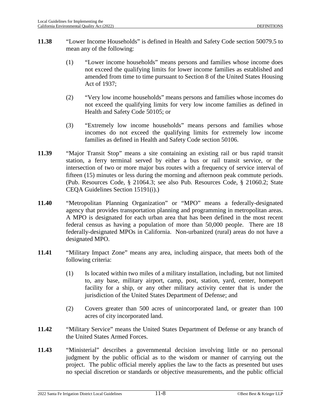- **11.38** "Lower Income Households" is defined in Health and Safety Code section 50079.5 to mean any of the following:
	- (1) "Lower income households" means persons and families whose income does not exceed the qualifying limits for lower income families as established and amended from time to time pursuant to Section 8 of the United States Housing Act of 1937;
	- (2) "Very low income households" means persons and families whose incomes do not exceed the qualifying limits for very low income families as defined in Health and Safety Code 50105; or
	- (3) "Extremely low income households" means persons and families whose incomes do not exceed the qualifying limits for extremely low income families as defined in Health and Safety Code section 50106.
- **11.39** "Major Transit Stop" means a site containing an existing rail or bus rapid transit station, a ferry terminal served by either a bus or rail transit service, or the intersection of two or more major bus routes with a frequency of service interval of fifteen (15) minutes or less during the morning and afternoon peak commute periods. (Pub. Resources Code, § 21064.3; see also Pub. Resources Code, § 21060.2; State CEQA Guidelines Section 15191(i).)
- <span id="page-182-0"></span>**11.40** "Metropolitan Planning Organization" or "MPO" means a federally-designated agency that provides transportation planning and programming in metropolitan areas. A MPO is designated for each urban area that has been defined in the most recent federal census as having a population of more than 50,000 people. There are 18 federally-designated MPOs in California. Non-urbanized (rural) areas do not have a designated MPO.
- **11.41** "Military Impact Zone" means any area, including airspace, that meets both of the following criteria:
	- (1) Is located within two miles of a military installation, including, but not limited to, any base, military airport, camp, post, station, yard, center, homeport facility for a ship, or any other military activity center that is under the jurisdiction of the United States Department of Defense; and
	- (2) Covers greater than 500 acres of unincorporated land, or greater than 100 acres of city incorporated land.
- **11.42** "Military Service" means the United States Department of Defense or any branch of the United States Armed Forces.
- **11.43** "Ministerial" describes a governmental decision involving little or no personal judgment by the public official as to the wisdom or manner of carrying out the project. The public official merely applies the law to the facts as presented but uses no special discretion or standards or objective measurements, and the public official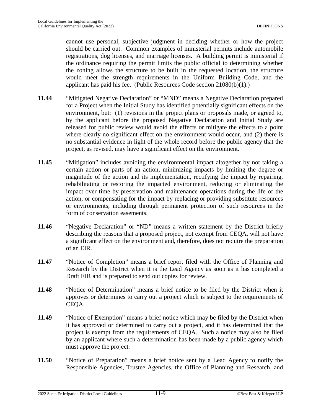cannot use personal, subjective judgment in deciding whether or how the project should be carried out. Common examples of ministerial permits include automobile registrations, dog licenses, and marriage licenses. A building permit is ministerial if the ordinance requiring the permit limits the public official to determining whether the zoning allows the structure to be built in the requested location, the structure would meet the strength requirements in the Uniform Building Code, and the applicant has paid his fee. (Public Resources Code section 21080(b)(1).)

- **11.44** "Mitigated Negative Declaration" or "MND" means a Negative Declaration prepared for a Project when the Initial Study has identified potentially significant effects on the environment, but: (1) revisions in the project plans or proposals made, or agreed to, by the applicant before the proposed Negative Declaration and Initial Study are released for public review would avoid the effects or mitigate the effects to a point where clearly no significant effect on the environment would occur, and (2) there is no substantial evidence in light of the whole record before the public agency that the project, as revised, may have a significant effect on the environment.
- **11.45** "Mitigation" includes avoiding the environmental impact altogether by not taking a certain action or parts of an action, minimizing impacts by limiting the degree or magnitude of the action and its implementation, rectifying the impact by repairing, rehabilitating or restoring the impacted environment, reducing or eliminating the impact over time by preservation and maintenance operations during the life of the action, or compensating for the impact by replacing or providing substitute resources or environments, including through permanent protection of such resources in the form of conservation easements.
- **11.46** "Negative Declaration" or "ND" means a written statement by the District briefly describing the reasons that a proposed project, not exempt from CEQA, will not have a significant effect on the environment and, therefore, does not require the preparation of an EIR.
- **11.47** "Notice of Completion" means a brief report filed with the Office of Planning and Research by the District when it is the Lead Agency as soon as it has completed a Draft EIR and is prepared to send out copies for review.
- **11.48** "Notice of Determination" means a brief notice to be filed by the District when it approves or determines to carry out a project which is subject to the requirements of CEQA.
- **11.49** "Notice of Exemption" means a brief notice which may be filed by the District when it has approved or determined to carry out a project, and it has determined that the project is exempt from the requirements of CEQA. Such a notice may also be filed by an applicant where such a determination has been made by a public agency which must approve the project.
- **11.50** "Notice of Preparation" means a brief notice sent by a Lead Agency to notify the Responsible Agencies, Trustee Agencies, the Office of Planning and Research, and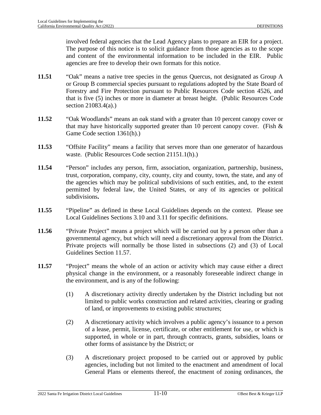involved federal agencies that the Lead Agency plans to prepare an EIR for a project. The purpose of this notice is to solicit guidance from those agencies as to the scope and content of the environmental information to be included in the EIR. Public agencies are free to develop their own formats for this notice.

- **11.51** "Oak" means a native tree species in the genus Quercus, not designated as Group A or Group B commercial species pursuant to regulations adopted by the State Board of Forestry and Fire Protection pursuant to Public Resources Code section 4526, and that is five (5) inches or more in diameter at breast height. (Public Resources Code section 21083.4(a).)
- **11.52** "Oak Woodlands" means an oak stand with a greater than 10 percent canopy cover or that may have historically supported greater than 10 percent canopy cover. (Fish  $\&$ Game Code section 1361(h).)
- **11.53** "Offsite Facility" means a facility that serves more than one generator of hazardous waste. (Public Resources Code section 21151.1(h).)
- **11.54** "Person" includes any person, firm, association, organization, partnership, business, trust, corporation, company, city, county, city and county, town, the state, and any of the agencies which may be political subdivisions of such entities, and, to the extent permitted by federal law, the United States, or any of its agencies or political subdivisions**.**
- **11.55** "Pipeline" as defined in these Local Guidelines depends on the context. Please see Local Guidelines Sections [3.10](#page-26-0) and [3.11](#page-26-1) for specific definitions.
- **11.56** "Private Project" means a project which will be carried out by a person other than a governmental agency, but which will need a discretionary approval from the District. Private projects will normally be those listed in subsections (2) and (3) of Local Guidelines Section [11.57.](#page-184-0)
- <span id="page-184-0"></span>**11.57** "Project" means the whole of an action or activity which may cause either a direct physical change in the environment, or a reasonably foreseeable indirect change in the environment, and is any of the following:
	- (1) A discretionary activity directly undertaken by the District including but not limited to public works construction and related activities, clearing or grading of land, or improvements to existing public structures;
	- (2) A discretionary activity which involves a public agency's issuance to a person of a lease, permit, license, certificate, or other entitlement for use, or which is supported, in whole or in part, through contracts, grants, subsidies, loans or other forms of assistance by the District; or
	- (3) A discretionary project proposed to be carried out or approved by public agencies, including but not limited to the enactment and amendment of local General Plans or elements thereof, the enactment of zoning ordinances, the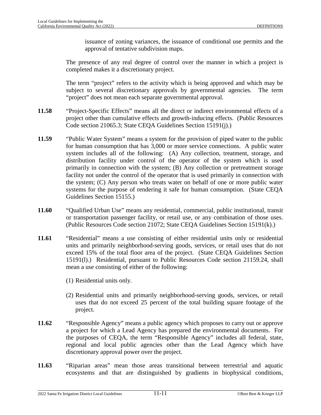issuance of zoning variances, the issuance of conditional use permits and the approval of tentative subdivision maps.

The presence of any real degree of control over the manner in which a project is completed makes it a discretionary project.

The term "project" refers to the activity which is being approved and which may be subject to several discretionary approvals by governmental agencies. The term "project" does not mean each separate governmental approval.

- **11.58** "Project-Specific Effects" means all the direct or indirect environmental effects of a project other than cumulative effects and growth-inducing effects. (Public Resources Code section 21065.3; State CEQA Guidelines Section 15191(j).)
- **11.59** "Public Water System" means a system for the provision of piped water to the public for human consumption that has 3,000 or more service connections. A public water system includes all of the following: (A) Any collection, treatment, storage, and distribution facility under control of the operator of the system which is used primarily in connection with the system; (B) Any collection or pretreatment storage facility not under the control of the operator that is used primarily in connection with the system; (C) Any person who treats water on behalf of one or more public water systems for the purpose of rendering it safe for human consumption. (State CEQA Guidelines Section 15155.)
- **11.60** "Qualified Urban Use" means any residential, commercial, public institutional, transit or transportation passenger facility, or retail use, or any combination of those uses. (Public Resources Code section 21072; State CEQA Guidelines Section 15191(k).)
- **11.61** "Residential" means a use consisting of either residential units only or residential units and primarily neighborhood-serving goods, services, or retail uses that do not exceed 15% of the total floor area of the project. (State CEQA Guidelines Section 15191(l).) Residential, pursuant to Public Resources Code section 21159.24, shall mean a use consisting of either of the following:
	- (1) Residential units only.
	- (2) Residential units and primarily neighborhood-serving goods, services, or retail uses that do not exceed 25 percent of the total building square footage of the project.
- **11.62** "Responsible Agency" means a public agency which proposes to carry out or approve a project for which a Lead Agency has prepared the environmental documents. For the purposes of CEQA, the term "Responsible Agency" includes all federal, state, regional and local public agencies other than the Lead Agency which have discretionary approval power over the project.
- **11.63** "Riparian areas" mean those areas transitional between terrestrial and aquatic ecosystems and that are distinguished by gradients in biophysical conditions,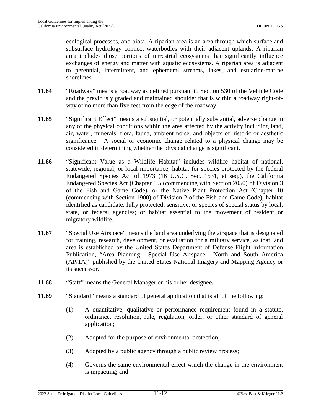ecological processes, and biota. A riparian area is an area through which surface and subsurface hydrology connect waterbodies with their adjacent uplands. A riparian area includes those portions of terrestrial ecosystems that significantly influence exchanges of energy and matter with aquatic ecosystems. A riparian area is adjacent to perennial, intermittent, and ephemeral streams, lakes, and estuarine-marine shorelines.

- **11.64** "Roadway" means a roadway as defined pursuant to Section 530 of the Vehicle Code and the previously graded and maintained shoulder that is within a roadway right-ofway of no more than five feet from the edge of the roadway.
- **11.65** "Significant Effect" means a substantial, or potentially substantial, adverse change in any of the physical conditions within the area affected by the activity including land, air, water, minerals, flora, fauna, ambient noise, and objects of historic or aesthetic significance. A social or economic change related to a physical change may be considered in determining whether the physical change is significant.
- **11.66** "Significant Value as a Wildlife Habitat" includes wildlife habitat of national, statewide, regional, or local importance; habitat for species protected by the federal Endangered Species Act of 1973 (16 U.S.C. Sec. 1531, et seq.), the California Endangered Species Act (Chapter 1.5 (commencing with Section 2050) of Division 3 of the Fish and Game Code), or the Native Plant Protection Act (Chapter 10 (commencing with Section 1900) of Division 2 of the Fish and Game Code); habitat identified as candidate, fully protected, sensitive, or species of special status by local, state, or federal agencies; or habitat essential to the movement of resident or migratory wildlife.
- **11.67** "Special Use Airspace" means the land area underlying the airspace that is designated for training, research, development, or evaluation for a military service, as that land area is established by the United States Department of Defense Flight Information Publication, "Area Planning: Special Use Airspace: North and South America (AP/1A)" published by the United States National Imagery and Mapping Agency or its successor.
- **11.68** "Staff" means the General Manager or his or her designee**.**
- **11.69** "Standard" means a standard of general application that is all of the following:
	- (1) A quantitative, qualitative or performance requirement found in a statute, ordinance, resolution, rule, regulation, order, or other standard of general application;
	- (2) Adopted for the purpose of environmental protection;
	- (3) Adopted by a public agency through a public review process;
	- (4) Governs the same environmental effect which the change in the environment is impacting; and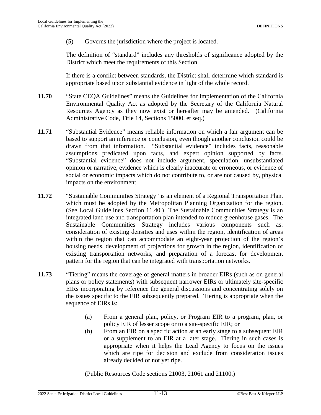(5) Governs the jurisdiction where the project is located.

The definition of "standard" includes any thresholds of significance adopted by the District which meet the requirements of this Section.

If there is a conflict between standards, the District shall determine which standard is appropriate based upon substantial evidence in light of the whole record.

- **11.70** "State CEQA Guidelines" means the Guidelines for Implementation of the California Environmental Quality Act as adopted by the Secretary of the California Natural Resources Agency as they now exist or hereafter may be amended. (California Administrative Code, Title 14, Sections 15000, et seq.)
- **11.71** "Substantial Evidence" means reliable information on which a fair argument can be based to support an inference or conclusion, even though another conclusion could be drawn from that information. "Substantial evidence" includes facts, reasonable assumptions predicated upon facts, and expert opinion supported by facts. "Substantial evidence" does not include argument, speculation, unsubstantiated opinion or narrative, evidence which is clearly inaccurate or erroneous, or evidence of social or economic impacts which do not contribute to, or are not caused by, physical impacts on the environment.
- **11.72** "Sustainable Communities Strategy" is an element of a Regional Transportation Plan, which must be adopted by th[e Metro](#page-182-0)politan Planning Organization for the region. (See Local Guidelines Section 11.40.) The Sustainable Communities Strategy is an integrated land use and transportation plan intended to reduce greenhouse gases. The Sustainable Communities Strategy includes various components such as: consideration of existing densities and uses within the region, identification of areas within the region that can accommodate an eight-year projection of the region's housing needs, development of projections for growth in the region, identification of existing transportation networks, and preparation of a forecast for development pattern for the region that can be integrated with transportation networks.
- **11.73** "Tiering" means the coverage of general matters in broader EIRs (such as on general plans or policy statements) with subsequent narrower EIRs or ultimately site-specific EIRs incorporating by reference the general discussions and concentrating solely on the issues specific to the EIR subsequently prepared. Tiering is appropriate when the sequence of EIRs is:
	- (a) From a general plan, policy, or Program EIR to a program, plan, or policy EIR of lesser scope or to a site-specific EIR; or
	- (b) From an EIR on a specific action at an early stage to a subsequent EIR or a supplement to an EIR at a later stage. Tiering in such cases is appropriate when it helps the Lead Agency to focus on the issues which are ripe for decision and exclude from consideration issues already decided or not yet ripe.

(Public Resources Code sections 21003, 21061 and 21100.)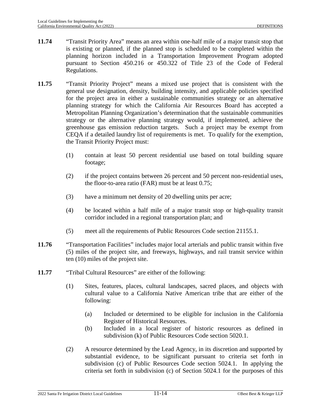- **11.74** "Transit Priority Area" means an area within one-half mile of a major transit stop that is existing or planned, if the planned stop is scheduled to be completed within the planning horizon included in a Transportation Improvement Program adopted pursuant to Section 450.216 or 450.322 of Title 23 of the Code of Federal Regulations.
- **11.75** "Transit Priority Project" means a mixed use project that is consistent with the general use designation, density, building intensity, and applicable policies specified for the project area in either a sustainable communities strategy or an alternative planning strategy for which the California Air Resources Board has accepted a Metropolitan Planning Organization's determination that the sustainable communities strategy or the alternative planning strategy would, if implemented, achieve the greenhouse gas emission reduction targets. Such a project may be exempt from CEQA if a detailed laundry list of requirements is met. To qualify for the exemption, the Transit Priority Project must:
	- (1) contain at least 50 percent residential use based on total building square footage;
	- (2) if the project contains between 26 percent and 50 percent non-residential uses, the floor-to-area ratio (FAR) must be at least 0.75;
	- (3) have a minimum net density of 20 dwelling units per acre;
	- (4) be located within a half mile of a major transit stop or high-quality transit corridor included in a regional transportation plan; and
	- (5) meet all the requirements of Public Resources Code section 21155.1.
- **11.76** "Transportation Facilities" includes major local arterials and public transit within five (5) miles of the project site, and freeways, highways, and rail transit service within ten (10) miles of the project site.
- **11.77** "Tribal Cultural Resources" are either of the following:
	- (1) Sites, features, places, cultural landscapes, sacred places, and objects with cultural value to a California Native American tribe that are either of the following:
		- (a) Included or determined to be eligible for inclusion in the California Register of Historical Resources.
		- (b) Included in a local register of historic resources as defined in subdivision (k) of Public Resources Code section 5020.1.
	- (2) A resource determined by the Lead Agency, in its discretion and supported by substantial evidence, to be significant pursuant to criteria set forth in subdivision (c) of Public Resources Code section 5024.1. In applying the criteria set forth in subdivision (c) of Section 5024.1 for the purposes of this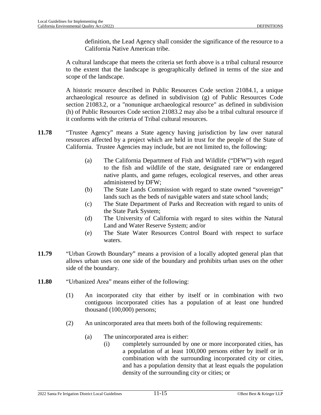definition, the Lead Agency shall consider the significance of the resource to a California Native American tribe.

A cultural landscape that meets the criteria set forth above is a tribal cultural resource to the extent that the landscape is geographically defined in terms of the size and scope of the landscape.

A historic resource described in Public Resources Code section 21084.1, a unique archaeological resource as defined in subdivision (g) of Public Resources Code section 21083.2, or a "nonunique archaeological resource" as defined in subdivision (h) of Public Resources Code section 21083.2 may also be a tribal cultural resource if it conforms with the criteria of Tribal cultural resources.

- **11.78** "Trustee Agency" means a State agency having jurisdiction by law over natural resources affected by a project which are held in trust for the people of the State of California. Trustee Agencies may include, but are not limited to, the following:
	- (a) The California Department of Fish and Wildlife ("DFW") with regard to the fish and wildlife of the state, designated rare or endangered native plants, and game refuges, ecological reserves, and other areas administered by DFW;
	- (b) The State Lands Commission with regard to state owned "sovereign" lands such as the beds of navigable waters and state school lands;
	- (c) The State Department of Parks and Recreation with regard to units of the State Park System;
	- (d) The University of California with regard to sites within the Natural Land and Water Reserve System; and/or
	- (e) The State Water Resources Control Board with respect to surface waters.
- **11.79** "Urban Growth Boundary" means a provision of a locally adopted general plan that allows urban uses on one side of the boundary and prohibits urban uses on the other side of the boundary.
- **11.80** "Urbanized Area" means either of the following:
	- (1) An incorporated city that either by itself or in combination with two contiguous incorporated cities has a population of at least one hundred thousand (100,000) persons;
	- (2) An unincorporated area that meets both of the following requirements:
		- (a) The unincorporated area is either:
			- (i) completely surrounded by one or more incorporated cities, has a population of at least 100,000 persons either by itself or in combination with the surrounding incorporated city or cities, and has a population density that at least equals the population density of the surrounding city or cities; or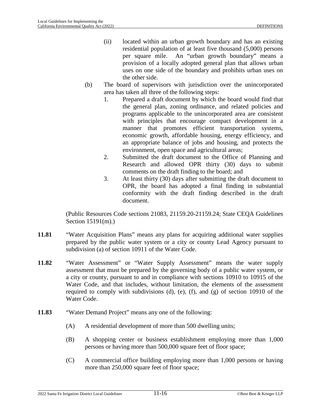- (ii) located within an urban growth boundary and has an existing residential population of at least five thousand (5,000) persons per square mile. An "urban growth boundary" means a provision of a locally adopted general plan that allows urban uses on one side of the boundary and prohibits urban uses on the other side.
- (b) The board of supervisors with jurisdiction over the unincorporated area has taken all three of the following steps:
	- 1. Prepared a draft document by which the board would find that the general plan, zoning ordinance, and related policies and programs applicable to the unincorporated area are consistent with principles that encourage compact development in a manner that promotes efficient transportation systems, economic growth, affordable housing, energy efficiency, and an appropriate balance of jobs and housing, and protects the environment, open space and agricultural areas;
	- 2. Submitted the draft document to the Office of Planning and Research and allowed OPR thirty (30) days to submit comments on the draft finding to the board; and
	- 3. At least thirty (30) days after submitting the draft document to OPR, the board has adopted a final finding in substantial conformity with the draft finding described in the draft document.

(Public Resources Code sections 21083, 21159.20-21159.24; State CEQA Guidelines Section 15191(m).)

- **11.81** "Water Acquisition Plans" means any plans for acquiring additional water supplies prepared by the public water system or a city or county Lead Agency pursuant to subdivision (a) of section 10911 of the Water Code.
- **11.82** "Water Assessment" or "Water Supply Assessment" means the water supply assessment that must be prepared by the governing body of a public water system, or a city or county, pursuant to and in compliance with sections 10910 to 10915 of the Water Code, and that includes, without limitation, the elements of the assessment required to comply with subdivisions (d), (e), (f), and (g) of section 10910 of the Water Code.
- **11.83** "Water Demand Project" means any one of the following:
	- (A) A residential development of more than 500 dwelling units;
	- (B) A shopping center or business establishment employing more than 1,000 persons or having more than 500,000 square feet of floor space;
	- (C) A commercial office building employing more than 1,000 persons or having more than 250,000 square feet of floor space;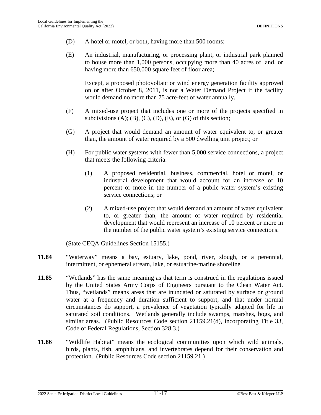- (D) A hotel or motel, or both, having more than 500 rooms;
- (E) An industrial, manufacturing, or processing plant, or industrial park planned to house more than 1,000 persons, occupying more than 40 acres of land, or having more than 650,000 square feet of floor area;

Except, a proposed photovoltaic or wind energy generation facility approved on or after October 8, 2011, is not a Water Demand Project if the facility would demand no more than 75 acre-feet of water annually.

- (F) A mixed-use project that includes one or more of the projects specified in subdivisions  $(A)$ ;  $(B)$ ,  $(C)$ ,  $(D)$ ,  $(E)$ , or  $(G)$  of this section;
- (G) A project that would demand an amount of water equivalent to, or greater than, the amount of water required by a 500 dwelling unit project; or
- (H) For public water systems with fewer than 5,000 service connections, a project that meets the following criteria:
	- (1) A proposed residential, business, commercial, hotel or motel, or industrial development that would account for an increase of 10 percent or more in the number of a public water system's existing service connections; or
	- (2) A mixed-use project that would demand an amount of water equivalent to, or greater than, the amount of water required by residential development that would represent an increase of 10 percent or more in the number of the public water system's existing service connections.

(State CEQA Guidelines Section 15155.)

- **11.84** "Waterway" means a bay, estuary, lake, pond, river, slough, or a perennial, intermittent, or ephemeral stream, lake, or estuarine-marine shoreline.
- **11.85** "Wetlands" has the same meaning as that term is construed in the regulations issued by the United States Army Corps of Engineers pursuant to the Clean Water Act. Thus, "wetlands" means areas that are inundated or saturated by surface or ground water at a frequency and duration sufficient to support, and that under normal circumstances do support, a prevalence of vegetation typically adapted for life in saturated soil conditions. Wetlands generally include swamps, marshes, bogs, and similar areas. (Public Resources Code section 21159.21(d), incorporating Title 33, Code of Federal Regulations, Section 328.3.)
- **11.86** "Wildlife Habitat" means the ecological communities upon which wild animals, birds, plants, fish, amphibians, and invertebrates depend for their conservation and protection. (Public Resources Code section 21159.21.)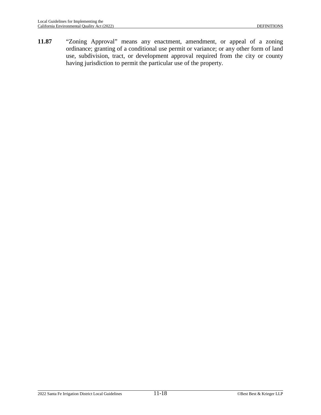**11.87** "Zoning Approval" means any enactment, amendment, or appeal of a zoning ordinance; granting of a conditional use permit or variance; or any other form of land use, subdivision, tract, or development approval required from the city or county having jurisdiction to permit the particular use of the property.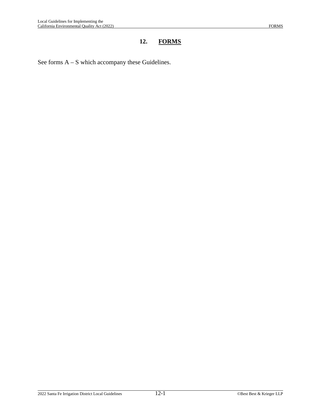## **12. FORMS**

See forms A – S which accompany these Guidelines.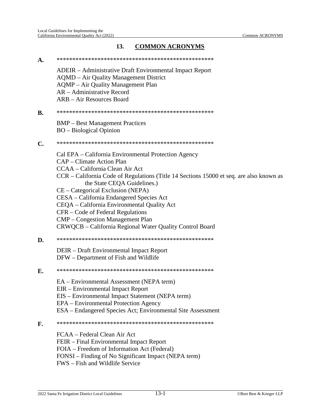## 13. **COMMON ACRONYMS**

| A.             |                                                                                         |
|----------------|-----------------------------------------------------------------------------------------|
|                | ADEIR – Administrative Draft Environmental Impact Report                                |
|                | <b>AQMD</b> – Air Quality Management District                                           |
|                | <b>AQMP</b> – Air Quality Management Plan                                               |
|                | AR – Administrative Record                                                              |
|                | ARB - Air Resources Board                                                               |
| <b>B.</b>      |                                                                                         |
|                | <b>BMP</b> – Best Management Practices                                                  |
|                | <b>BO</b> – Biological Opinion                                                          |
| $\mathbf{C}$ . |                                                                                         |
|                | Cal EPA – California Environmental Protection Agency                                    |
|                | CAP – Climate Action Plan                                                               |
|                | CCAA – California Clean Air Act                                                         |
|                | CCR – California Code of Regulations (Title 14 Sections 15000 et seq. are also known as |
|                | the State CEQA Guidelines.)                                                             |
|                | CE - Categorical Exclusion (NEPA)                                                       |
|                | CESA - California Endangered Species Act                                                |
|                | CEQA - California Environmental Quality Act                                             |
|                | CFR – Code of Federal Regulations                                                       |
|                | <b>CMP</b> – Congestion Management Plan                                                 |
|                | CRWQCB – California Regional Water Quality Control Board                                |
| D.             |                                                                                         |
|                | DEIR – Draft Environmental Impact Report                                                |
|                | DFW – Department of Fish and Wildlife                                                   |
| E.             |                                                                                         |
|                | EA – Environmental Assessment (NEPA term)                                               |
|                | EIR - Environmental Impact Report                                                       |
|                | EIS – Environmental Impact Statement (NEPA term)                                        |
|                | EPA – Environmental Protection Agency                                                   |
|                | ESA – Endangered Species Act; Environmental Site Assessment                             |
| F.             |                                                                                         |
|                | FCAA – Federal Clean Air Act                                                            |
|                | FEIR – Final Environmental Impact Report                                                |
|                | FOIA – Freedom of Information Act (Federal)                                             |
|                | FONSI – Finding of No Significant Impact (NEPA term)                                    |
|                | FWS - Fish and Wildlife Service                                                         |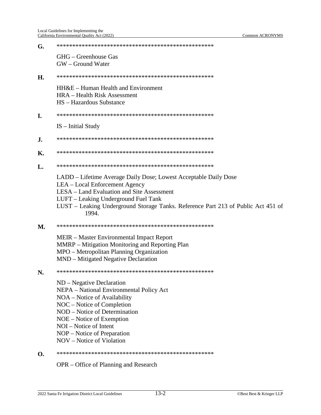| G.           |                                                                                                                                                                                                                                                                                             |
|--------------|---------------------------------------------------------------------------------------------------------------------------------------------------------------------------------------------------------------------------------------------------------------------------------------------|
|              | GHG – Greenhouse Gas<br>GW – Ground Water                                                                                                                                                                                                                                                   |
| H.           |                                                                                                                                                                                                                                                                                             |
|              | HH&E – Human Health and Environment<br><b>HRA</b> – Health Risk Assessment<br>HS - Hazardous Substance                                                                                                                                                                                      |
| Ι.           |                                                                                                                                                                                                                                                                                             |
|              | $IS$ – Initial Study                                                                                                                                                                                                                                                                        |
| J.           |                                                                                                                                                                                                                                                                                             |
| Κ.           |                                                                                                                                                                                                                                                                                             |
| $\mathbf{L}$ |                                                                                                                                                                                                                                                                                             |
|              | LADD – Lifetime Average Daily Dose; Lowest Acceptable Daily Dose<br>LEA – Local Enforcement Agency<br>LESA – Land Evaluation and Site Assessment<br>LUFT - Leaking Underground Fuel Tank<br>LUST – Leaking Underground Storage Tanks. Reference Part 213 of Public Act 451 of<br>1994.      |
| <b>M.</b>    |                                                                                                                                                                                                                                                                                             |
|              | MEIR – Master Environmental Impact Report<br>MMRP – Mitigation Monitoring and Reporting Plan<br>MPO – Metropolitan Planning Organization<br>MND – Mitigated Negative Declaration                                                                                                            |
| N.           |                                                                                                                                                                                                                                                                                             |
|              | $ND$ – Negative Declaration<br>NEPA - National Environmental Policy Act<br>NOA – Notice of Availability<br>NOC – Notice of Completion<br>NOD – Notice of Determination<br>$NOE - Notice of Exemption$<br>NOI – Notice of Intent<br>NOP - Notice of Preparation<br>NOV – Notice of Violation |
| O.           |                                                                                                                                                                                                                                                                                             |

OPR - Office of Planning and Research